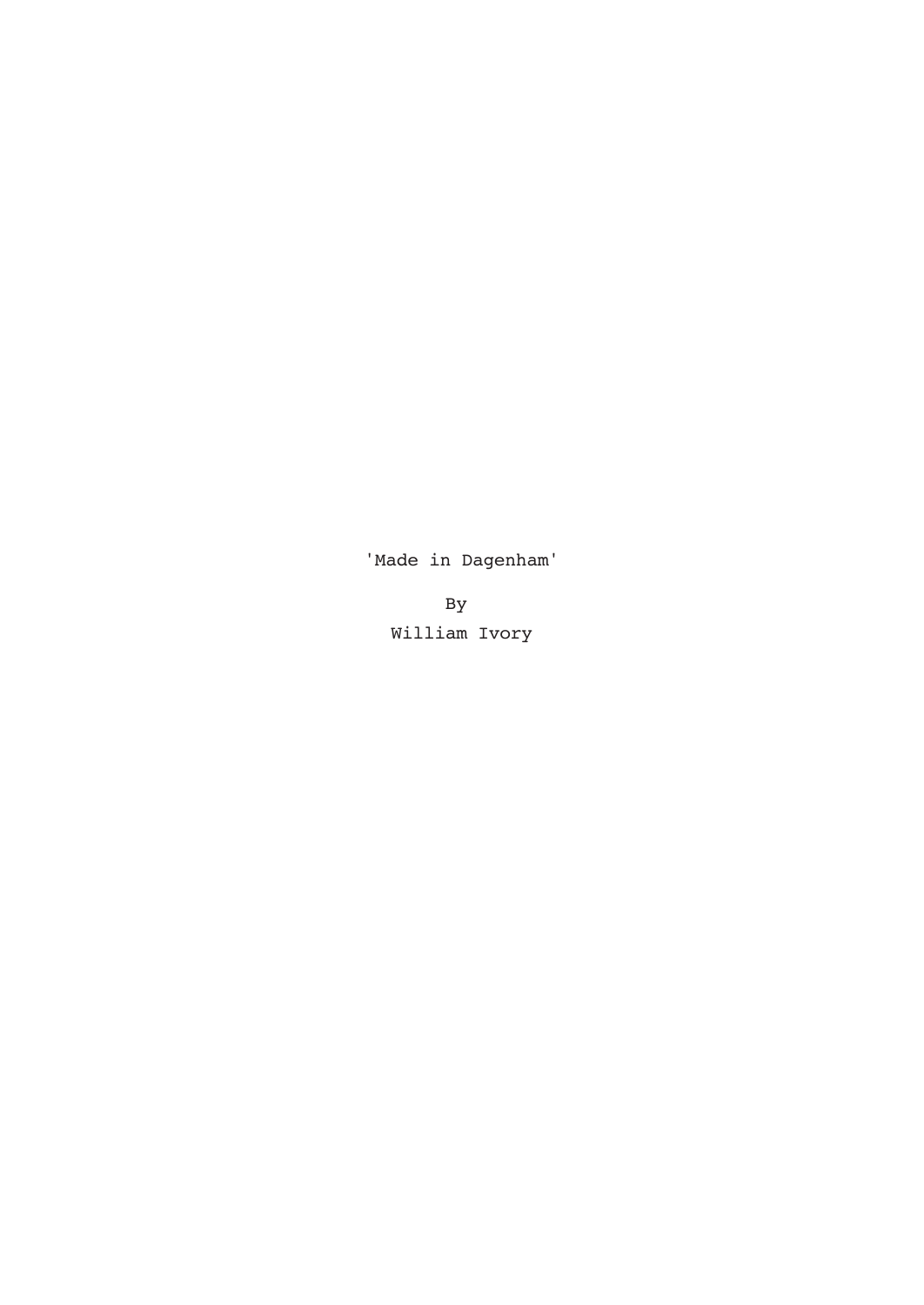'Made in Dagenham'

By William Ivory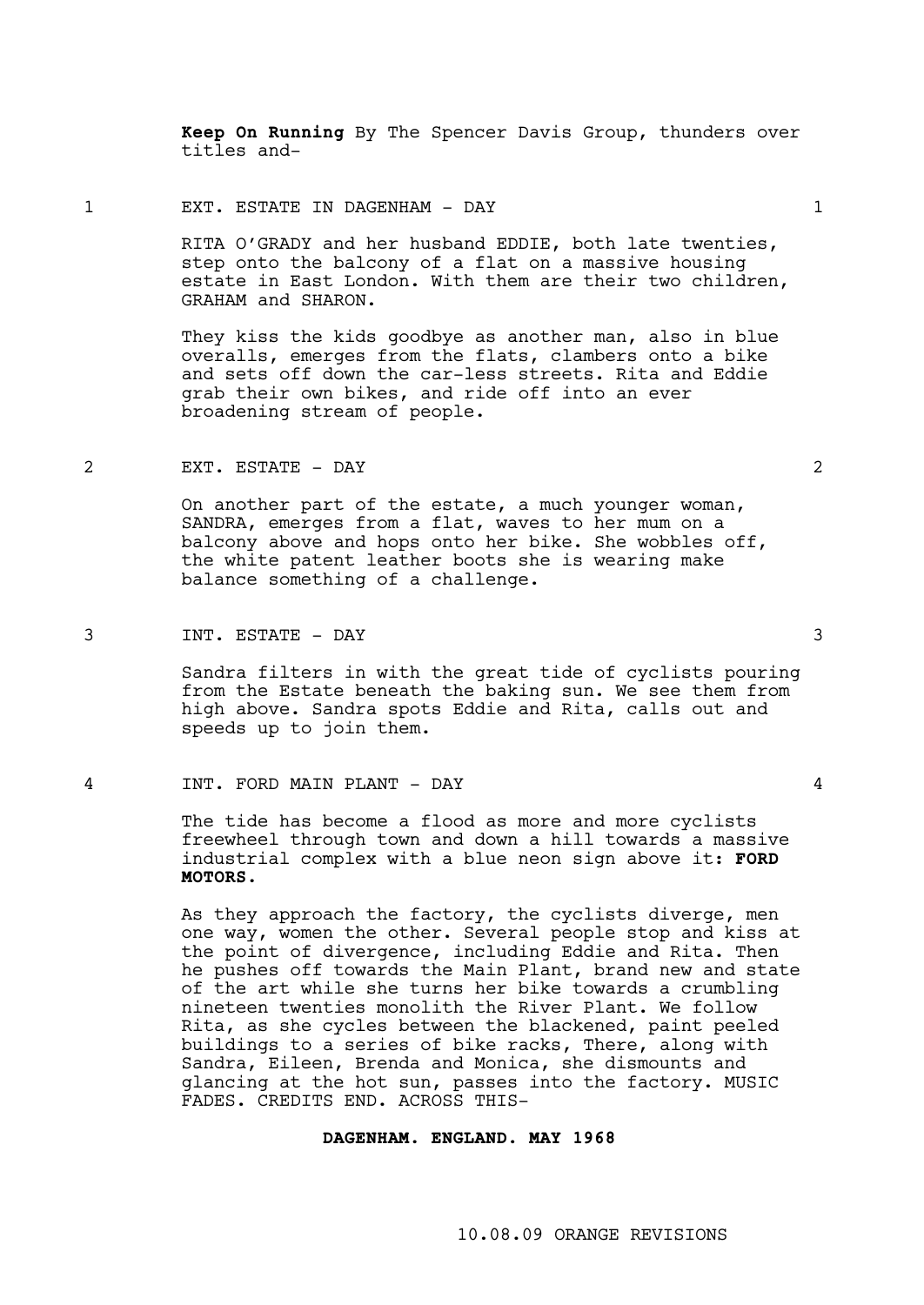**Keep On Running** By The Spencer Davis Group, thunders over titles and-

#### 1 EXT. ESTATE IN DAGENHAM - DAY 1

RITA O'GRADY and her husband EDDIE, both late twenties, step onto the balcony of a flat on a massive housing estate in East London. With them are their two children, GRAHAM and SHARON.

They kiss the kids goodbye as another man, also in blue overalls, emerges from the flats, clambers onto a bike and sets off down the car-less streets. Rita and Eddie grab their own bikes, and ride off into an ever broadening stream of people.

# 2 EXT. ESTATE - DAY 2

On another part of the estate, a much younger woman, SANDRA, emerges from a flat, waves to her mum on a balcony above and hops onto her bike. She wobbles off, the white patent leather boots she is wearing make balance something of a challenge.

### 3 INT. ESTATE - DAY 3

Sandra filters in with the great tide of cyclists pouring from the Estate beneath the baking sun. We see them from high above. Sandra spots Eddie and Rita, calls out and speeds up to join them.

## 4 INT. FORD MAIN PLANT - DAY 4

The tide has become a flood as more and more cyclists freewheel through town and down a hill towards a massive industrial complex with a blue neon sign above it: **FORD MOTORS.** 

As they approach the factory, the cyclists diverge, men one way, women the other. Several people stop and kiss at the point of divergence, including Eddie and Rita. Then he pushes off towards the Main Plant, brand new and state of the art while she turns her bike towards a crumbling nineteen twenties monolith the River Plant. We follow Rita, as she cycles between the blackened, paint peeled buildings to a series of bike racks, There, along with Sandra, Eileen, Brenda and Monica, she dismounts and glancing at the hot sun, passes into the factory. MUSIC FADES. CREDITS END. ACROSS THIS-

# **DAGENHAM. ENGLAND. MAY 1968**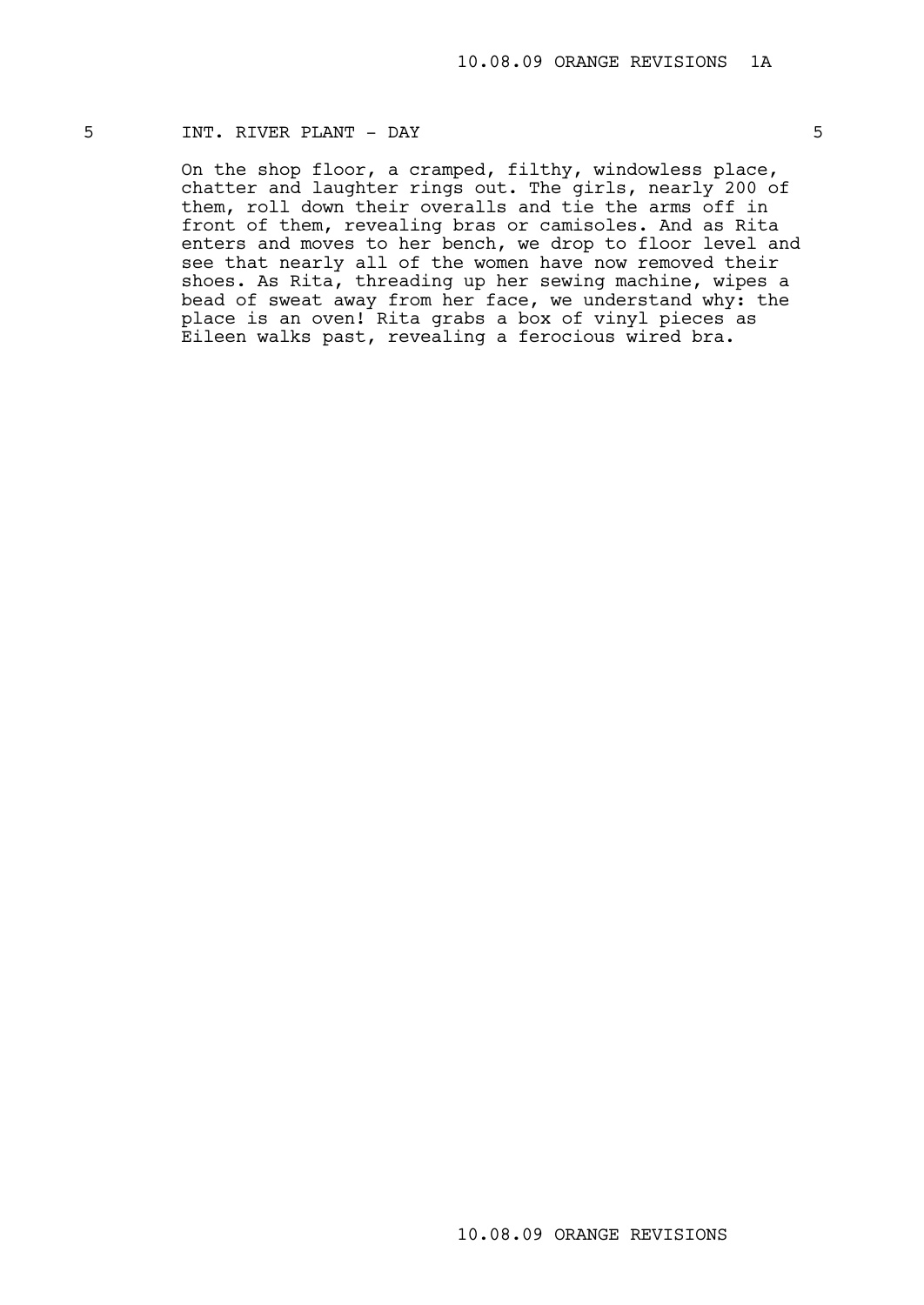# 5 INT. RIVER PLANT - DAY 5

On the shop floor, a cramped, filthy, windowless place, chatter and laughter rings out. The girls, nearly 200 of them, roll down their overalls and tie the arms off in front of them, revealing bras or camisoles. And as Rita enters and moves to her bench, we drop to floor level and see that nearly all of the women have now removed their shoes. As Rita, threading up her sewing machine, wipes a bead of sweat away from her face, we understand why: the place is an oven! Rita grabs a box of vinyl pieces as Eileen walks past, revealing a ferocious wired bra.

10.08.09 ORANGE REVISIONS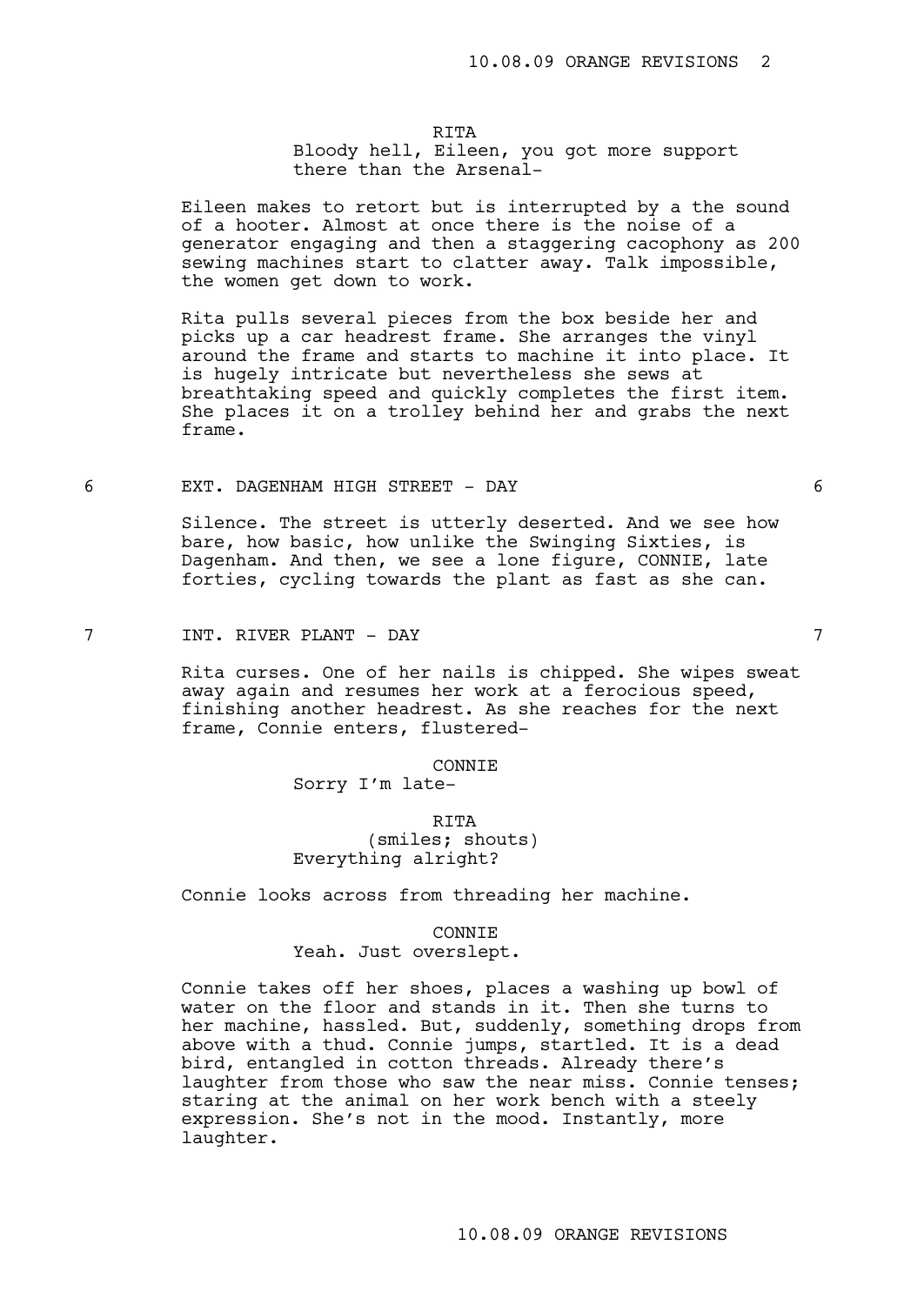# RITA

Bloody hell, Eileen, you got more support there than the Arsenal-

Eileen makes to retort but is interrupted by a the sound of a hooter. Almost at once there is the noise of a generator engaging and then a staggering cacophony as 200 sewing machines start to clatter away. Talk impossible, the women get down to work.

Rita pulls several pieces from the box beside her and picks up a car headrest frame. She arranges the vinyl around the frame and starts to machine it into place. It is hugely intricate but nevertheless she sews at breathtaking speed and quickly completes the first item. She places it on a trolley behind her and grabs the next frame.

### 6 EXT. DAGENHAM HIGH STREET - DAY 6

Silence. The street is utterly deserted. And we see how bare, how basic, how unlike the Swinging Sixties, is Dagenham. And then, we see a lone figure, CONNIE, late forties, cycling towards the plant as fast as she can.

7 INT. RIVER PLANT - DAY 7

Rita curses. One of her nails is chipped. She wipes sweat away again and resumes her work at a ferocious speed, finishing another headrest. As she reaches for the next frame, Connie enters, flustered-

## CONNIE

Sorry I'm late-

# RITA (smiles; shouts) Everything alright?

Connie looks across from threading her machine.

#### CONNIE

# Yeah. Just overslept.

Connie takes off her shoes, places a washing up bowl of water on the floor and stands in it. Then she turns to her machine, hassled. But, suddenly, something drops from above with a thud. Connie jumps, startled. It is a dead bird, entangled in cotton threads. Already there's laughter from those who saw the near miss. Connie tenses; staring at the animal on her work bench with a steely expression. She's not in the mood. Instantly, more laughter.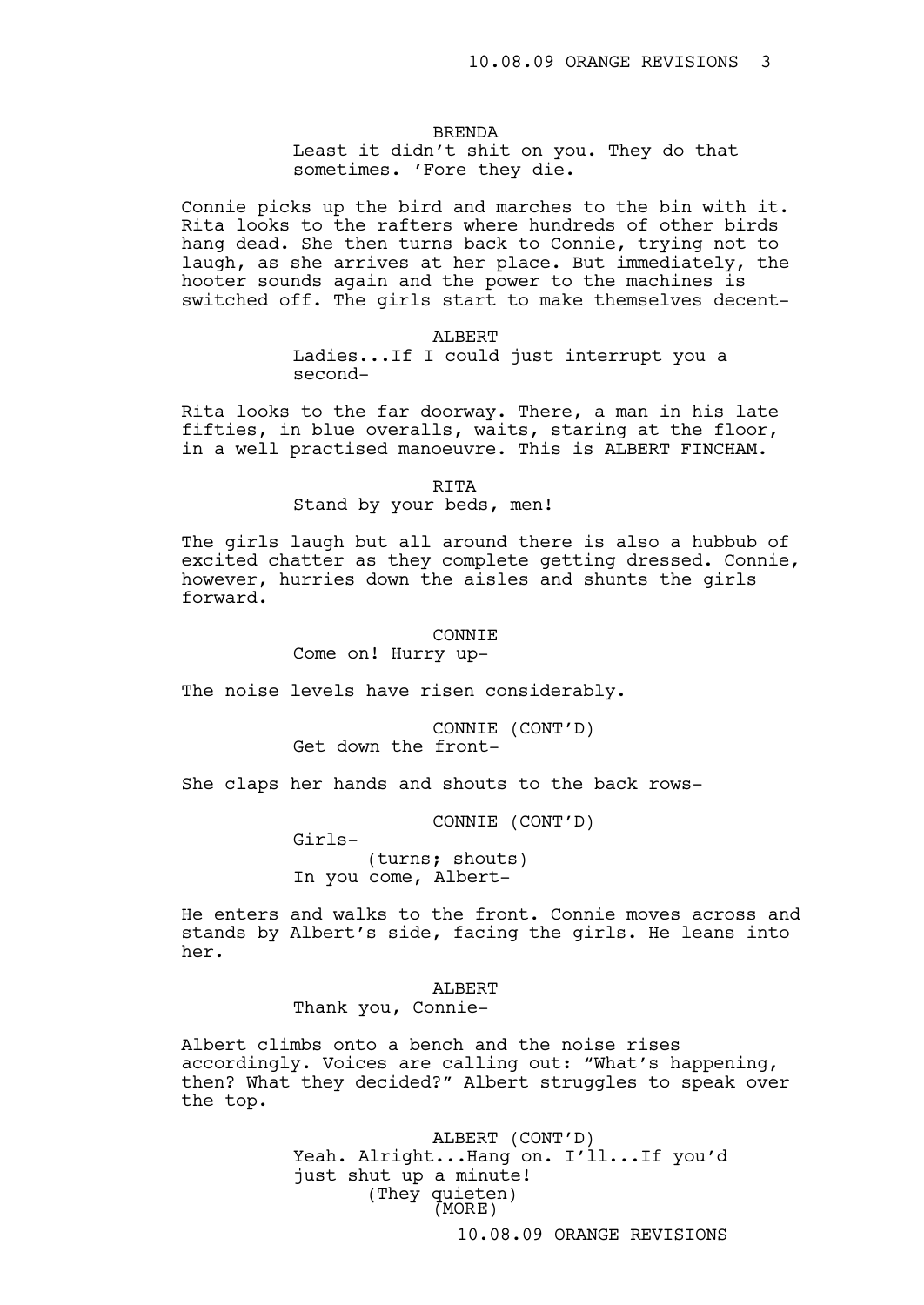## BRENDA

Least it didn't shit on you. They do that sometimes. 'Fore they die.

Connie picks up the bird and marches to the bin with it. Rita looks to the rafters where hundreds of other birds hang dead. She then turns back to Connie, trying not to laugh, as she arrives at her place. But immediately, the hooter sounds again and the power to the machines is switched off. The girls start to make themselves decent-

#### ALBERT

Ladies...If I could just interrupt you a second-

Rita looks to the far doorway. There, a man in his late fifties, in blue overalls, waits, staring at the floor, in a well practised manoeuvre. This is ALBERT FINCHAM.

#### RITA

## Stand by your beds, men!

The girls laugh but all around there is also a hubbub of excited chatter as they complete getting dressed. Connie, however, hurries down the aisles and shunts the girls forward.

### CONNIE

Come on! Hurry up-

The noise levels have risen considerably.

## CONNIE (CONT'D) Get down the front-

She claps her hands and shouts to the back rows-

CONNIE (CONT'D)

(turns; shouts) In you come, Albert-

Girls-

He enters and walks to the front. Connie moves across and stands by Albert's side, facing the girls. He leans into her.

#### ALBERT

Thank you, Connie-

Albert climbs onto a bench and the noise rises accordingly. Voices are calling out: "What's happening, then? What they decided?" Albert struggles to speak over the top.

> ALBERT (CONT'D) Yeah. Alright...Hang on. I'll...If you'd just shut up a minute! (They quieten) (MORE)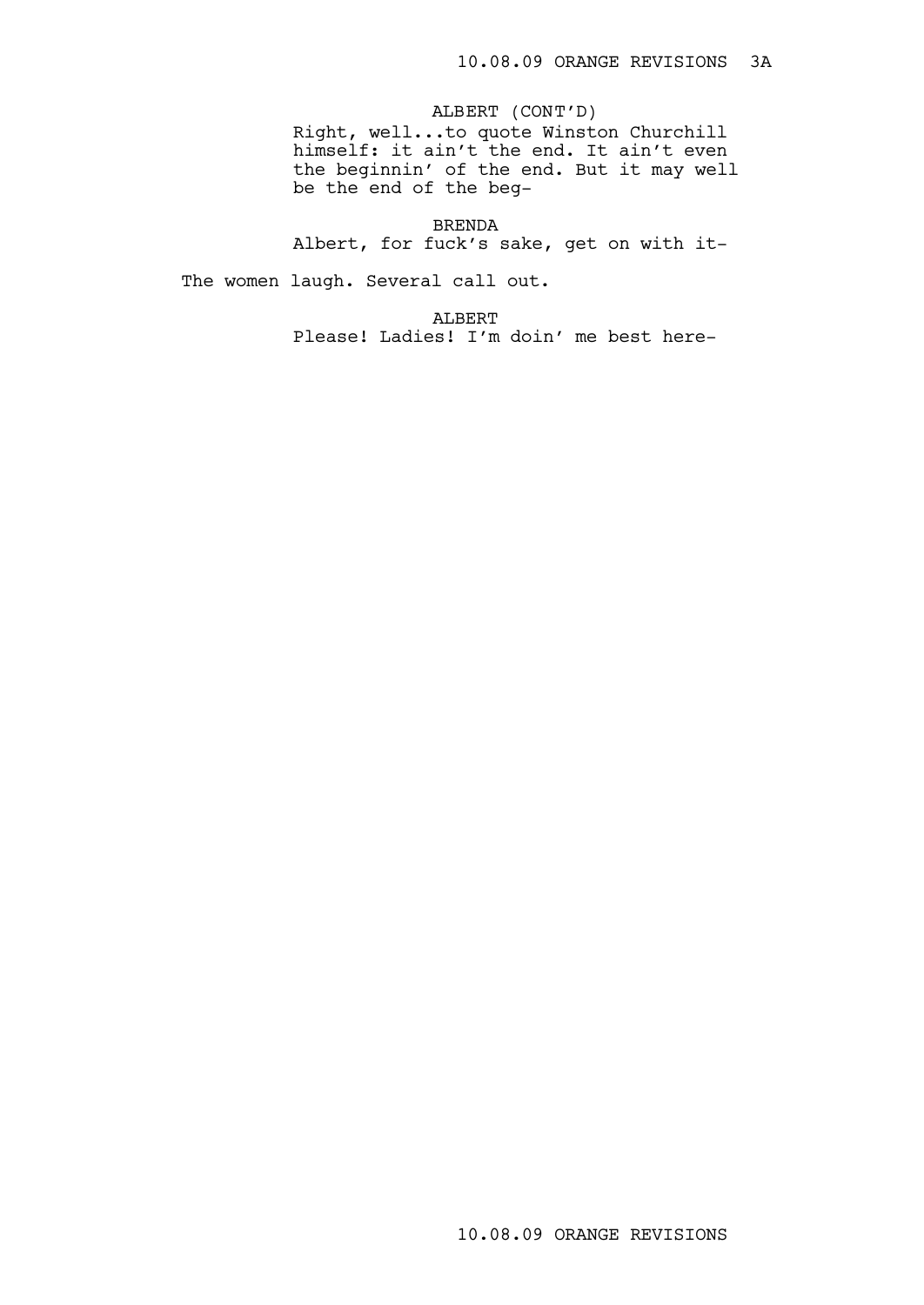# ALBERT (CONT'D)

Right, well...to quote Winston Churchill himself: it ain't the end. It ain't even the beginnin' of the end. But it may well be the end of the beg-

# BRENDA

Albert, for fuck's sake, get on with it-

The women laugh. Several call out.

ALBERT

Please! Ladies! I'm doin' me best here-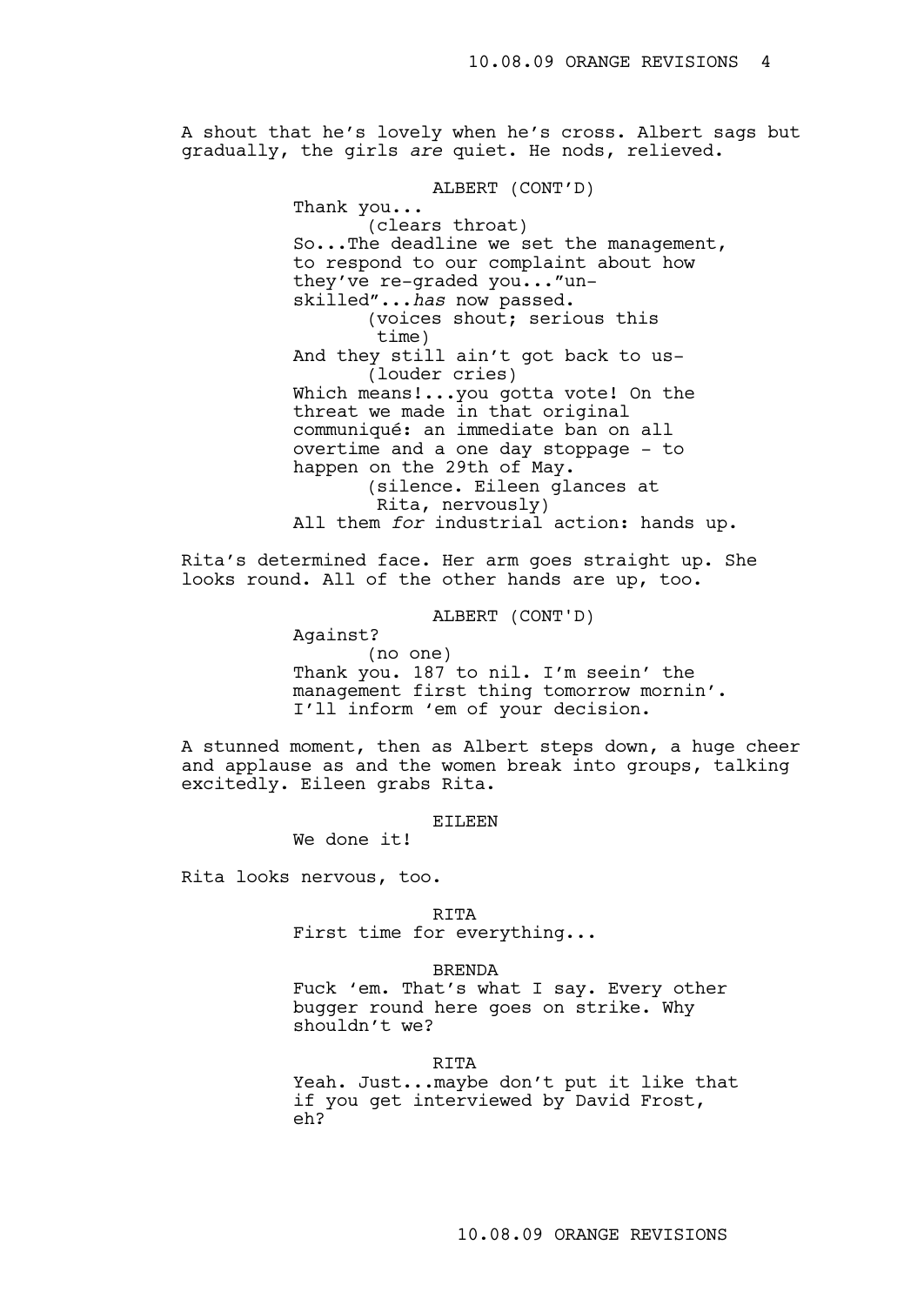A shout that he's lovely when he's cross. Albert sags but gradually, the girls *are* quiet. He nods, relieved.

> ALBERT (CONT'D) Thank you... (clears throat) So...The deadline we set the management, to respond to our complaint about how they've re-graded you..."unskilled"...*has* now passed. (voices shout; serious this time) And they still ain't got back to us- (louder cries) Which means!...you gotta vote! On the threat we made in that original communiqué: an immediate ban on all overtime and a one day stoppage - to happen on the 29th of May. (silence. Eileen glances at Rita, nervously) All them *for* industrial action: hands up.

Rita's determined face. Her arm goes straight up. She looks round. All of the other hands are up, too.

ALBERT (CONT'D)

Against? (no one) Thank you. 187 to nil. I'm seein' the management first thing tomorrow mornin'. I'll inform 'em of your decision.

A stunned moment, then as Albert steps down, a huge cheer and applause as and the women break into groups, talking excitedly. Eileen grabs Rita.

EILEEN

We done it!

Rita looks nervous, too.

#### RITA

First time for everything...

#### BRENDA

Fuck 'em. That's what I say. Every other bugger round here goes on strike. Why shouldn't we?

RITA

Yeah. Just...maybe don't put it like that if you get interviewed by David Frost, eh?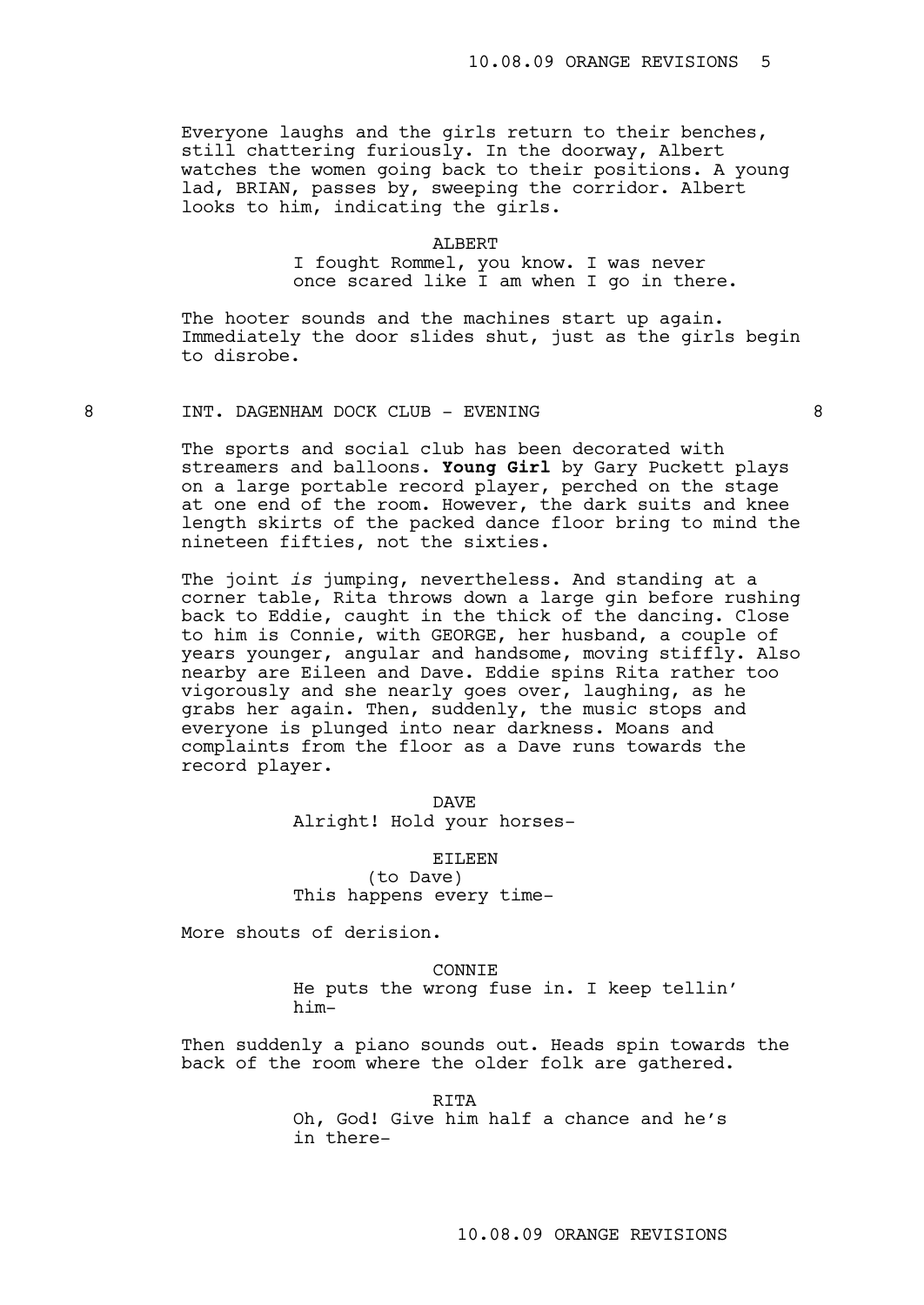Everyone laughs and the girls return to their benches, still chattering furiously. In the doorway, Albert watches the women going back to their positions. A young lad, BRIAN, passes by, sweeping the corridor. Albert looks to him, indicating the girls.

### ALBERT

I fought Rommel, you know. I was never once scared like I am when I go in there.

The hooter sounds and the machines start up again. Immediately the door slides shut, just as the girls begin to disrobe.

8 INT. DAGENHAM DOCK CLUB - EVENING 8

The sports and social club has been decorated with streamers and balloons. **Young Girl** by Gary Puckett plays on a large portable record player, perched on the stage at one end of the room. However, the dark suits and knee length skirts of the packed dance floor bring to mind the nineteen fifties, not the sixties.

The joint *is* jumping, nevertheless. And standing at a corner table, Rita throws down a large gin before rushing back to Eddie, caught in the thick of the dancing. Close to him is Connie, with GEORGE, her husband, a couple of years younger, angular and handsome, moving stiffly. Also nearby are Eileen and Dave. Eddie spins Rita rather too vigorously and she nearly goes over, laughing, as he grabs her again. Then, suddenly, the music stops and everyone is plunged into near darkness. Moans and complaints from the floor as a Dave runs towards the record player.

> DAVE Alright! Hold your horses-

EILEEN (to Dave) This happens every time-

More shouts of derision.

CONNIE He puts the wrong fuse in. I keep tellin' him-

Then suddenly a piano sounds out. Heads spin towards the back of the room where the older folk are gathered.

RITA

Oh, God! Give him half a chance and he's in there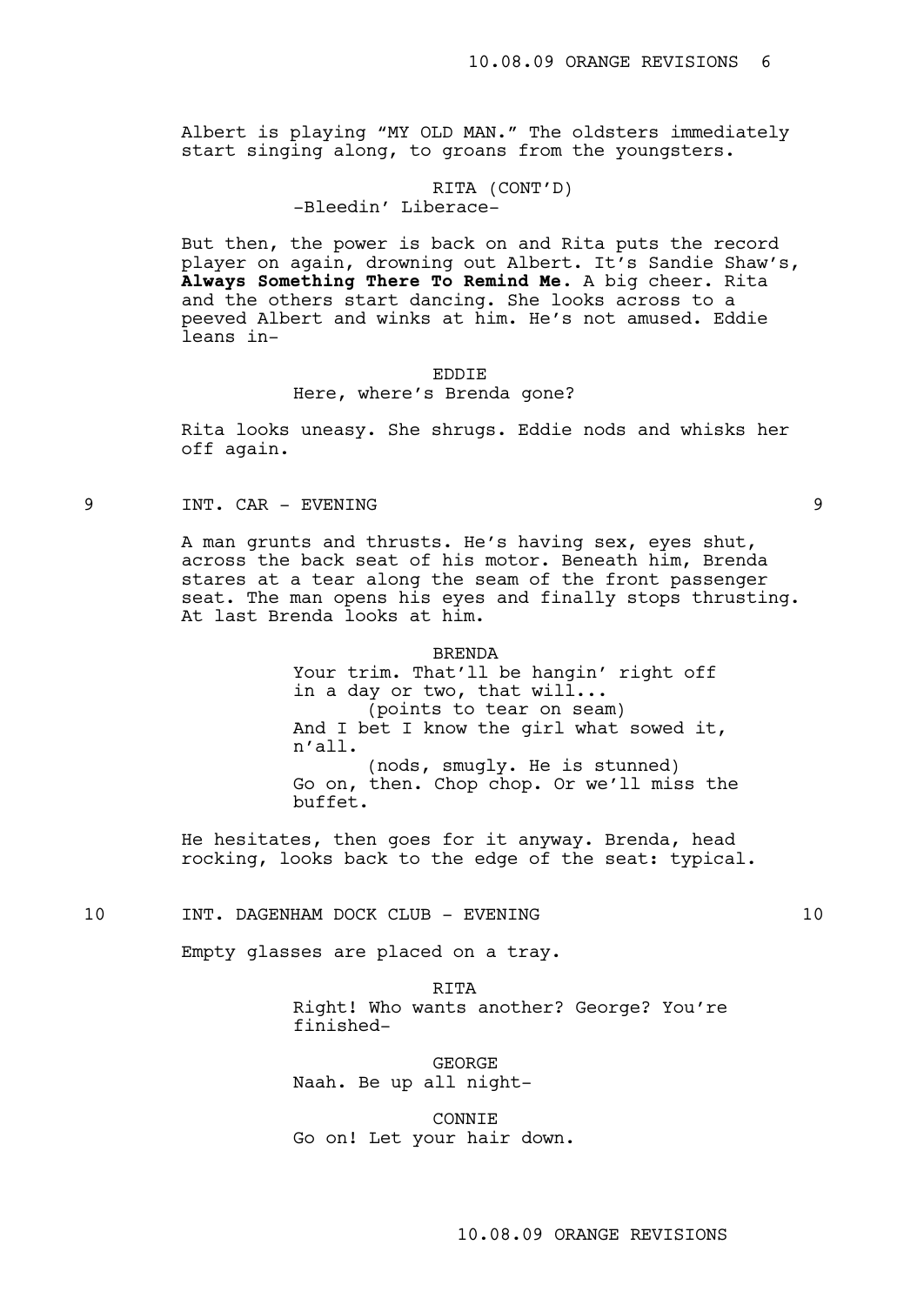Albert is playing "MY OLD MAN." The oldsters immediately start singing along, to groans from the youngsters.

> RITA (CONT'D) -Bleedin' Liberace-

But then, the power is back on and Rita puts the record player on again, drowning out Albert. It's Sandie Shaw's, **Always Something There To Remind Me**. A big cheer. Rita and the others start dancing. She looks across to a peeved Albert and winks at him. He's not amused. Eddie leans in-

#### EDDIE

# Here, where's Brenda gone?

Rita looks uneasy. She shrugs. Eddie nods and whisks her off again.

9 INT. CAR - EVENING 9

A man grunts and thrusts. He's having sex, eyes shut, across the back seat of his motor. Beneath him, Brenda stares at a tear along the seam of the front passenger seat. The man opens his eyes and finally stops thrusting. At last Brenda looks at him.

> BRENDA Your trim. That'll be hangin' right off in a day or two, that will... (points to tear on seam) And I bet I know the girl what sowed it, n'all. (nods, smugly. He is stunned) Go on, then. Chop chop. Or we'll miss the buffet.

He hesitates, then goes for it anyway. Brenda, head rocking, looks back to the edge of the seat: typical.

10 INT. DAGENHAM DOCK CLUB - EVENING 10 10

Empty glasses are placed on a tray.

RITA Right! Who wants another? George? You're finished-

GEORGE Naah. Be up all night-

**CONNTE** Go on! Let your hair down.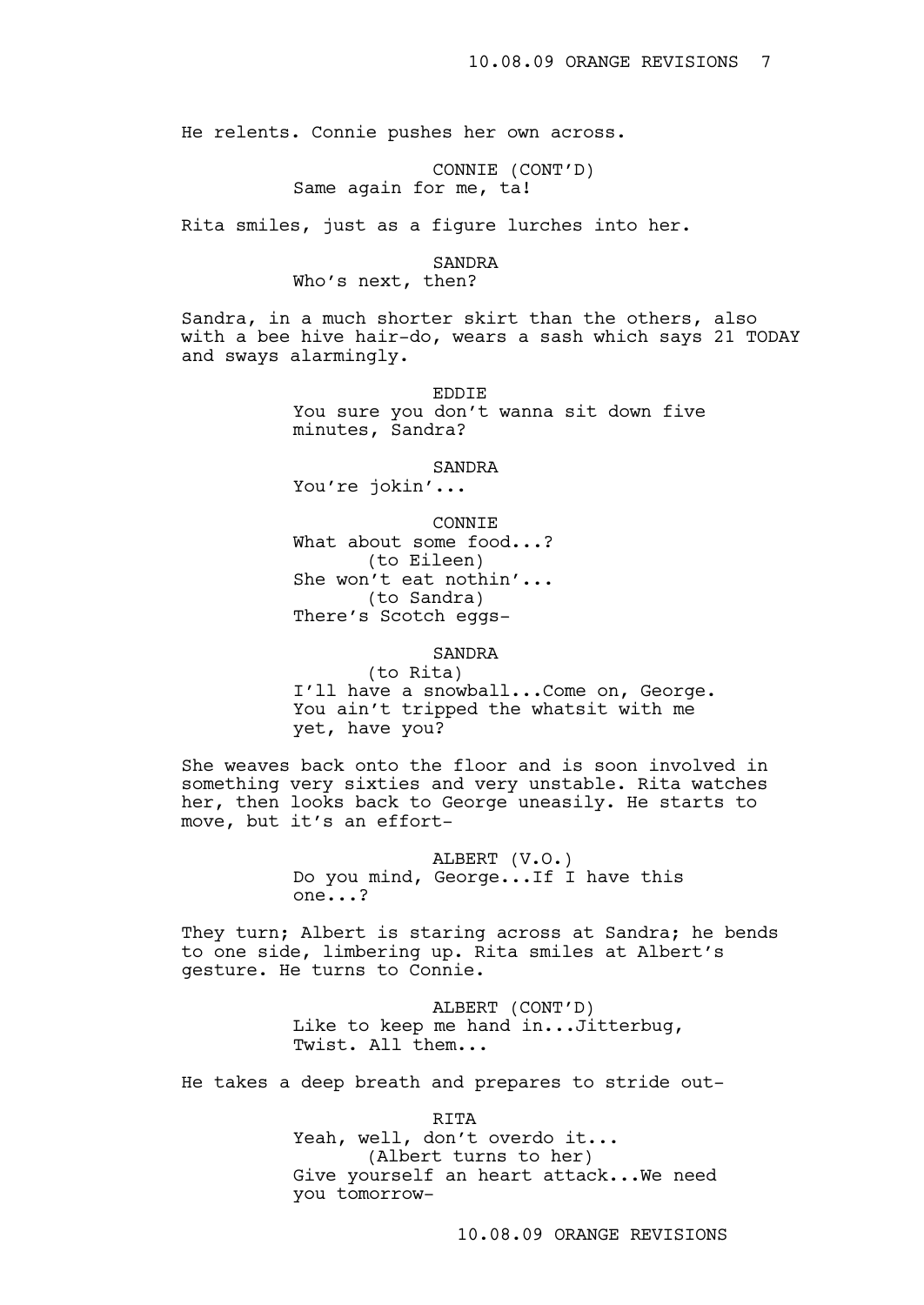He relents. Connie pushes her own across.

CONNIE (CONT'D) Same again for me, ta!

Rita smiles, just as a figure lurches into her.

#### SANDRA

## Who's next, then?

Sandra, in a much shorter skirt than the others, also with a bee hive hair-do, wears a sash which says 21 TODAY and sways alarmingly.

> EDDIE You sure you don't wanna sit down five minutes, Sandra?

> > SANDRA

You're jokin'...

CONNIE What about some food...? (to Eileen) She won't eat nothin'... (to Sandra) There's Scotch eggs-

### SANDRA

(to Rita) I'll have a snowball...Come on, George. You ain't tripped the whatsit with me yet, have you?

She weaves back onto the floor and is soon involved in something very sixties and very unstable. Rita watches her, then looks back to George uneasily. He starts to move, but it's an effort-

> ALBERT (V.O.) Do you mind, George...If I have this one...?

They turn; Albert is staring across at Sandra; he bends to one side, limbering up. Rita smiles at Albert's gesture. He turns to Connie.

> ALBERT (CONT'D) Like to keep me hand in...Jitterbug, Twist. All them...

He takes a deep breath and prepares to stride out-

RITA Yeah, well, don't overdo it... (Albert turns to her) Give yourself an heart attack...We need you tomorrow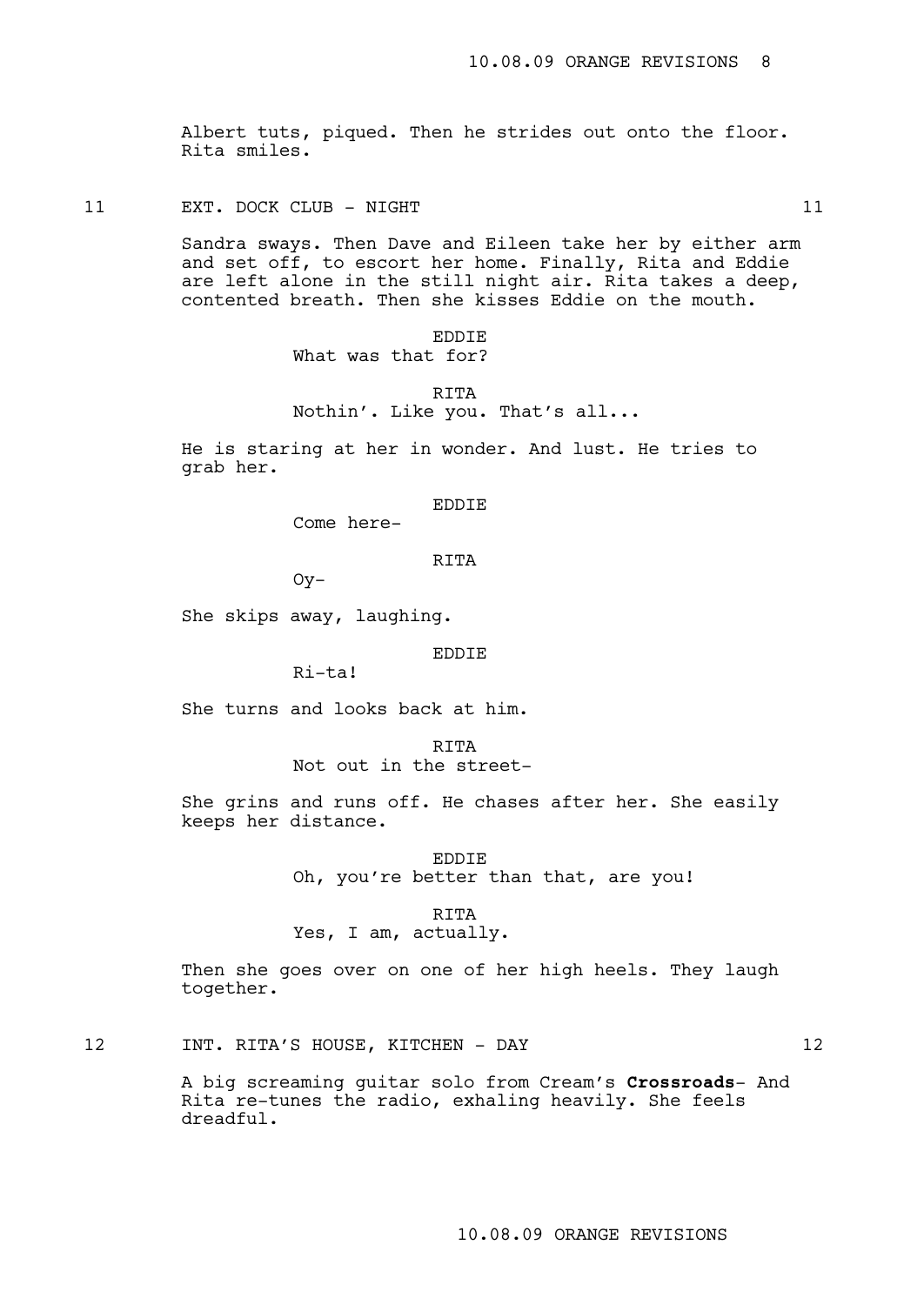Albert tuts, piqued. Then he strides out onto the floor. Rita smiles.

11 EXT. DOCK CLUB - NIGHT 11 21

Sandra sways. Then Dave and Eileen take her by either arm and set off, to escort her home. Finally, Rita and Eddie are left alone in the still night air. Rita takes a deep, contented breath. Then she kisses Eddie on the mouth.

> EDDIE What was that for?

RITA Nothin'. Like you. That's all...

He is staring at her in wonder. And lust. He tries to grab her.

## EDDIE

Come here-

RITA

Oy-

She skips away, laughing.

EDDIE

Ri-ta!

She turns and looks back at him.

RITA

Not out in the street-

She grins and runs off. He chases after her. She easily keeps her distance.

> EDDIE Oh, you're better than that, are you!

#### RITA

Yes, I am, actually.

Then she goes over on one of her high heels. They laugh together.

12 INT. RITA'S HOUSE, KITCHEN - DAY 12

A big screaming guitar solo from Cream's **Crossroads**- And Rita re-tunes the radio, exhaling heavily. She feels dreadful.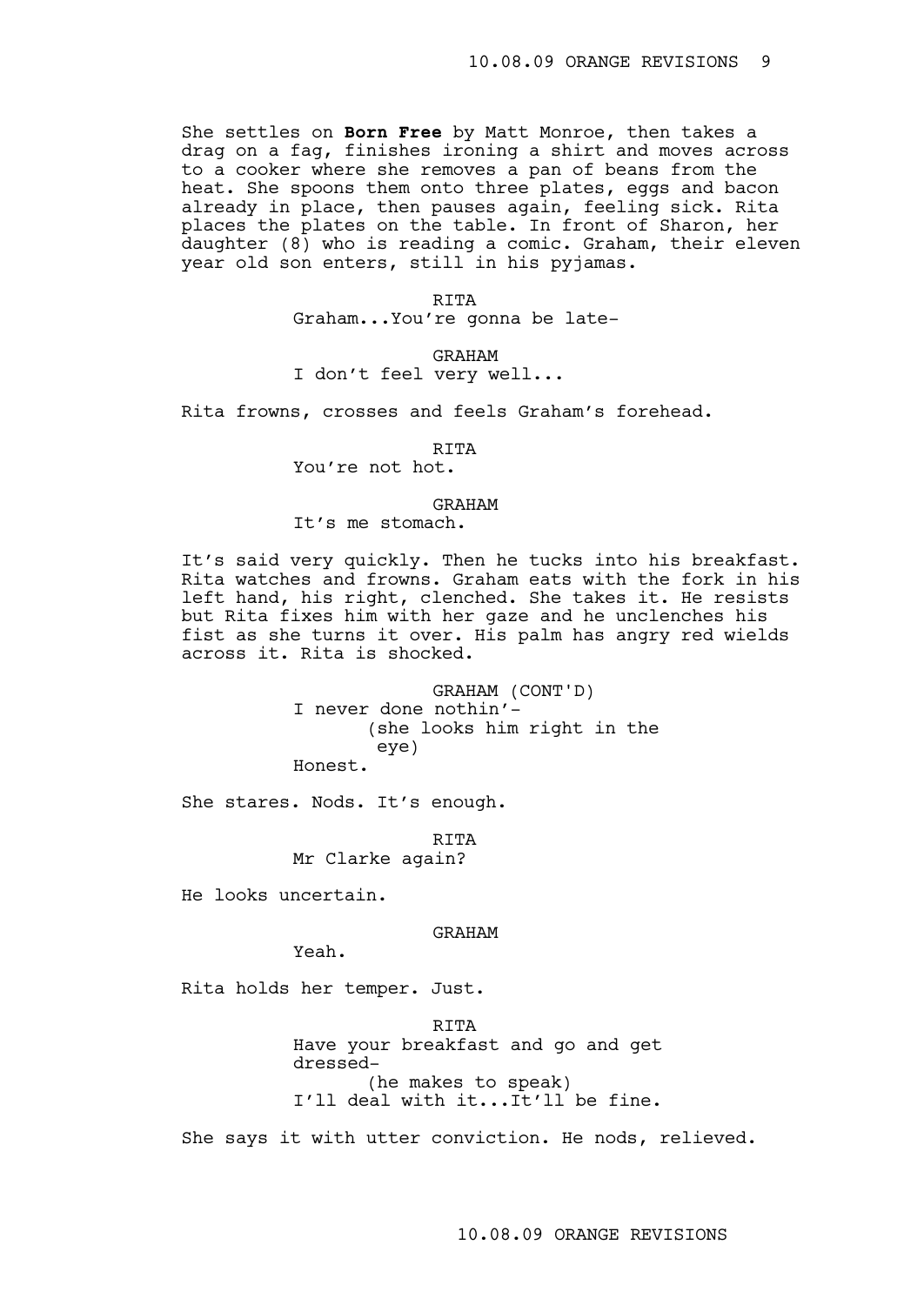She settles on **Born Free** by Matt Monroe, then takes a drag on a fag, finishes ironing a shirt and moves across to a cooker where she removes a pan of beans from the heat. She spoons them onto three plates, eggs and bacon already in place, then pauses again, feeling sick. Rita places the plates on the table. In front of Sharon, her daughter (8) who is reading a comic. Graham, their eleven year old son enters, still in his pyjamas.

> RITA Graham...You're gonna be late-

GRAHAM I don't feel very well...

Rita frowns, crosses and feels Graham's forehead.

RITA

You're not hot.

#### GRAHAM

## It's me stomach.

It's said very quickly. Then he tucks into his breakfast. Rita watches and frowns. Graham eats with the fork in his left hand, his right, clenched. She takes it. He resists but Rita fixes him with her gaze and he unclenches his fist as she turns it over. His palm has angry red wields across it. Rita is shocked.

> GRAHAM (CONT'D) I never done nothin'- (she looks him right in the eye) Honest.

She stares. Nods. It's enough.

RITA Mr Clarke again?

He looks uncertain.

# GRAHAM

Yeah.

Rita holds her temper. Just.

RITA

Have your breakfast and go and get dressed- (he makes to speak) I'll deal with it...It'll be fine.

She says it with utter conviction. He nods, relieved.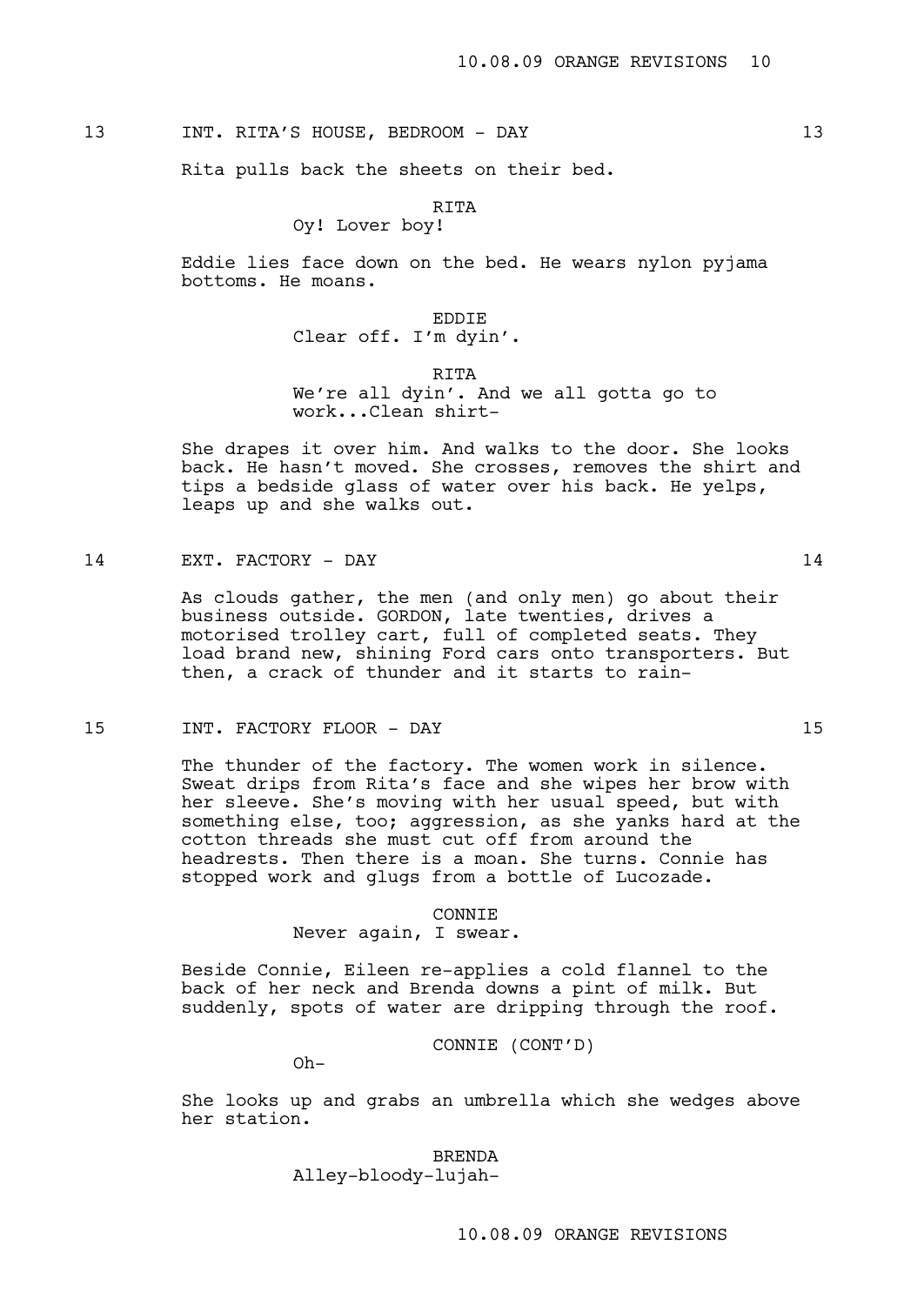# 13 INT. RITA'S HOUSE, BEDROOM - DAY 13

Rita pulls back the sheets on their bed.

RITA

Oy! Lover boy!

Eddie lies face down on the bed. He wears nylon pyjama bottoms. He moans.

EDDIE

Clear off. I'm dyin'.

RITA

We're all dyin'. And we all gotta go to work...Clean shirt-

She drapes it over him. And walks to the door. She looks back. He hasn't moved. She crosses, removes the shirt and tips a bedside glass of water over his back. He yelps, leaps up and she walks out.

14 EXT. FACTORY - DAY 14

As clouds gather, the men (and only men) go about their business outside. GORDON, late twenties, drives a motorised trolley cart, full of completed seats. They load brand new, shining Ford cars onto transporters. But then, a crack of thunder and it starts to rain-

15 INT. FACTORY FLOOR - DAY 15

The thunder of the factory. The women work in silence. Sweat drips from Rita's face and she wipes her brow with her sleeve. She's moving with her usual speed, but with something else, too; aggression, as she yanks hard at the cotton threads she must cut off from around the headrests. Then there is a moan. She turns. Connie has stopped work and glugs from a bottle of Lucozade.

CONNIE

Never again, I swear.

Beside Connie, Eileen re-applies a cold flannel to the back of her neck and Brenda downs a pint of milk. But suddenly, spots of water are dripping through the roof.

CONNIE (CONT'D)

Oh-

She looks up and grabs an umbrella which she wedges above her station.

> BRENDA Alley-bloody-lujah-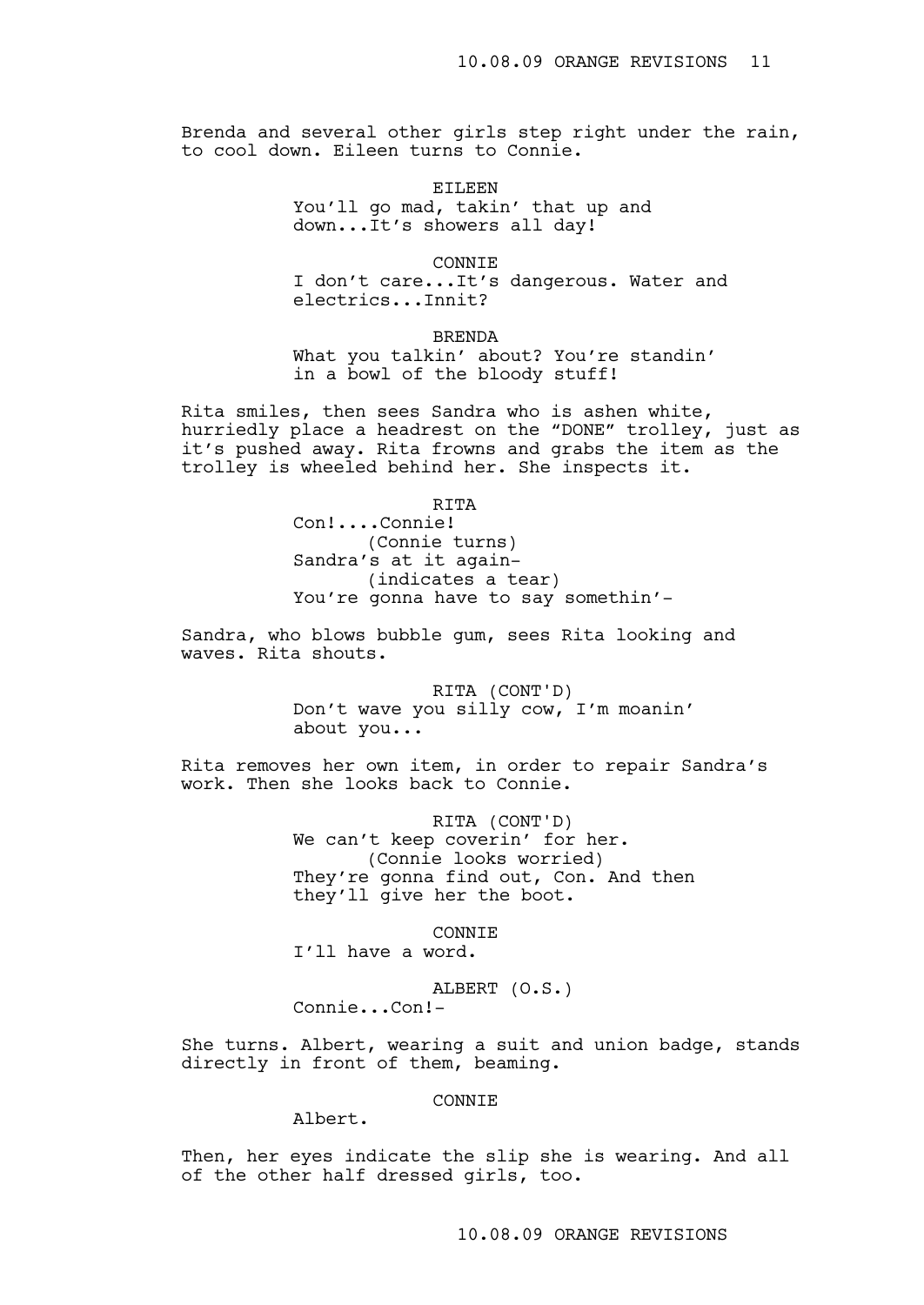Brenda and several other girls step right under the rain, to cool down. Eileen turns to Connie.

> EILEEN You'll go mad, takin' that up and down...It's showers all day!

CONNIE I don't care...It's dangerous. Water and electrics...Innit?

BRENDA What you talkin' about? You're standin' in a bowl of the bloody stuff!

Rita smiles, then sees Sandra who is ashen white, hurriedly place a headrest on the "DONE" trolley, just as it's pushed away. Rita frowns and grabs the item as the trolley is wheeled behind her. She inspects it.

> RITA Con!....Connie! (Connie turns) Sandra's at it again-

(indicates a tear) You're gonna have to say somethin'-

Sandra, who blows bubble gum, sees Rita looking and waves. Rita shouts.

> RITA (CONT'D) Don't wave you silly cow, I'm moanin' about you...

Rita removes her own item, in order to repair Sandra's work. Then she looks back to Connie.

> RITA (CONT'D) We can't keep coverin' for her. (Connie looks worried) They're gonna find out, Con. And then they'll give her the boot.

**CONNTE** I'll have a word.

ALBERT (O.S.) Connie...Con!-

She turns. Albert, wearing a suit and union badge, stands directly in front of them, beaming.

CONNIE

Albert.

Then, her eyes indicate the slip she is wearing. And all of the other half dressed girls, too.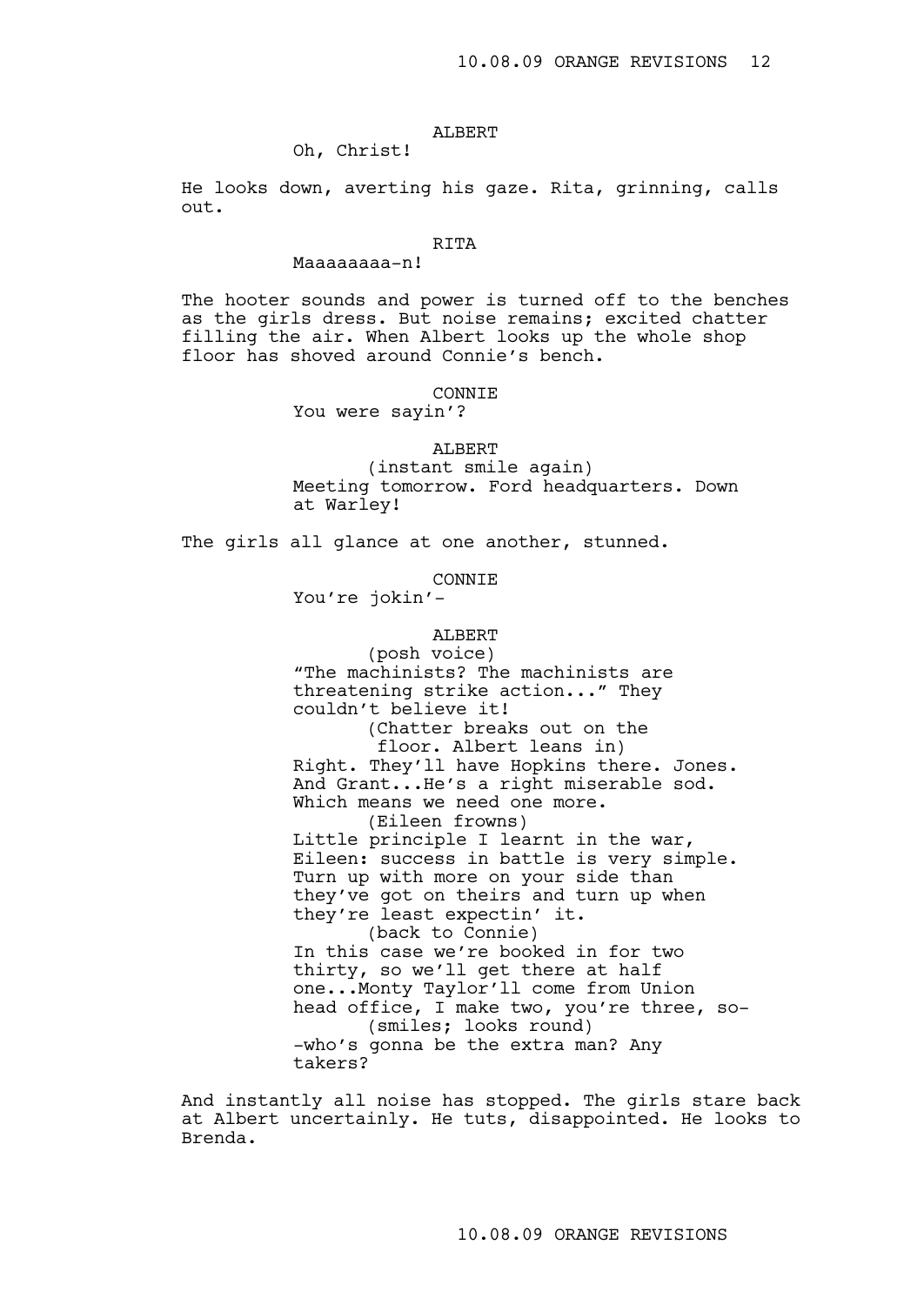## ALBERT

# Oh, Christ!

He looks down, averting his gaze. Rita, grinning, calls out.

## RITA

# Maaaaaaaa-n!

The hooter sounds and power is turned off to the benches as the girls dress. But noise remains; excited chatter filling the air. When Albert looks up the whole shop floor has shoved around Connie's bench.

## CONNIE

You were sayin'?

#### ALBERT

(instant smile again) Meeting tomorrow. Ford headquarters. Down at Warley!

The girls all glance at one another, stunned.

## CONNIE

You're jokin'-

## ALBERT

(posh voice) "The machinists? The machinists are threatening strike action..." They couldn't believe it! (Chatter breaks out on the floor. Albert leans in) Right. They'll have Hopkins there. Jones. And Grant...He's a right miserable sod. Which means we need one more. (Eileen frowns) Little principle I learnt in the war, Eileen: success in battle is very simple. Turn up with more on your side than they've got on theirs and turn up when they're least expectin' it. (back to Connie) In this case we're booked in for two thirty, so we'll get there at half one...Monty Taylor'll come from Union head office, I make two, you're three, so- (smiles; looks round) -who's gonna be the extra man? Any

takers?

And instantly all noise has stopped. The girls stare back at Albert uncertainly. He tuts, disappointed. He looks to Brenda.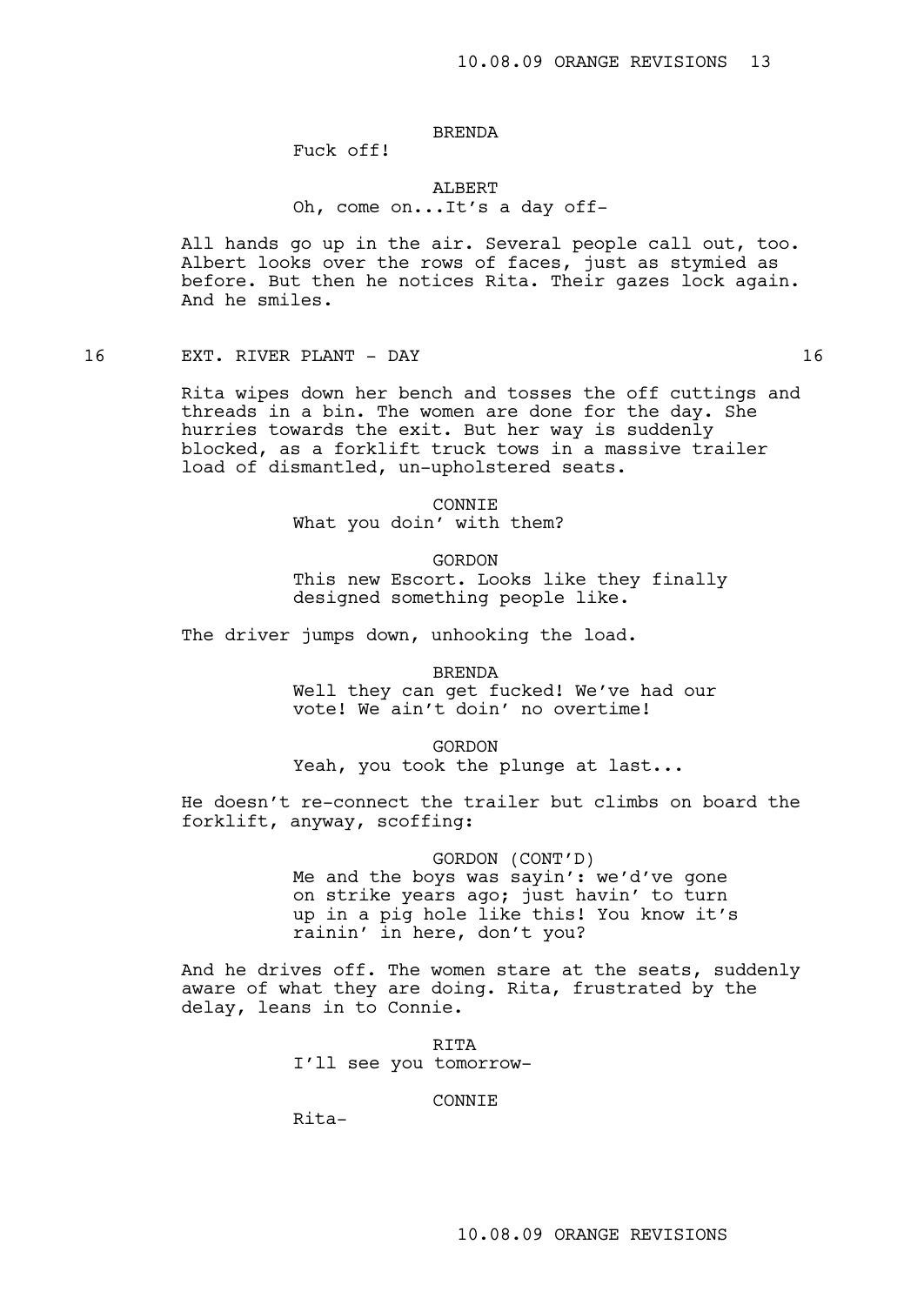# BRENDA

Fuck off!

# ALBERT Oh, come on...It's a day off-

All hands go up in the air. Several people call out, too. Albert looks over the rows of faces, just as stymied as before. But then he notices Rita. Their gazes lock again. And he smiles.

## 16 EXT. RIVER PLANT - DAY 16

Rita wipes down her bench and tosses the off cuttings and threads in a bin. The women are done for the day. She hurries towards the exit. But her way is suddenly blocked, as a forklift truck tows in a massive trailer load of dismantled, un-upholstered seats.

> CONNIE What you doin' with them?

> > GORDON

This new Escort. Looks like they finally designed something people like.

The driver jumps down, unhooking the load.

BRENDA

Well they can get fucked! We've had our vote! We ain't doin' no overtime!

GORDON

Yeah, you took the plunge at last...

He doesn't re-connect the trailer but climbs on board the forklift, anyway, scoffing:

GORDON (CONT'D)

Me and the boys was sayin': we'd've gone on strike years ago; just havin' to turn up in a pig hole like this! You know it's rainin' in here, don't you?

And he drives off. The women stare at the seats, suddenly aware of what they are doing. Rita, frustrated by the delay, leans in to Connie.

> RITA I'll see you tomorrow-

> > CONNIE

Rita-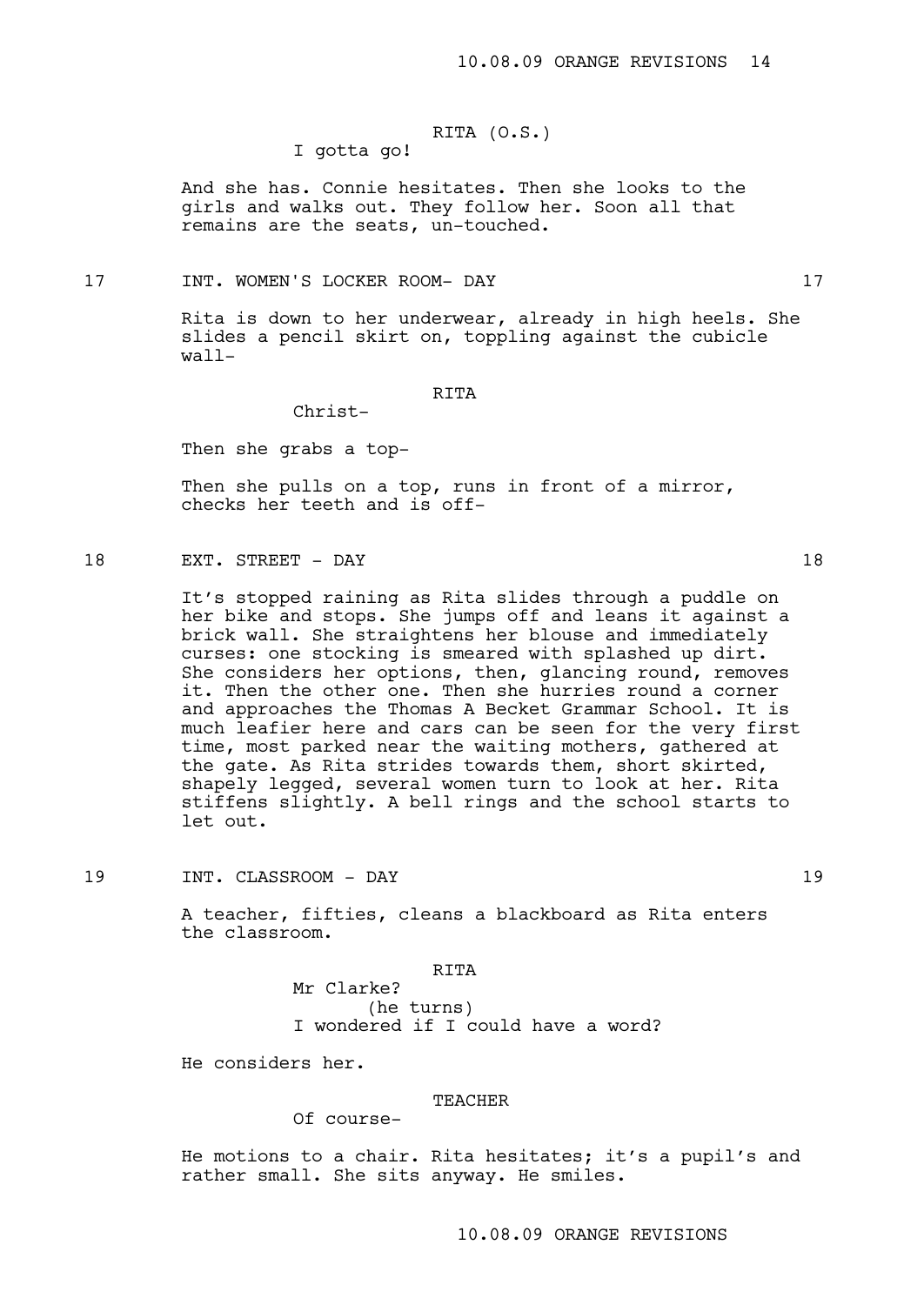## RITA (O.S.) I gotta go!

And she has. Connie hesitates. Then she looks to the girls and walks out. They follow her. Soon all that remains are the seats, un-touched.

## 17 INT. WOMEN'S LOCKER ROOM- DAY 17

Rita is down to her underwear, already in high heels. She slides a pencil skirt on, toppling against the cubicle wall-

## RITA

Christ-

Then she grabs a top-

Then she pulls on a top, runs in front of a mirror, checks her teeth and is off-

18 EXT. STREET - DAY 18

It's stopped raining as Rita slides through a puddle on her bike and stops. She jumps off and leans it against a brick wall. She straightens her blouse and immediately curses: one stocking is smeared with splashed up dirt. She considers her options, then, glancing round, removes it. Then the other one. Then she hurries round a corner and approaches the Thomas A Becket Grammar School. It is much leafier here and cars can be seen for the very first time, most parked near the waiting mothers, gathered at the gate. As Rita strides towards them, short skirted, shapely legged, several women turn to look at her. Rita stiffens slightly. A bell rings and the school starts to let out.

## 19 INT. CLASSROOM - DAY 19

A teacher, fifties, cleans a blackboard as Rita enters the classroom.

#### RITA

Mr Clarke? (he turns) I wondered if I could have a word?

He considers her.

## TEACHER

Of course-

He motions to a chair. Rita hesitates; it's a pupil's and rather small. She sits anyway. He smiles.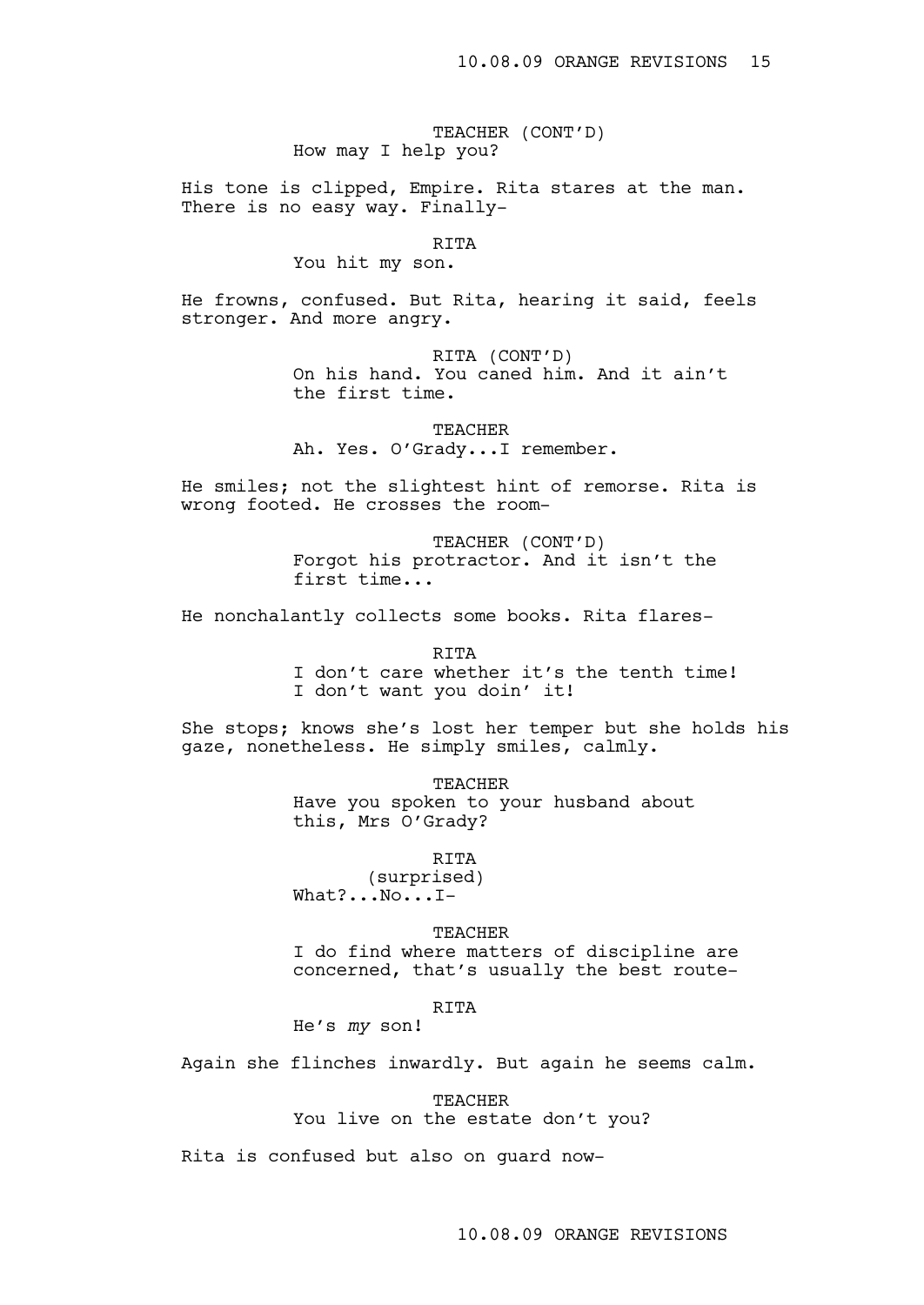TEACHER (CONT'D) How may I help you?

His tone is clipped, Empire. Rita stares at the man. There is no easy way. Finally-

# RITA

You hit my son.

He frowns, confused. But Rita, hearing it said, feels stronger. And more angry.

> RITA (CONT'D) On his hand. You caned him. And it ain't the first time.

**TEACHER** Ah. Yes. O'Grady...I remember.

He smiles; not the slightest hint of remorse. Rita is wrong footed. He crosses the room-

> TEACHER (CONT'D) Forgot his protractor. And it isn't the first time...

He nonchalantly collects some books. Rita flares-

RITA

I don't care whether it's the tenth time! I don't want you doin' it!

She stops; knows she's lost her temper but she holds his gaze, nonetheless. He simply smiles, calmly.

TEACHER

Have you spoken to your husband about this, Mrs O'Grady?

RITA

(surprised) What?...No...I-

TEACHER

I do find where matters of discipline are concerned, that's usually the best route-

RITA

He's *my* son!

Again she flinches inwardly. But again he seems calm.

TEACHER

You live on the estate don't you?

Rita is confused but also on guard now-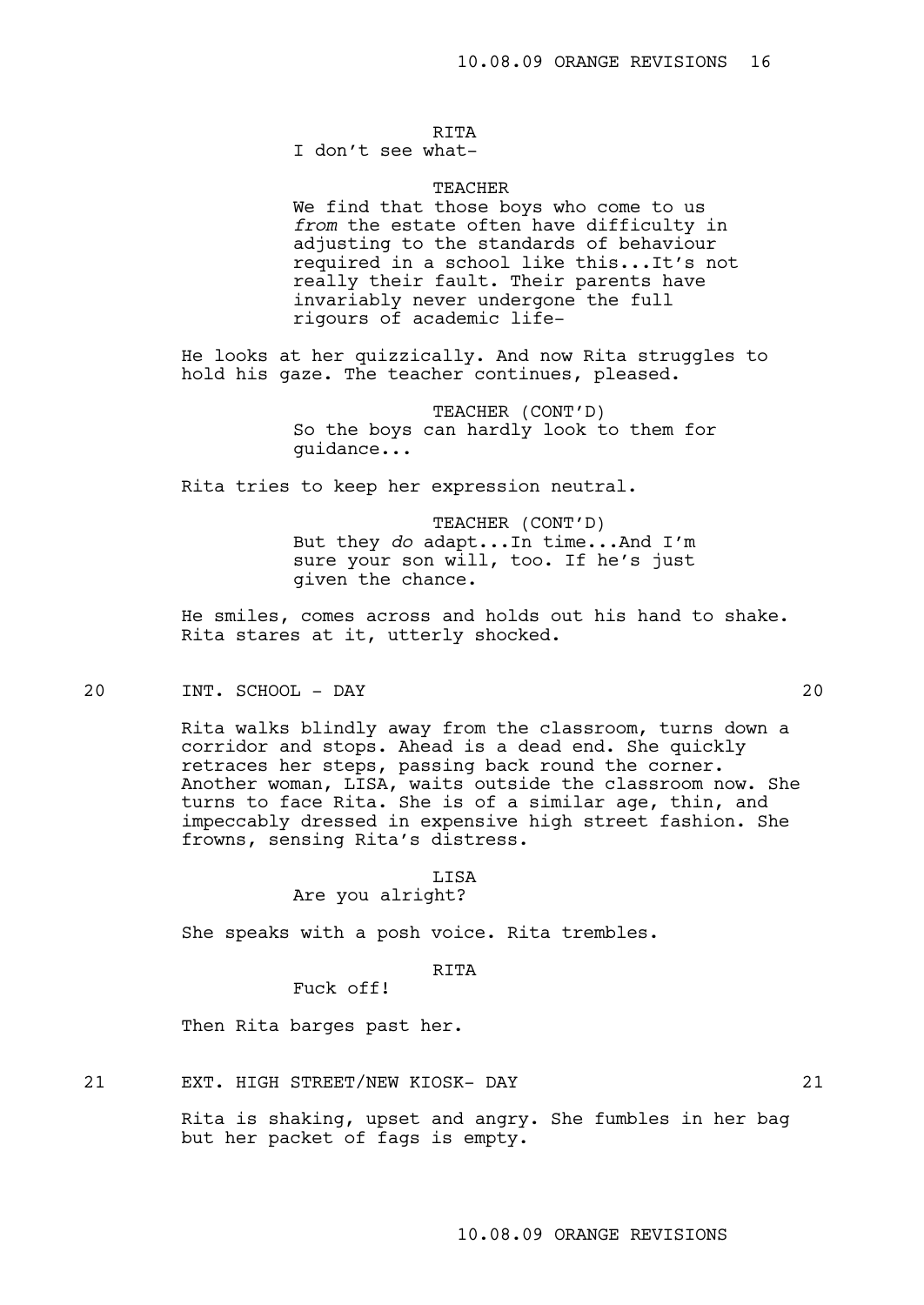#### RITA

I don't see what-

## TEACHER

We find that those boys who come to us *from* the estate often have difficulty in adjusting to the standards of behaviour required in a school like this...It's not really their fault. Their parents have invariably never undergone the full rigours of academic life-

He looks at her quizzically. And now Rita struggles to hold his gaze. The teacher continues, pleased.

# TEACHER (CONT'D) So the boys can hardly look to them for guidance...

Rita tries to keep her expression neutral.

TEACHER (CONT'D) But they *do* adapt...In time...And I'm sure your son will, too. If he's just given the chance.

He smiles, comes across and holds out his hand to shake. Rita stares at it, utterly shocked.

## 20 INT. SCHOOL - DAY 20

Rita walks blindly away from the classroom, turns down a corridor and stops. Ahead is a dead end. She quickly retraces her steps, passing back round the corner. Another woman, LISA, waits outside the classroom now. She turns to face Rita. She is of a similar age, thin, and impeccably dressed in expensive high street fashion. She frowns, sensing Rita's distress.

#### LISA

## Are you alright?

She speaks with a posh voice. Rita trembles.

## RITA

Fuck off!

Then Rita barges past her.

21 EXT. HIGH STREET/NEW KIOSK- DAY 21

Rita is shaking, upset and angry. She fumbles in her bag but her packet of fags is empty.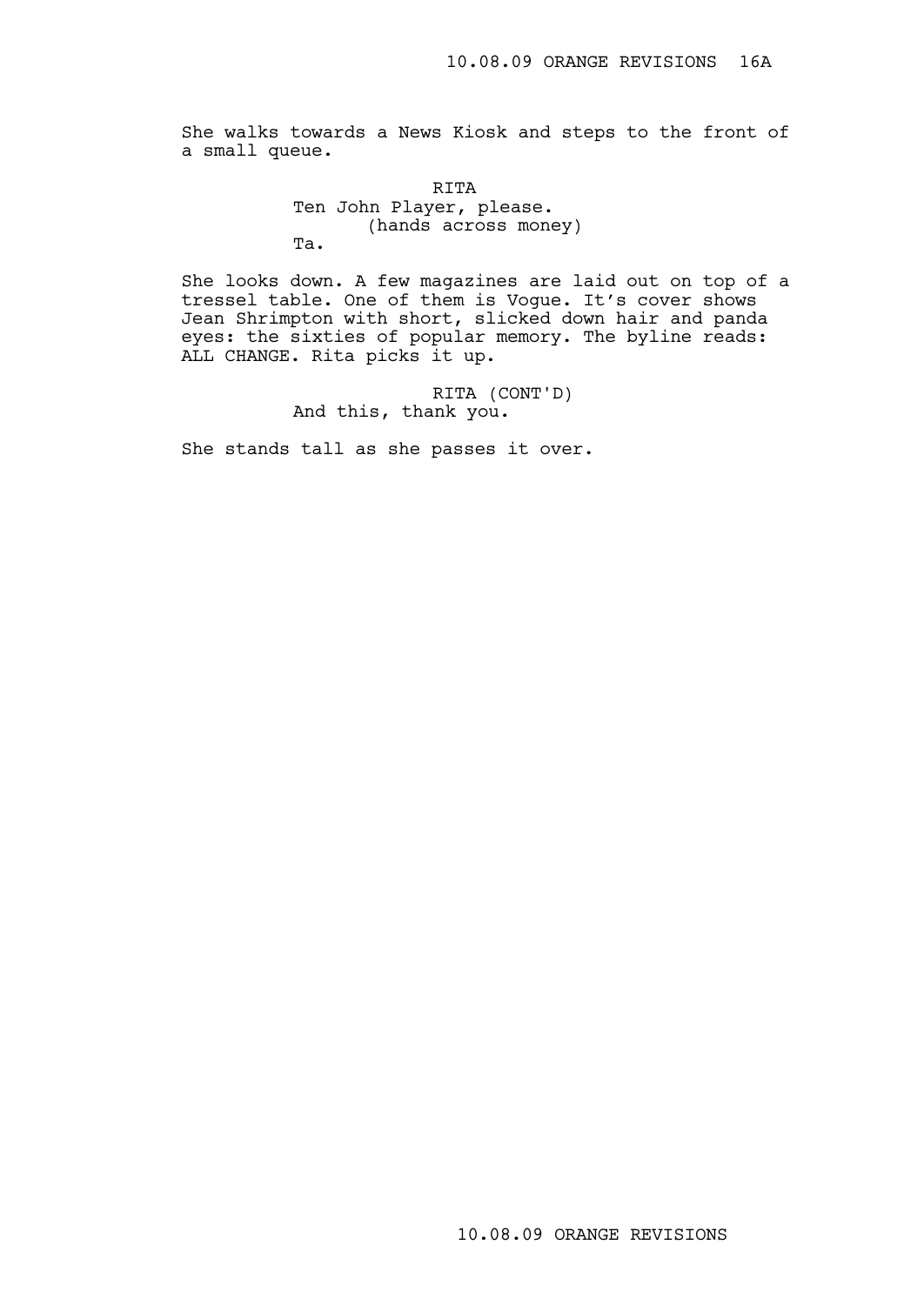She walks towards a News Kiosk and steps to the front of a small queue.

> RITA Ten John Player, please. (hands across money) Ta.

She looks down. A few magazines are laid out on top of a tressel table. One of them is Vogue. It's cover shows Jean Shrimpton with short, slicked down hair and panda eyes: the sixties of popular memory. The byline reads: ALL CHANGE. Rita picks it up.

> RITA (CONT'D) And this, thank you.

She stands tall as she passes it over.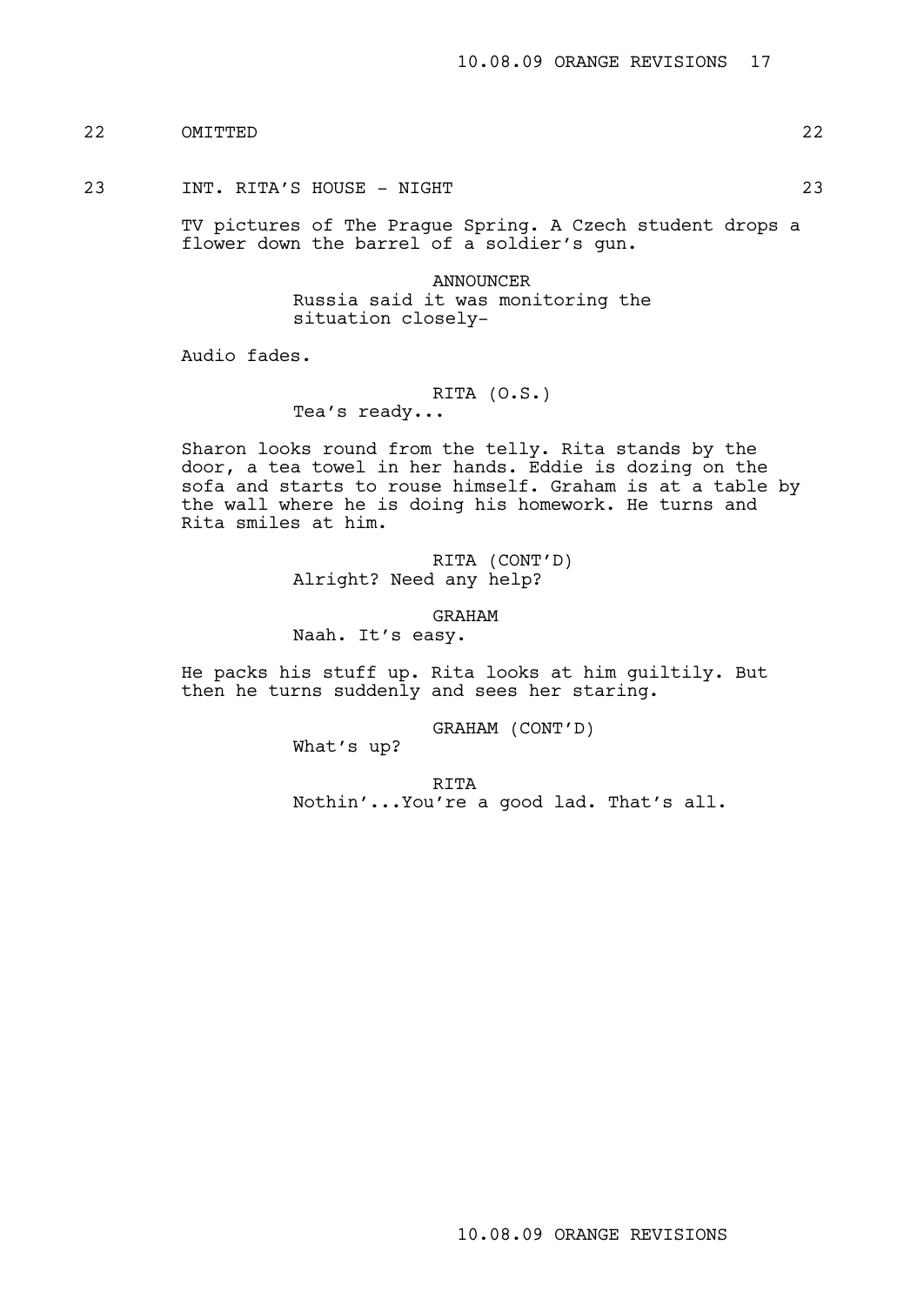22 OMITTED 22

23 INT. RITA'S HOUSE - NIGHT 23

TV pictures of The Prague Spring. A Czech student drops a flower down the barrel of a soldier's gun.

> ANNOUNCER Russia said it was monitoring the situation closely-

Audio fades.

## RITA (O.S.)

Tea's ready...

Sharon looks round from the telly. Rita stands by the door, a tea towel in her hands. Eddie is dozing on the sofa and starts to rouse himself. Graham is at a table by the wall where he is doing his homework. He turns and Rita smiles at him.

> RITA (CONT'D) Alright? Need any help?

> > GRAHAM

Naah. It's easy.

He packs his stuff up. Rita looks at him guiltily. But then he turns suddenly and sees her staring.

GRAHAM (CONT'D)

What's up?

RITA Nothin'...You're a good lad. That's all.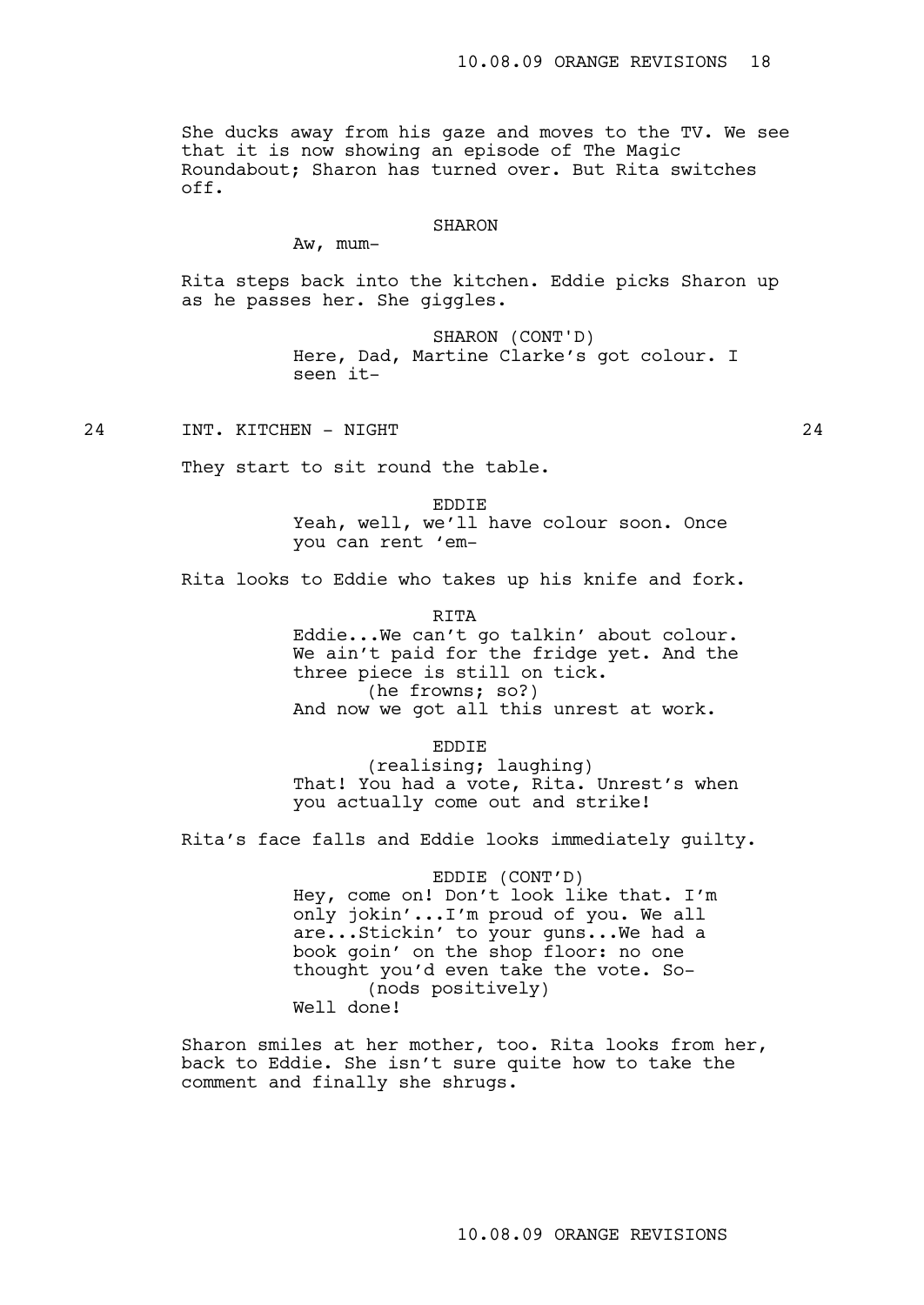She ducks away from his gaze and moves to the TV. We see that it is now showing an episode of The Magic Roundabout; Sharon has turned over. But Rita switches off.

### SHARON

Aw, mum-

Rita steps back into the kitchen. Eddie picks Sharon up as he passes her. She giggles.

> SHARON (CONT'D) Here, Dad, Martine Clarke's got colour. I seen it-

24 INT. KITCHEN - NIGHT 24

They start to sit round the table.

EDDIE

Yeah, well, we'll have colour soon. Once you can rent 'em-

Rita looks to Eddie who takes up his knife and fork.

RITA

Eddie...We can't go talkin' about colour. We ain't paid for the fridge yet. And the three piece is still on tick. (he frowns; so?) And now we got all this unrest at work.

EDDIE

(realising; laughing) That! You had a vote, Rita. Unrest's when you actually come out and strike!

Rita's face falls and Eddie looks immediately guilty.

EDDIE (CONT'D) Hey, come on! Don't look like that. I'm only jokin'...I'm proud of you. We all are...Stickin' to your guns...We had a book goin' on the shop floor: no one thought you'd even take the vote. So- (nods positively) Well done!

Sharon smiles at her mother, too. Rita looks from her, back to Eddie. She isn't sure quite how to take the comment and finally she shrugs.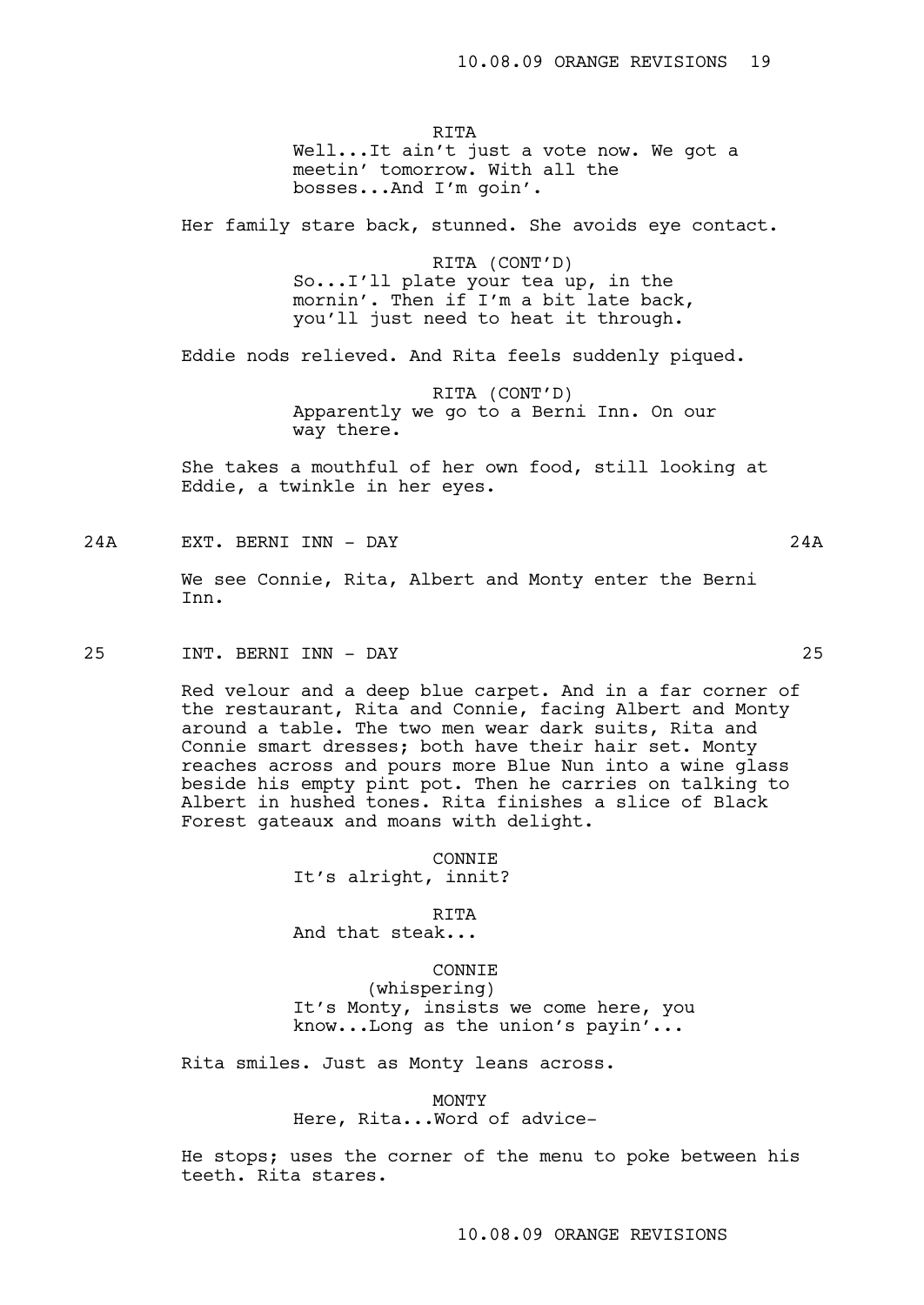RITA Well...It ain't just a vote now. We got a meetin' tomorrow. With all the bosses...And I'm goin'.

Her family stare back, stunned. She avoids eye contact.

RITA (CONT'D) So...I'll plate your tea up, in the mornin'. Then if I'm a bit late back, you'll just need to heat it through.

Eddie nods relieved. And Rita feels suddenly piqued.

RITA (CONT'D) Apparently we go to a Berni Inn. On our way there.

She takes a mouthful of her own food, still looking at Eddie, a twinkle in her eyes.

24A EXT. BERNI INN - DAY 24A

We see Connie, Rita, Albert and Monty enter the Berni Inn.

25 INT. BERNI INN - DAY 25

Red velour and a deep blue carpet. And in a far corner of the restaurant, Rita and Connie, facing Albert and Monty around a table. The two men wear dark suits, Rita and Connie smart dresses; both have their hair set. Monty reaches across and pours more Blue Nun into a wine glass beside his empty pint pot. Then he carries on talking to Albert in hushed tones. Rita finishes a slice of Black Forest gateaux and moans with delight.

> CONNIE It's alright, innit?

> > RITA

And that steak...

CONNIE (whispering) It's Monty, insists we come here, you know...Long as the union's payin'...

Rita smiles. Just as Monty leans across.

MONTY

Here, Rita...Word of advice-

He stops; uses the corner of the menu to poke between his teeth. Rita stares.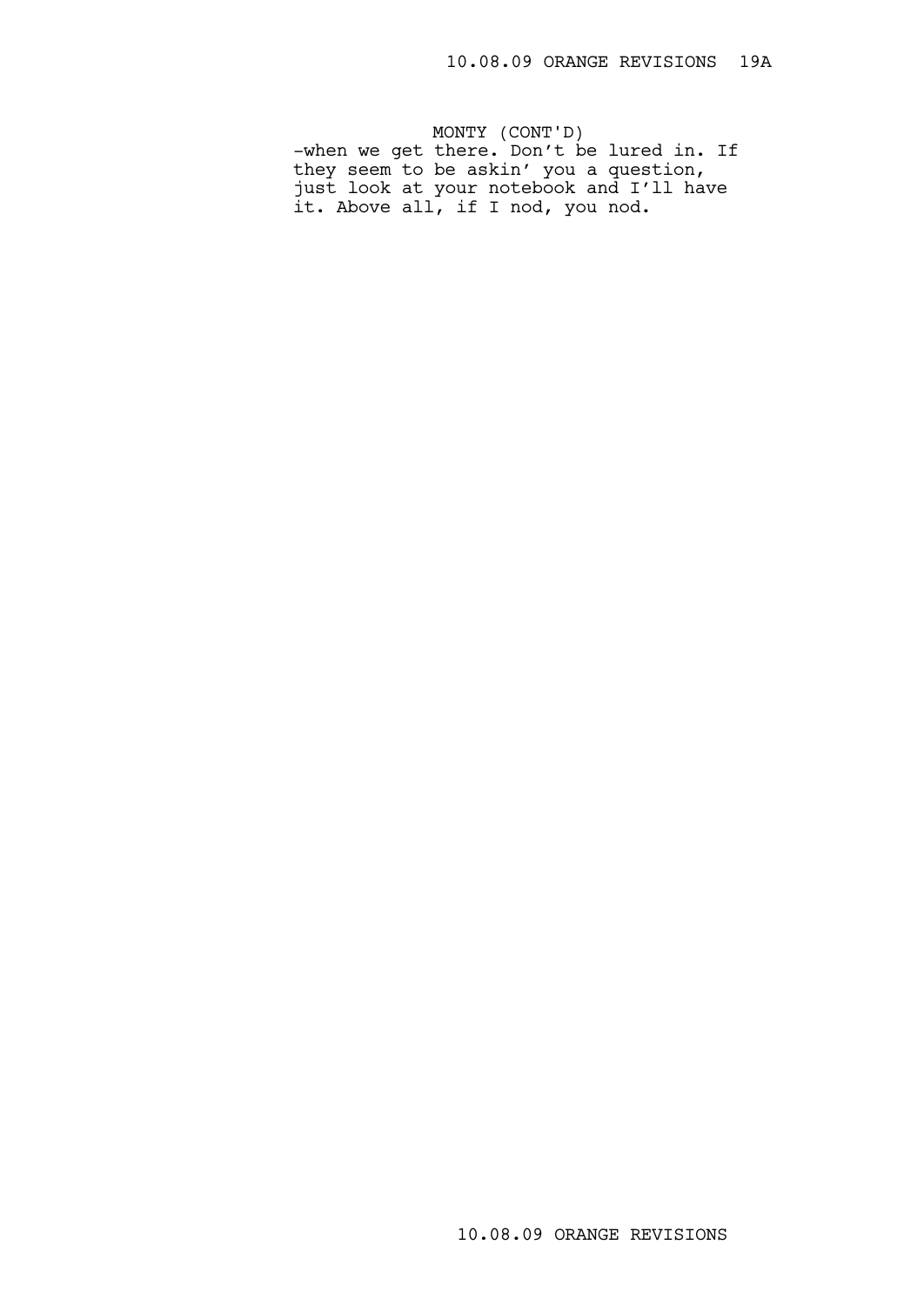MONTY (CONT'D) -when we get there. Don't be lured in. If they seem to be askin' you a question, just look at your notebook and I'll have it. Above all, if I nod, you nod.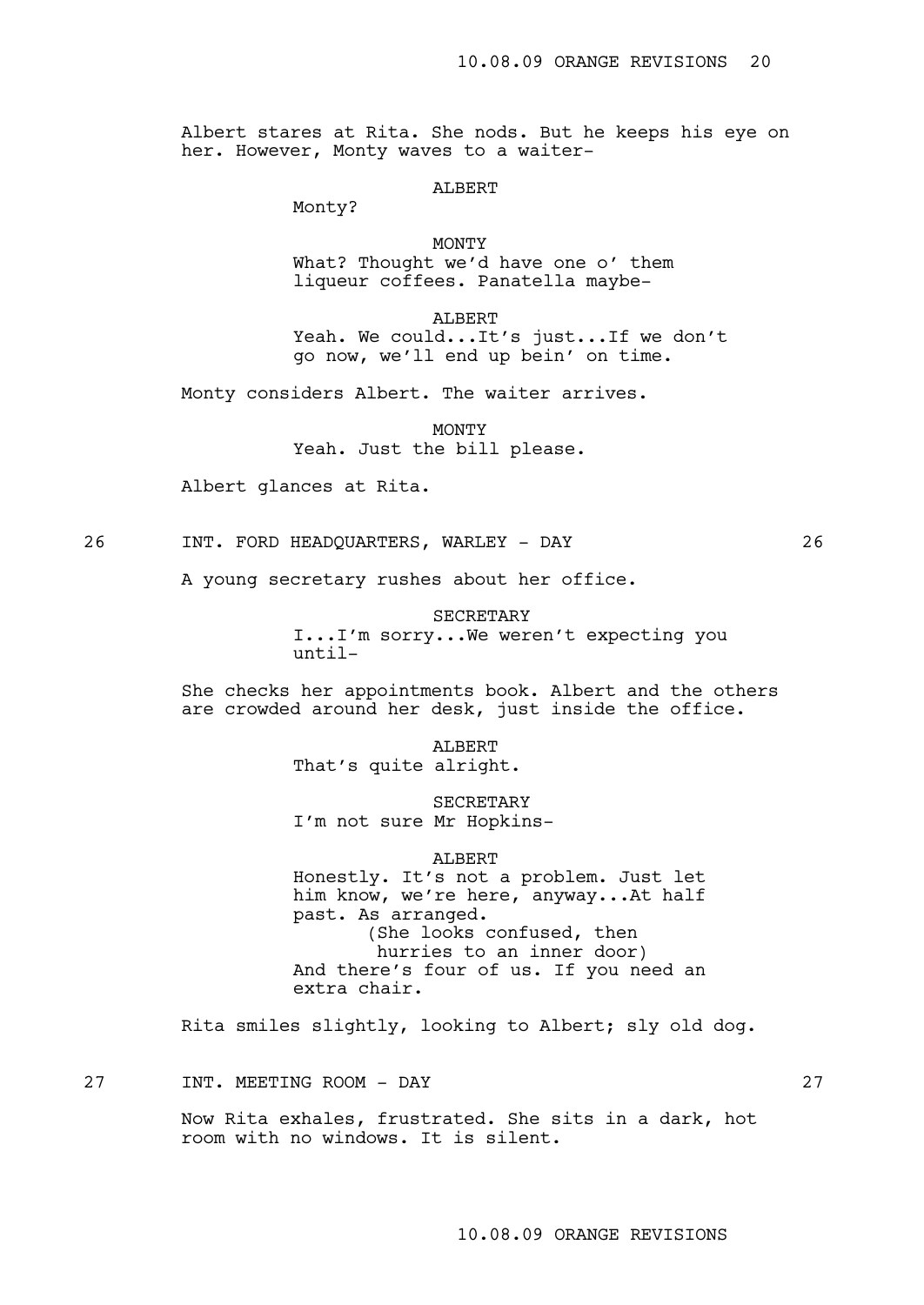Albert stares at Rita. She nods. But he keeps his eye on her. However, Monty waves to a waiter-

ALBERT

Monty?

MONTY What? Thought we'd have one o' them liqueur coffees. Panatella maybe-

**ALBERT** Yeah. We could...It's just...If we don't go now, we'll end up bein' on time.

Monty considers Albert. The waiter arrives.

MONTY Yeah. Just the bill please.

Albert glances at Rita.

26 INT. FORD HEADQUARTERS, WARLEY - DAY 26

A young secretary rushes about her office.

SECRETARY I...I'm sorry...We weren't expecting you until-

She checks her appointments book. Albert and the others are crowded around her desk, just inside the office.

> ALBERT That's quite alright.

> > SECRETARY

I'm not sure Mr Hopkins-

ALBERT

Honestly. It's not a problem. Just let him know, we're here, anyway...At half past. As arranged. (She looks confused, then hurries to an inner door) And there's four of us. If you need an extra chair.

Rita smiles slightly, looking to Albert; sly old dog.

27 INT. MEETING ROOM - DAY 27

Now Rita exhales, frustrated. She sits in a dark, hot room with no windows. It is silent.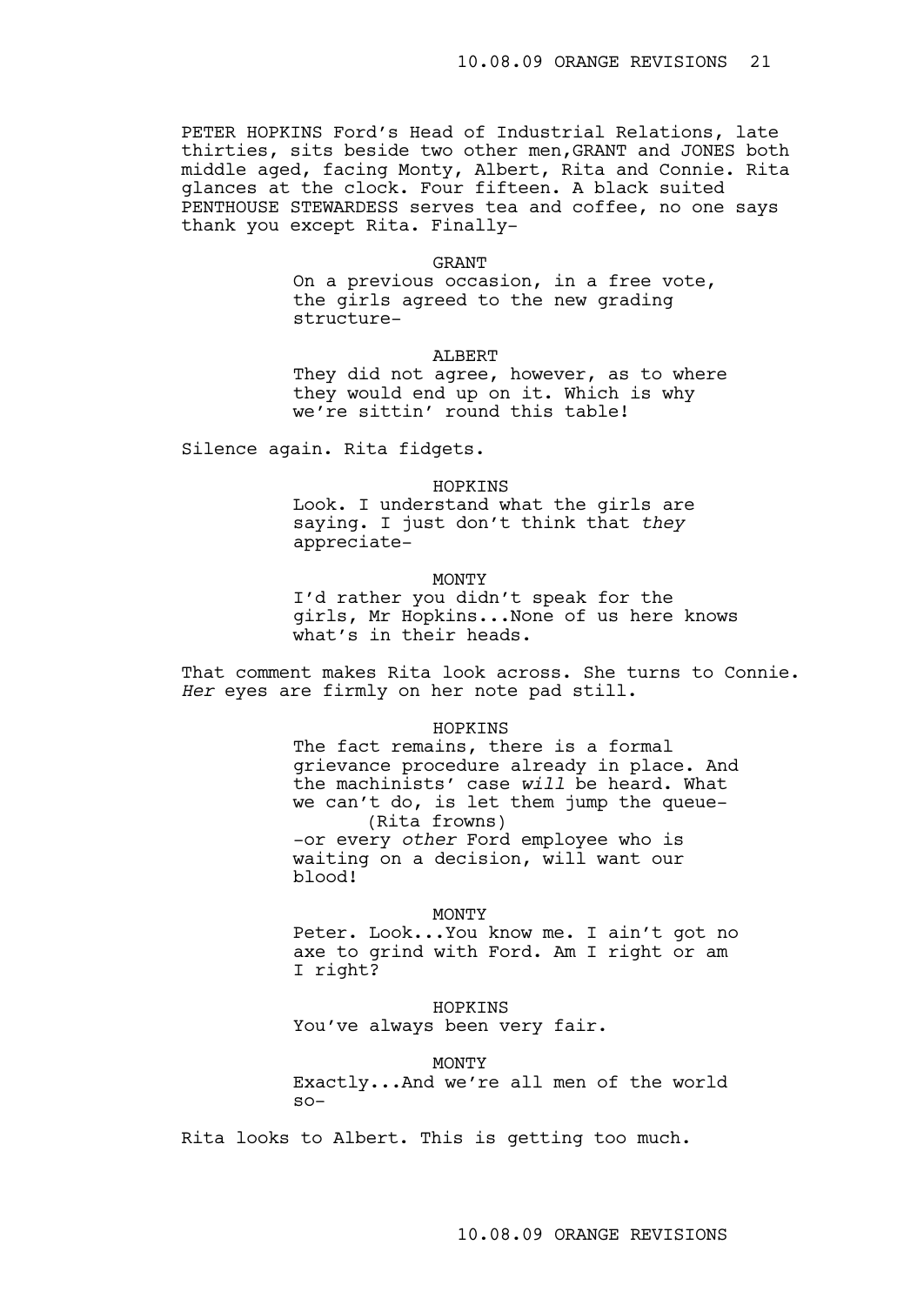PETER HOPKINS Ford's Head of Industrial Relations, late thirties, sits beside two other men,GRANT and JONES both middle aged, facing Monty, Albert, Rita and Connie. Rita glances at the clock. Four fifteen. A black suited PENTHOUSE STEWARDESS serves tea and coffee, no one says thank you except Rita. Finally-

#### GRANT

On a previous occasion, in a free vote, the girls agreed to the new grading structure-

#### ALBERT

They did not agree, however, as to where they would end up on it. Which is why we're sittin' round this table!

Silence again. Rita fidgets.

HOPKINS

Look. I understand what the girls are saying. I just don't think that *they* appreciate-

## MONTY

I'd rather you didn't speak for the girls, Mr Hopkins...None of us here knows what's in their heads.

That comment makes Rita look across. She turns to Connie. *Her* eyes are firmly on her note pad still.

#### HOPKINS

The fact remains, there is a formal grievance procedure already in place. And the machinists' case *will* be heard. What we can't do, is let them jump the queue- (Rita frowns) -or every *other* Ford employee who is waiting on a decision, will want our blood!

#### MONTY

Peter. Look...You know me. I ain't got no axe to grind with Ford. Am I right or am I right?

#### HOPKINS

You've always been very fair.

## MONTY

Exactly...And we're all men of the world  $SO-$ 

Rita looks to Albert. This is getting too much.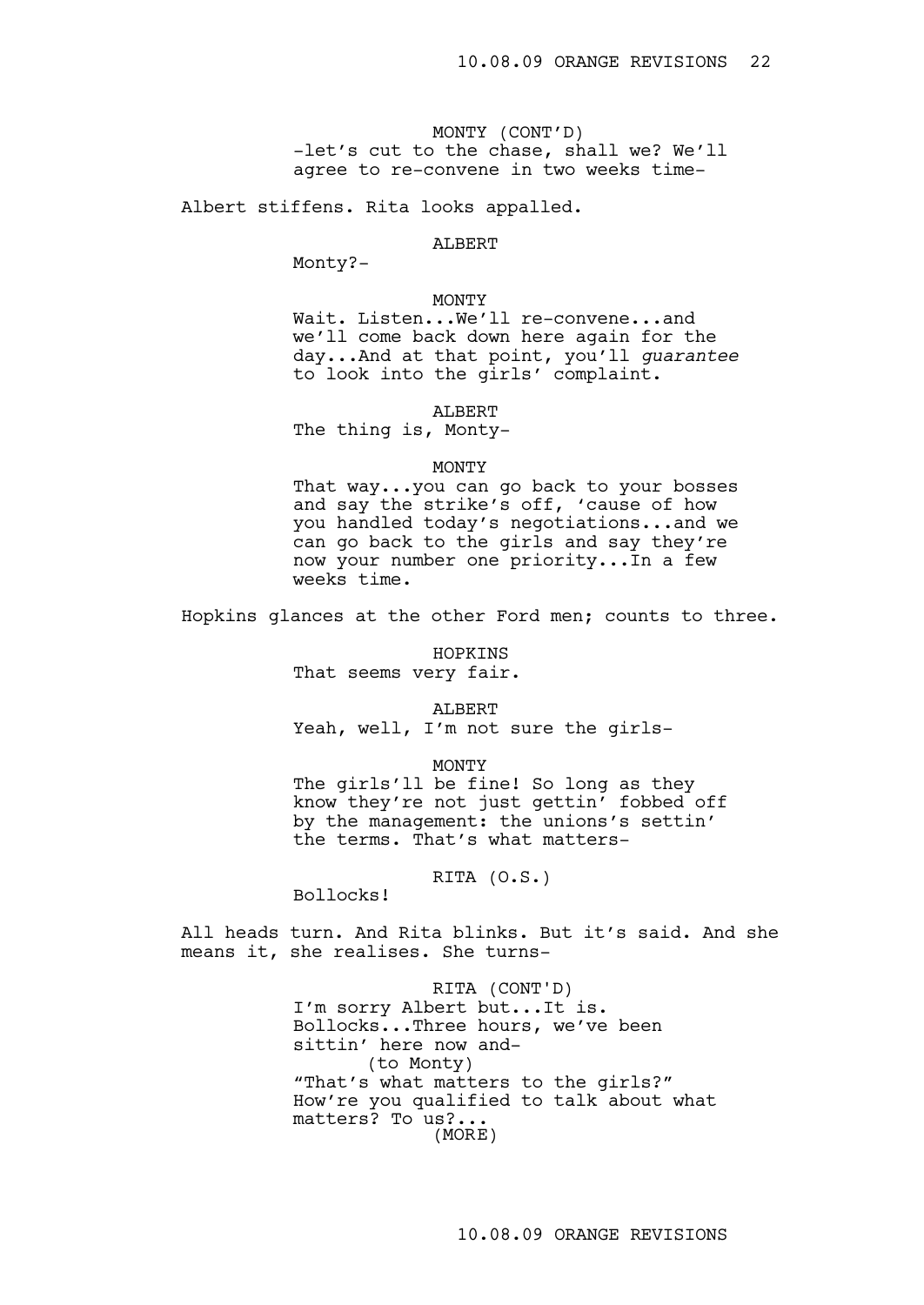MONTY (CONT'D) -let's cut to the chase, shall we? We'll agree to re-convene in two weeks time-

Albert stiffens. Rita looks appalled.

## ALBERT

Monty?-

#### MONTY

Wait. Listen...We'll re-convene...and we'll come back down here again for the day...And at that point, you'll *guarantee* to look into the girls' complaint.

#### ALBERT

The thing is, Monty-

## MONTY

That way...you can go back to your bosses and say the strike's off, 'cause of how you handled today's negotiations...and we can go back to the girls and say they're now your number one priority...In a few weeks time.

Hopkins glances at the other Ford men; counts to three.

HOPKINS That seems very fair.

ALBERT

Yeah, well, I'm not sure the girls-

MONTY

The girls'll be fine! So long as they know they're not just gettin' fobbed off by the management: the unions's settin' the terms. That's what matters-

RITA (O.S.)

Bollocks!

All heads turn. And Rita blinks. But it's said. And she means it, she realises. She turns-

> RITA (CONT'D) I'm sorry Albert but...It is. Bollocks...Three hours, we've been sittin' here now and- (to Monty) "That's what matters to the girls?" How're you qualified to talk about what matters? To us?... (MORE)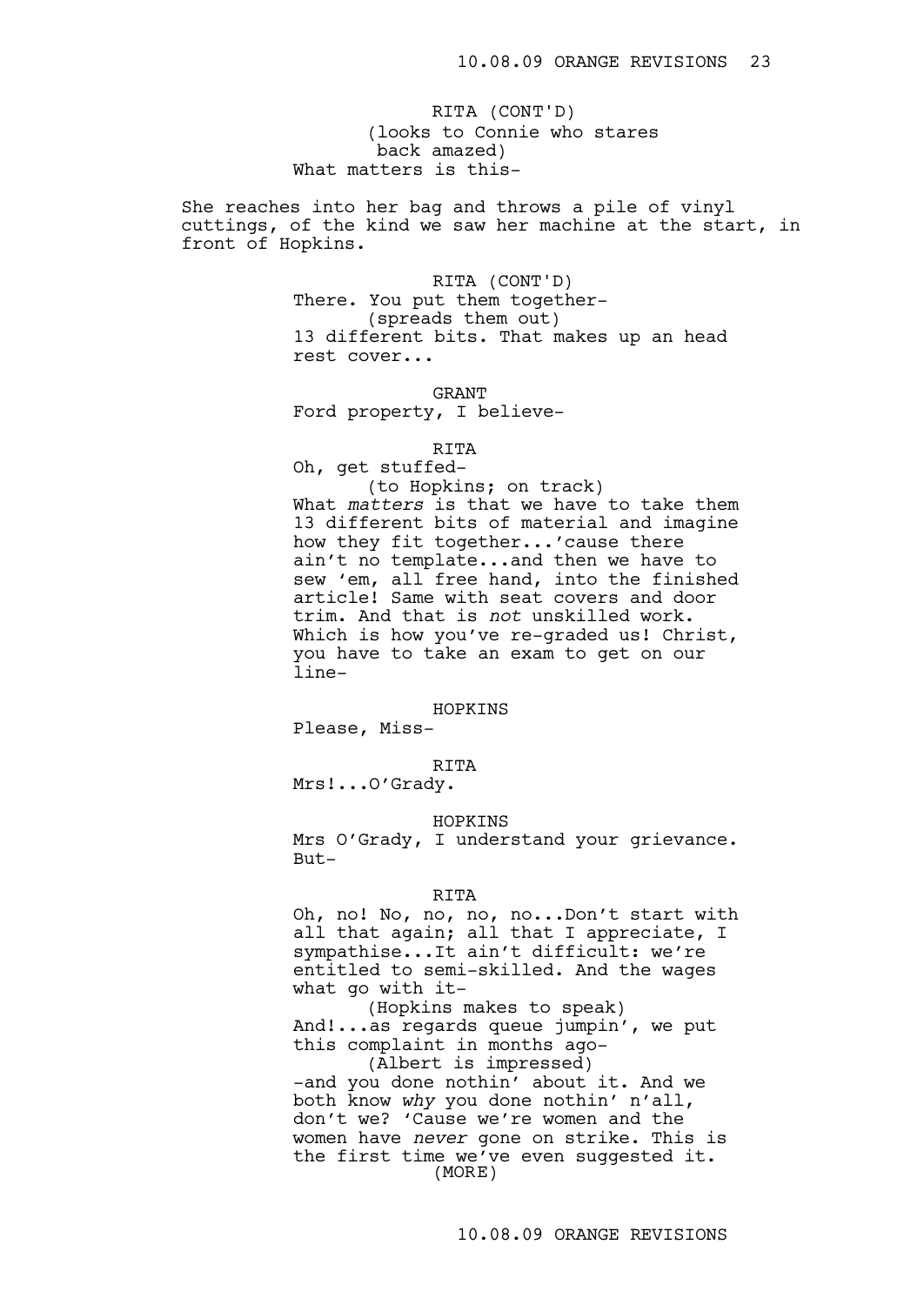(looks to Connie who stares back amazed) What matters is this-RITA (CONT'D)

She reaches into her bag and throws a pile of vinyl cuttings, of the kind we saw her machine at the start, in front of Hopkins.

> RITA (CONT'D) There. You put them together- (spreads them out) 13 different bits. That makes up an head rest cover...

GRANT Ford property, I believe-

#### RITA

Oh, get stuffed-

(to Hopkins; on track) What *matters* is that we have to take them 13 different bits of material and imagine how they fit together...'cause there ain't no template...and then we have to sew 'em, all free hand, into the finished article! Same with seat covers and door trim. And that is *not* unskilled work. Which is how you've re-graded us! Christ, you have to take an exam to get on our line-

HOPKINS

Please, Miss-

#### RITA

Mrs!...O'Grady.

#### HOPKINS

Mrs O'Grady, I understand your grievance. But-

### RITA

Oh, no! No, no, no, no...Don't start with all that again; all that I appreciate, I sympathise...It ain't difficult: we're entitled to semi-skilled. And the wages what go with it-

(Hopkins makes to speak) And!...as regards queue jumpin', we put this complaint in months ago-

(Albert is impressed) -and you done nothin' about it. And we both know *why* you done nothin' n'all, don't we? 'Cause we're women and the women have *never* gone on strike. This is the first time we've even suggested it. (MORE)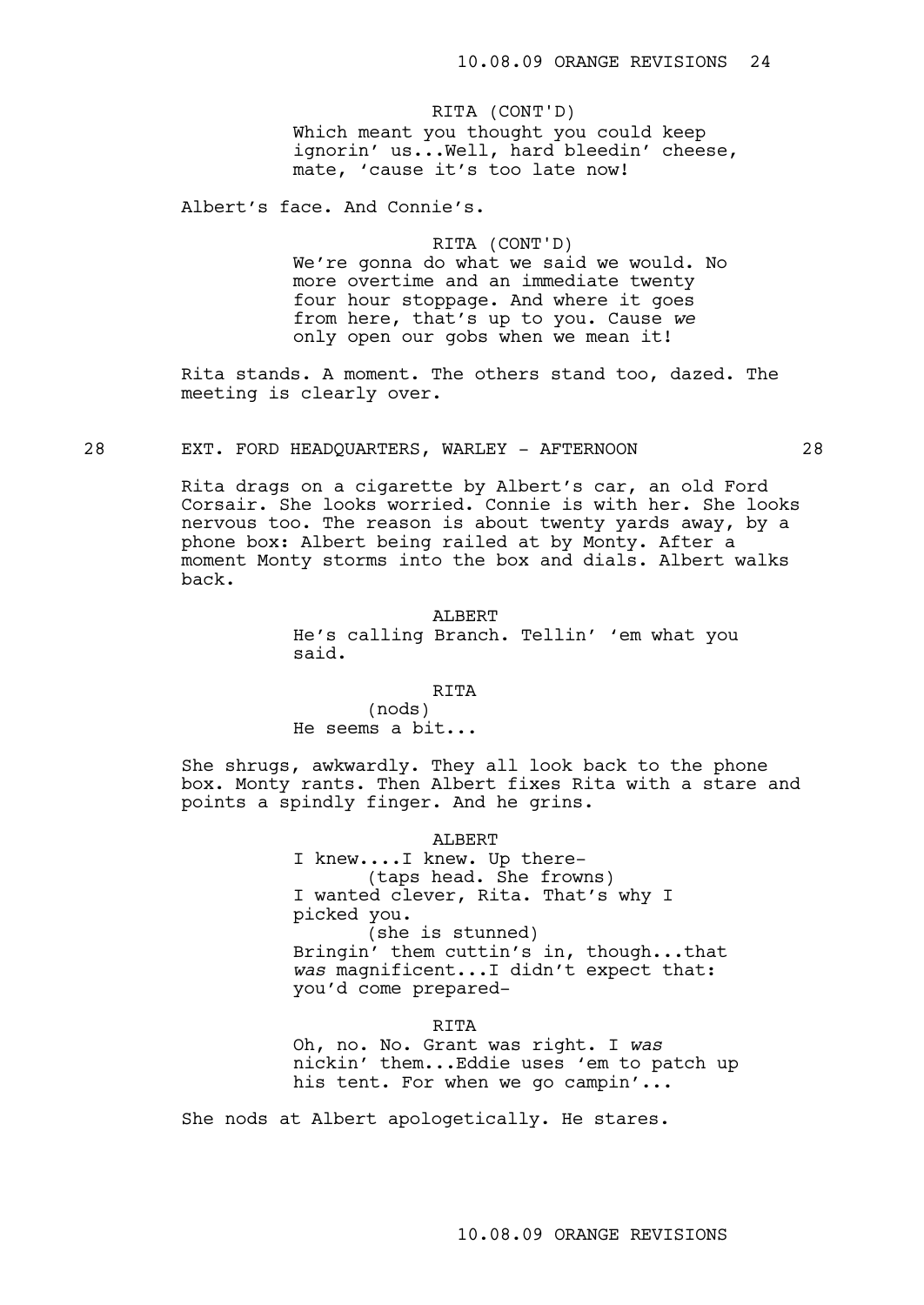## RITA (CONT'D)

Which meant you thought you could keep ignorin' us...Well, hard bleedin' cheese, mate, 'cause it's too late now!

Albert's face. And Connie's.

## RITA (CONT'D)

We're gonna do what we said we would. No more overtime and an immediate twenty four hour stoppage. And where it goes from here, that's up to you. Cause *we* only open our gobs when we mean it!

Rita stands. A moment. The others stand too, dazed. The meeting is clearly over.

# 28 EXT. FORD HEADQUARTERS, WARLEY - AFTERNOON 28

Rita drags on a cigarette by Albert's car, an old Ford Corsair. She looks worried. Connie is with her. She looks nervous too. The reason is about twenty yards away, by a phone box: Albert being railed at by Monty. After a moment Monty storms into the box and dials. Albert walks back.

#### ALBERT

He's calling Branch. Tellin' 'em what you said.

#### RITA

(nods) He seems a bit...

She shrugs, awkwardly. They all look back to the phone box. Monty rants. Then Albert fixes Rita with a stare and points a spindly finger. And he grins.

#### ALBERT

I knew....I knew. Up there- (taps head. She frowns) I wanted clever, Rita. That's why I picked you. (she is stunned) Bringin' them cuttin's in, though...that *was* magnificent...I didn't expect that: you'd come prepared-

RITA

Oh, no. No. Grant was right. I *was* nickin' them...Eddie uses 'em to patch up his tent. For when we go campin'...

She nods at Albert apologetically. He stares.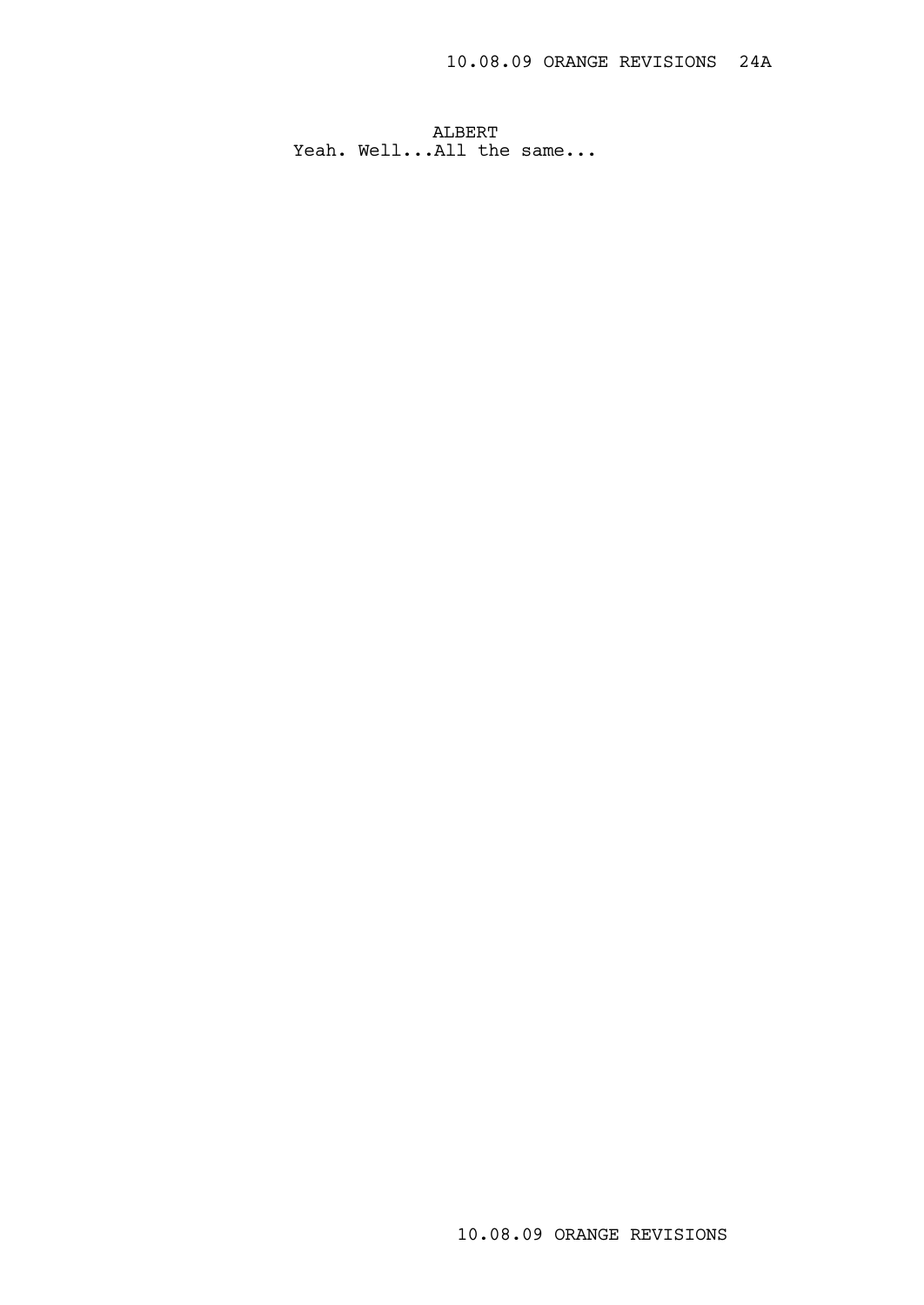ALBERT Yeah. Well...All the same...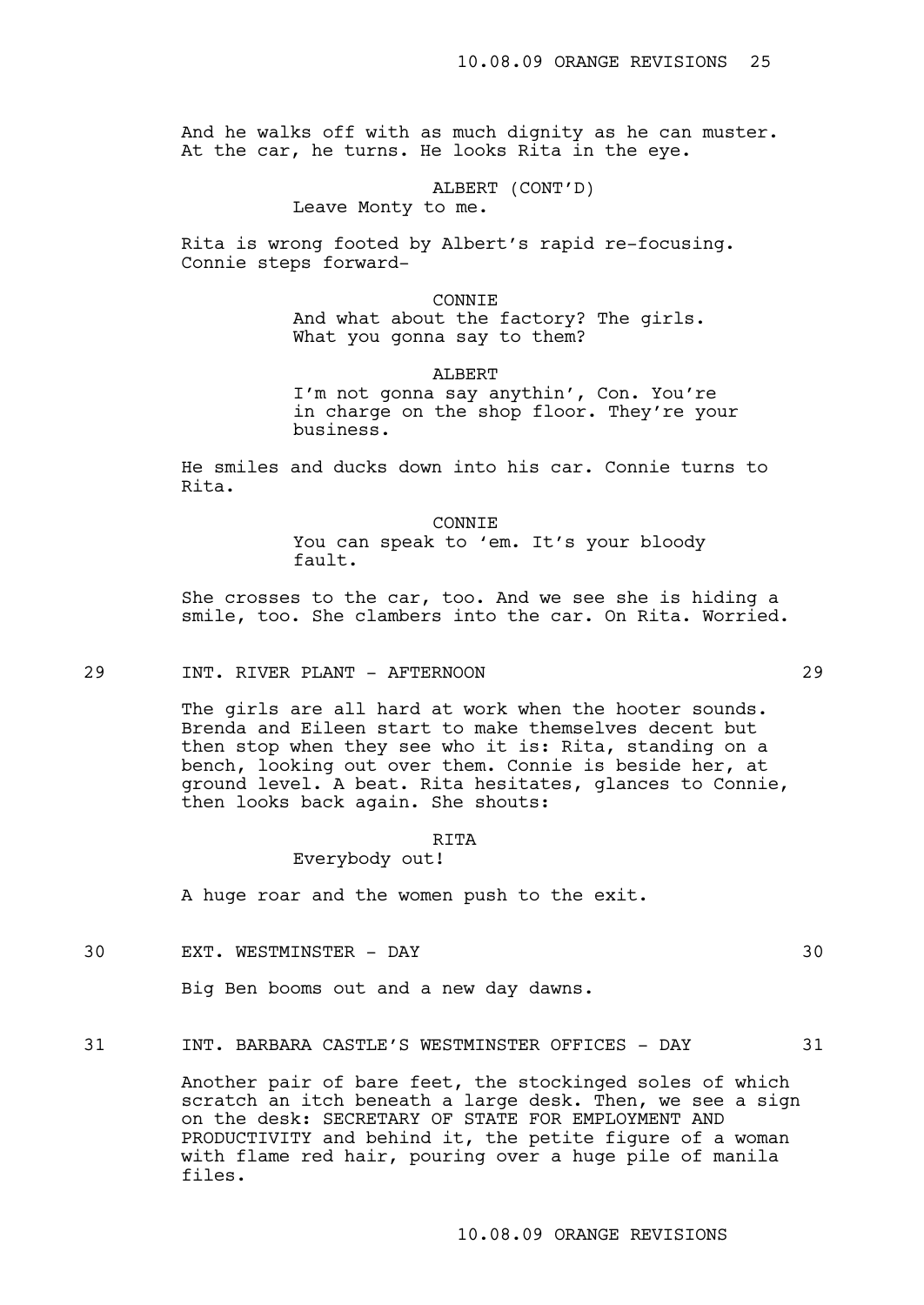And he walks off with as much dignity as he can muster. At the car, he turns. He looks Rita in the eye.

ALBERT (CONT'D)

Leave Monty to me.

Rita is wrong footed by Albert's rapid re-focusing. Connie steps forward-

> CONNIE And what about the factory? The girls. What you gonna say to them?

> > ALBERT

I'm not gonna say anythin', Con. You're in charge on the shop floor. They're your business.

He smiles and ducks down into his car. Connie turns to Rita.

> CONNIE You can speak to 'em. It's your bloody fault.

She crosses to the car, too. And we see she is hiding a smile, too. She clambers into the car. On Rita. Worried.

# 29 INT. RIVER PLANT - AFTERNOON 29

The girls are all hard at work when the hooter sounds. Brenda and Eileen start to make themselves decent but then stop when they see who it is: Rita, standing on a bench, looking out over them. Connie is beside her, at ground level. A beat. Rita hesitates, glances to Connie, then looks back again. She shouts:

#### RITA

# Everybody out!

A huge roar and the women push to the exit.

30 EXT. WESTMINSTER - DAY 30

Big Ben booms out and a new day dawns.

## 31 INT. BARBARA CASTLE'S WESTMINSTER OFFICES - DAY 31

Another pair of bare feet, the stockinged soles of which scratch an itch beneath a large desk. Then, we see a sign on the desk: SECRETARY OF STATE FOR EMPLOYMENT AND PRODUCTIVITY and behind it, the petite figure of a woman with flame red hair, pouring over a huge pile of manila files.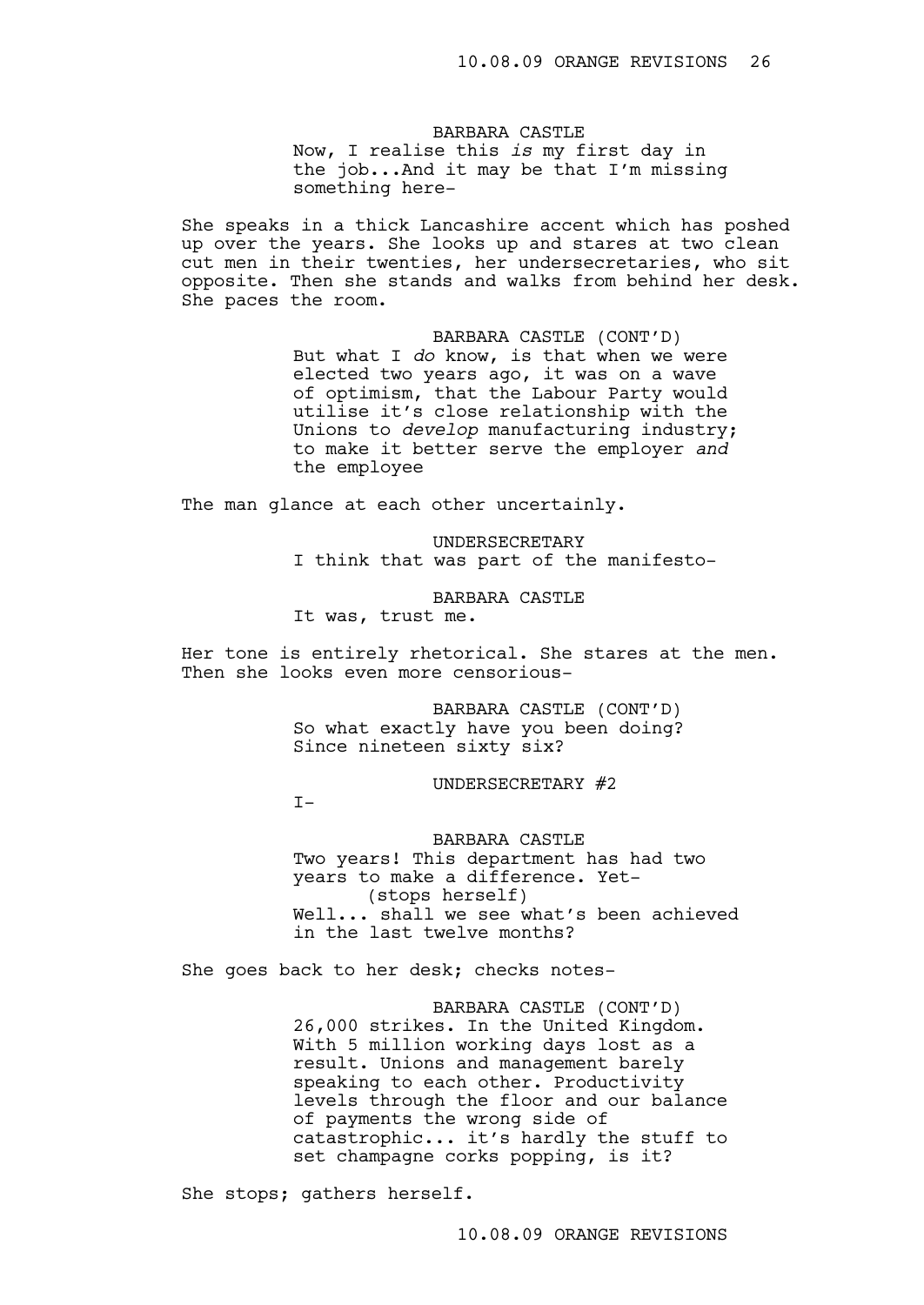### BARBARA CASTLE

Now, I realise this *is* my first day in the job...And it may be that I'm missing something here-

She speaks in a thick Lancashire accent which has poshed up over the years. She looks up and stares at two clean cut men in their twenties, her undersecretaries, who sit opposite. Then she stands and walks from behind her desk. She paces the room.

> BARBARA CASTLE (CONT'D) But what I *do* know, is that when we were elected two years ago, it was on a wave of optimism, that the Labour Party would utilise it's close relationship with the Unions to *develop* manufacturing industry; to make it better serve the employer *and* the employee

The man glance at each other uncertainly.

UNDERSECRETARY I think that was part of the manifesto-

BARBARA CASTLE It was, trust me.

Her tone is entirely rhetorical. She stares at the men. Then she looks even more censorious-

> BARBARA CASTLE (CONT'D) So what exactly have you been doing? Since nineteen sixty six?

> > UNDERSECRETARY #2

 $T-$ 

BARBARA CASTLE Two years! This department has had two years to make a difference. Yet- (stops herself) Well... shall we see what's been achieved in the last twelve months?

She goes back to her desk; checks notes-

BARBARA CASTLE (CONT'D) 26,000 strikes. In the United Kingdom. With 5 million working days lost as a result. Unions and management barely speaking to each other. Productivity levels through the floor and our balance of payments the wrong side of catastrophic... it's hardly the stuff to set champagne corks popping, is it?

She stops; gathers herself.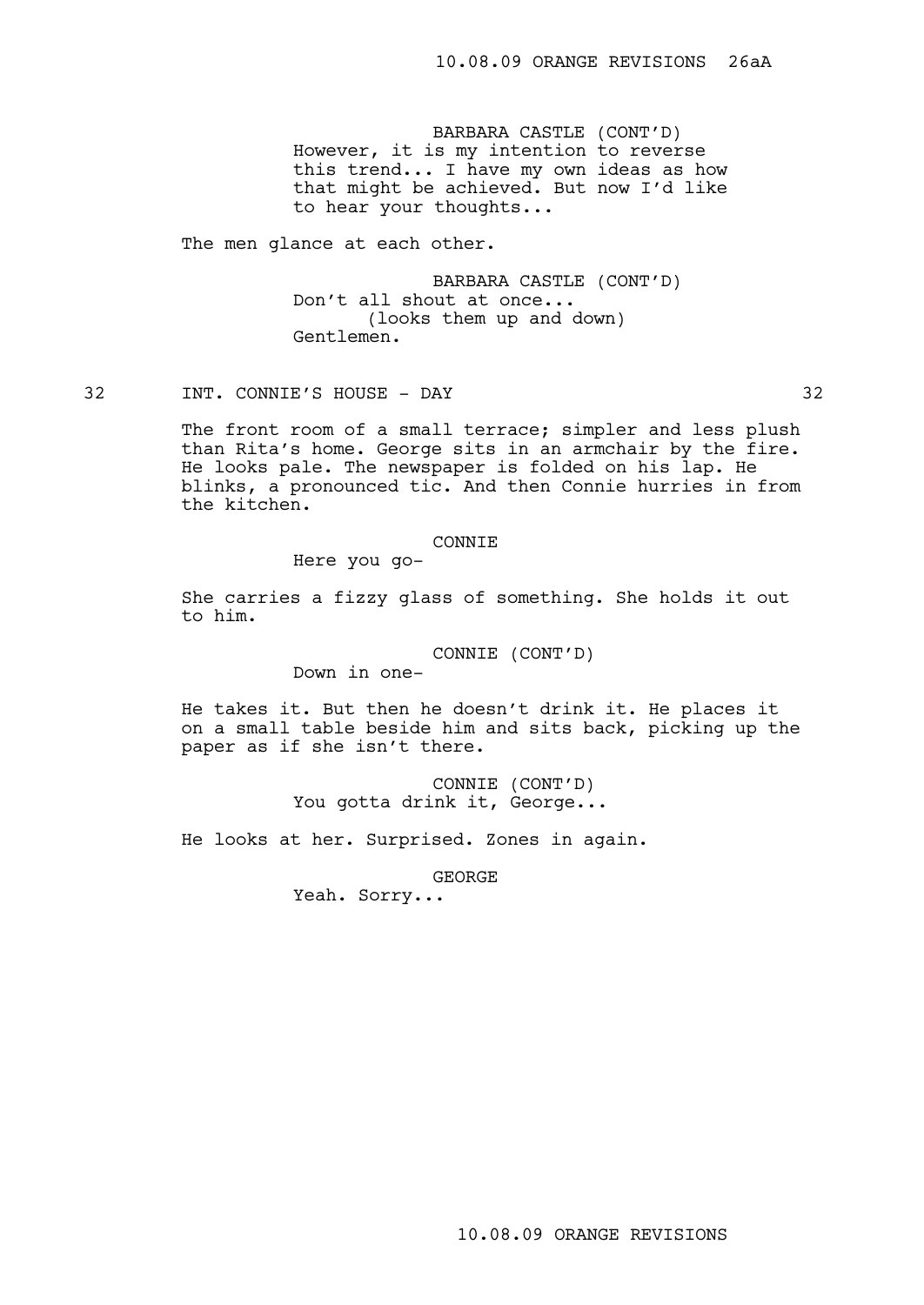BARBARA CASTLE (CONT'D) However, it is my intention to reverse this trend... I have my own ideas as how that might be achieved. But now I'd like to hear your thoughts...

The men glance at each other.

BARBARA CASTLE (CONT'D) Don't all shout at once... (looks them up and down) Gentlemen.

# 32 INT. CONNIE'S HOUSE - DAY 32

The front room of a small terrace; simpler and less plush than Rita's home. George sits in an armchair by the fire. He looks pale. The newspaper is folded on his lap. He blinks, a pronounced tic. And then Connie hurries in from the kitchen.

#### CONNIE

Here you go-

She carries a fizzy glass of something. She holds it out to him.

CONNIE (CONT'D)

Down in one-

He takes it. But then he doesn't drink it. He places it on a small table beside him and sits back, picking up the paper as if she isn't there.

> CONNIE (CONT'D) You gotta drink it, George...

He looks at her. Surprised. Zones in again.

GEORGE

Yeah. Sorry...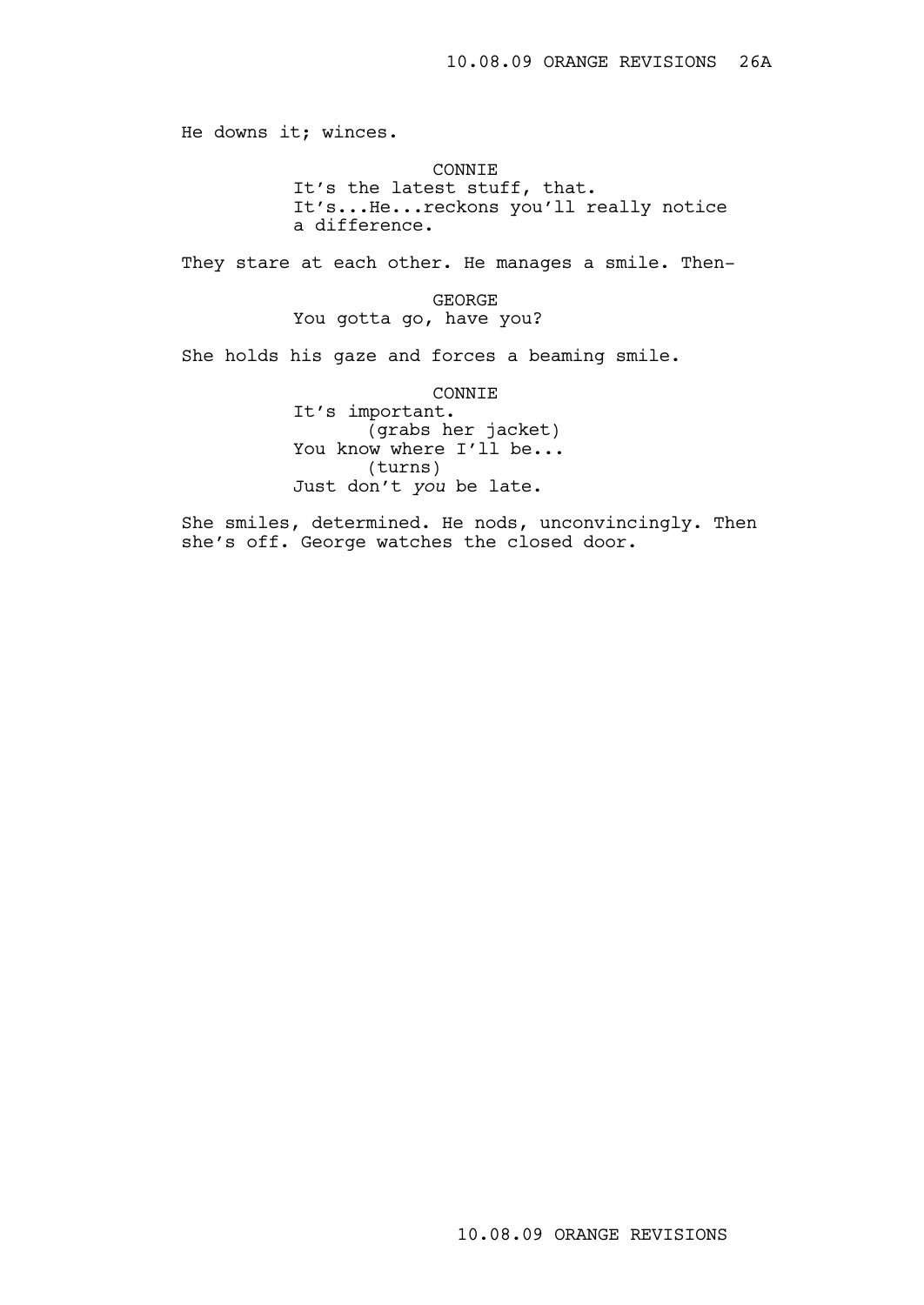He downs it; winces.

CONNIE

It's the latest stuff, that. It's...He...reckons you'll really notice a difference.

They stare at each other. He manages a smile. Then-

GEORGE You gotta go, have you?

She holds his gaze and forces a beaming smile.

CONNIE It's important. (grabs her jacket) You know where I'll be... (turns) Just don't *you* be late.

She smiles, determined. He nods, unconvincingly. Then she's off. George watches the closed door.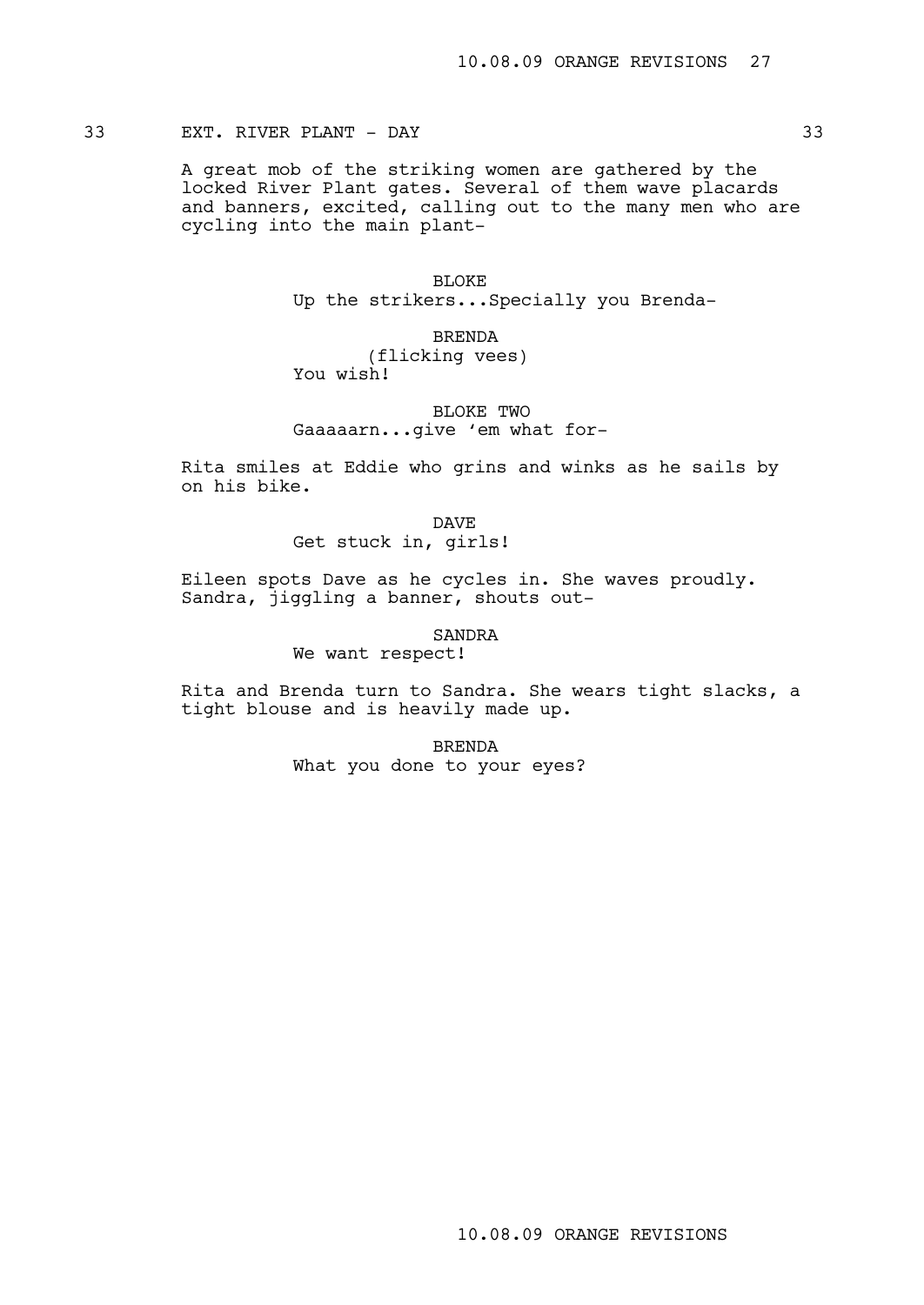# 33 EXT. RIVER PLANT - DAY 33

A great mob of the striking women are gathered by the locked River Plant gates. Several of them wave placards and banners, excited, calling out to the many men who are cycling into the main plant-

> BLOKE Up the strikers...Specially you Brenda-

BRENDA (flicking vees) You wish!

# BLOKE TWO Gaaaaarn...give 'em what for-

Rita smiles at Eddie who grins and winks as he sails by on his bike.

> DAVE Get stuck in, girls!

Eileen spots Dave as he cycles in. She waves proudly. Sandra, jiggling a banner, shouts out-

### SANDRA

We want respect!

Rita and Brenda turn to Sandra. She wears tight slacks, a tight blouse and is heavily made up.

> BRENDA What you done to your eyes?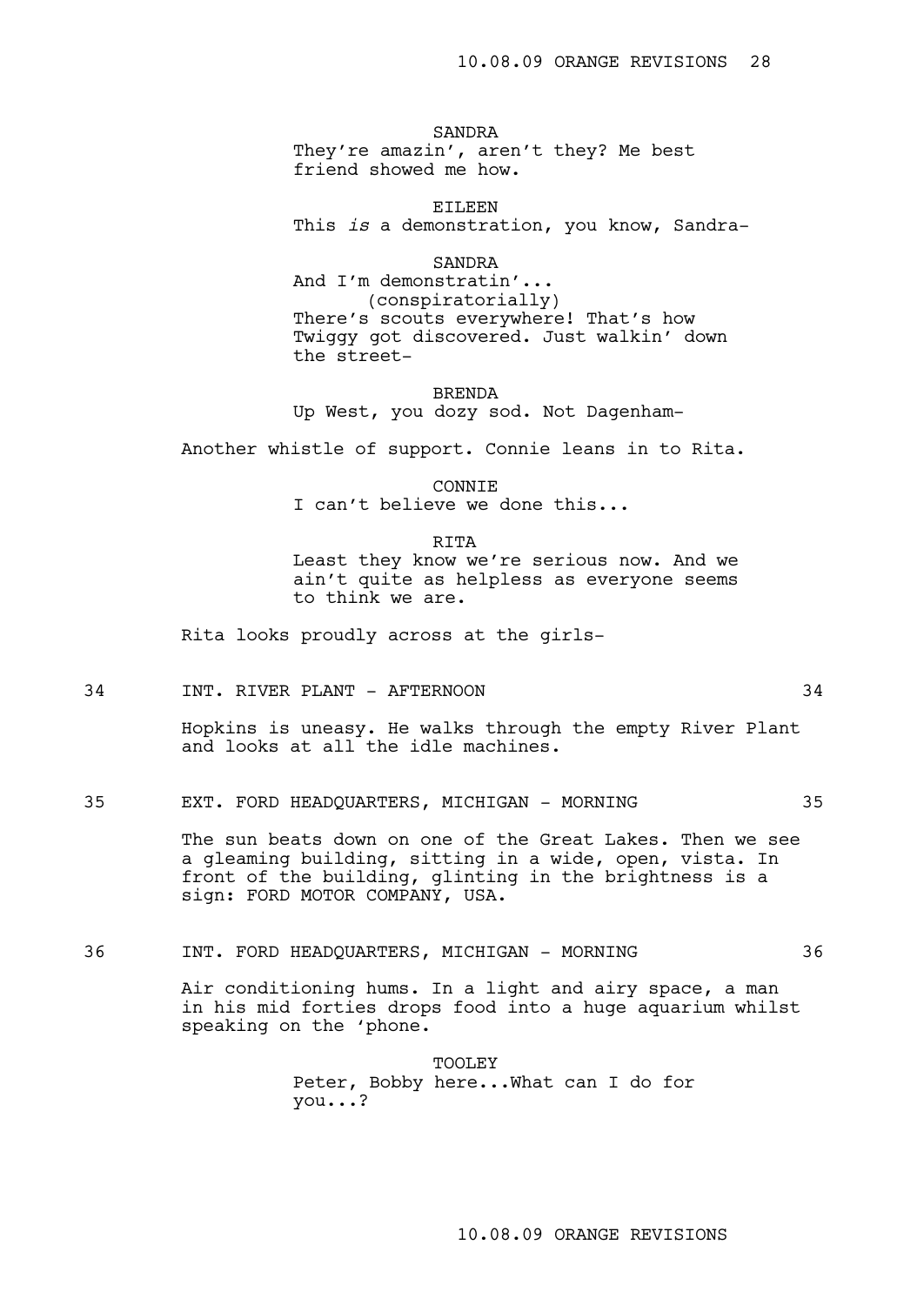SANDRA They're amazin', aren't they? Me best friend showed me how.

EILEEN This *is* a demonstration, you know, Sandra-

SANDRA

And I'm demonstratin'... (conspiratorially) There's scouts everywhere! That's how Twiggy got discovered. Just walkin' down the street-

BRENDA Up West, you dozy sod. Not Dagenham-

Another whistle of support. Connie leans in to Rita.

CONNIE I can't believe we done this...

RITA Least they know we're serious now. And we ain't quite as helpless as everyone seems to think we are.

Rita looks proudly across at the girls-

34 INT. RIVER PLANT - AFTERNOON 34

Hopkins is uneasy. He walks through the empty River Plant and looks at all the idle machines.

35 EXT. FORD HEADQUARTERS, MICHIGAN - MORNING 35

The sun beats down on one of the Great Lakes. Then we see a gleaming building, sitting in a wide, open, vista. In front of the building, glinting in the brightness is a sign: FORD MOTOR COMPANY, USA.

36 INT. FORD HEADQUARTERS, MICHIGAN - MORNING 36

Air conditioning hums. In a light and airy space, a man in his mid forties drops food into a huge aquarium whilst speaking on the 'phone.

> TOOLEY Peter, Bobby here...What can I do for you...?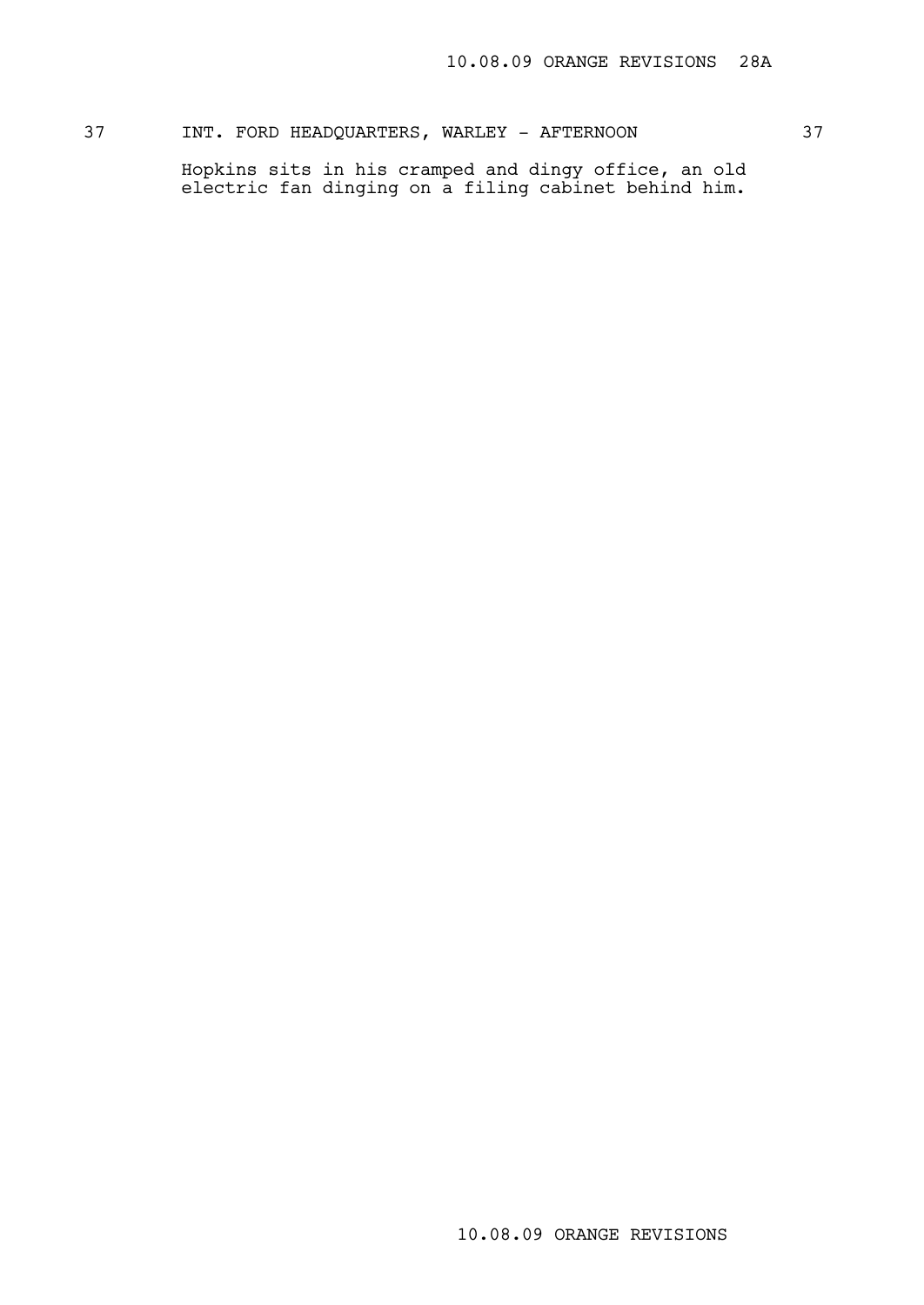## 37 INT. FORD HEADQUARTERS, WARLEY - AFTERNOON 37

Hopkins sits in his cramped and dingy office, an old electric fan dinging on a filing cabinet behind him.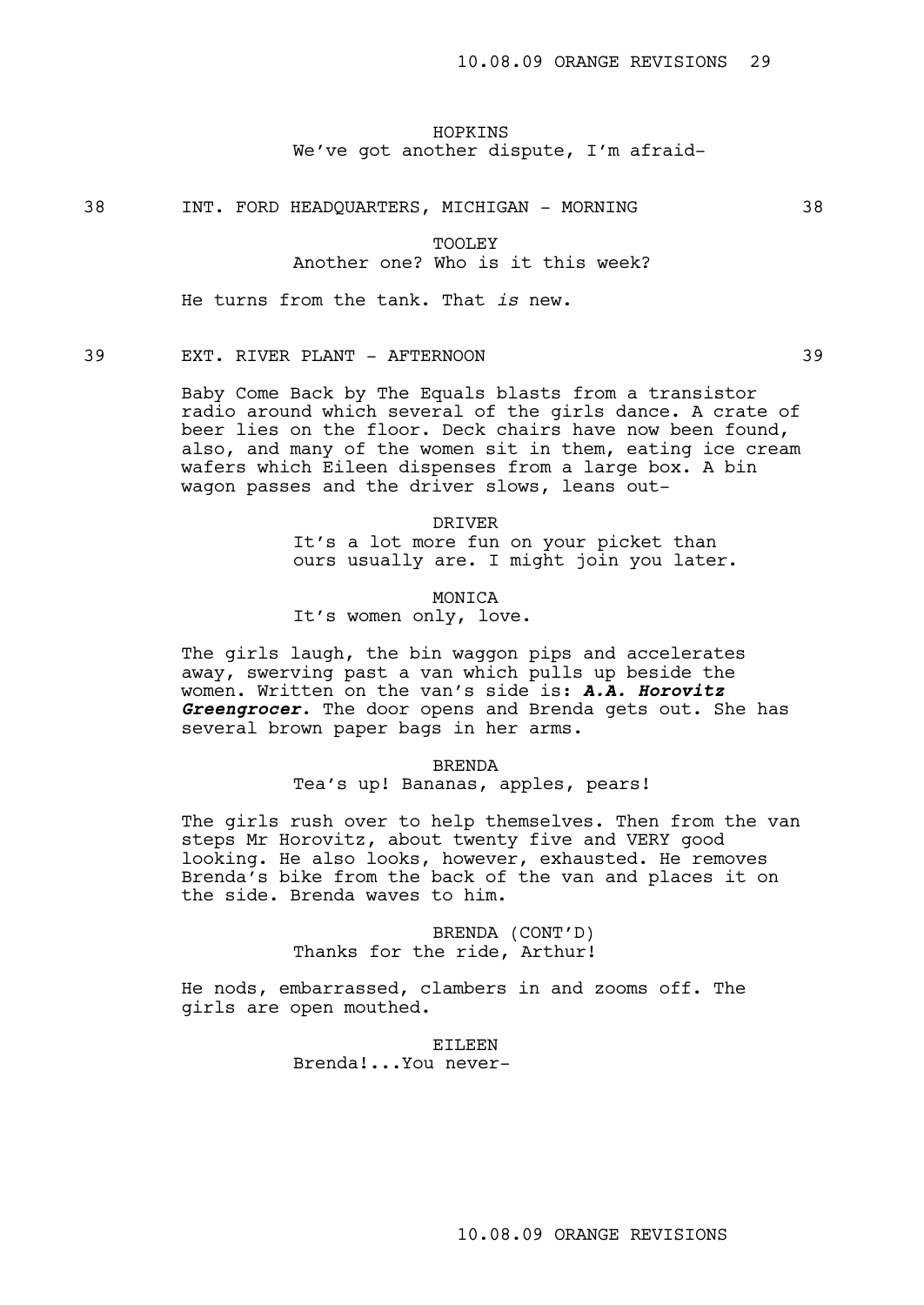## HOPKINS We've got another dispute, I'm afraid-

#### 38 INT. FORD HEADQUARTERS, MICHIGAN - MORNING 38

TOOLEY Another one? Who is it this week?

He turns from the tank. That *is* new.

## 39 EXT. RIVER PLANT - AFTERNOON 39

Baby Come Back by The Equals blasts from a transistor radio around which several of the girls dance. A crate of beer lies on the floor. Deck chairs have now been found, also, and many of the women sit in them, eating ice cream wafers which Eileen dispenses from a large box. A bin wagon passes and the driver slows, leans out-

> DRIVER It's a lot more fun on your picket than ours usually are. I might join you later.

**MONTCA** It's women only, love.

The girls laugh, the bin waggon pips and accelerates away, swerving past a van which pulls up beside the women. Written on the van's side is: **A.A. Horovitz Greengrocer**. The door opens and Brenda gets out. She has several brown paper bags in her arms.

> BRENDA Tea's up! Bananas, apples, pears!

The girls rush over to help themselves. Then from the van steps Mr Horovitz, about twenty five and VERY good looking. He also looks, however, exhausted. He removes Brenda's bike from the back of the van and places it on the side. Brenda waves to him.

> BRENDA (CONT'D) Thanks for the ride, Arthur!

He nods, embarrassed, clambers in and zooms off. The girls are open mouthed.

> EILEEN Brenda!...You never-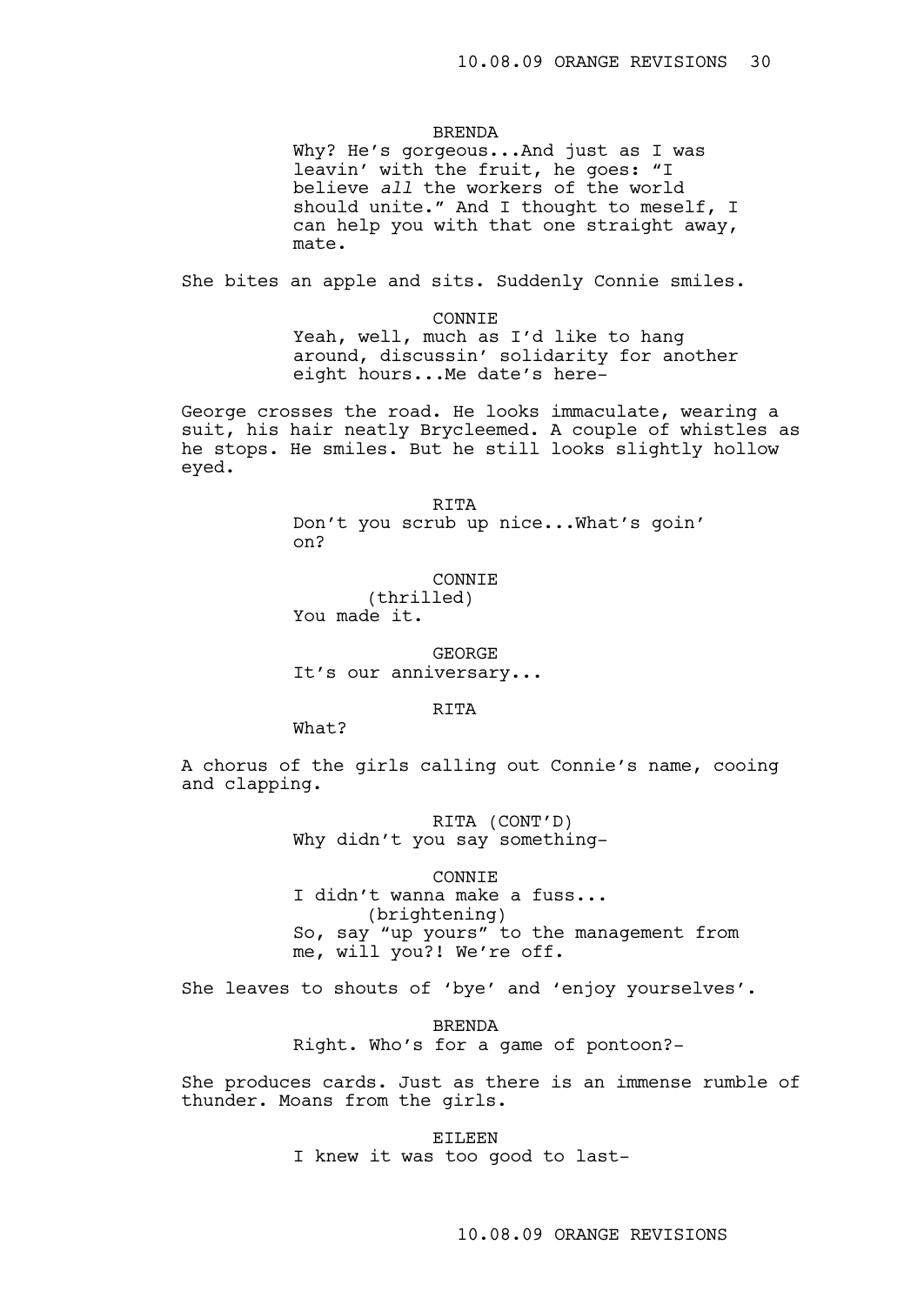#### BRENDA

Why? He's gorgeous...And just as I was leavin' with the fruit, he goes: "I believe *all* the workers of the world should unite." And I thought to meself, I can help you with that one straight away, mate.

She bites an apple and sits. Suddenly Connie smiles.

**CONNTE** 

Yeah, well, much as I'd like to hang around, discussin' solidarity for another eight hours...Me date's here-

George crosses the road. He looks immaculate, wearing a suit, his hair neatly Brycleemed. A couple of whistles as he stops. He smiles. But he still looks slightly hollow eyed.

RITA

Don't you scrub up nice...What's goin' on?

CONNIE (thrilled) You made it.

GEORGE It's our anniversary...

## RITA

What?

A chorus of the girls calling out Connie's name, cooing and clapping.

> RITA (CONT'D) Why didn't you say something-

CONNIE I didn't wanna make a fuss... (brightening) So, say "up yours" to the management from me, will you?! We're off.

She leaves to shouts of 'bye' and 'enjoy yourselves'.

BRENDA Right. Who's for a game of pontoon?-

She produces cards. Just as there is an immense rumble of thunder. Moans from the girls.

> EILEEN I knew it was too good to last-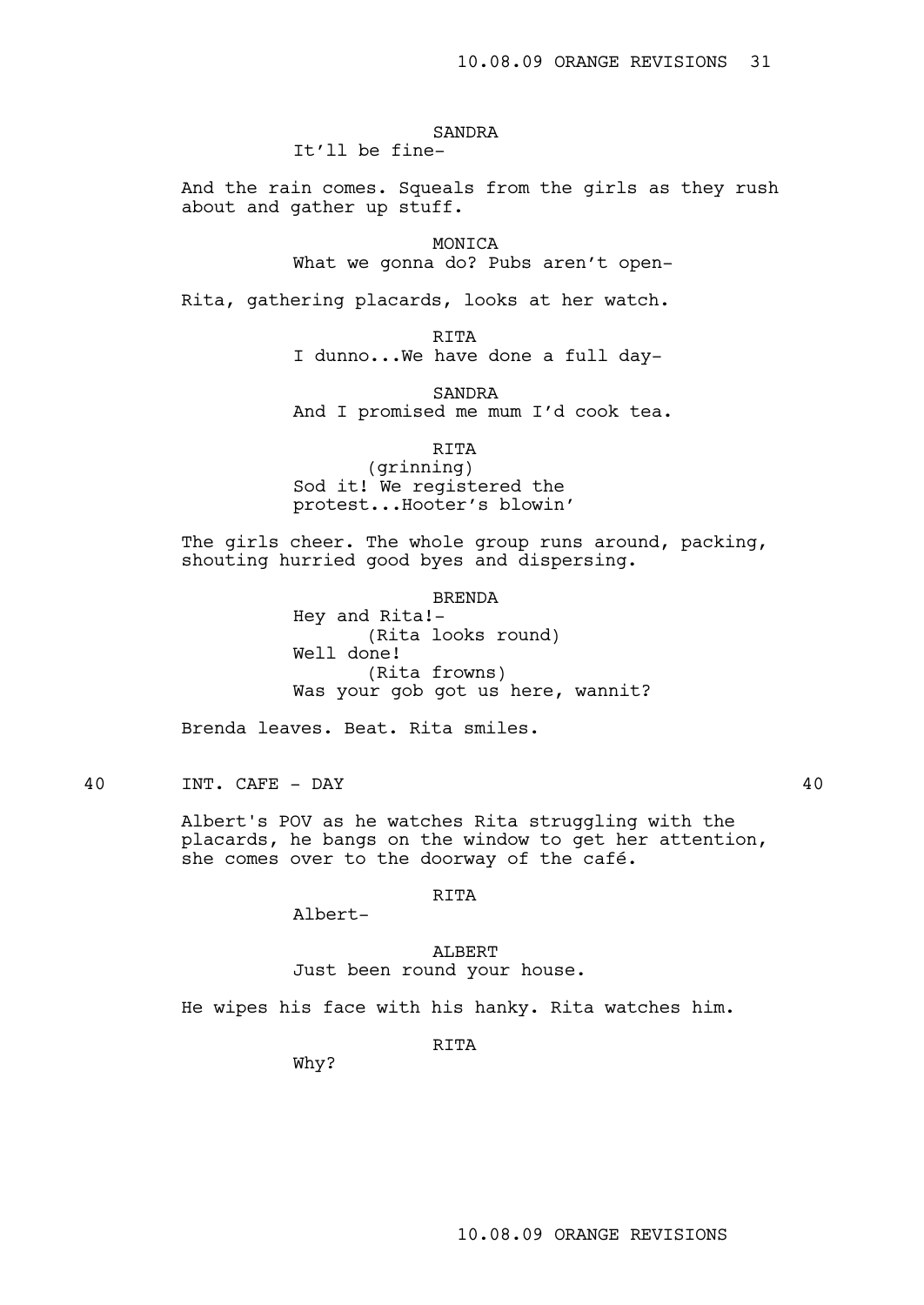## SANDRA

# It'll be fine-

And the rain comes. Squeals from the girls as they rush about and gather up stuff.

> MONICA What we gonna do? Pubs aren't open-

Rita, gathering placards, looks at her watch.

RITA I dunno...We have done a full day-

SANDRA And I promised me mum I'd cook tea.

RITA

(grinning) Sod it! We registered the protest...Hooter's blowin'

The girls cheer. The whole group runs around, packing, shouting hurried good byes and dispersing.

**BRENDA** 

Hey and Rita!- (Rita looks round) Well done! (Rita frowns) Was your gob got us here, wannit?

Brenda leaves. Beat. Rita smiles.

40 INT. CAFE - DAY 40

Albert's POV as he watches Rita struggling with the placards, he bangs on the window to get her attention, she comes over to the doorway of the café.

RITA

ALBERT Just been round your house.

He wipes his face with his hanky. Rita watches him.

RITA

Why?

Albert-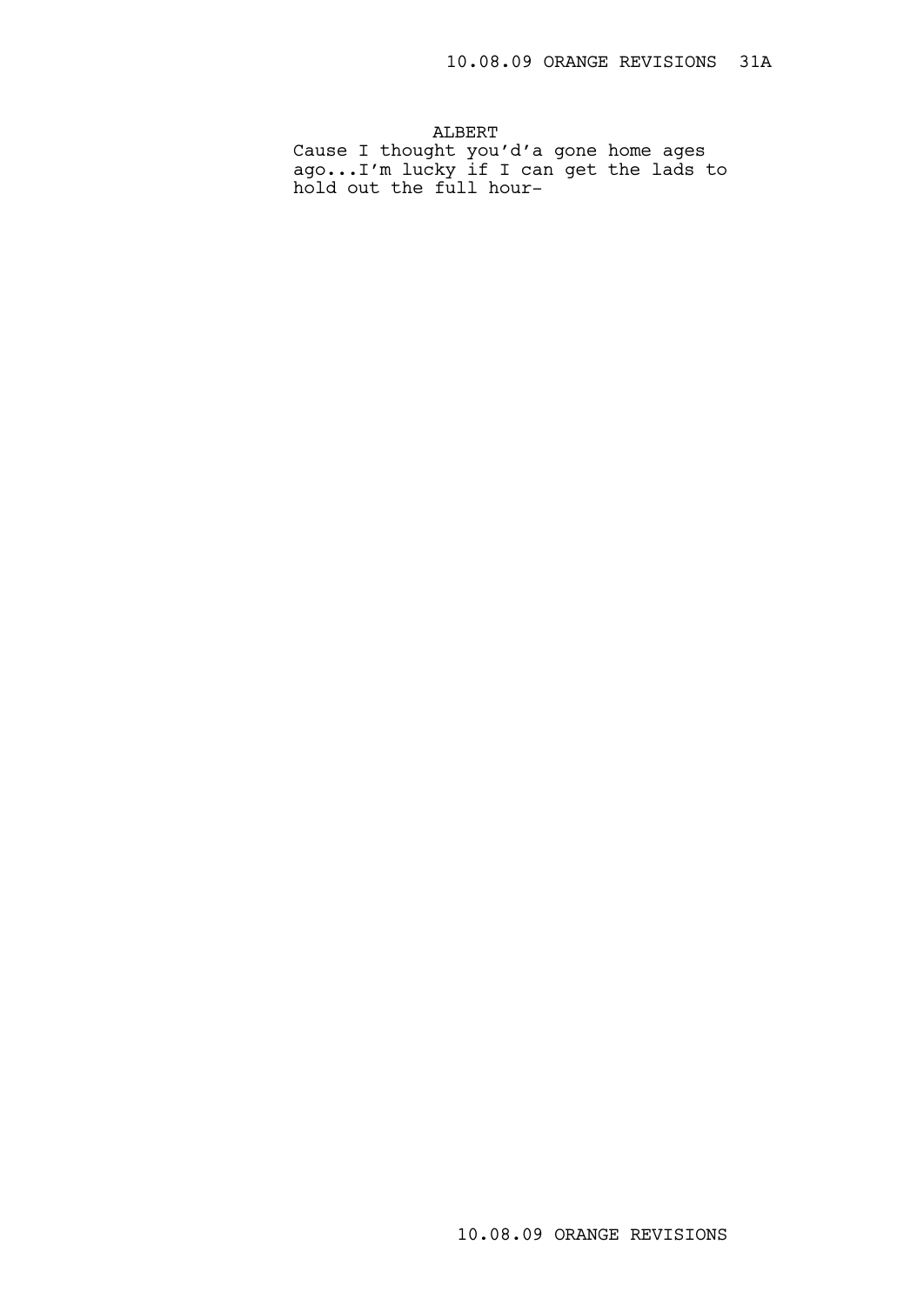ALBERT Cause I thought you'd'a gone home ages ago...I'm lucky if I can get the lads to hold out the full hour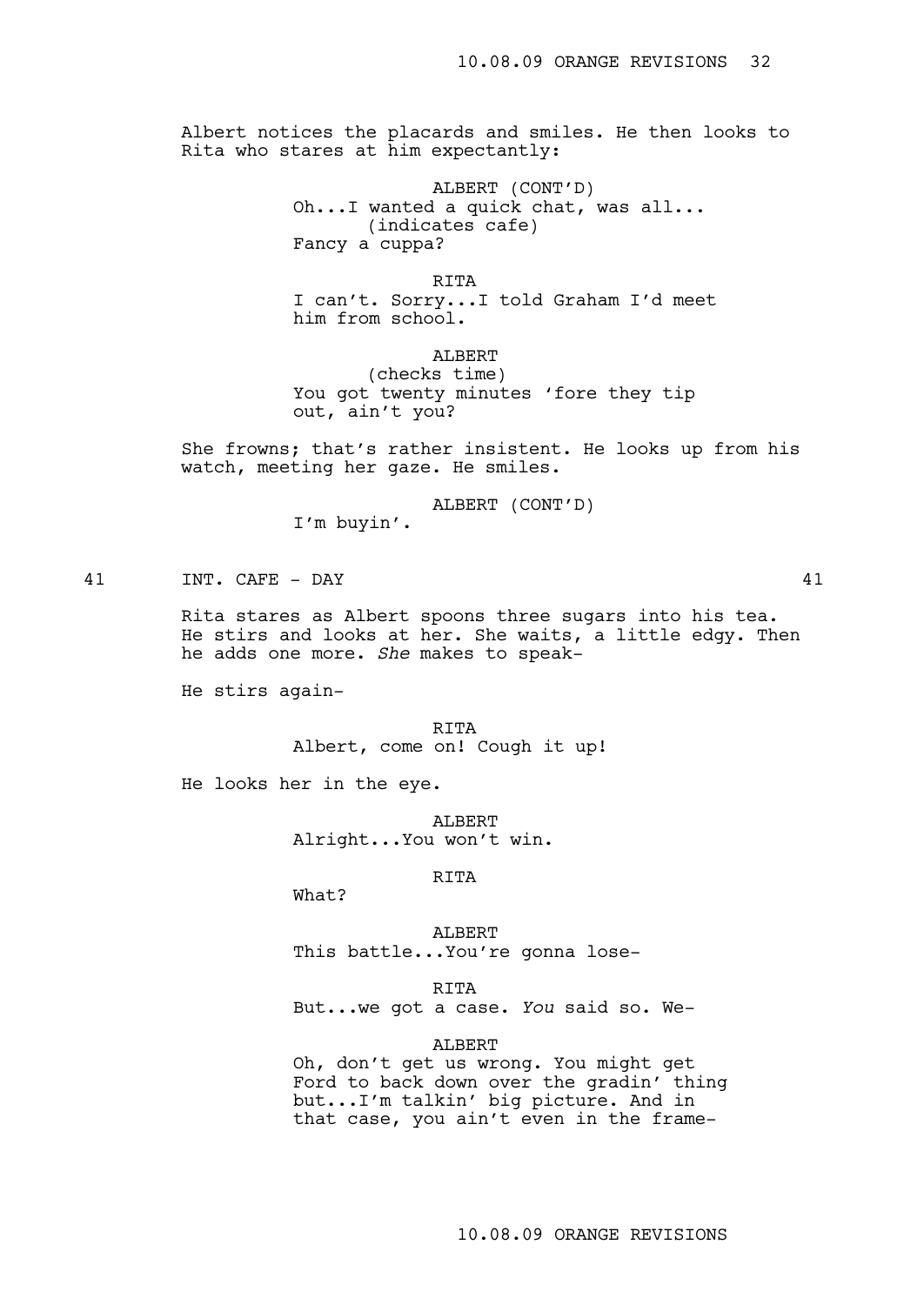Albert notices the placards and smiles. He then looks to Rita who stares at him expectantly:

> ALBERT (CONT'D) Oh...I wanted a quick chat, was all... (indicates cafe) Fancy a cuppa?

RITA I can't. Sorry...I told Graham I'd meet him from school.

ALBERT (checks time) You got twenty minutes 'fore they tip out, ain't you?

She frowns; that's rather insistent. He looks up from his watch, meeting her gaze. He smiles.

> ALBERT (CONT'D) I'm buyin'.

41 INT. CAFE - DAY 41

Rita stares as Albert spoons three sugars into his tea. He stirs and looks at her. She waits, a little edgy. Then he adds one more. *She* makes to speak-

He stirs again-

**RTTA** Albert, come on! Cough it up!

He looks her in the eye.

ALBERT Alright...You won't win.

RITA

What?

ALBERT This battle...You're gonna lose-

RITA

But...we got a case. *You* said so. We-

ALBERT

Oh, don't get us wrong. You might get Ford to back down over the gradin' thing but...I'm talkin' big picture. And in that case, you ain't even in the frame-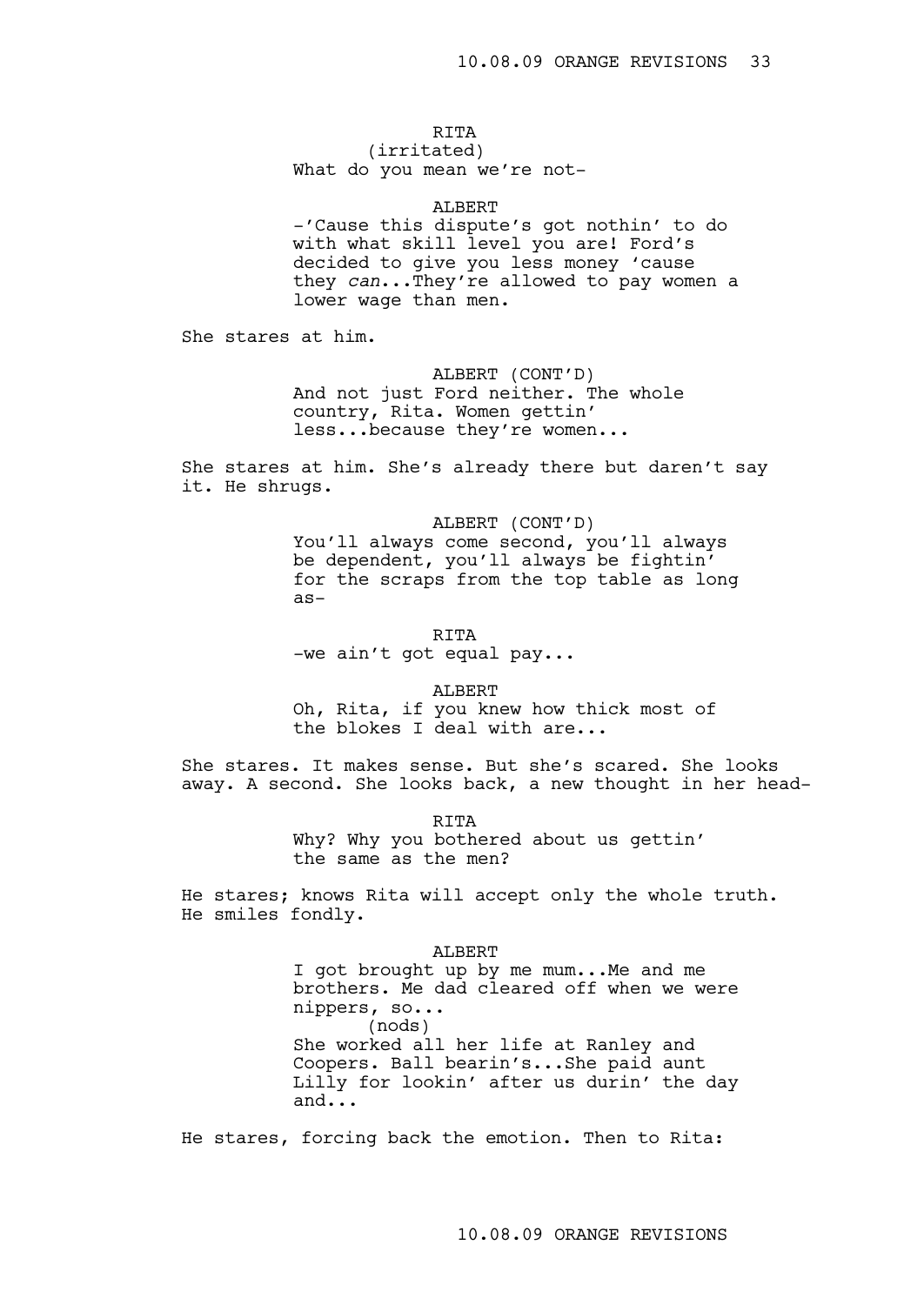# RITA

(irritated) What do you mean we're not-

#### ALBERT

-'Cause this dispute's got nothin' to do with what skill level you are! Ford's decided to give you less money 'cause they *can*...They're allowed to pay women a lower wage than men.

She stares at him.

ALBERT (CONT'D) And not just Ford neither. The whole country, Rita. Women gettin' less...because they're women...

She stares at him. She's already there but daren't say it. He shrugs.

> ALBERT (CONT'D) You'll always come second, you'll always be dependent, you'll always be fightin' for the scraps from the top table as long as-

RITA -we ain't got equal pay...

ALBERT

Oh, Rita, if you knew how thick most of the blokes I deal with are...

She stares. It makes sense. But she's scared. She looks away. A second. She looks back, a new thought in her head-

> RITA Why? Why you bothered about us gettin' the same as the men?

He stares; knows Rita will accept only the whole truth. He smiles fondly.

#### ALBERT

I got brought up by me mum...Me and me brothers. Me dad cleared off when we were nippers, so... (nods) She worked all her life at Ranley and Coopers. Ball bearin's...She paid aunt Lilly for lookin' after us durin' the day and...

He stares, forcing back the emotion. Then to Rita: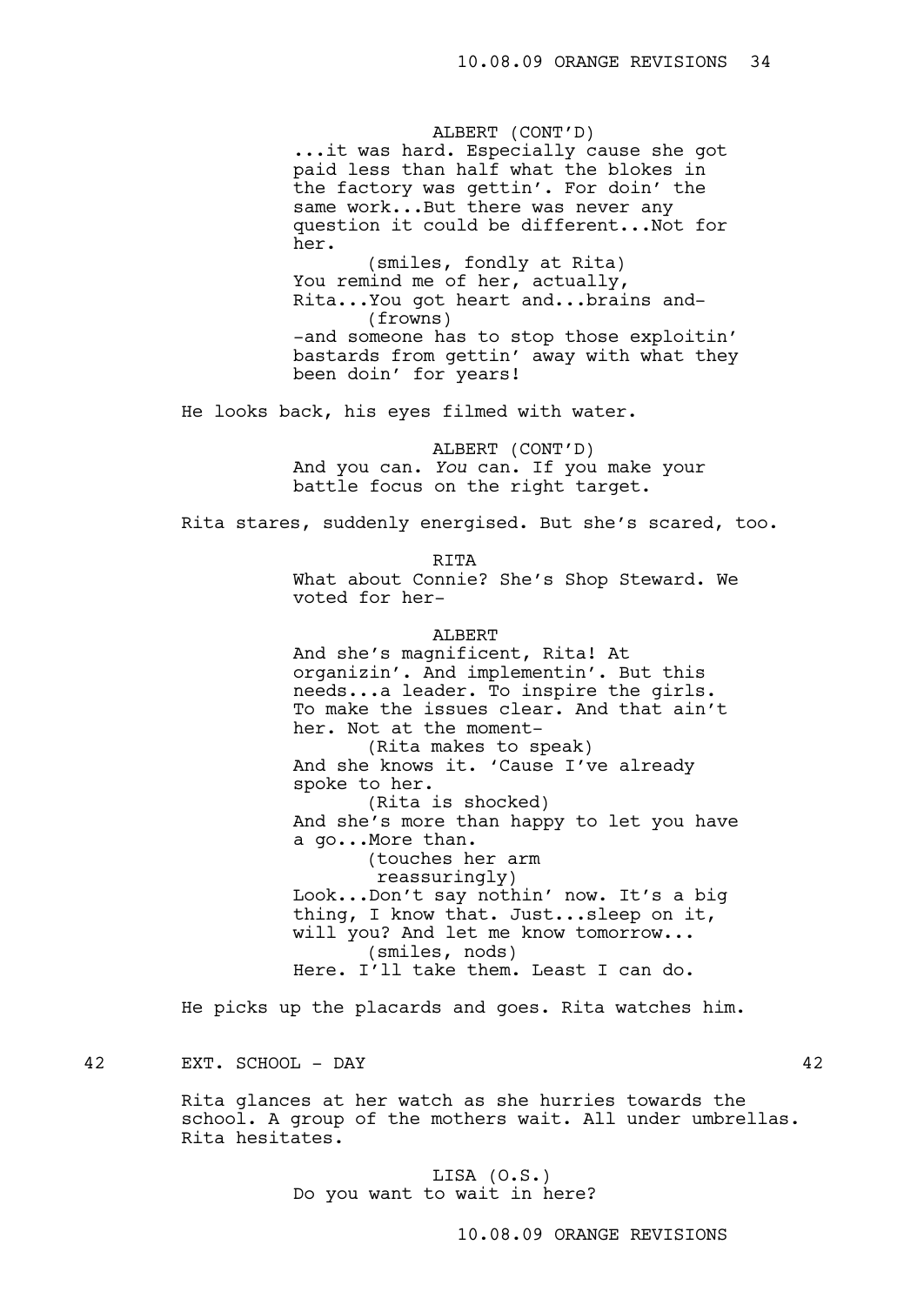ALBERT (CONT'D)

...it was hard. Especially cause she got paid less than half what the blokes in the factory was gettin'. For doin' the same work...But there was never any question it could be different...Not for her.

(smiles, fondly at Rita) You remind me of her, actually, Rita...You got heart and...brains and- (frowns) -and someone has to stop those exploitin' bastards from gettin' away with what they been doin' for years!

He looks back, his eyes filmed with water.

ALBERT (CONT'D) And you can. *You* can. If you make your battle focus on the right target.

Rita stares, suddenly energised. But she's scared, too.

RITA What about Connie? She's Shop Steward. We voted for her-

ALBERT

And she's magnificent, Rita! At organizin'. And implementin'. But this needs...a leader. To inspire the girls. To make the issues clear. And that ain't her. Not at the moment- (Rita makes to speak)

And she knows it. 'Cause I've already spoke to her. (Rita is shocked) And she's more than happy to let you have a go...More than.

(touches her arm reassuringly) Look...Don't say nothin' now. It's a big thing, I know that. Just...sleep on it, will you? And let me know tomorrow... (smiles, nods) Here. I'll take them. Least I can do.

He picks up the placards and goes. Rita watches him.

42 EXT. SCHOOL - DAY 42

Rita glances at her watch as she hurries towards the school. A group of the mothers wait. All under umbrellas. Rita hesitates.

> LISA (O.S.) Do you want to wait in here?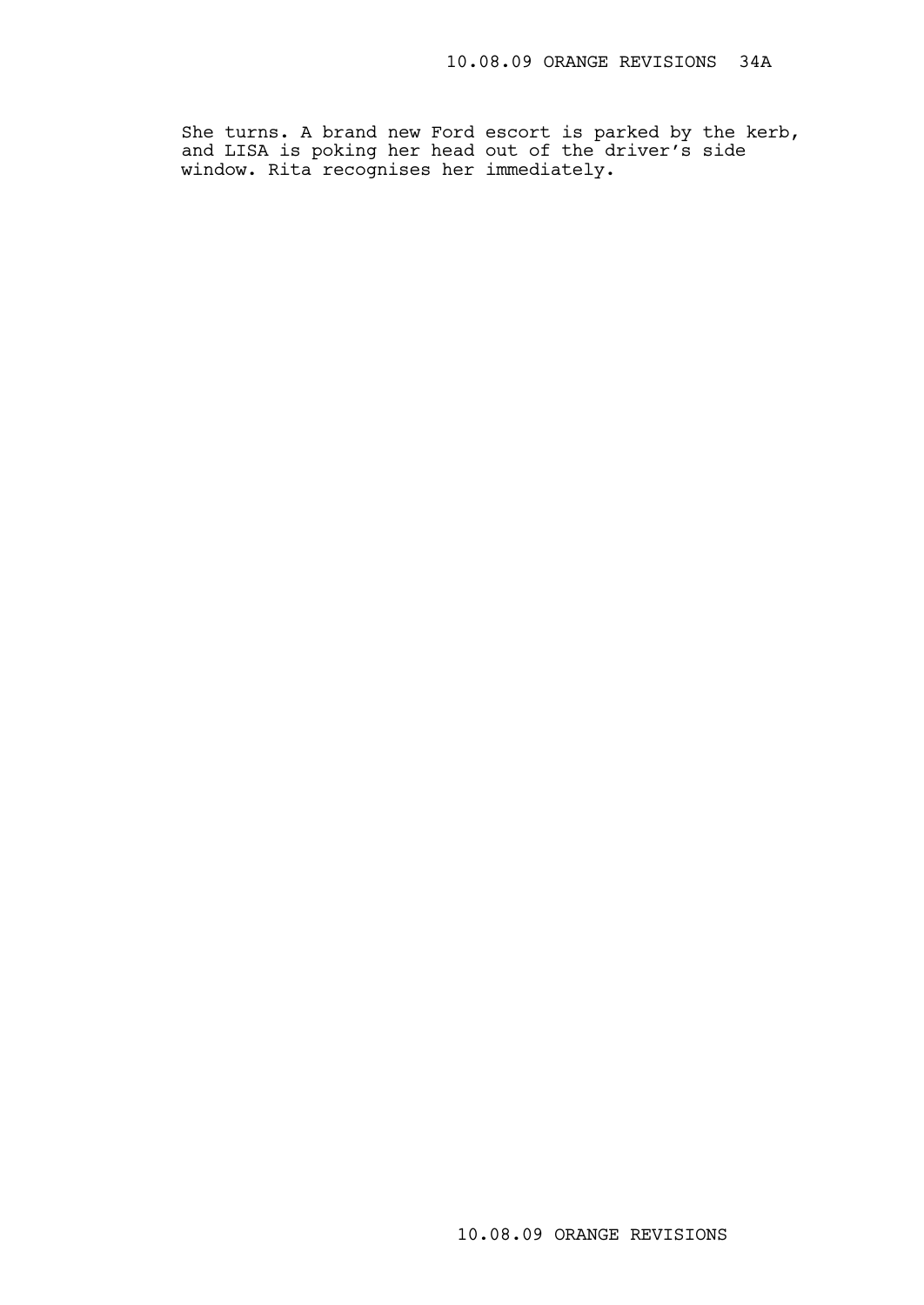She turns. A brand new Ford escort is parked by the kerb, and LISA is poking her head out of the driver's side window. Rita recognises her immediately.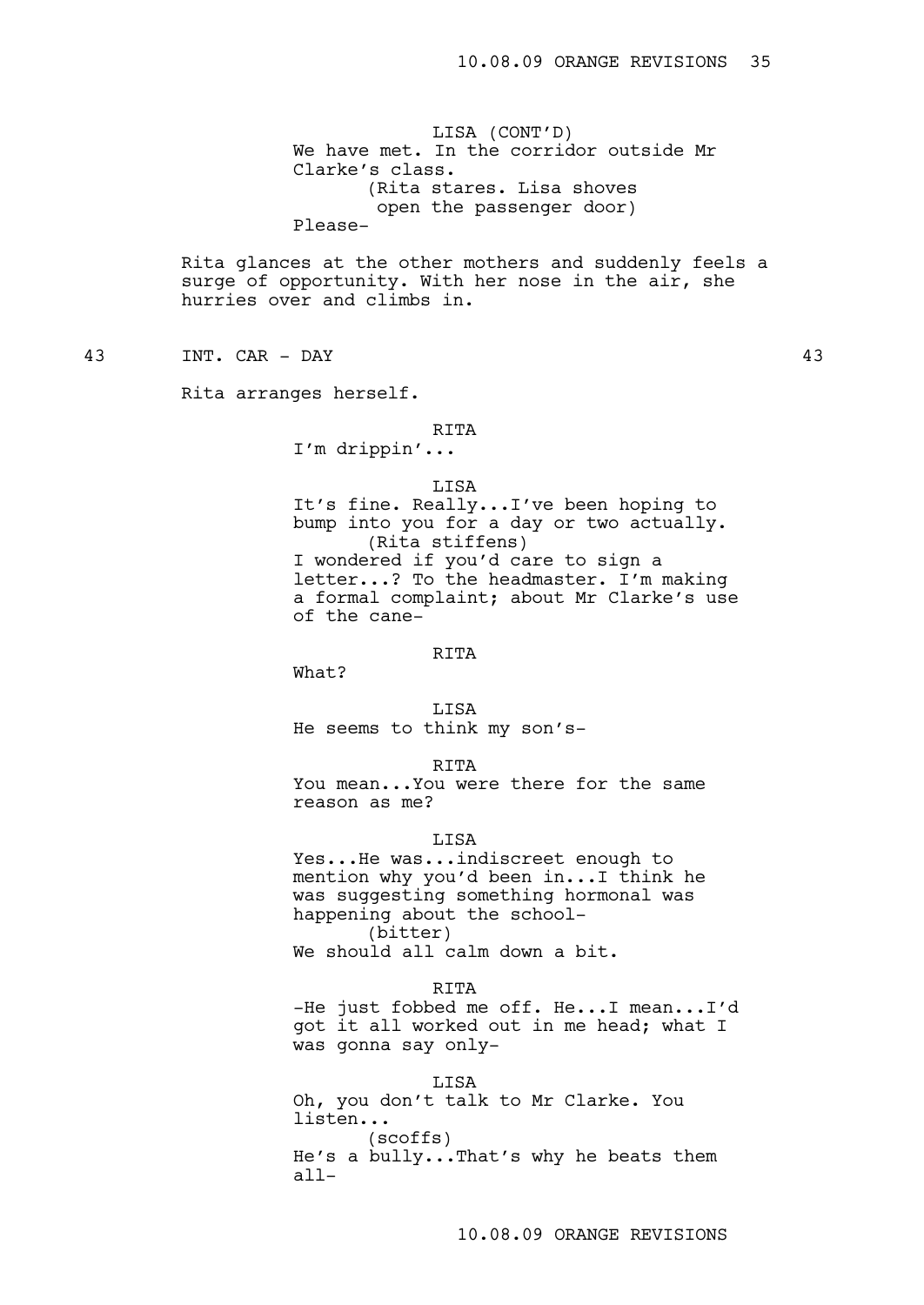LISA (CONT'D) We have met. In the corridor outside Mr Clarke's class. (Rita stares. Lisa shoves open the passenger door) Please-

Rita glances at the other mothers and suddenly feels a surge of opportunity. With her nose in the air, she hurries over and climbs in.

43 INT. CAR - DAY 43

Rita arranges herself.

#### RITA

I'm drippin'...

LISA

It's fine. Really...I've been hoping to bump into you for a day or two actually. (Rita stiffens) I wondered if you'd care to sign a letter...? To the headmaster. I'm making a formal complaint; about Mr Clarke's use of the cane-

## RITA

What?

LISA He seems to think my son's-

RITA

You mean...You were there for the same reason as me?

## LISA

Yes...He was...indiscreet enough to mention why you'd been in...I think he was suggesting something hormonal was happening about the school- (bitter) We should all calm down a bit.

#### RITA

-He just fobbed me off. He...I mean...I'd got it all worked out in me head; what I was gonna say only-

LISA

Oh, you don't talk to Mr Clarke. You listen... (scoffs) He's a bully...That's why he beats them all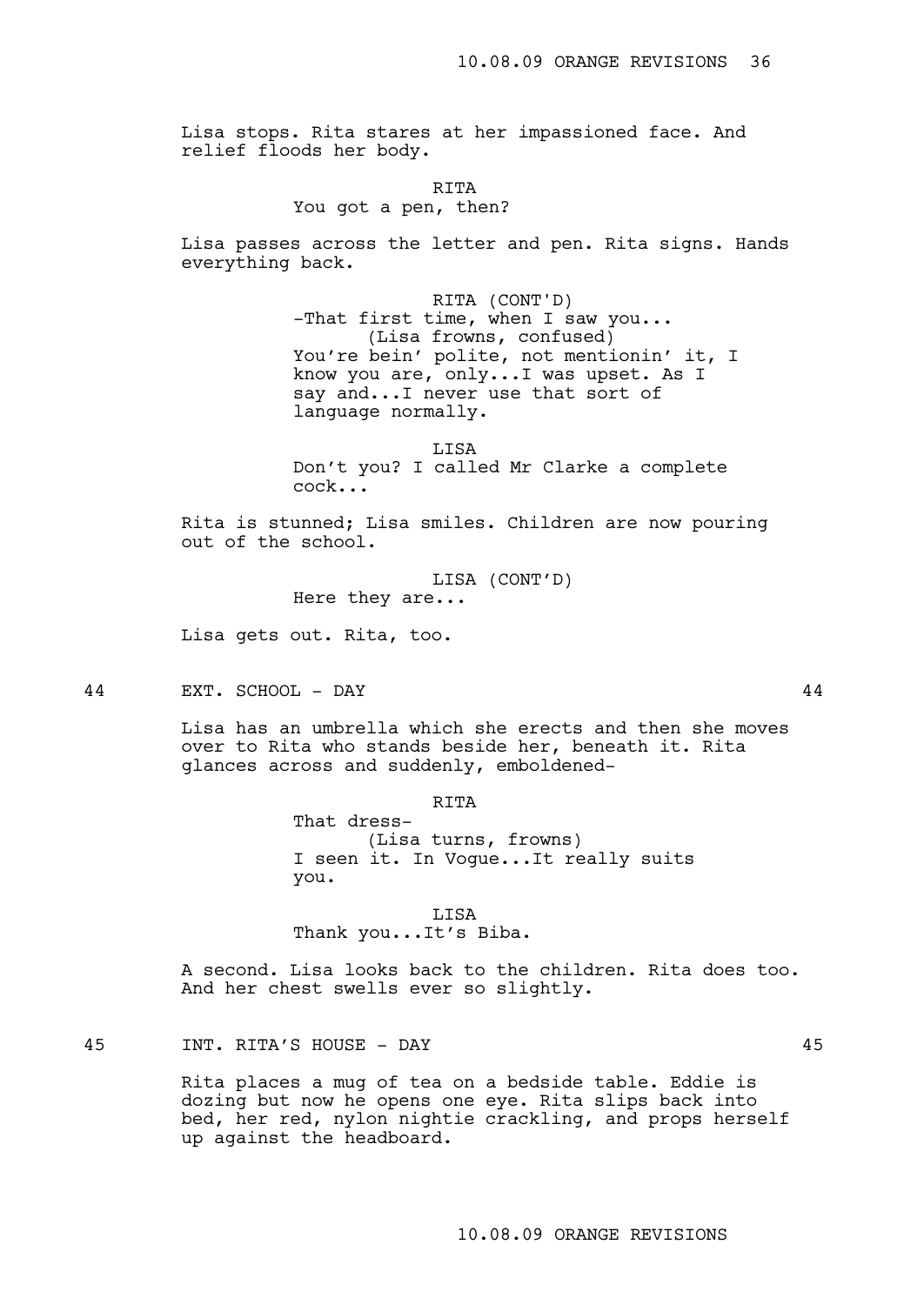Lisa stops. Rita stares at her impassioned face. And relief floods her body.

RITA

## You got a pen, then?

Lisa passes across the letter and pen. Rita signs. Hands everything back.

> RITA (CONT'D) -That first time, when I saw you... (Lisa frowns, confused) You're bein' polite, not mentionin' it, I know you are, only...I was upset. As I say and...I never use that sort of language normally.

LISA Don't you? I called Mr Clarke a complete cock...

Rita is stunned; Lisa smiles. Children are now pouring out of the school.

> LISA (CONT'D) Here they are...

Lisa gets out. Rita, too.

44 EXT. SCHOOL - DAY 44

Lisa has an umbrella which she erects and then she moves over to Rita who stands beside her, beneath it. Rita glances across and suddenly, emboldened-

RITA

That dress- (Lisa turns, frowns) I seen it. In Vogue...It really suits you.

LISA Thank you...It's Biba.

A second. Lisa looks back to the children. Rita does too. And her chest swells ever so slightly.

45 INT. RITA'S HOUSE - DAY 45

Rita places a mug of tea on a bedside table. Eddie is dozing but now he opens one eye. Rita slips back into bed, her red, nylon nightie crackling, and props herself up against the headboard.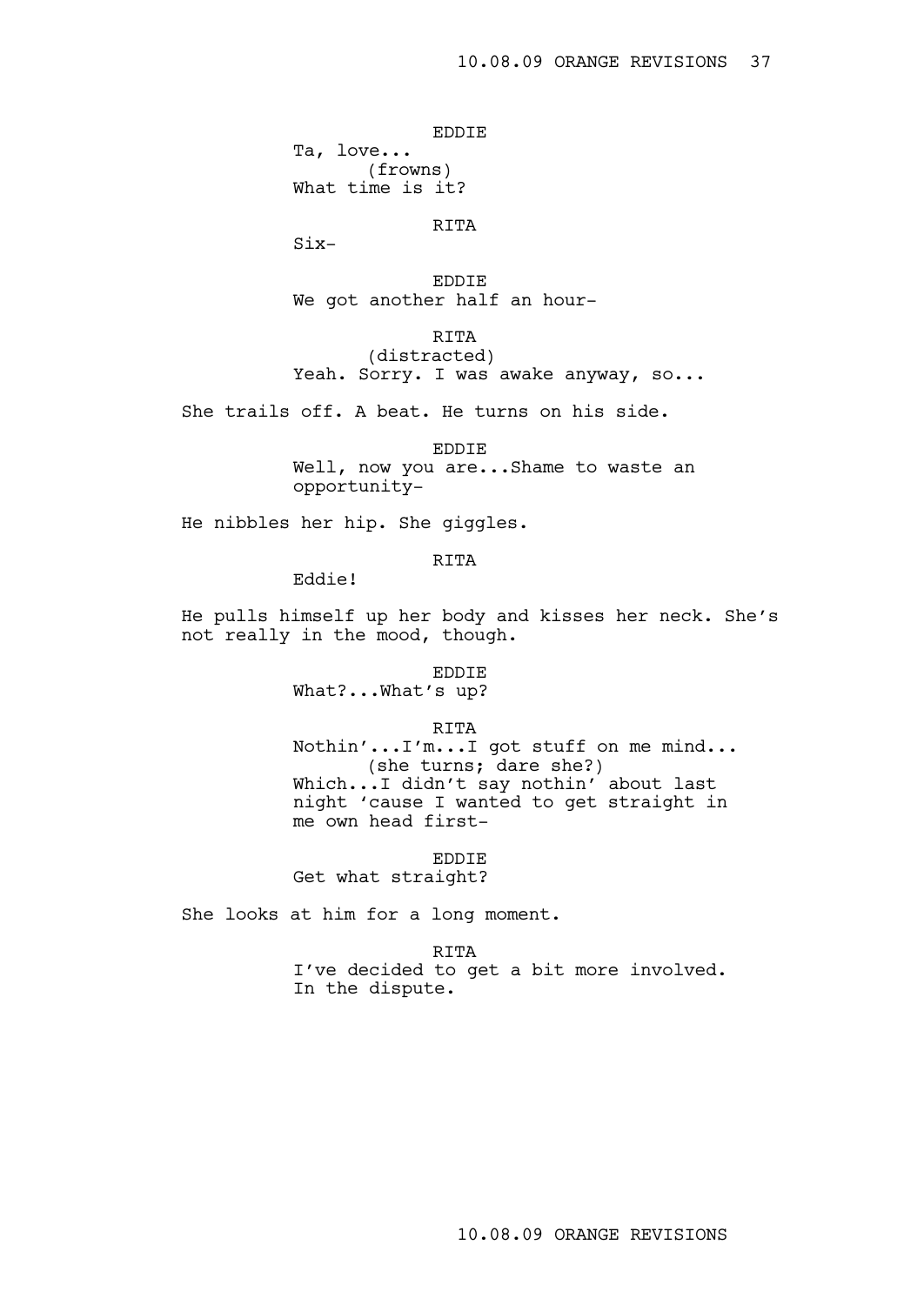EDDIE

Ta, love... (frowns) What time is it?

RITA

Six-

EDDIE We got another half an hour-

## RITA (distracted) Yeah. Sorry. I was awake anyway, so...

She trails off. A beat. He turns on his side.

EDDIE

Well, now you are...Shame to waste an opportunity-

He nibbles her hip. She giggles.

RITA

Eddie!

He pulls himself up her body and kisses her neck. She's not really in the mood, though.

EDDIE

What?...What's up?

RITA

Nothin'...I'm...I got stuff on me mind... (she turns; dare she?) Which...I didn't say nothin' about last night 'cause I wanted to get straight in me own head first-

EDDIE

Get what straight?

She looks at him for a long moment.

RITA

I've decided to get a bit more involved. In the dispute.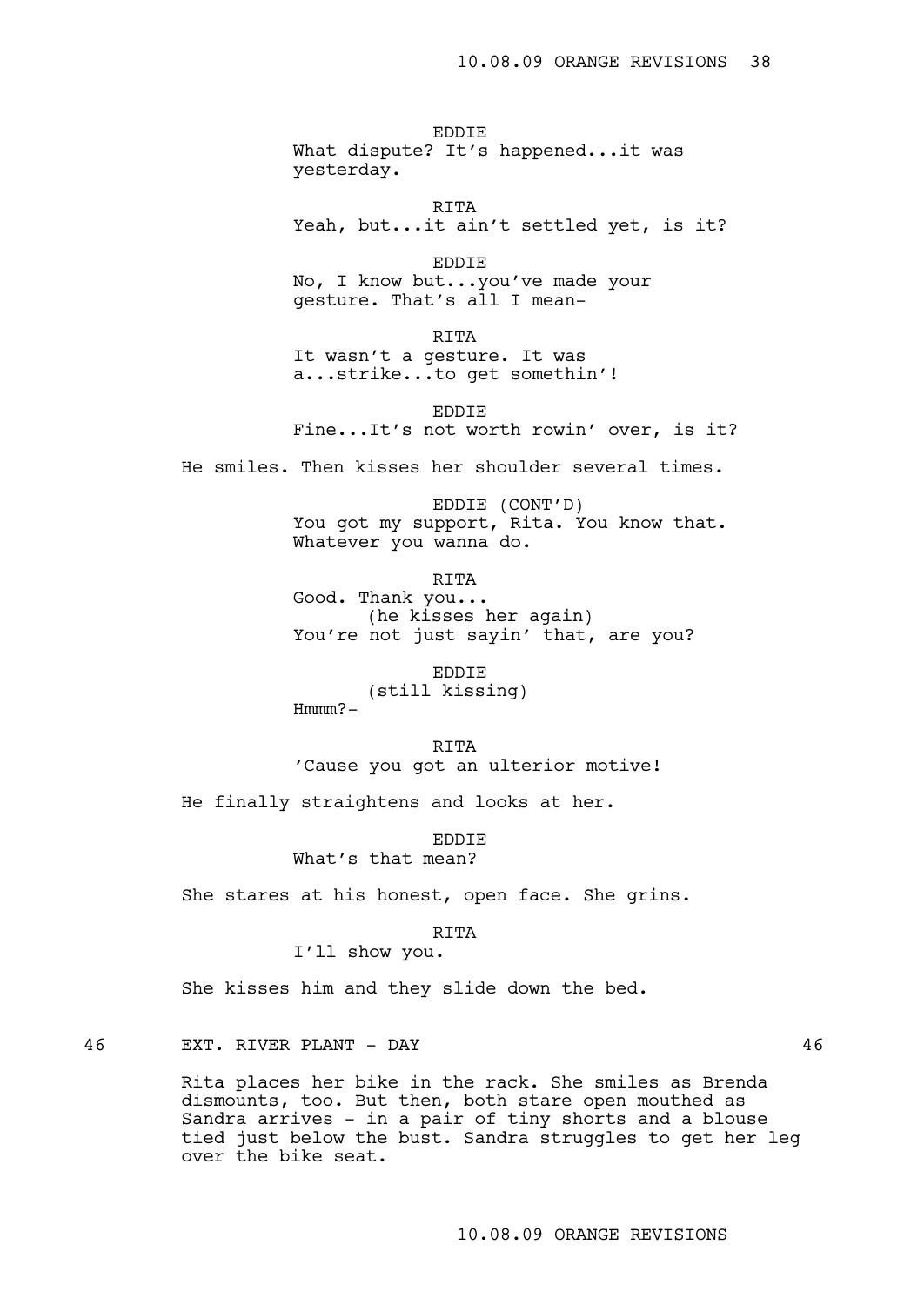EDDIE What dispute? It's happened...it was yesterday.

RITA Yeah, but...it ain't settled yet, is it?

EDDIE No, I know but...you've made your gesture. That's all I mean-

RITA

It wasn't a gesture. It was a...strike...to get somethin'!

EDDIE Fine...It's not worth rowin' over, is it?

He smiles. Then kisses her shoulder several times.

EDDIE (CONT'D) You got my support, Rita. You know that. Whatever you wanna do.

RITA

Good. Thank you... (he kisses her again) You're not just sayin' that, are you?

EDDIE (still kissing) Hmmm?-

RITA 'Cause you got an ulterior motive!

He finally straightens and looks at her.

EDDIE

What's that mean?

She stares at his honest, open face. She grins.

RITA

I'll show you.

She kisses him and they slide down the bed.

## 46 EXT. RIVER PLANT - DAY 46

Rita places her bike in the rack. She smiles as Brenda dismounts, too. But then, both stare open mouthed as Sandra arrives - in a pair of tiny shorts and a blouse tied just below the bust. Sandra struggles to get her leg over the bike seat.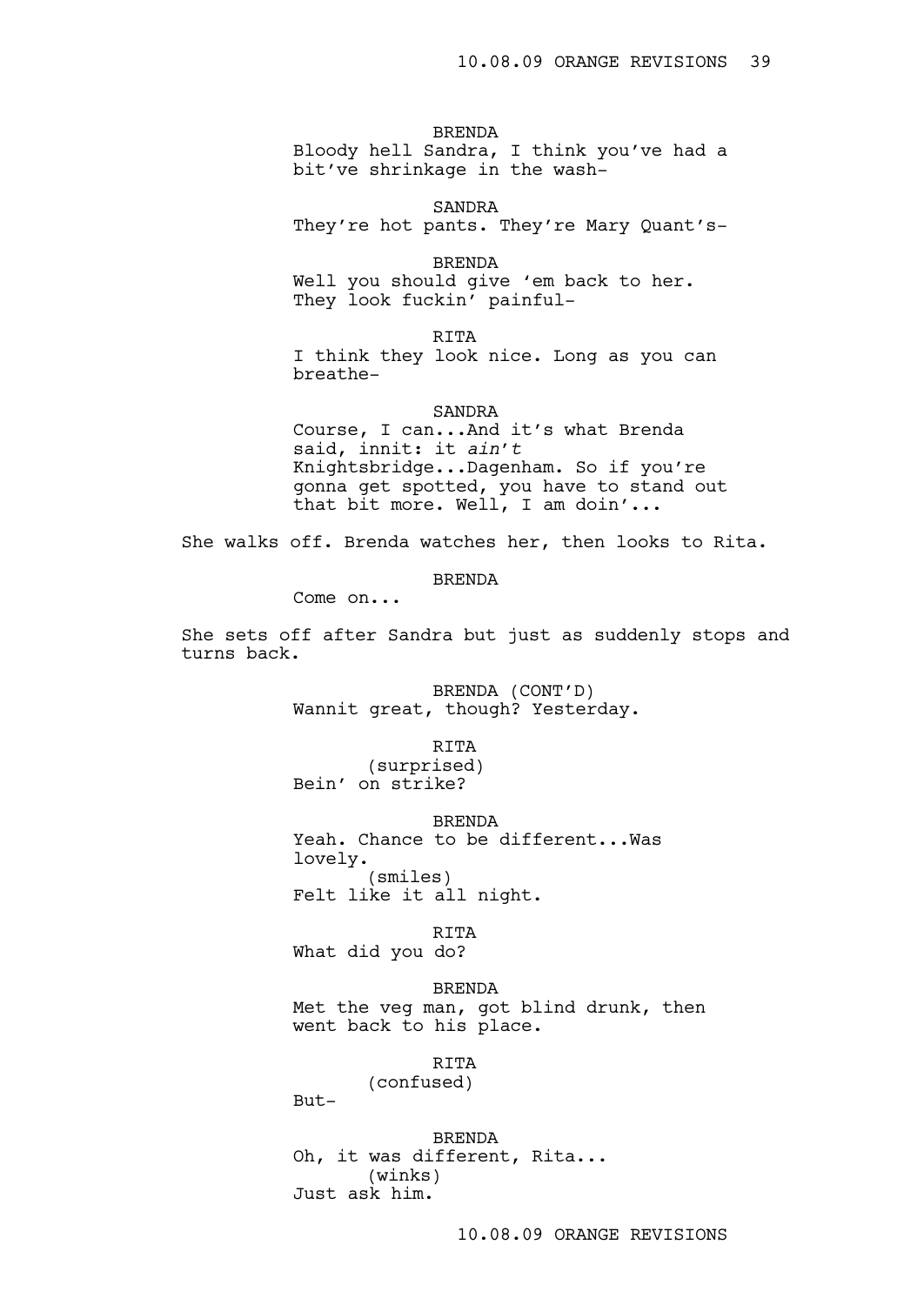BRENDA

Bloody hell Sandra, I think you've had a bit've shrinkage in the wash-

SANDRA They're hot pants. They're Mary Quant's-

BRENDA Well you should give 'em back to her. They look fuckin' painful-

RITA

I think they look nice. Long as you can breathe-

## SANDRA

Course, I can...And it's what Brenda said, innit: it *ain't* Knightsbridge...Dagenham. So if you're gonna get spotted, you have to stand out that bit more. Well, I am doin'...

She walks off. Brenda watches her, then looks to Rita.

BRENDA

Come on...

She sets off after Sandra but just as suddenly stops and turns back.

> BRENDA (CONT'D) Wannit great, though? Yesterday.

RITA (surprised) Bein' on strike?

BRENDA Yeah. Chance to be different...Was lovely. (smiles) Felt like it all night.

RITA

What did you do?

BRENDA Met the veg man, got blind drunk, then went back to his place.

RITA

(confused)

But-

BRENDA Oh, it was different, Rita... (winks) Just ask him.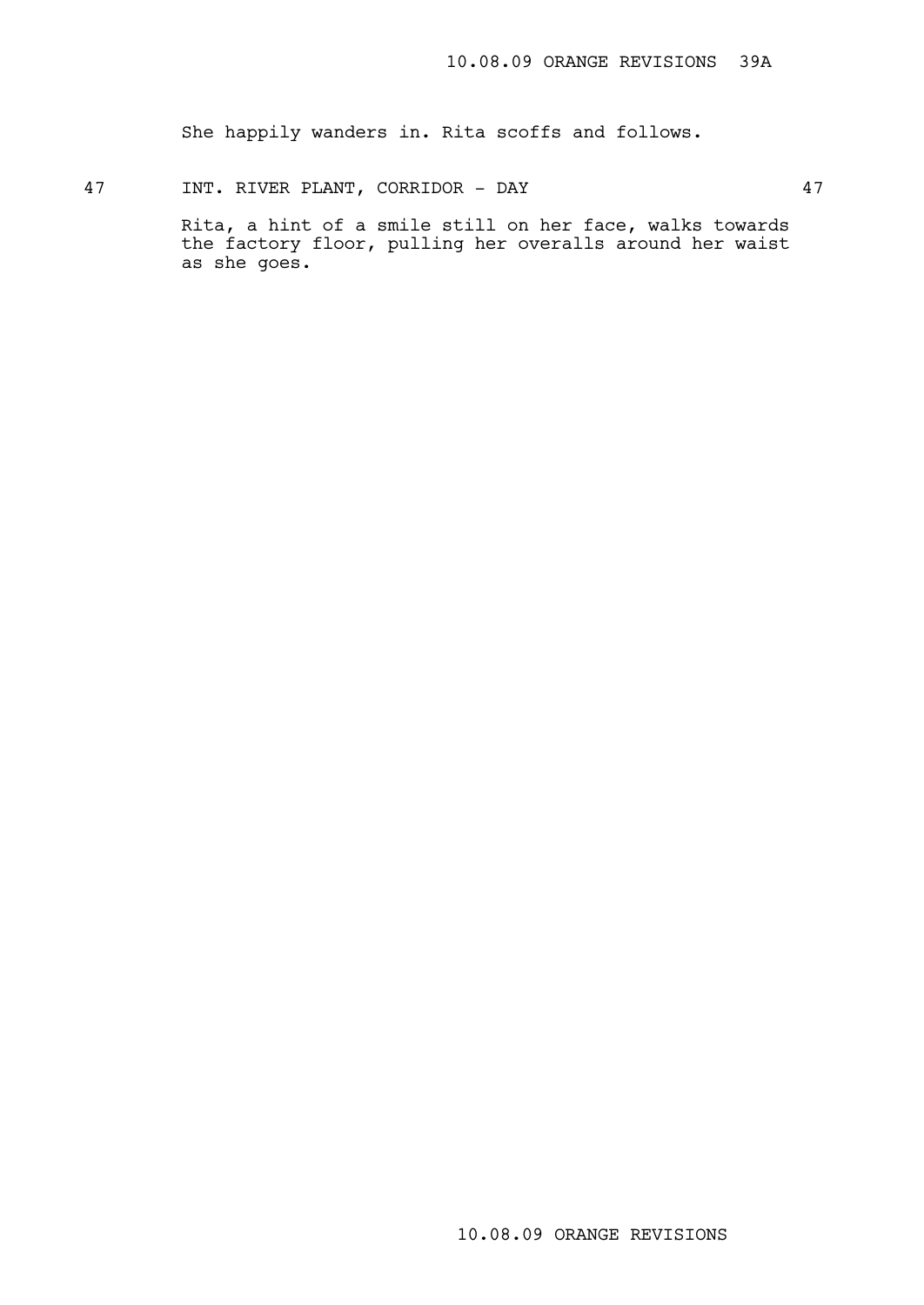She happily wanders in. Rita scoffs and follows.

47 INT. RIVER PLANT, CORRIDOR - DAY 47

Rita, a hint of a smile still on her face, walks towards the factory floor, pulling her overalls around her waist as she goes.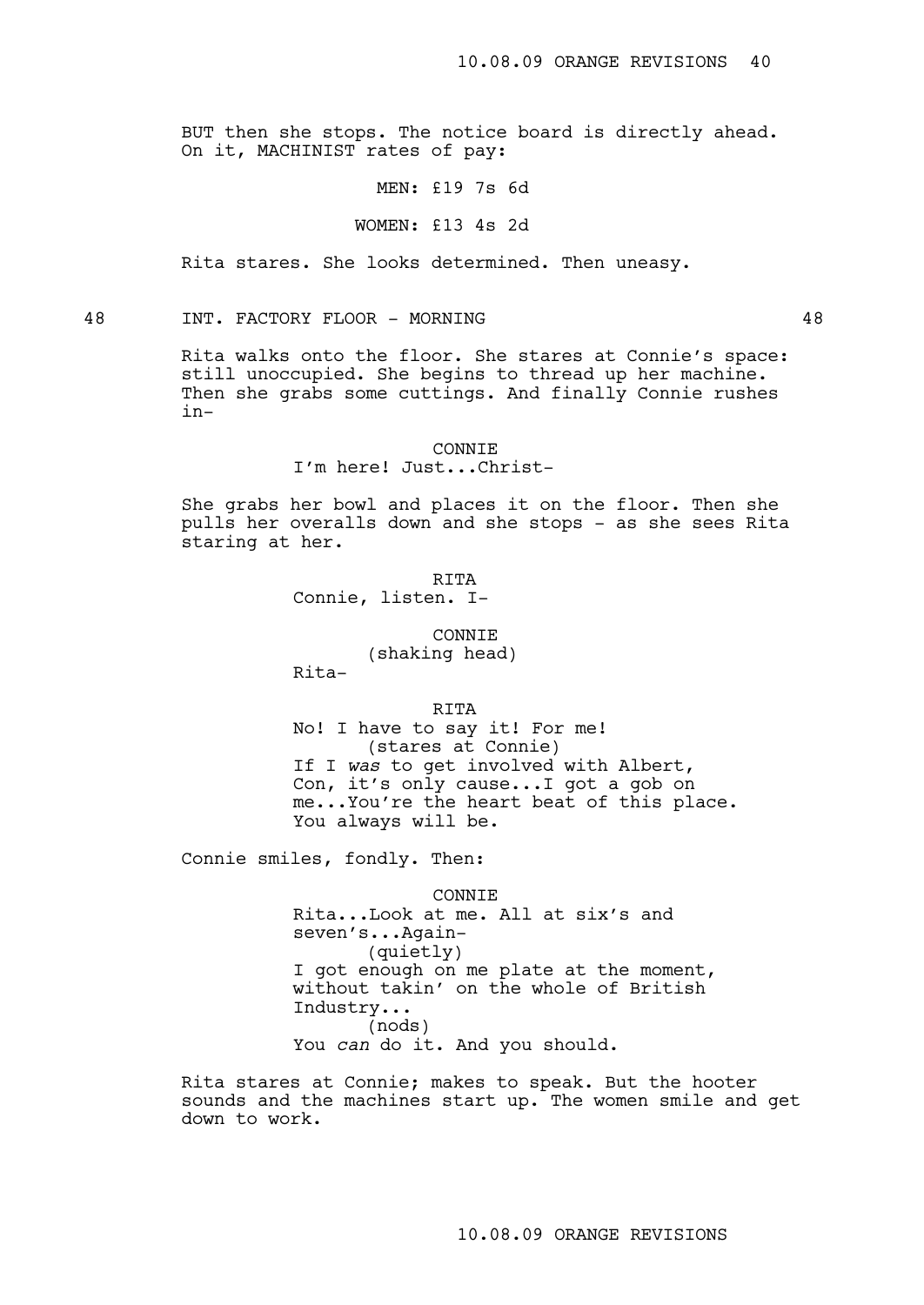BUT then she stops. The notice board is directly ahead. On it, MACHINIST rates of pay:

## MEN: £19 7s 6d

#### WOMEN: £13 4s 2d

Rita stares. She looks determined. Then uneasy.

48 INT. FACTORY FLOOR - MORNING 48

Rita walks onto the floor. She stares at Connie's space: still unoccupied. She begins to thread up her machine. Then she grabs some cuttings. And finally Connie rushes in-

## **CONNTE**

## I'm here! Just...Christ-

She grabs her bowl and places it on the floor. Then she pulls her overalls down and she stops - as she sees Rita staring at her.

> **RTTA** Connie, listen. I-

> > CONNIE (shaking head)

Rita-

RITA

No! I have to say it! For me! (stares at Connie) If I *was* to get involved with Albert, Con, it's only cause...I got a gob on me...You're the heart beat of this place. You always will be.

Connie smiles, fondly. Then:

CONNIE Rita...Look at me. All at six's and seven's...Again- (quietly) I got enough on me plate at the moment, without takin' on the whole of British Industry... (nods) You *can* do it. And you should.

Rita stares at Connie; makes to speak. But the hooter sounds and the machines start up. The women smile and get down to work.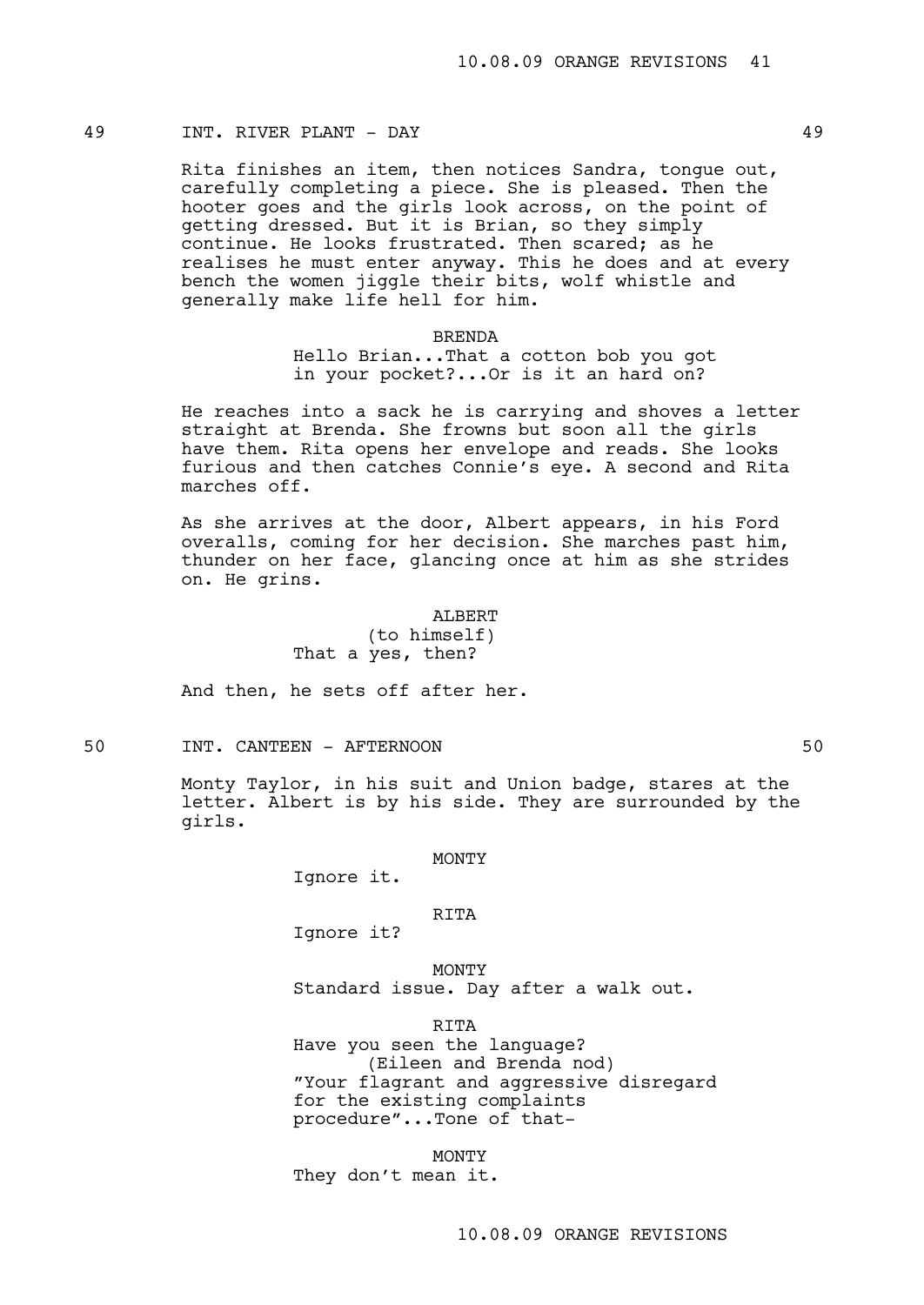## 49 INT. RIVER PLANT - DAY 49

Rita finishes an item, then notices Sandra, tongue out, carefully completing a piece. She is pleased. Then the hooter goes and the girls look across, on the point of getting dressed. But it is Brian, so they simply continue. He looks frustrated. Then scared; as he realises he must enter anyway. This he does and at every bench the women jiggle their bits, wolf whistle and generally make life hell for him.

#### BRENDA

Hello Brian...That a cotton bob you got in your pocket?...Or is it an hard on?

He reaches into a sack he is carrying and shoves a letter straight at Brenda. She frowns but soon all the girls have them. Rita opens her envelope and reads. She looks furious and then catches Connie's eye. A second and Rita marches off.

As she arrives at the door, Albert appears, in his Ford overalls, coming for her decision. She marches past him, thunder on her face, glancing once at him as she strides on. He grins.

#### ALBERT

(to himself) That a yes, then?

And then, he sets off after her.

50 INT. CANTEEN - AFTERNOON 50

Monty Taylor, in his suit and Union badge, stares at the letter. Albert is by his side. They are surrounded by the girls.

#### MONTY

Ignore it.

## RITA

Ignore it?

MONTY Standard issue. Day after a walk out.

RITA

Have you seen the language? (Eileen and Brenda nod) "Your flagrant and aggressive disregard for the existing complaints procedure"...Tone of that-

MONTY They don't mean it.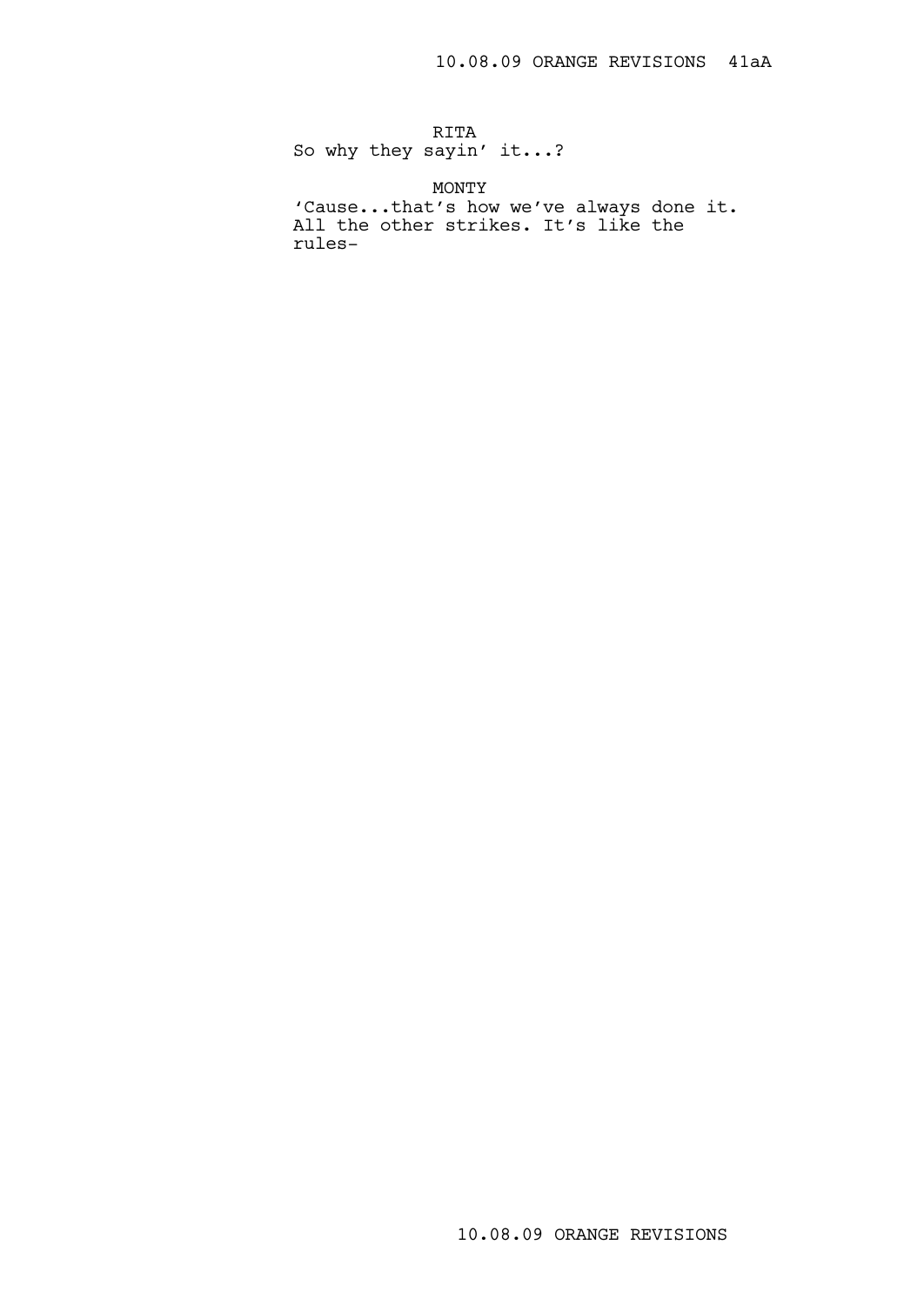RITA

So why they sayin' it...?

MONTY 'Cause...that's how we've always done it. All the other strikes. It's like the rules-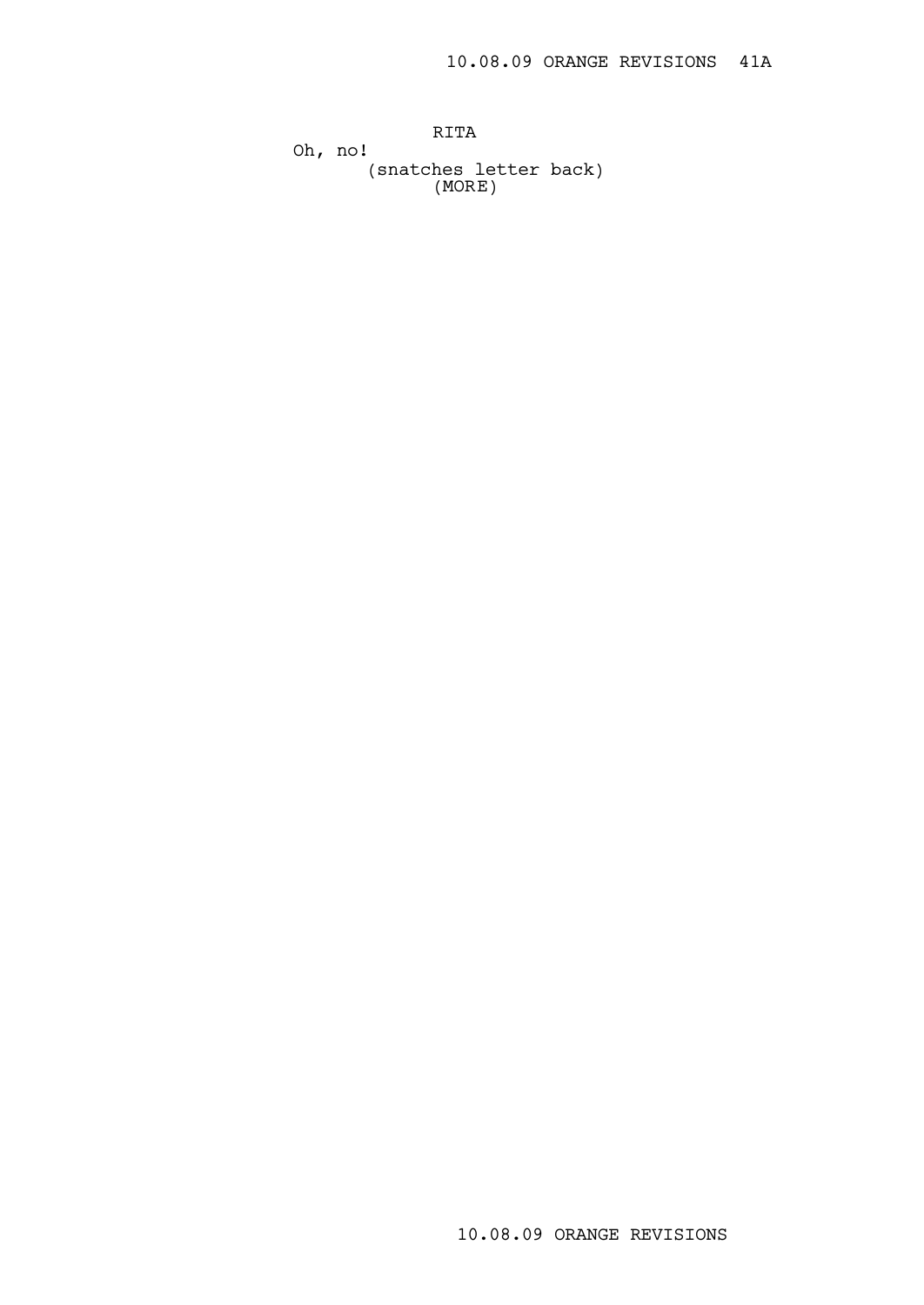RITA Oh, no! (snatches letter back) (MORE)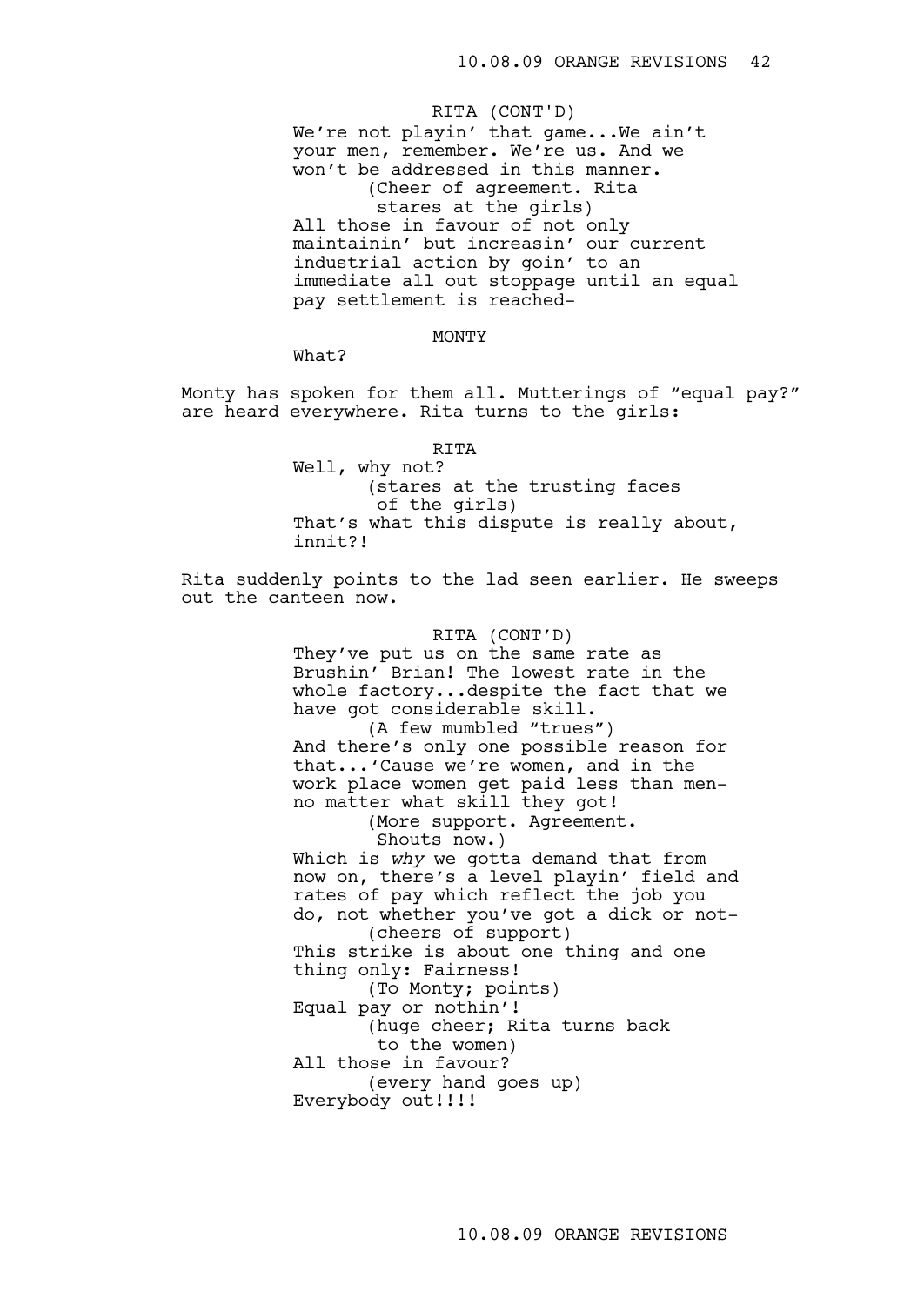We're not playin' that game...We ain't your men, remember. We're us. And we won't be addressed in this manner. (Cheer of agreement. Rita stares at the girls) All those in favour of not only maintainin' but increasin' our current industrial action by goin' to an immediate all out stoppage until an equal pay settlement is reached-RITA (CONT'D)

#### MONTY

What?

Monty has spoken for them all. Mutterings of "equal pay?" are heard everywhere. Rita turns to the girls:

Well, why not? (stares at the trusting faces of the girls) That's what this dispute is really about, innit?!

Rita suddenly points to the lad seen earlier. He sweeps out the canteen now.

## RITA (CONT'D)

They've put us on the same rate as Brushin' Brian! The lowest rate in the whole factory...despite the fact that we have got considerable skill.

(A few mumbled "trues") And there's only one possible reason for that...'Cause we're women, and in the work place women get paid less than menno matter what skill they got!

> (More support. Agreement. Shouts now.)

Which is *why* we gotta demand that from now on, there's a level playin' field and rates of pay which reflect the job you do, not whether you've got a dick or not- (cheers of support) This strike is about one thing and one thing only: Fairness! (To Monty; points) Equal pay or nothin'! (huge cheer; Rita turns back

to the women)

All those in favour? (every hand goes up) Everybody out!!!!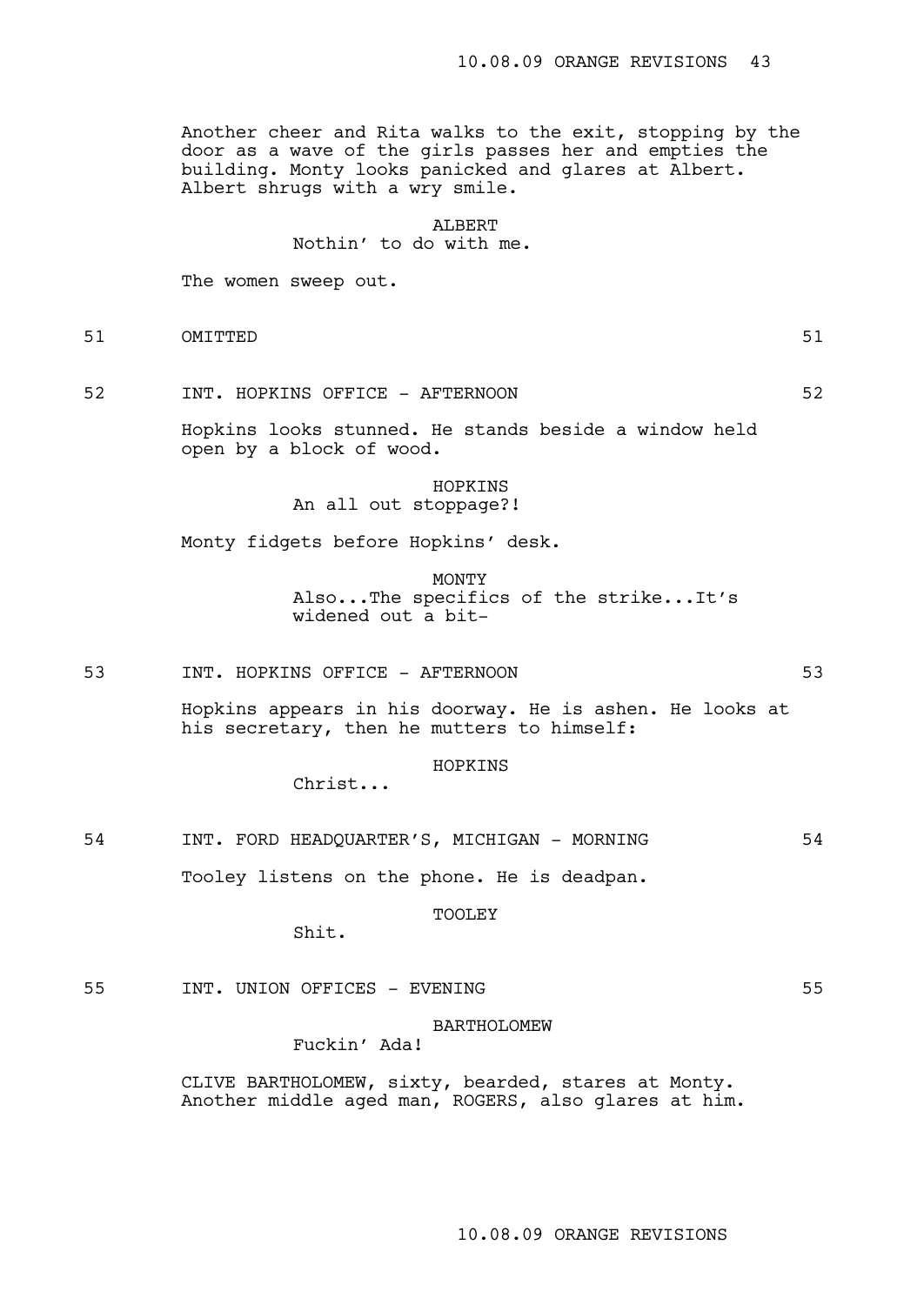Another cheer and Rita walks to the exit, stopping by the door as a wave of the girls passes her and empties the building. Monty looks panicked and glares at Albert. Albert shrugs with a wry smile.

#### ALBERT

## Nothin' to do with me.

The women sweep out.

- 51 OMITTED 51
- 52 INT. HOPKINS OFFICE AFTERNOON 52

Hopkins looks stunned. He stands beside a window held open by a block of wood.

## HOPKINS An all out stoppage?!

Monty fidgets before Hopkins' desk.

MONTY

Also...The specifics of the strike...It's widened out a bit-

53 INT. HOPKINS OFFICE - AFTERNOON 53

Hopkins appears in his doorway. He is ashen. He looks at his secretary, then he mutters to himself:

HOPKINS

Christ...

54 INT. FORD HEADQUARTER'S, MICHIGAN - MORNING 54

Tooley listens on the phone. He is deadpan.

TOOLEY

Shit.

55 INT. UNION OFFICES - EVENING 55

BARTHOLOMEW

Fuckin' Ada!

CLIVE BARTHOLOMEW, sixty, bearded, stares at Monty. Another middle aged man, ROGERS, also glares at him.

10.08.09 ORANGE REVISIONS

- 
-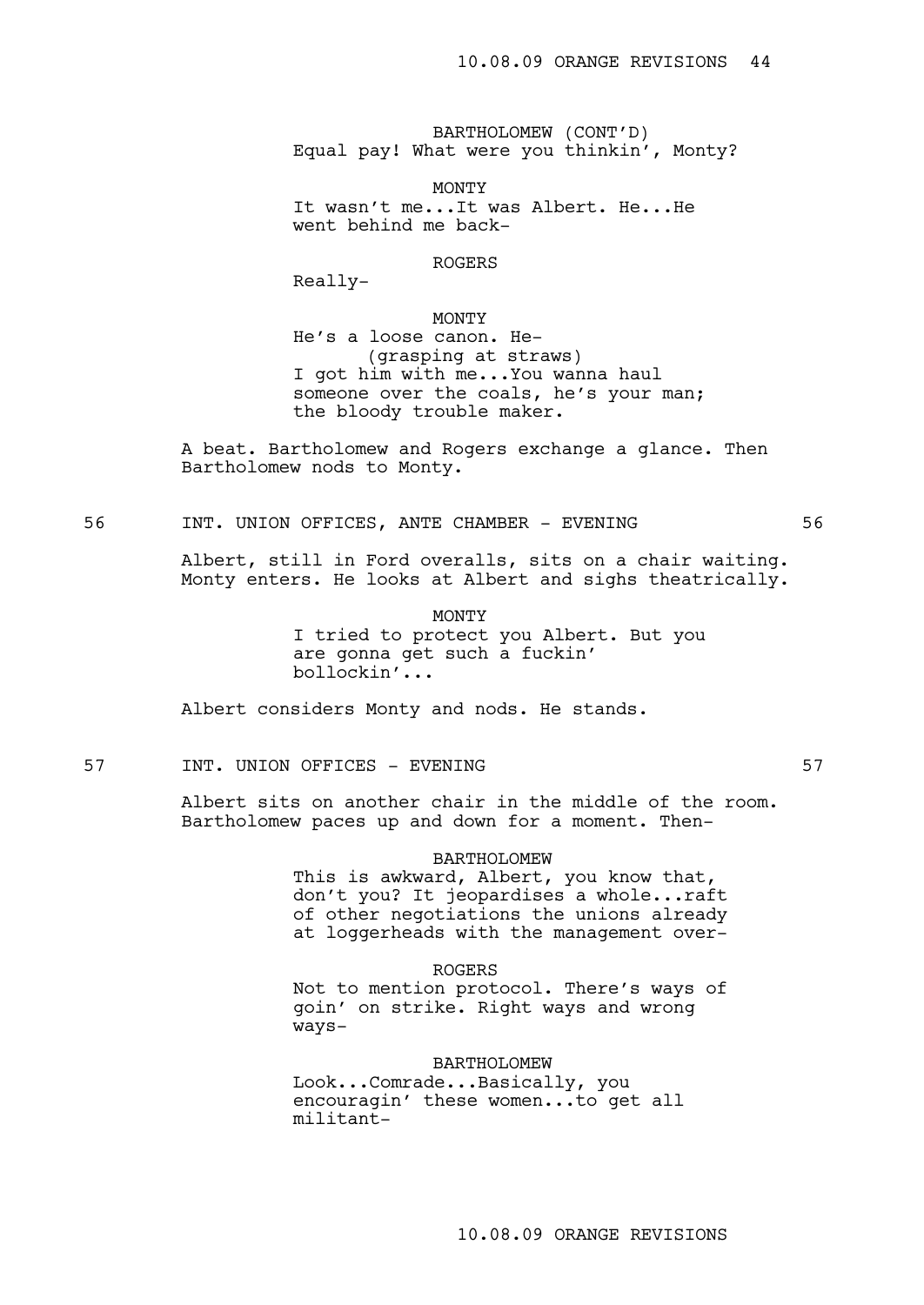BARTHOLOMEW (CONT'D) Equal pay! What were you thinkin', Monty?

MONTY It wasn't me...It was Albert. He...He went behind me back-

## ROGERS

Really-

MONTY He's a loose canon. He- (grasping at straws) I got him with me...You wanna haul someone over the coals, he's your man; the bloody trouble maker.

A beat. Bartholomew and Rogers exchange a glance. Then Bartholomew nods to Monty.

56 INT. UNION OFFICES, ANTE CHAMBER - EVENING 56

Albert, still in Ford overalls, sits on a chair waiting. Monty enters. He looks at Albert and sighs theatrically.

> MONTY I tried to protect you Albert. But you are gonna get such a fuckin' bollockin'...

Albert considers Monty and nods. He stands.

#### 57 INT. UNION OFFICES - EVENING 57

Albert sits on another chair in the middle of the room. Bartholomew paces up and down for a moment. Then-

#### BARTHOLOMEW

This is awkward, Albert, you know that, don't you? It jeopardises a whole...raft of other negotiations the unions already at loggerheads with the management over-

ROGERS

Not to mention protocol. There's ways of goin' on strike. Right ways and wrong ways-

BARTHOLOMEW

Look...Comrade...Basically, you encouragin' these women...to get all militant-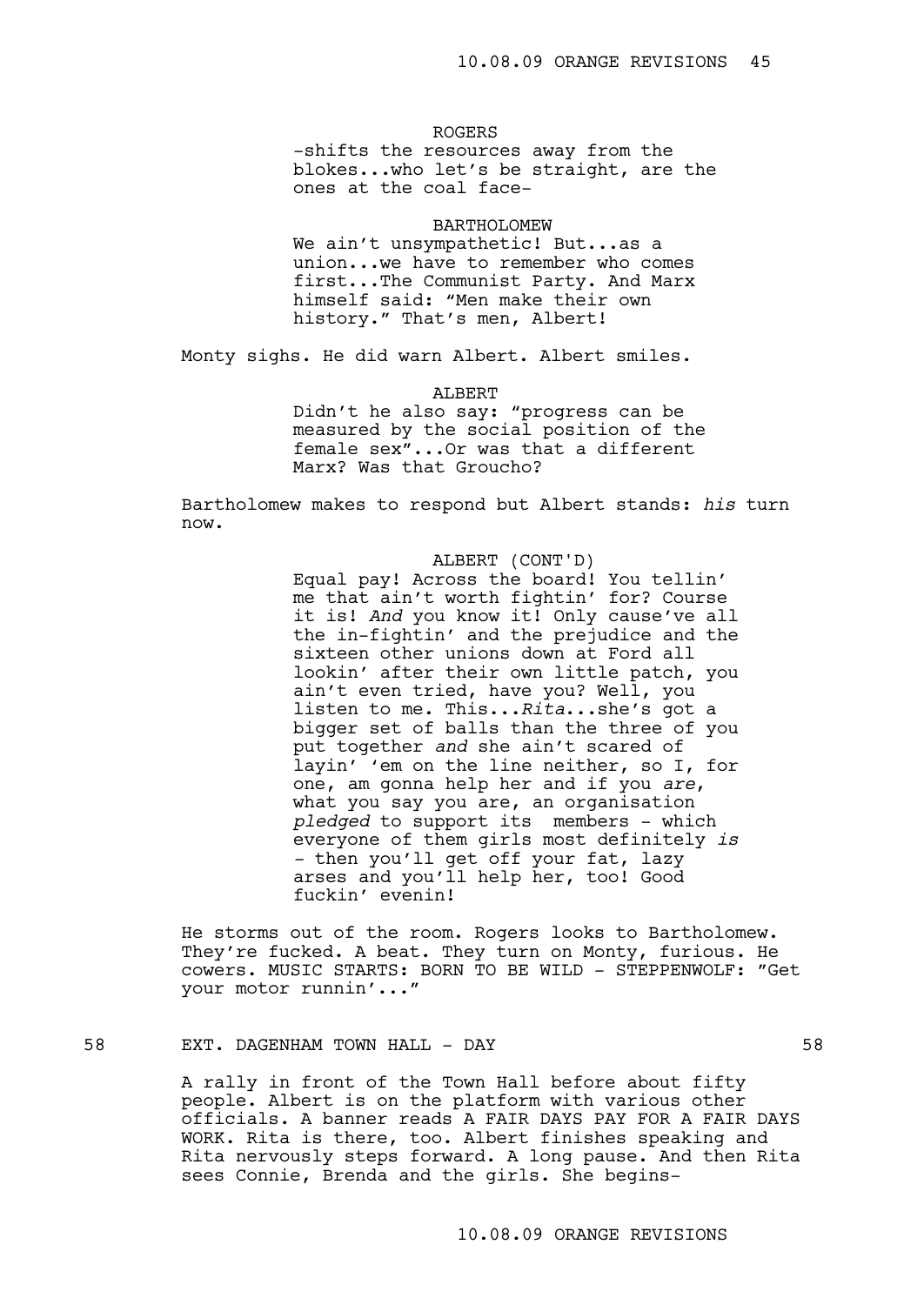## ROGERS

-shifts the resources away from the blokes...who let's be straight, are the ones at the coal face-

#### BARTHOLOMEW

We ain't unsympathetic! But...as a union...we have to remember who comes first...The Communist Party. And Marx himself said: "Men make their own history." That's men, Albert!

Monty sighs. He did warn Albert. Albert smiles.

ALBERT

Didn't he also say: "progress can be measured by the social position of the female sex"...Or was that a different Marx? Was that Groucho?

Bartholomew makes to respond but Albert stands: *his* turn now.

# ALBERT (CONT'D)

Equal pay! Across the board! You tellin' me that ain't worth fightin' for? Course it is! *And* you know it! Only cause've all the in-fightin' and the prejudice and the sixteen other unions down at Ford all lookin' after their own little patch, you ain't even tried, have you? Well, you listen to me. This...*Rita*...she's got a bigger set of balls than the three of you put together *and* she ain't scared of layin' 'em on the line neither, so I, for one, am gonna help her and if you *are*, what you say you are, an organisation *pledged* to support its members - which everyone of them girls most definitely *is -* then you'll get off your fat, lazy arses and you'll help her, too! Good fuckin' evenin!

He storms out of the room. Rogers looks to Bartholomew. They're fucked. A beat. They turn on Monty, furious. He cowers. MUSIC STARTS: BORN TO BE WILD - STEPPENWOLF: "Get your motor runnin'..."

## 58 EXT. DAGENHAM TOWN HALL - DAY 58

A rally in front of the Town Hall before about fifty people. Albert is on the platform with various other officials. A banner reads A FAIR DAYS PAY FOR A FAIR DAYS WORK. Rita is there, too. Albert finishes speaking and Rita nervously steps forward. A long pause. And then Rita sees Connie, Brenda and the girls. She begins-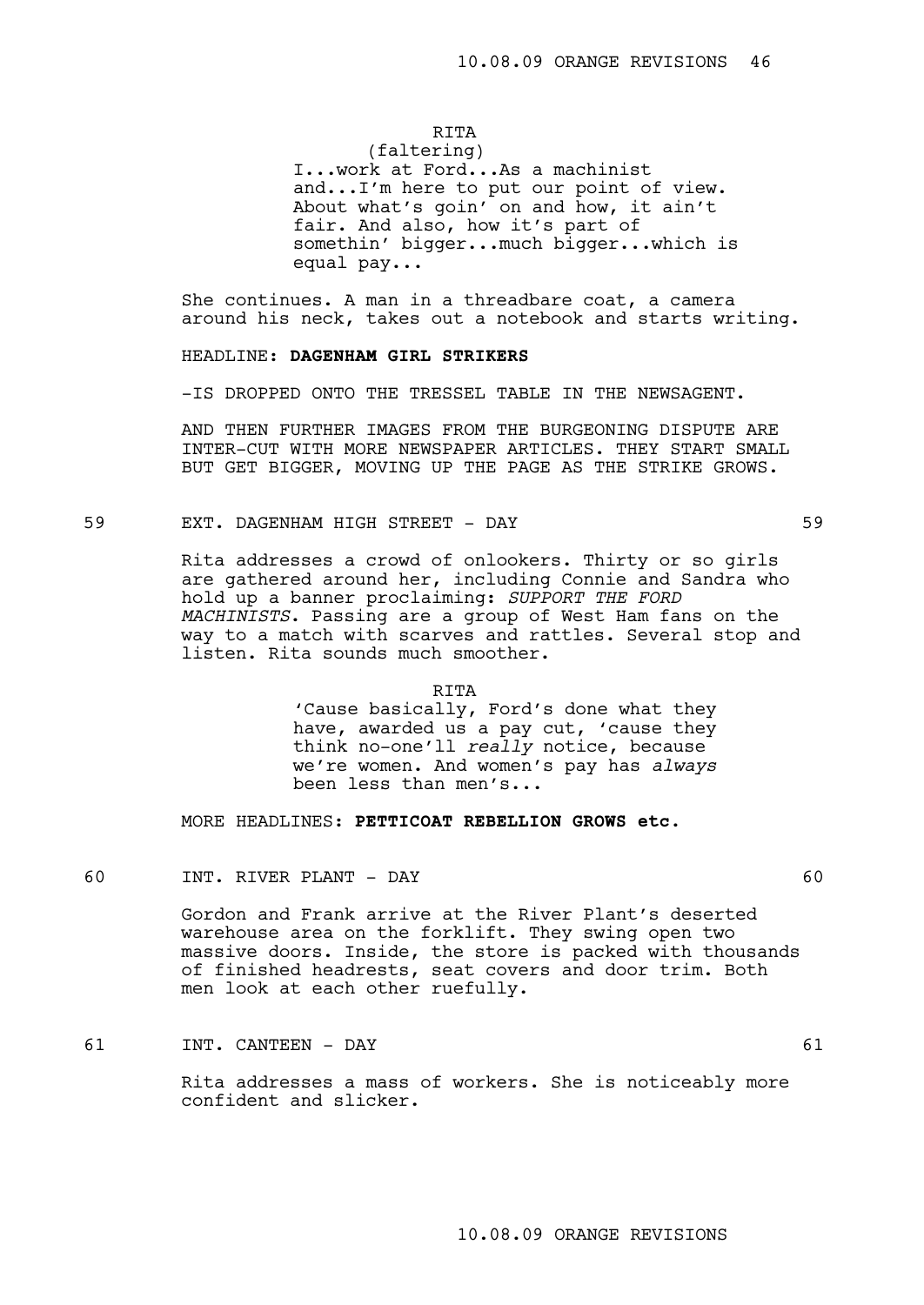# RITA

(faltering) I...work at Ford...As a machinist and...I'm here to put our point of view. About what's goin' on and how, it ain't fair. And also, how it's part of somethin' bigger...much bigger...which is equal pay...

She continues. A man in a threadbare coat, a camera around his neck, takes out a notebook and starts writing.

## HEADLINE: **DAGENHAM GIRL STRIKERS**

-IS DROPPED ONTO THE TRESSEL TABLE IN THE NEWSAGENT.

AND THEN FURTHER IMAGES FROM THE BURGEONING DISPUTE ARE INTER-CUT WITH MORE NEWSPAPER ARTICLES. THEY START SMALL BUT GET BIGGER, MOVING UP THE PAGE AS THE STRIKE GROWS.

## 59 EXT. DAGENHAM HIGH STREET - DAY 59

Rita addresses a crowd of onlookers. Thirty or so girls are gathered around her, including Connie and Sandra who hold up a banner proclaiming: *SUPPORT THE FORD MACHINISTS*. Passing are a group of West Ham fans on the way to a match with scarves and rattles. Several stop and listen. Rita sounds much smoother.

#### RITA

'Cause basically, Ford's done what they have, awarded us a pay cut, 'cause they think no-one'll *really* notice, because we're women. And women's pay has *always* been less than men's...

MORE HEADLINES: **PETTICOAT REBELLION GROWS etc.**

#### 60 INT. RIVER PLANT - DAY 60

Gordon and Frank arrive at the River Plant's deserted warehouse area on the forklift. They swing open two massive doors. Inside, the store is packed with thousands of finished headrests, seat covers and door trim. Both men look at each other ruefully.

## 61 INT. CANTEEN - DAY 61

Rita addresses a mass of workers. She is noticeably more confident and slicker.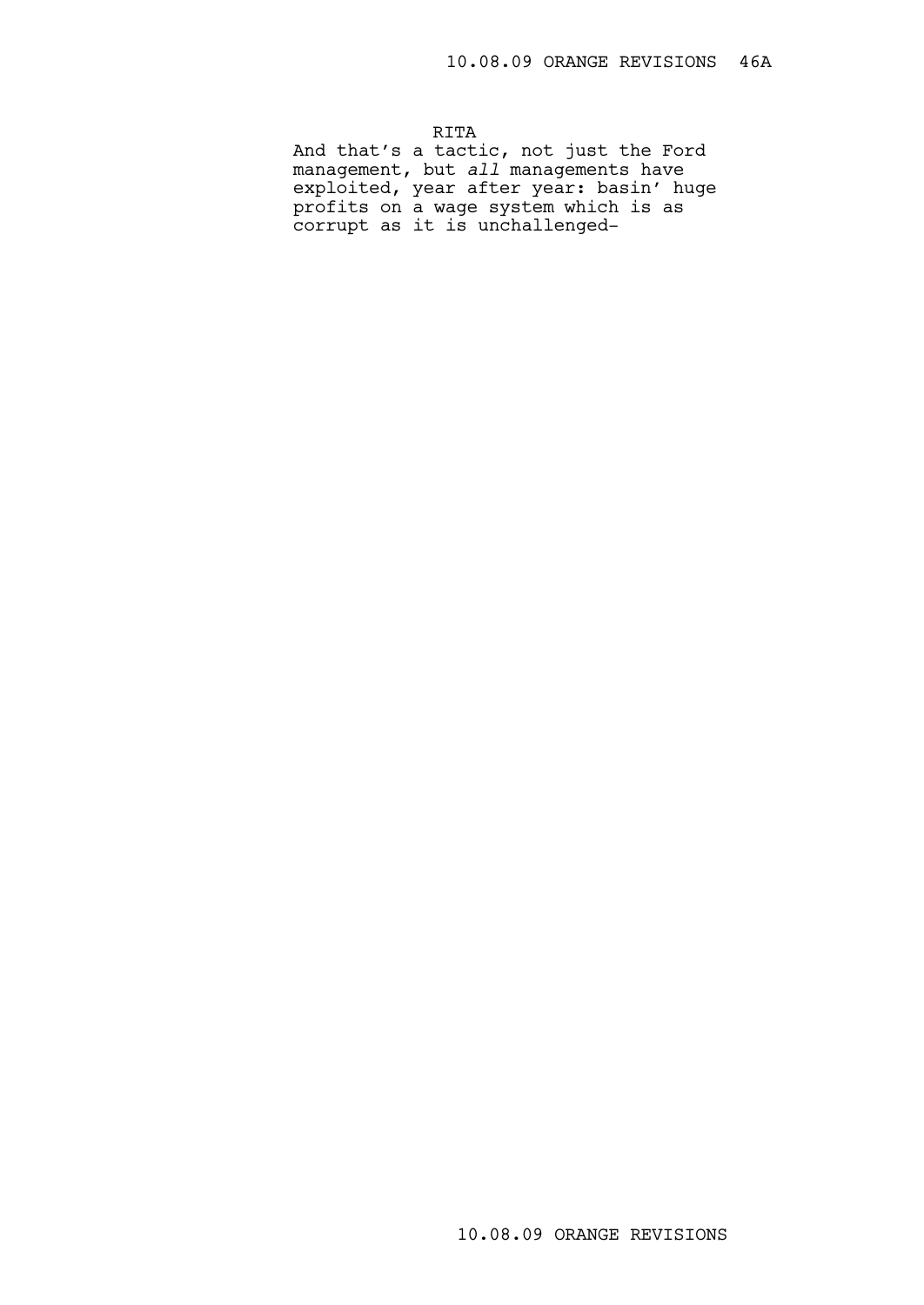RITA And that's a tactic, not just the Ford management, but *all* managements have exploited, year after year: basin' huge profits on a wage system which is as corrupt as it is unchallenged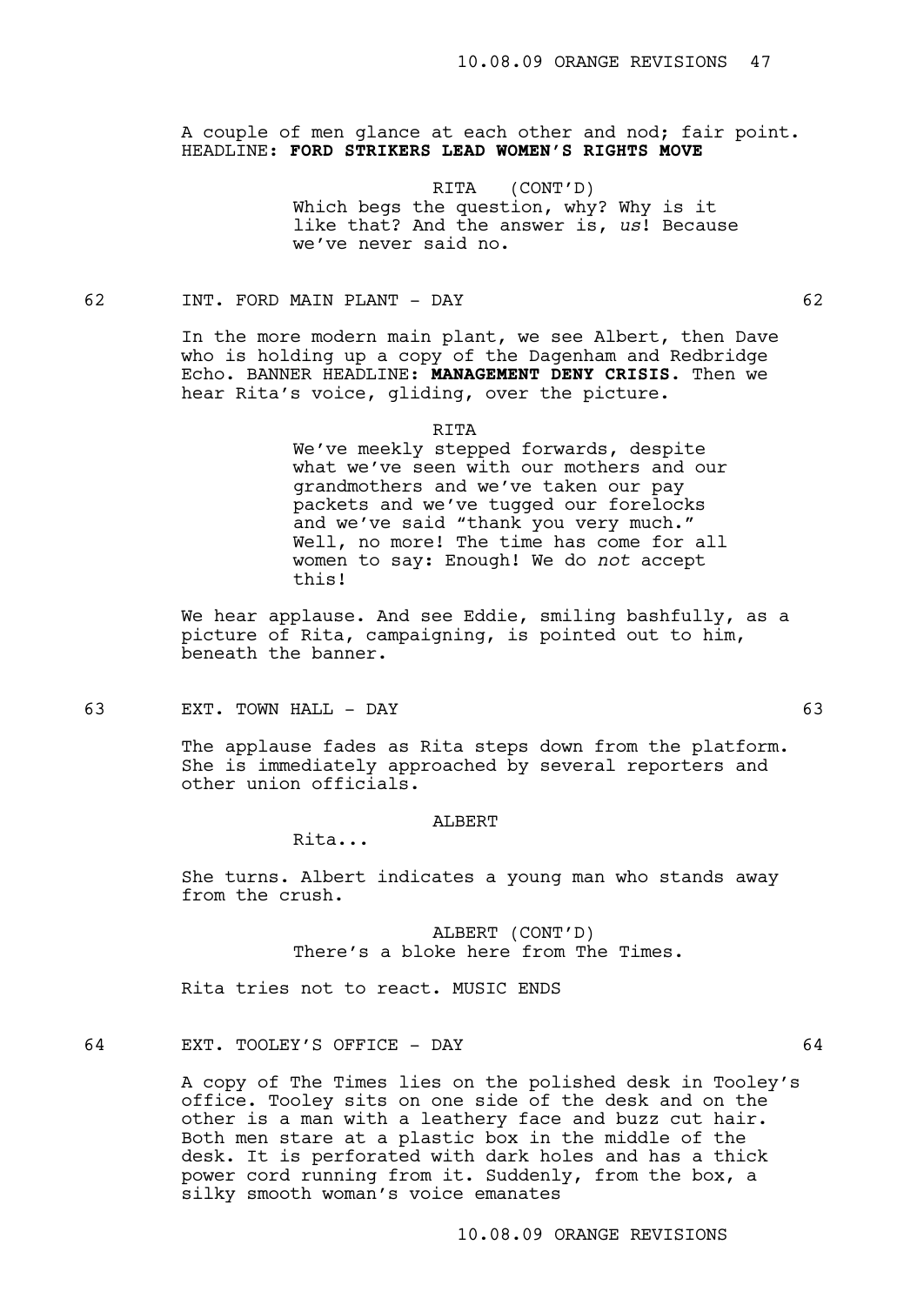A couple of men glance at each other and nod; fair point. HEADLINE: **FORD STRIKERS LEAD WOMEN'S RIGHTS MOVE**

> RITA (CONT'D) Which begs the question, why? Why is it like that? And the answer is, *us*! Because we've never said no.

62 INT. FORD MAIN PLANT - DAY 62

In the more modern main plant, we see Albert, then Dave who is holding up a copy of the Dagenham and Redbridge Echo. BANNER HEADLINE: **MANAGEMENT DENY CRISIS.** Then we hear Rita's voice, gliding, over the picture.

RITA

We've meekly stepped forwards, despite what we've seen with our mothers and our grandmothers and we've taken our pay packets and we've tugged our forelocks and we've said "thank you very much." Well, no more! The time has come for all women to say: Enough! We do *not* accept this!

We hear applause. And see Eddie, smiling bashfully, as a picture of Rita, campaigning, is pointed out to him, beneath the banner.

63 EXT. TOWN HALL - DAY 63

The applause fades as Rita steps down from the platform. She is immediately approached by several reporters and other union officials.

#### ALBERT

Rita...

She turns. Albert indicates a young man who stands away from the crush.

> ALBERT (CONT'D) There's a bloke here from The Times.

Rita tries not to react. MUSIC ENDS

64 EXT. TOOLEY'S OFFICE - DAY 64

A copy of The Times lies on the polished desk in Tooley's office. Tooley sits on one side of the desk and on the other is a man with a leathery face and buzz cut hair. Both men stare at a plastic box in the middle of the desk. It is perforated with dark holes and has a thick power cord running from it. Suddenly, from the box, a silky smooth woman's voice emanates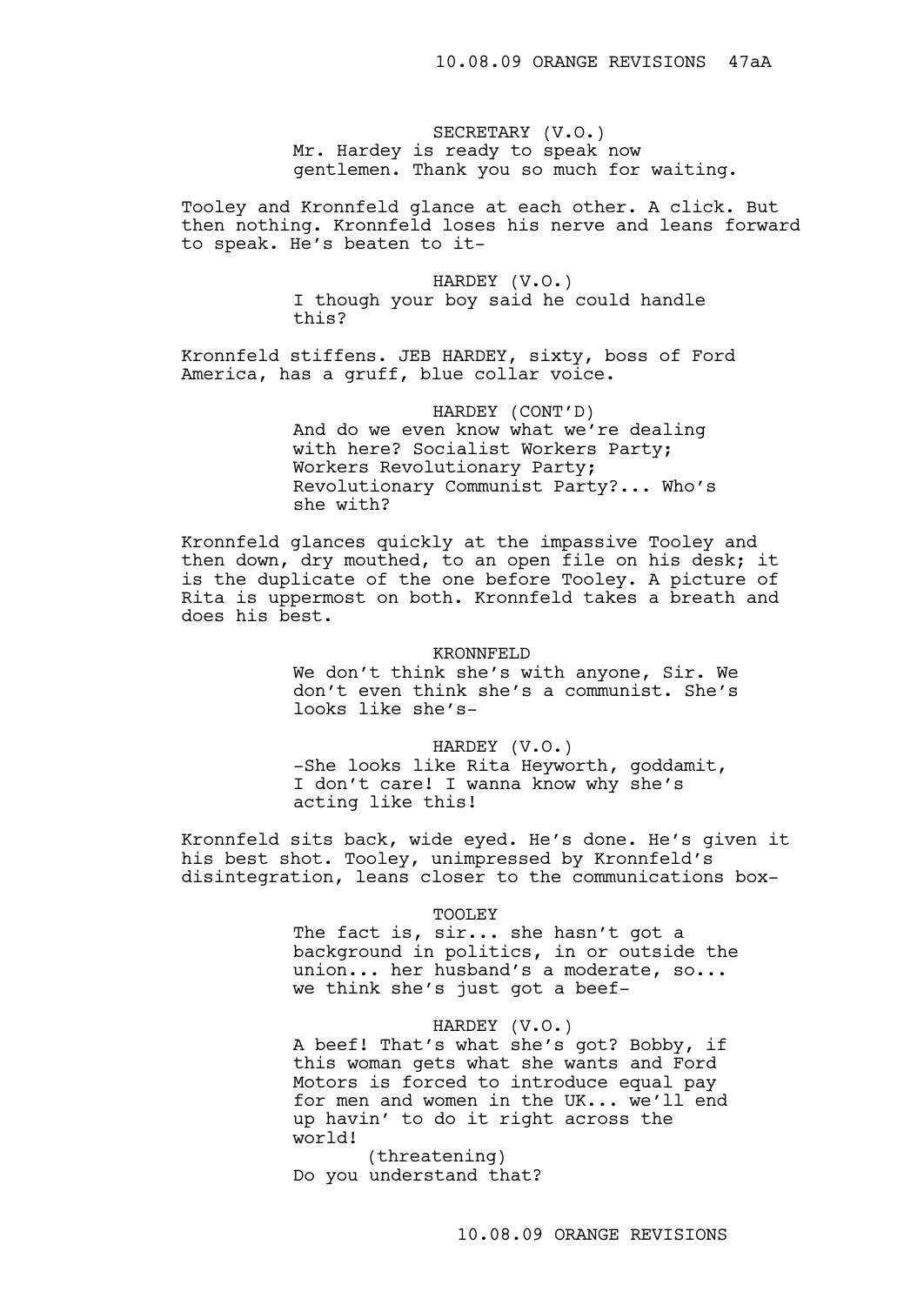SECRETARY (V.O.) Mr. Hardey is ready to speak now gentlemen. Thank you so much for waiting.

Tooley and Kronnfeld glance at each other. A click. But then nothing. Kronnfeld loses his nerve and leans forward to speak. He's beaten to it-

> HARDEY (V.O.) I though your boy said he could handle this?

Kronnfeld stiffens. JEB HARDEY, sixty, boss of Ford America, has a gruff, blue collar voice.

> HARDEY (CONT'D) And do we even know what we're dealing with here? Socialist Workers Party; Workers Revolutionary Party; Revolutionary Communist Party?... Who's she with?

Kronnfeld glances quickly at the impassive Tooley and then down, dry mouthed, to an open file on his desk; it is the duplicate of the one before Tooley. A picture of Rita is uppermost on both. Kronnfeld takes a breath and does his best.

#### KRONNFELD

We don't think she's with anyone, Sir. We don't even think she's a communist. She's looks like she's-

#### HARDEY (V.O.)

-She looks like Rita Heyworth, goddamit, I don't care! I wanna know why she's acting like this!

Kronnfeld sits back, wide eyed. He's done. He's given it his best shot. Tooley, unimpressed by Kronnfeld's disintegration, leans closer to the communications box-

## TOOLEY

The fact is, sir... she hasn't got a background in politics, in or outside the union... her husband's a moderate, so... we think she's just got a beef-

#### HARDEY (V.O.)

A beef! That's what she's got? Bobby, if this woman gets what she wants and Ford Motors is forced to introduce equal pay for men and women in the UK... we'll end up havin' to do it right across the world!

(threatening) Do you understand that?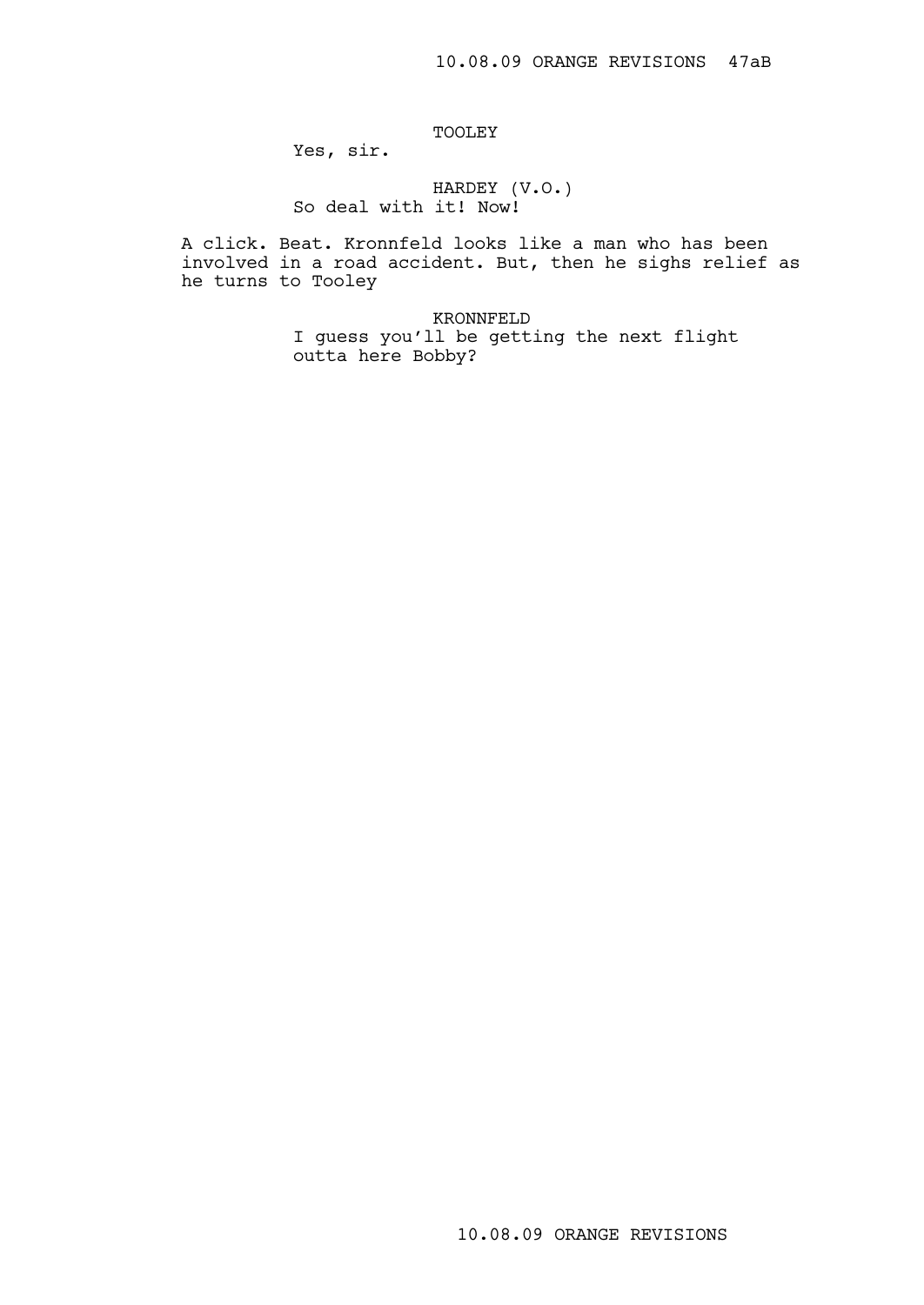TOOLEY

Yes, sir.

HARDEY (V.O.) So deal with it! Now!

A click. Beat. Kronnfeld looks like a man who has been involved in a road accident. But, then he sighs relief as he turns to Tooley

KRONNFELD

I guess you'll be getting the next flight outta here Bobby?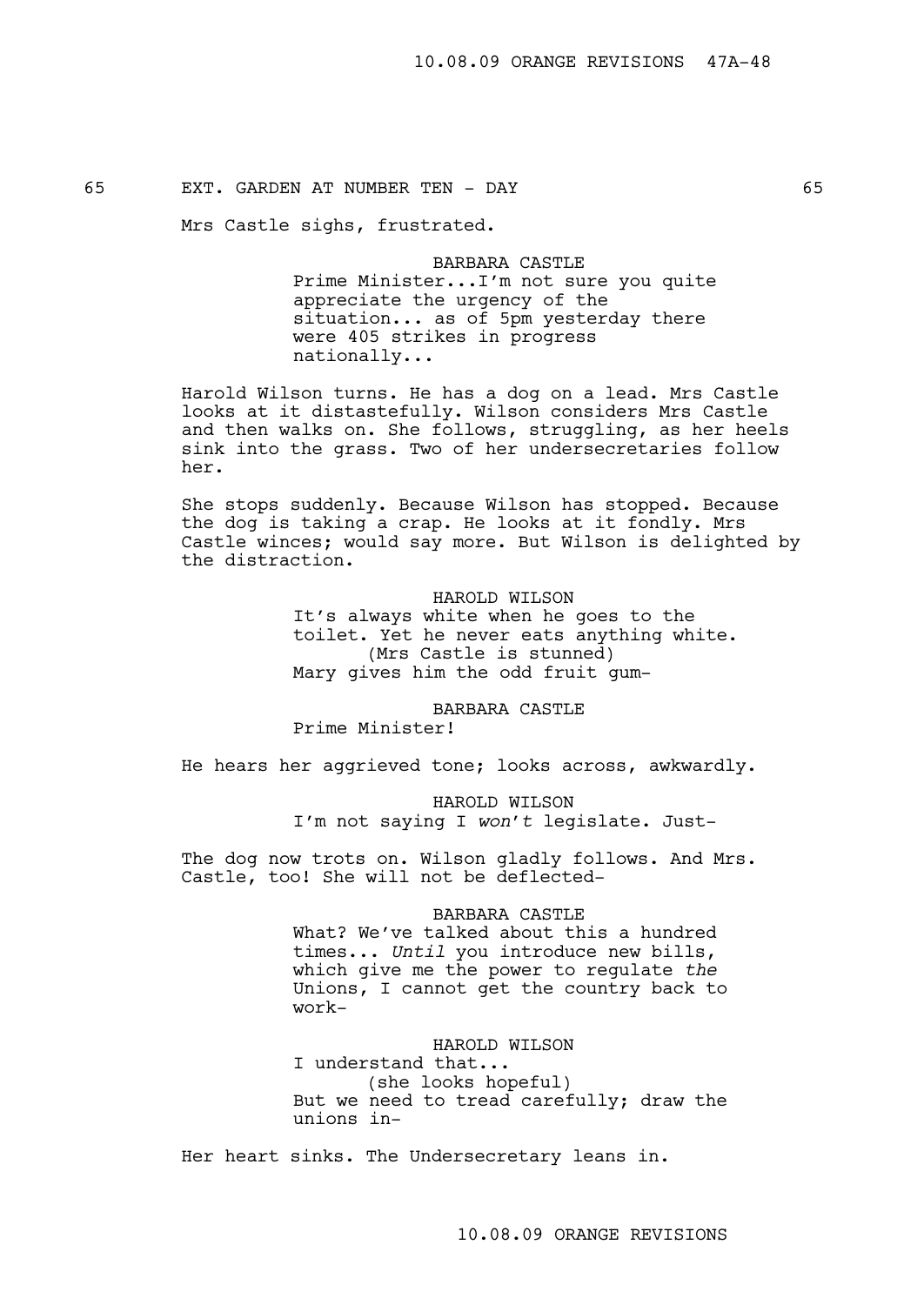## 65 EXT. GARDEN AT NUMBER TEN - DAY 65

Mrs Castle sighs, frustrated.

BARBARA CASTLE Prime Minister...I'm not sure you quite appreciate the urgency of the situation... as of 5pm yesterday there were 405 strikes in progress nationally...

Harold Wilson turns. He has a dog on a lead. Mrs Castle looks at it distastefully. Wilson considers Mrs Castle and then walks on. She follows, struggling, as her heels sink into the grass. Two of her undersecretaries follow her.

She stops suddenly. Because Wilson has stopped. Because the dog is taking a crap. He looks at it fondly. Mrs Castle winces; would say more. But Wilson is delighted by the distraction.

> HAROLD WILSON It's always white when he goes to the toilet. Yet he never eats anything white. (Mrs Castle is stunned) Mary gives him the odd fruit gum-

BARBARA CASTLE Prime Minister!

He hears her aggrieved tone; looks across, awkwardly.

HAROLD WILSON I'm not saying I *won't* legislate. Just-

The dog now trots on. Wilson gladly follows. And Mrs. Castle, too! She will not be deflected-

## BARBARA CASTLE

What? We've talked about this a hundred times... *Until* you introduce new bills, which give me the power to regulate *the*  Unions, I cannot get the country back to work-

HAROLD WILSON I understand that... (she looks hopeful) But we need to tread carefully; draw the unions in-

Her heart sinks. The Undersecretary leans in.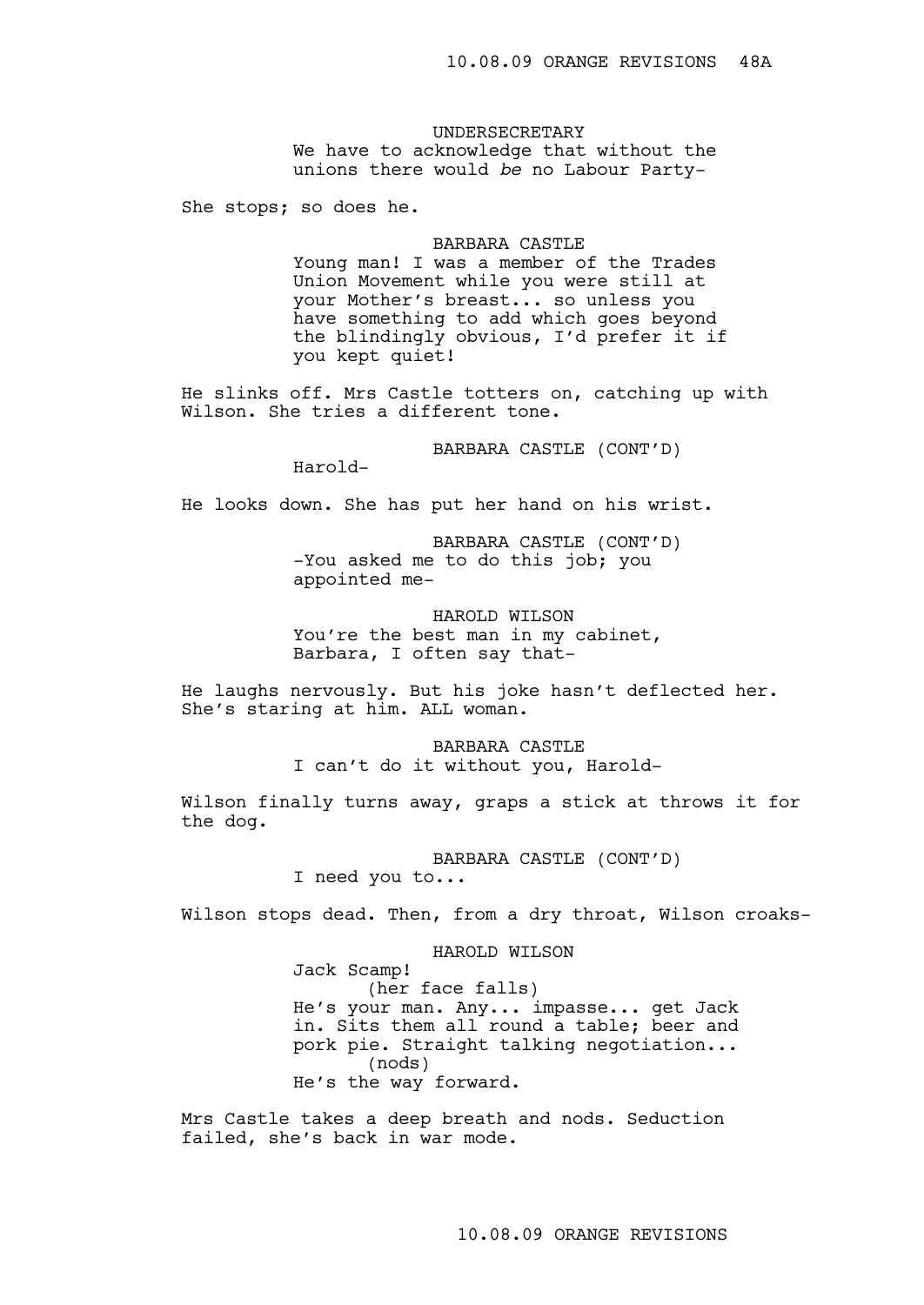UNDERSECRETARY

We have to acknowledge that without the unions there would *be* no Labour Party-

She stops; so does he.

#### BARBARA CASTLE

Young man! I was a member of the Trades Union Movement while you were still at your Mother's breast... so unless you have something to add which goes beyond the blindingly obvious, I'd prefer it if you kept quiet!

He slinks off. Mrs Castle totters on, catching up with Wilson. She tries a different tone.

BARBARA CASTLE (CONT'D)

Harold-

He looks down. She has put her hand on his wrist.

BARBARA CASTLE (CONT'D) -You asked me to do this job; you appointed me-

HAROLD WILSON You're the best man in my cabinet, Barbara, I often say that-

He laughs nervously. But his joke hasn't deflected her. She's staring at him. ALL woman.

> BARBARA CASTLE I can't do it without you, Harold-

Wilson finally turns away, graps a stick at throws it for the dog.

> BARBARA CASTLE (CONT'D) I need you to...

Wilson stops dead. Then, from a dry throat, Wilson croaks-

HAROLD WILSON

Jack Scamp! (her face falls) He's your man. Any... impasse... get Jack in. Sits them all round a table; beer and pork pie. Straight talking negotiation... (nods) He's the way forward.

Mrs Castle takes a deep breath and nods. Seduction failed, she's back in war mode.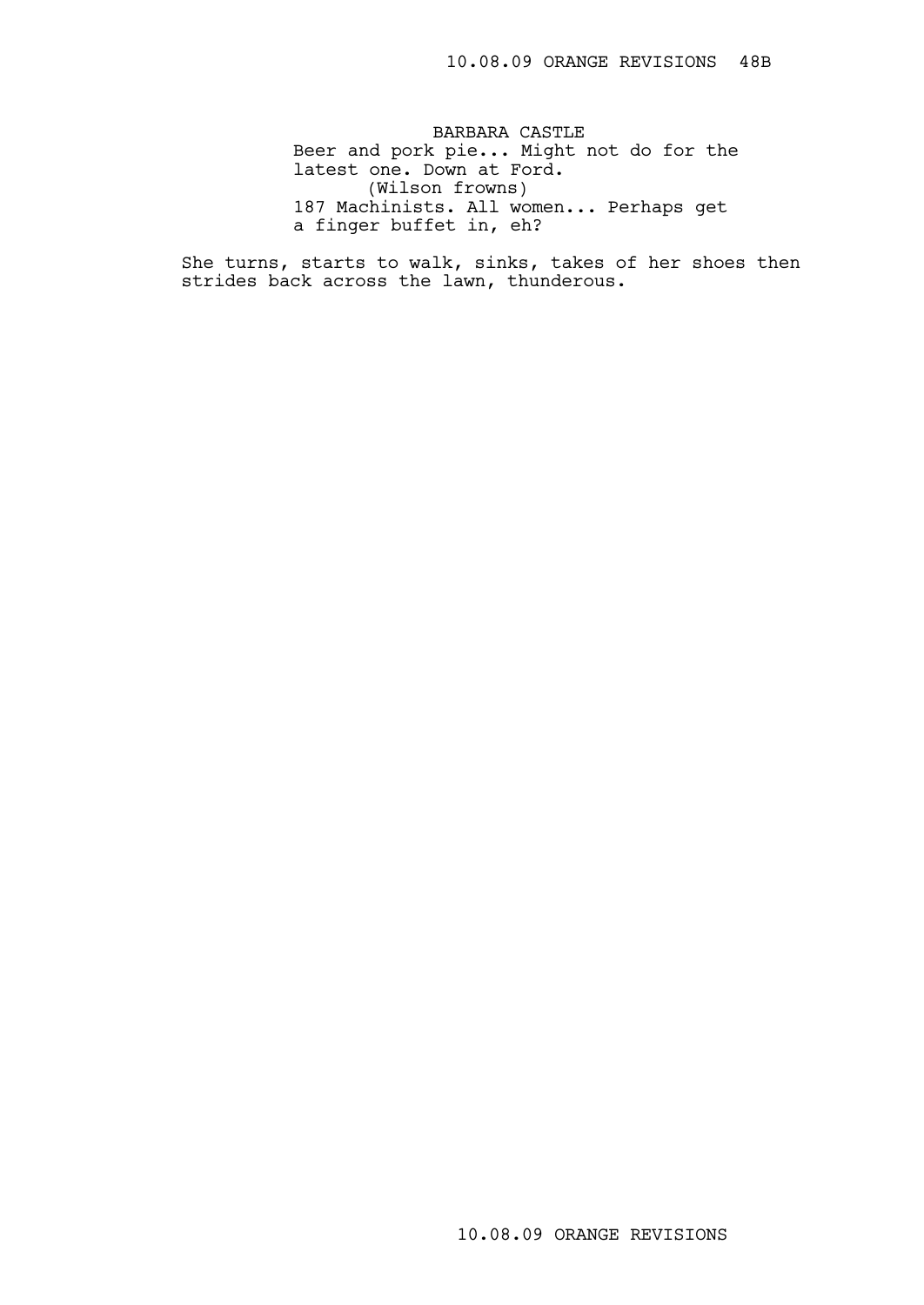BARBARA CASTLE Beer and pork pie... Might not do for the latest one. Down at Ford. (Wilson frowns) 187 Machinists. All women... Perhaps get a finger buffet in, eh?

She turns, starts to walk, sinks, takes of her shoes then strides back across the lawn, thunderous.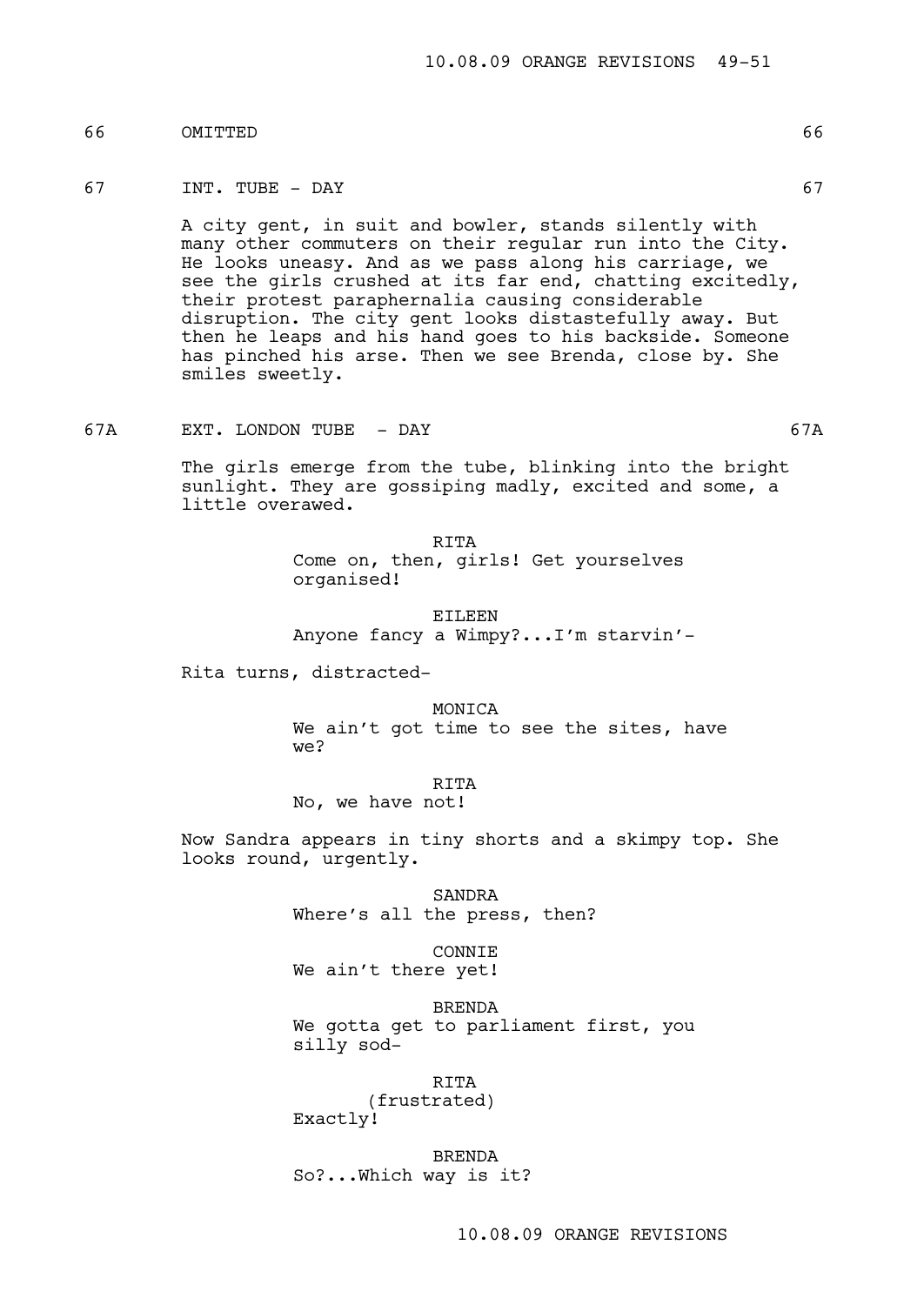## 66 OMITTED 66

## 67 INT. TUBE - DAY 67

A city gent, in suit and bowler, stands silently with many other commuters on their regular run into the City. He looks uneasy. And as we pass along his carriage, we see the girls crushed at its far end, chatting excitedly, their protest paraphernalia causing considerable disruption. The city gent looks distastefully away. But then he leaps and his hand goes to his backside. Someone has pinched his arse. Then we see Brenda, close by. She smiles sweetly.

67A EXT. LONDON TUBE - DAY 67A

The girls emerge from the tube, blinking into the bright sunlight. They are gossiping madly, excited and some, a little overawed.

> RITA Come on, then, girls! Get yourselves organised!

EILEEN Anyone fancy a Wimpy?...I'm starvin'-

Rita turns, distracted-

MONICA We ain't got time to see the sites, have we?

RITA

No, we have not!

Now Sandra appears in tiny shorts and a skimpy top. She looks round, urgently.

> SANDRA Where's all the press, then?

CONNIE We ain't there yet!

BRENDA We gotta get to parliament first, you silly sod-

RITA (frustrated) Exactly!

BRENDA So?...Which way is it?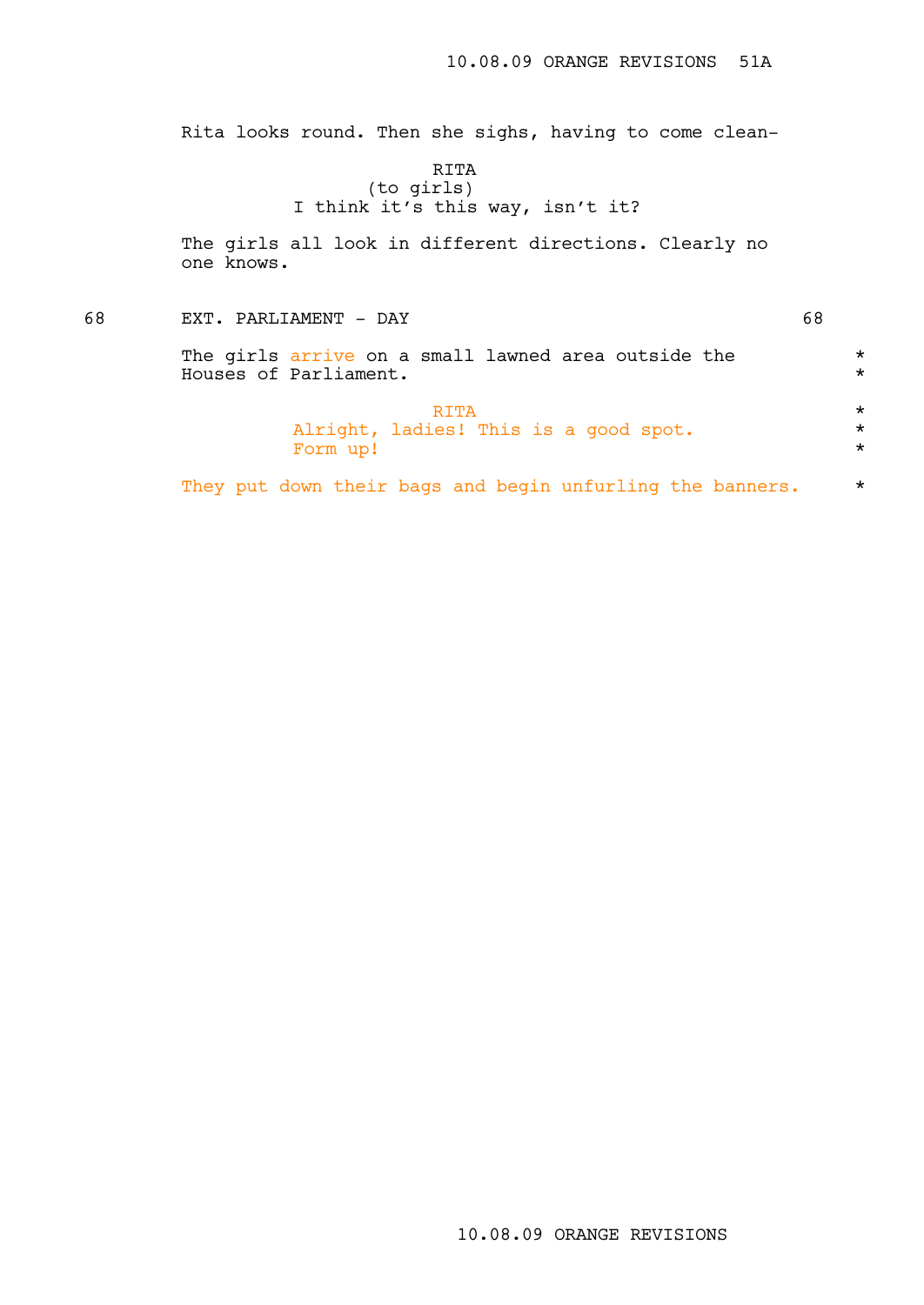Rita looks round. Then she sighs, having to come clean-

## RITA (to girls) I think it's this way, isn't it?

The girls all look in different directions. Clearly no one knows.

| 68 | EXT. PARLIAMENT - DAY                                                        | 68                            |
|----|------------------------------------------------------------------------------|-------------------------------|
|    | The girls arrive on a small lawned area outside the<br>Houses of Parliament. | $\star$<br>$\star$            |
|    | RTTA<br>Alright, ladies! This is a good spot.<br>Form up!                    | $\star$<br>$\star$<br>$\star$ |
|    | They put down their bags and begin unfurling the banners.                    | $\star$                       |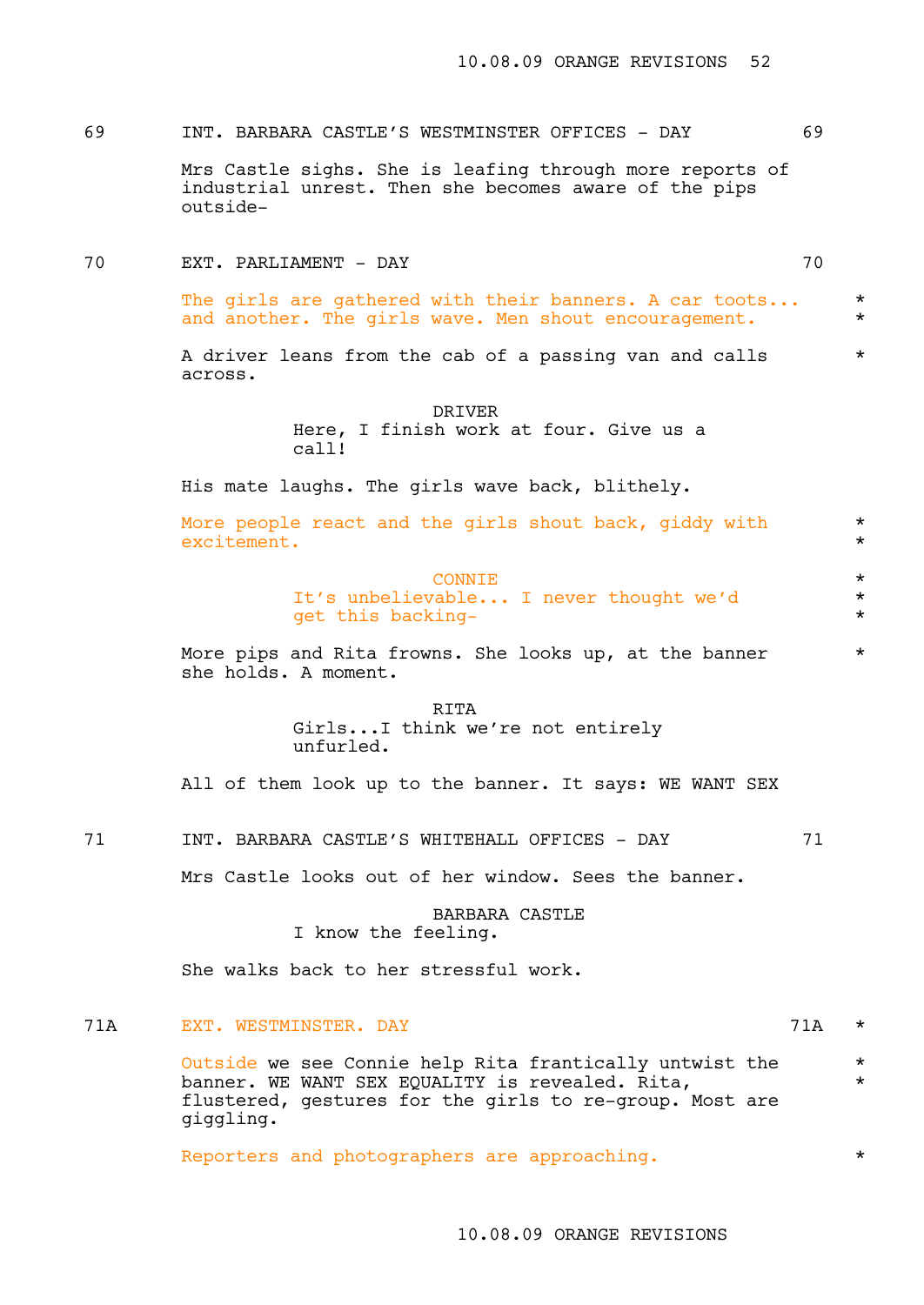69 INT. BARBARA CASTLE'S WESTMINSTER OFFICES - DAY 69

Mrs Castle sighs. She is leafing through more reports of industrial unrest. Then she becomes aware of the pips outside-

70 EXT. PARLIAMENT - DAY 70

The girls are gathered with their banners. A car toots...  $*$ and another. The girls wave. Men shout encouragement. \*

A driver leans from the cab of a passing van and calls  $*$ across.

#### DRIVER

Here, I finish work at four. Give us a call!

His mate laughs. The girls wave back, blithely.

More people react and the girls shout back, giddy with  $*$ excitement.  $\star$ 

## CONNIE<br>
vable I never thought we'd It's unbelievable... I never thought we'd get this backing-<br>  $*$

More pips and Rita frowns. She looks up, at the banner  $*$ she holds. A moment.

> RITA Girls...I think we're not entirely unfurled.

All of them look up to the banner. It says: WE WANT SEX

71 INT. BARBARA CASTLE'S WHITEHALL OFFICES - DAY 71

Mrs Castle looks out of her window. Sees the banner.

## BARBARA CASTLE I know the feeling.

She walks back to her stressful work.

#### 71A EXT. WESTMINSTER. DAY 71A \*

Outside we see Connie help Rita frantically untwist the  $*$  hanner WE WANT SEX FOUALITY is revealed Rita banner. WE WANT SEX EQUALITY is revealed. Rita, \* flustered, gestures for the girls to re-group. Most are giggling.

Reporters and photographers are approaching. \*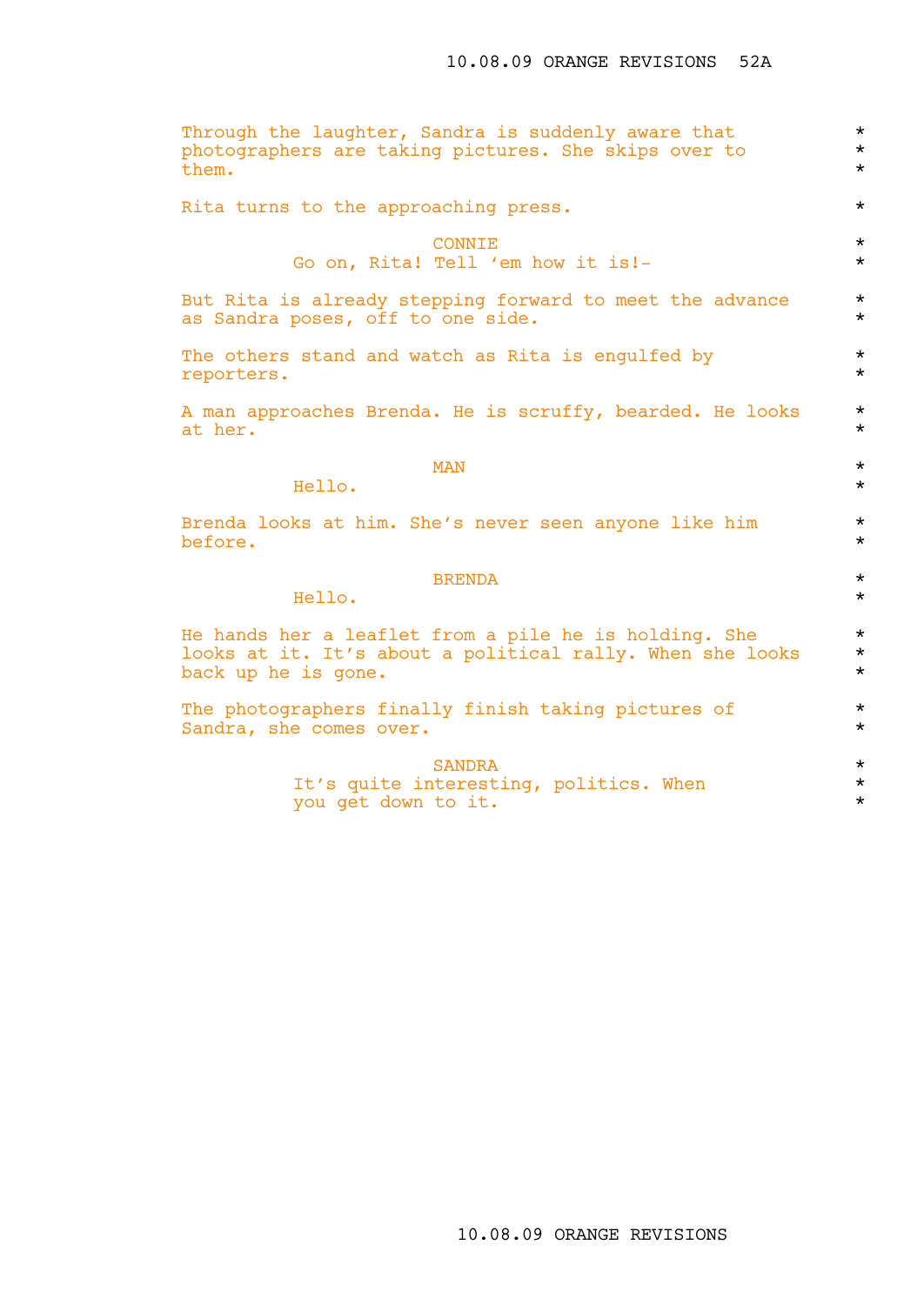| Through the laughter, Sandra is suddenly aware that<br>$\star$<br>photographers are taking pictures. She skips over to<br>$\star$<br>$\star$<br>them. |  |
|-------------------------------------------------------------------------------------------------------------------------------------------------------|--|
| $\star$<br>Rita turns to the approaching press.                                                                                                       |  |
| $\star$<br><b>CONNIE</b><br>Go on, Rita! Tell 'em how it is!-<br>$\star$                                                                              |  |
| $\star$<br>But Rita is already stepping forward to meet the advance<br>$\star$<br>as Sandra poses, off to one side.                                   |  |
| $\star$<br>The others stand and watch as Rita is engulfed by<br>$\star$<br>reporters.                                                                 |  |
| $\star$<br>A man approaches Brenda. He is scruffy, bearded. He looks<br>$\star$<br>at her.                                                            |  |
| $\star$<br><b>MAN</b><br>Hello.<br>$\star$                                                                                                            |  |
| $\star$<br>Brenda looks at him. She's never seen anyone like him<br>$\star$<br>before.                                                                |  |
| $\star$<br><b>BRENDA</b><br>Hello.<br>$\star$                                                                                                         |  |
| He hands her a leaflet from a pile he is holding. She<br>looks at it. It's about a political rally. When she looks<br>back up he is gone.             |  |
| The photographers finally finish taking pictures of<br>$\star$<br>$^\star$<br>Sandra, she comes over.                                                 |  |
| <b>SANDRA</b><br>$^\star$<br>It's quite interesting, politics. When<br>$^\star$<br>you get down to it.<br>$^\star$                                    |  |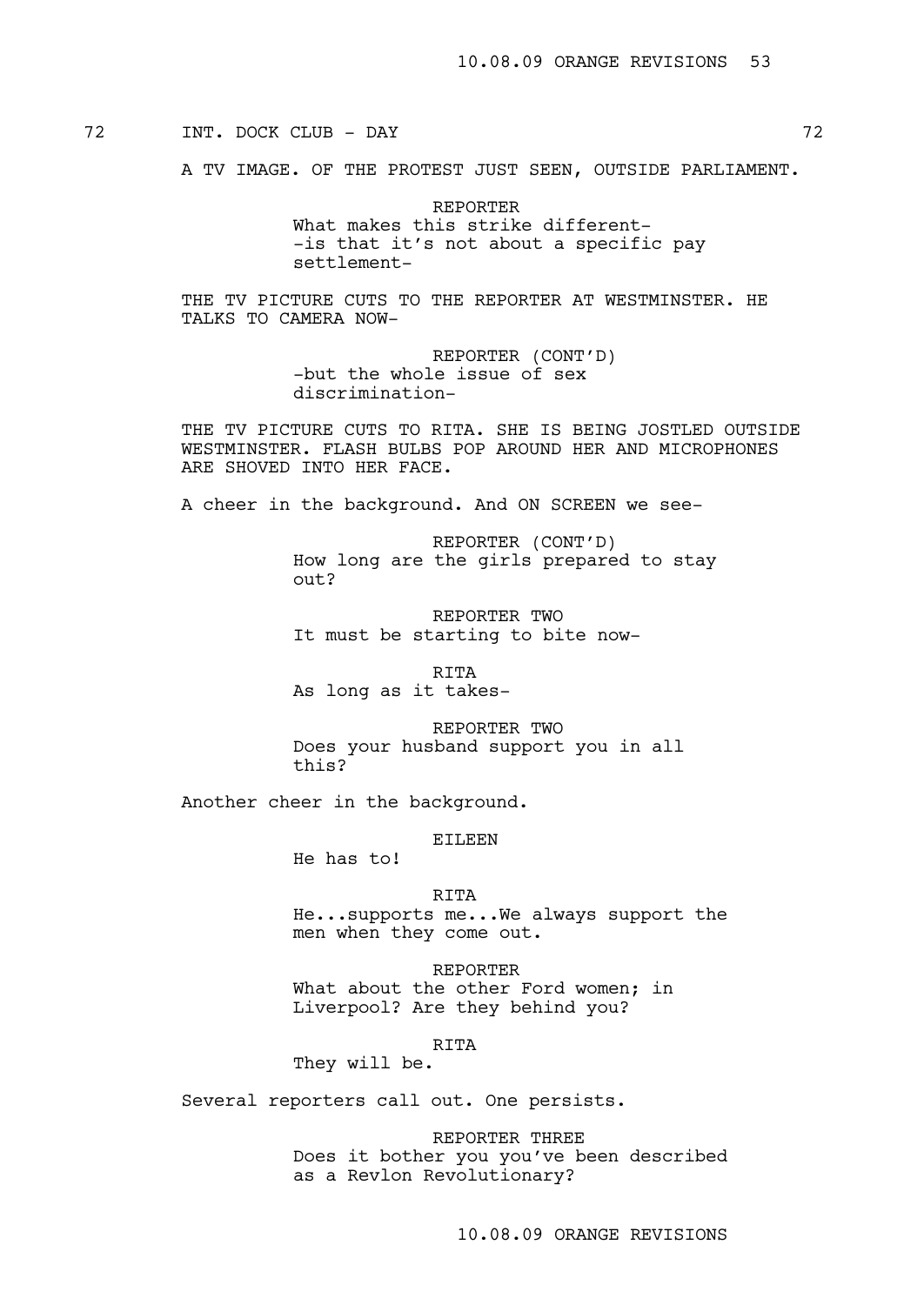## 72 INT. DOCK CLUB - DAY 72

A TV IMAGE. OF THE PROTEST JUST SEEN, OUTSIDE PARLIAMENT.

REPORTER What makes this strike different- -is that it's not about a specific pay settlement-

THE TV PICTURE CUTS TO THE REPORTER AT WESTMINSTER. HE TALKS TO CAMERA NOW-

> REPORTER (CONT'D) -but the whole issue of sex discrimination-

THE TV PICTURE CUTS TO RITA. SHE IS BEING JOSTLED OUTSIDE WESTMINSTER. FLASH BULBS POP AROUND HER AND MICROPHONES ARE SHOVED INTO HER FACE.

A cheer in the background. And ON SCREEN we see-

REPORTER (CONT'D) How long are the girls prepared to stay out?

REPORTER TWO It must be starting to bite now-

RITA As long as it takes-

REPORTER TWO Does your husband support you in all this?

Another cheer in the background.

EILEEN

He has to!

## RITA

He...supports me...We always support the men when they come out.

REPORTER What about the other Ford women; in Liverpool? Are they behind you?

RITA

They will be.

Several reporters call out. One persists.

REPORTER THREE Does it bother you you've been described as a Revlon Revolutionary?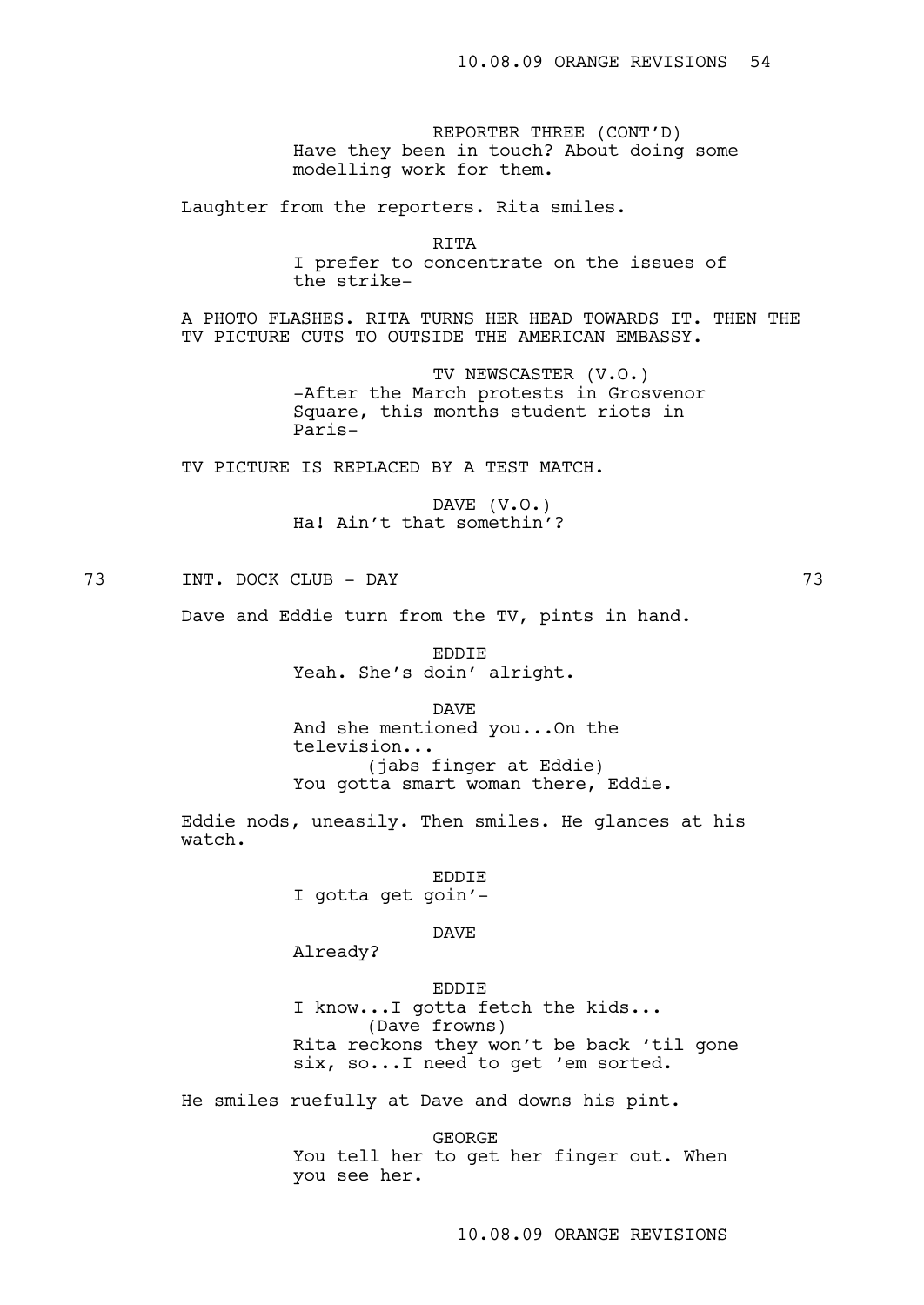REPORTER THREE (CONT'D) Have they been in touch? About doing some modelling work for them.

Laughter from the reporters. Rita smiles.

RITA I prefer to concentrate on the issues of the strike-

A PHOTO FLASHES. RITA TURNS HER HEAD TOWARDS IT. THEN THE TV PICTURE CUTS TO OUTSIDE THE AMERICAN EMBASSY.

> TV NEWSCASTER (V.O.) -After the March protests in Grosvenor Square, this months student riots in Paris-

TV PICTURE IS REPLACED BY A TEST MATCH.

DAVE (V.O.) Ha! Ain't that somethin'?

73 INT. DOCK CLUB - DAY 73

Dave and Eddie turn from the TV, pints in hand.

EDDIE Yeah. She's doin' alright.

DAVE

And she mentioned you...On the television... (jabs finger at Eddie) You gotta smart woman there, Eddie.

Eddie nods, uneasily. Then smiles. He glances at his watch.

EDDIE

I gotta get goin'-

#### DAVE

Already?

#### EDDIE

I know...I gotta fetch the kids... (Dave frowns) Rita reckons they won't be back 'til gone six, so...I need to get 'em sorted.

He smiles ruefully at Dave and downs his pint.

GEORGE You tell her to get her finger out. When you see her.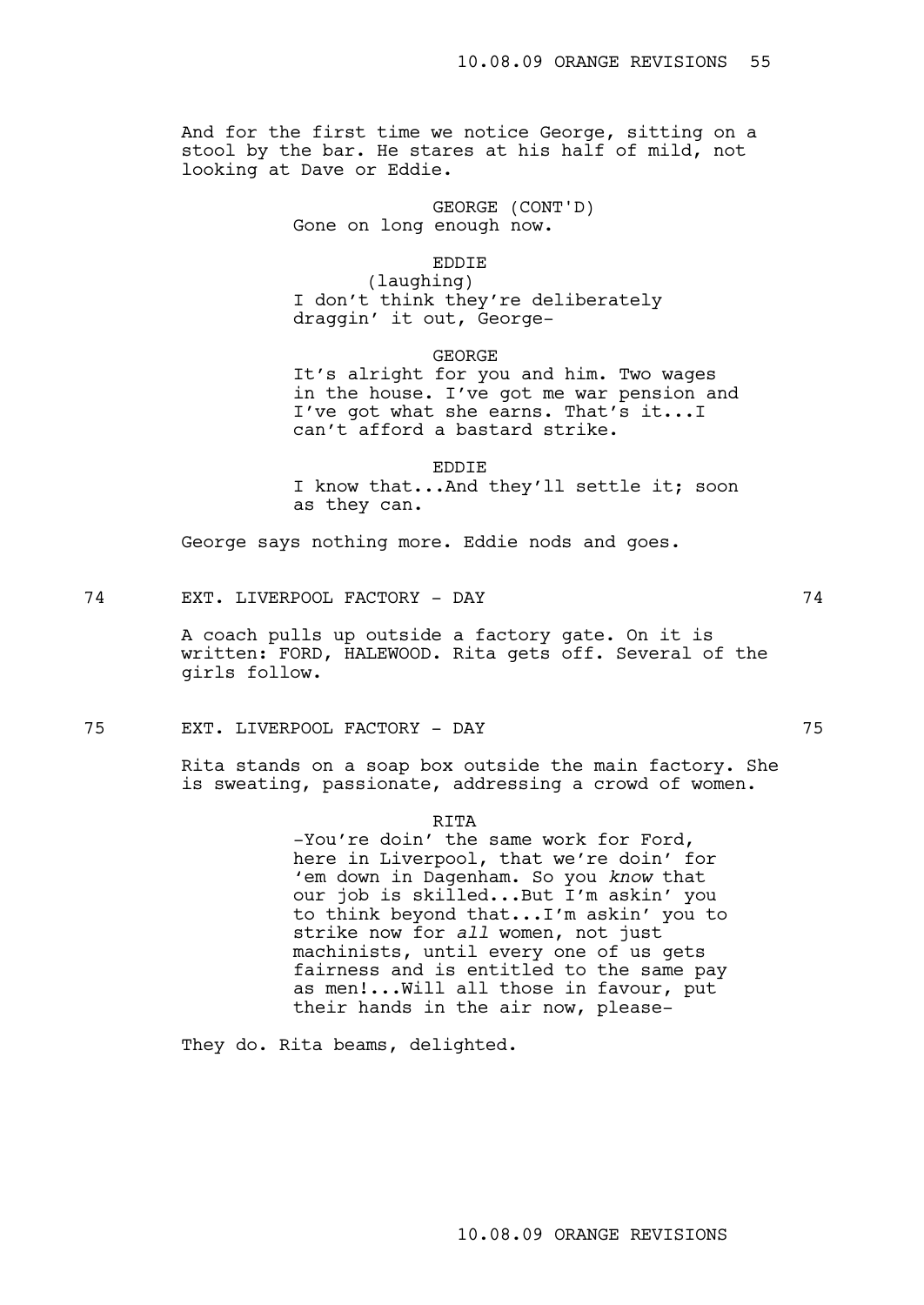And for the first time we notice George, sitting on a stool by the bar. He stares at his half of mild, not looking at Dave or Eddie.

> GEORGE (CONT'D) Gone on long enough now.

> > EDDIE

(laughing) I don't think they're deliberately draggin' it out, George-

GEORGE

It's alright for you and him. Two wages in the house. I've got me war pension and I've got what she earns. That's it...I can't afford a bastard strike.

EDDIE I know that...And they'll settle it; soon as they can.

George says nothing more. Eddie nods and goes.

74 EXT. LIVERPOOL FACTORY - DAY 74

A coach pulls up outside a factory gate. On it is written: FORD, HALEWOOD. Rita gets off. Several of the girls follow.

75 EXT. LIVERPOOL FACTORY - DAY 75

Rita stands on a soap box outside the main factory. She is sweating, passionate, addressing a crowd of women.

RITA

-You're doin' the same work for Ford, here in Liverpool, that we're doin' for 'em down in Dagenham. So you *know* that our job is skilled...But I'm askin' you to think beyond that...I'm askin' you to strike now for *all* women, not just machinists, until every one of us gets fairness and is entitled to the same pay as men!...Will all those in favour, put their hands in the air now, please-

They do. Rita beams, delighted.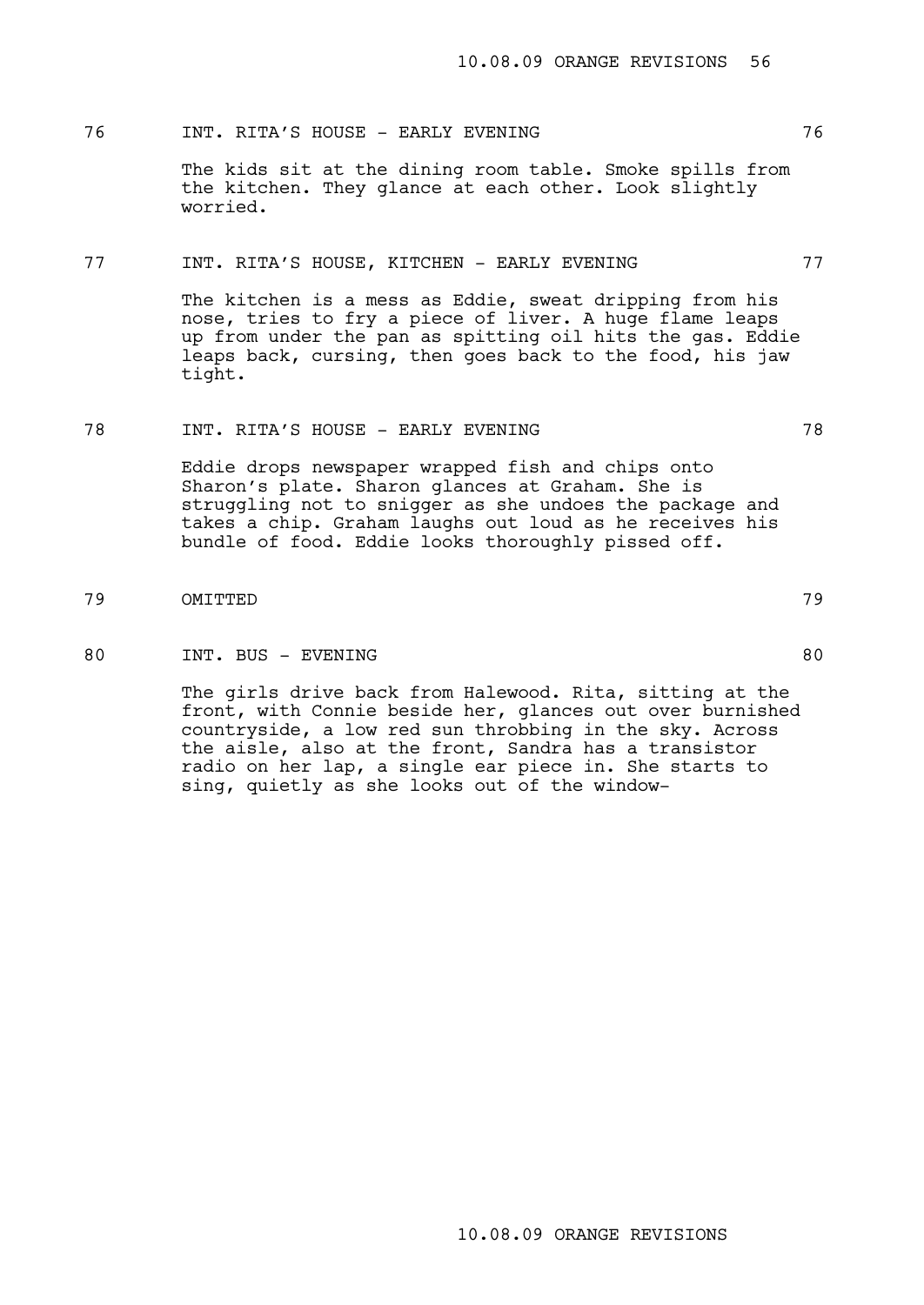# 76 INT. RITA'S HOUSE - EARLY EVENING 76

The kids sit at the dining room table. Smoke spills from the kitchen. They glance at each other. Look slightly worried.

### 77 INT. RITA'S HOUSE, KITCHEN - EARLY EVENING 77

The kitchen is a mess as Eddie, sweat dripping from his nose, tries to fry a piece of liver. A huge flame leaps up from under the pan as spitting oil hits the gas. Eddie leaps back, cursing, then goes back to the food, his jaw tight.

# 78 INT. RITA'S HOUSE - EARLY EVENING 78

Eddie drops newspaper wrapped fish and chips onto Sharon's plate. Sharon glances at Graham. She is struggling not to snigger as she undoes the package and takes a chip. Graham laughs out loud as he receives his bundle of food. Eddie looks thoroughly pissed off.

79 OMITTED 79

80 INT. BUS - EVENING 80 and the set of the set of the set of the set of the set of the set of the set of the set of the set of the set of the set of the set of the set of the set of the set of the set of the set of the se

The girls drive back from Halewood. Rita, sitting at the front, with Connie beside her, glances out over burnished countryside, a low red sun throbbing in the sky. Across the aisle, also at the front, Sandra has a transistor radio on her lap, a single ear piece in. She starts to sing, quietly as she looks out of the window-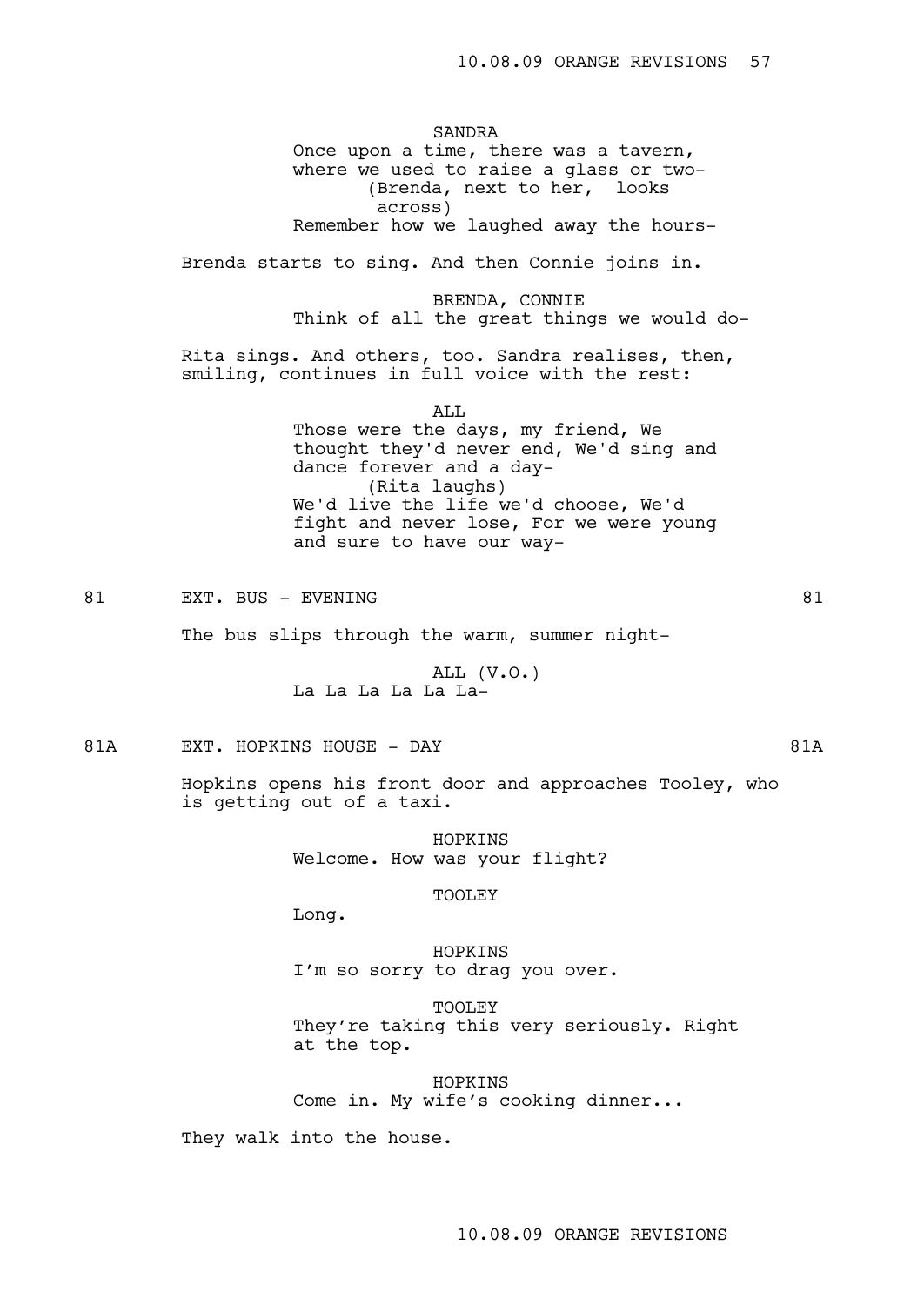SANDRA Once upon a time, there was a tavern, where we used to raise a glass or two- (Brenda, next to her, looks across) Remember how we laughed away the hours-

Brenda starts to sing. And then Connie joins in.

BRENDA, CONNIE Think of all the great things we would do-

Rita sings. And others, too. Sandra realises, then, smiling, continues in full voice with the rest:

> ALL Those were the days, my friend, We thought they'd never end, We'd sing and dance forever and a day- (Rita laughs) We'd live the life we'd choose, We'd fight and never lose, For we were young and sure to have our way-

81 EXT. BUS - EVENING RESOLUTION AND STRAIN BY STRAIN BY

The bus slips through the warm, summer night-

ALL (V.O.) La La La La La La-

81A EXT. HOPKINS HOUSE - DAY 81A

Hopkins opens his front door and approaches Tooley, who is getting out of a taxi.

> HOPKINS Welcome. How was your flight?

> > TOOLEY

HOPKINS

I'm so sorry to drag you over.

TOOLEY They're taking this very seriously. Right at the top.

HOPKINS Come in. My wife's cooking dinner...

They walk into the house.

Long.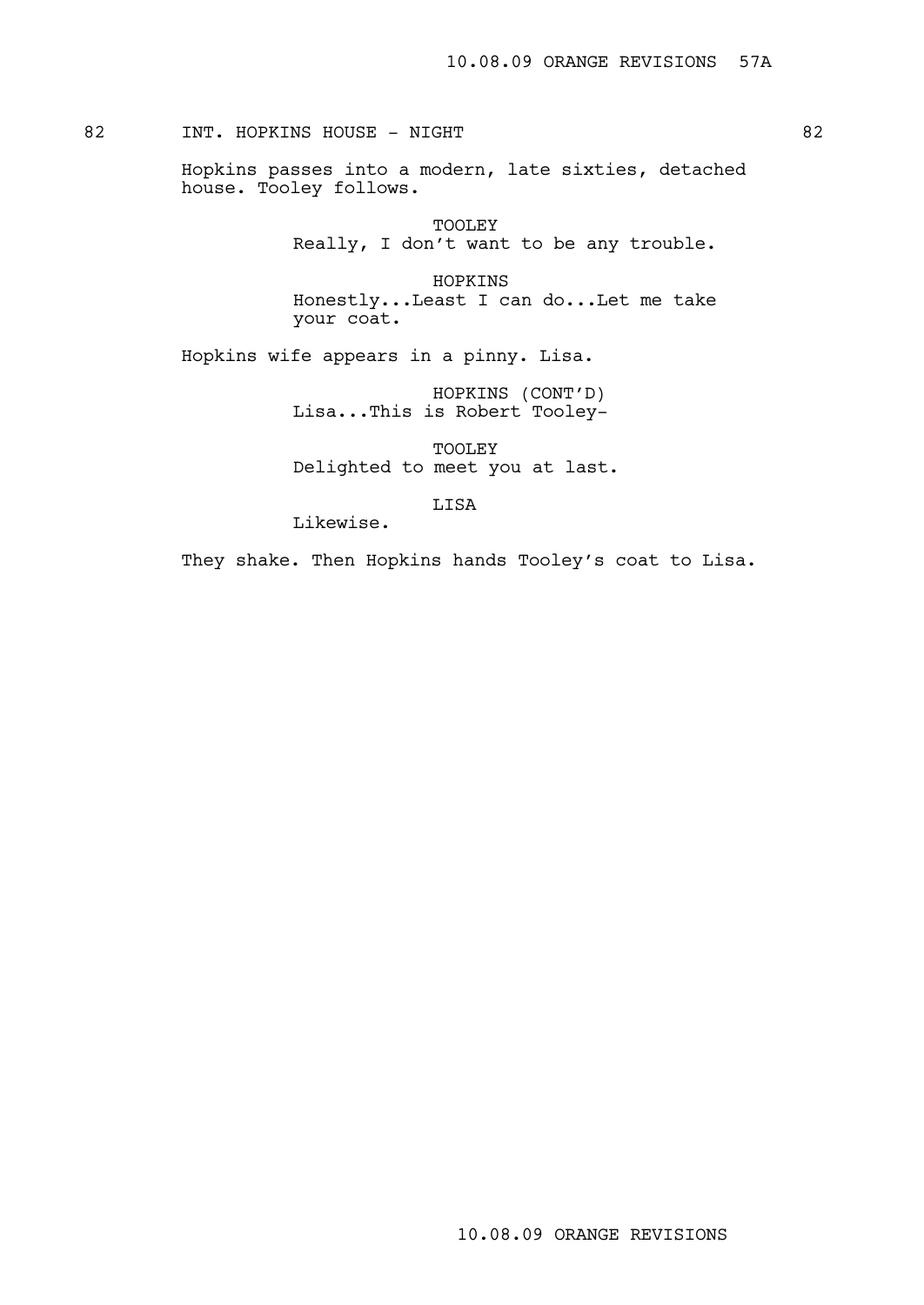# 82 INT. HOPKINS HOUSE - NIGHT 82

Hopkins passes into a modern, late sixties, detached house. Tooley follows.

> TOOLEY Really, I don't want to be any trouble.

> HOPKINS Honestly...Least I can do...Let me take your coat.

Hopkins wife appears in a pinny. Lisa.

HOPKINS (CONT'D) Lisa...This is Robert Tooley-

TOOLEY Delighted to meet you at last.

LISA

Likewise.

They shake. Then Hopkins hands Tooley's coat to Lisa.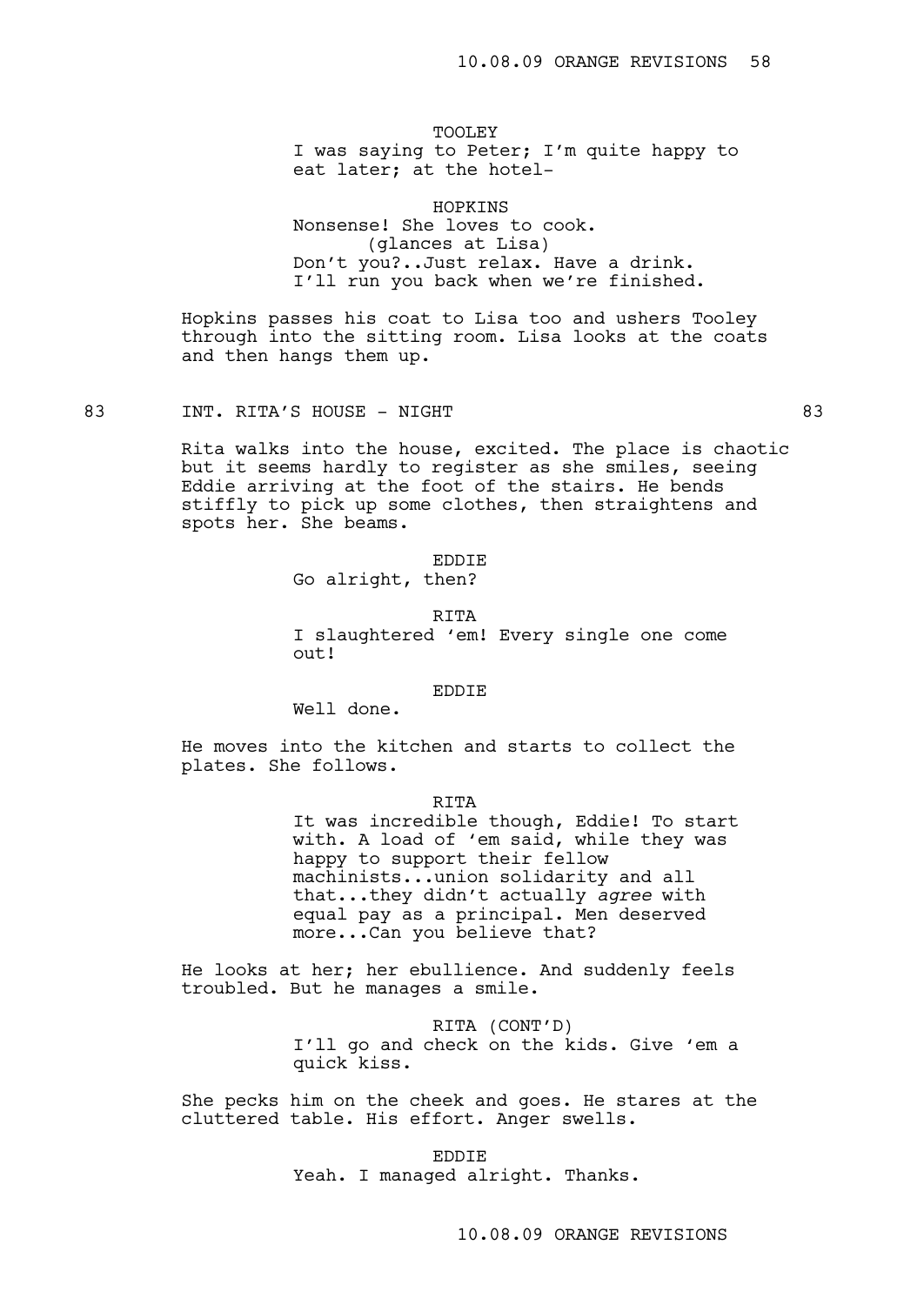TOOLEY I was saying to Peter; I'm quite happy to eat later; at the hotel-

HOPKINS Nonsense! She loves to cook. (glances at Lisa) Don't you?..Just relax. Have a drink. I'll run you back when we're finished.

Hopkins passes his coat to Lisa too and ushers Tooley through into the sitting room. Lisa looks at the coats and then hangs them up.

83 INT. RITA'S HOUSE - NIGHT BOOK AND RESERVE ASSESSED.

Rita walks into the house, excited. The place is chaotic but it seems hardly to register as she smiles, seeing Eddie arriving at the foot of the stairs. He bends stiffly to pick up some clothes, then straightens and spots her. She beams.

> EDDIE Go alright, then?

RITA I slaughtered 'em! Every single one come out!

#### EDDIE

Well done.

He moves into the kitchen and starts to collect the plates. She follows.

#### RITA

It was incredible though, Eddie! To start with. A load of 'em said, while they was happy to support their fellow machinists...union solidarity and all that...they didn't actually *agree* with equal pay as a principal. Men deserved more...Can you believe that?

He looks at her; her ebullience. And suddenly feels troubled. But he manages a smile.

> RITA (CONT'D) I'll go and check on the kids. Give 'em a quick kiss.

She pecks him on the cheek and goes. He stares at the cluttered table. His effort. Anger swells.

#### EDDIE

Yeah. I managed alright. Thanks.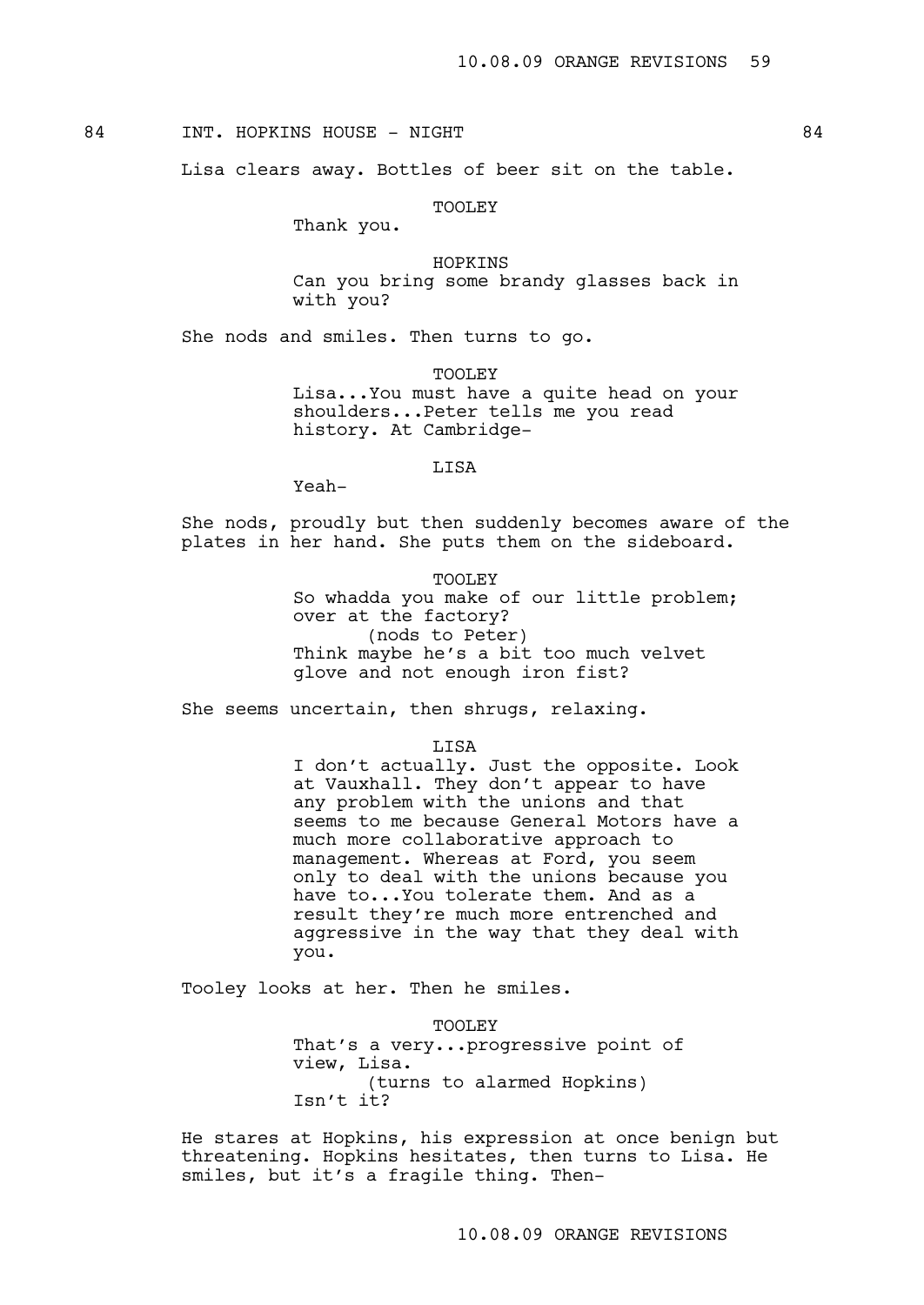## 84 INT. HOPKINS HOUSE - NIGHT NOTED SATE OF REAL PROPERTY ASSESSED.

Lisa clears away. Bottles of beer sit on the table.

#### TOOLEY

Thank you.

#### HOPKINS

Can you bring some brandy glasses back in with you?

She nods and smiles. Then turns to go.

TOOLEY

Lisa...You must have a quite head on your shoulders...Peter tells me you read history. At Cambridge-

#### LISA

Yeah-

She nods, proudly but then suddenly becomes aware of the plates in her hand. She puts them on the sideboard.

TOOLEY

So whadda you make of our little problem; over at the factory? (nods to Peter) Think maybe he's a bit too much velvet glove and not enough iron fist?

She seems uncertain, then shrugs, relaxing.

LISA

I don't actually. Just the opposite. Look at Vauxhall. They don't appear to have any problem with the unions and that seems to me because General Motors have a much more collaborative approach to management. Whereas at Ford, you seem only to deal with the unions because you have to...You tolerate them. And as a result they're much more entrenched and aggressive in the way that they deal with you.

Tooley looks at her. Then he smiles.

TOOLEY That's a very...progressive point of view, Lisa. (turns to alarmed Hopkins) Isn't it?

He stares at Hopkins, his expression at once benign but threatening. Hopkins hesitates, then turns to Lisa. He smiles, but it's a fragile thing. Then-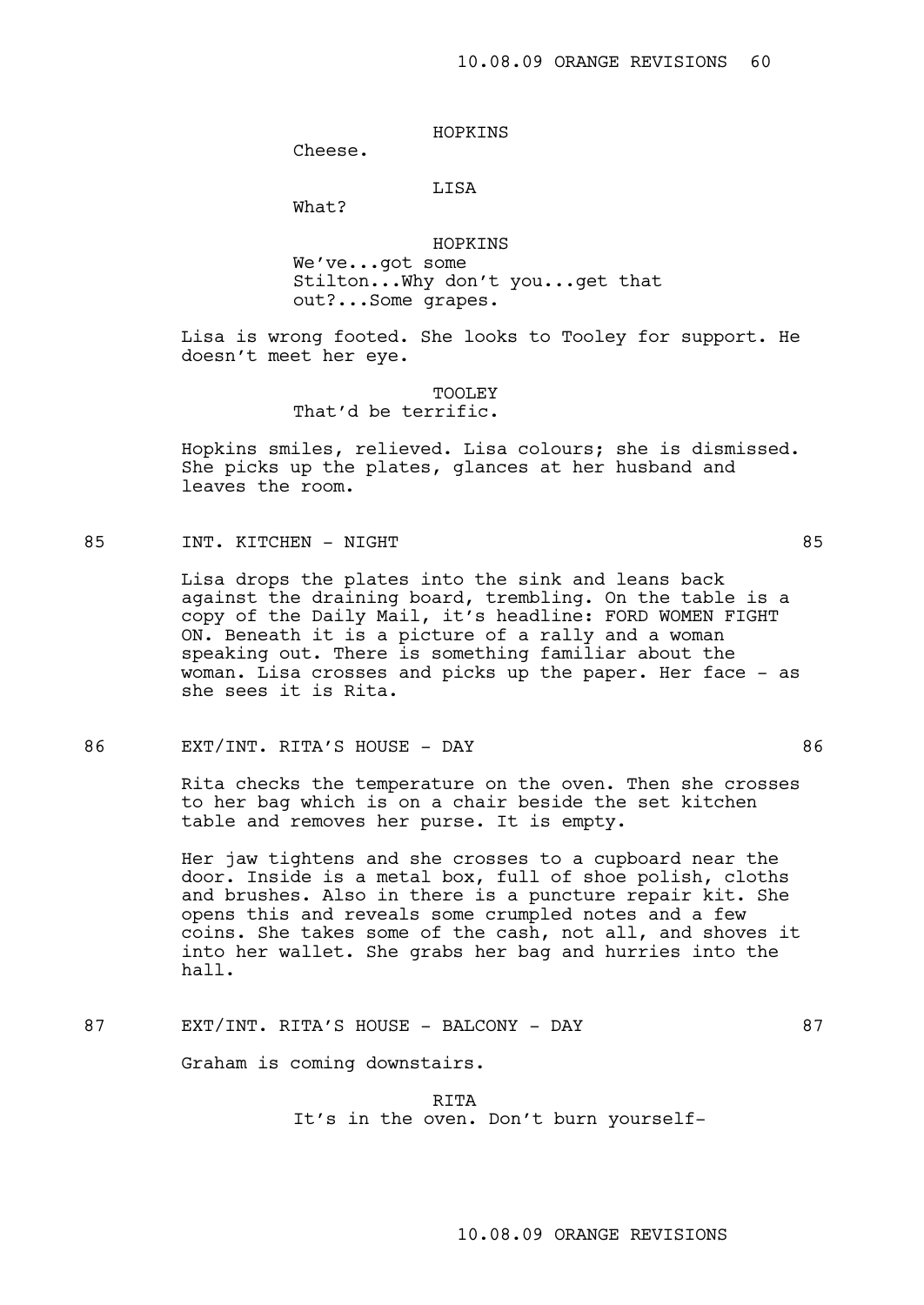## HOPKINS

Cheese.

## LISA

What?

HOPKINS We've...got some Stilton...Why don't you...get that out?...Some grapes.

Lisa is wrong footed. She looks to Tooley for support. He doesn't meet her eye.

# TOOLEY

That'd be terrific.

Hopkins smiles, relieved. Lisa colours; she is dismissed. She picks up the plates, glances at her husband and leaves the room.

85 INT. KITCHEN – NIGHT 85

Lisa drops the plates into the sink and leans back against the draining board, trembling. On the table is a copy of the Daily Mail, it's headline: FORD WOMEN FIGHT ON. Beneath it is a picture of a rally and a woman speaking out. There is something familiar about the woman. Lisa crosses and picks up the paper. Her face - as she sees it is Rita.

86 EXT/INT. RITA'S HOUSE - DAY 86

Rita checks the temperature on the oven. Then she crosses to her bag which is on a chair beside the set kitchen table and removes her purse. It is empty.

Her jaw tightens and she crosses to a cupboard near the door. Inside is a metal box, full of shoe polish, cloths and brushes. Also in there is a puncture repair kit. She opens this and reveals some crumpled notes and a few coins. She takes some of the cash, not all, and shoves it into her wallet. She grabs her bag and hurries into the hall.

87 EXT/INT. RITA'S HOUSE - BALCONY - DAY 67

Graham is coming downstairs.

RITA It's in the oven. Don't burn yourself-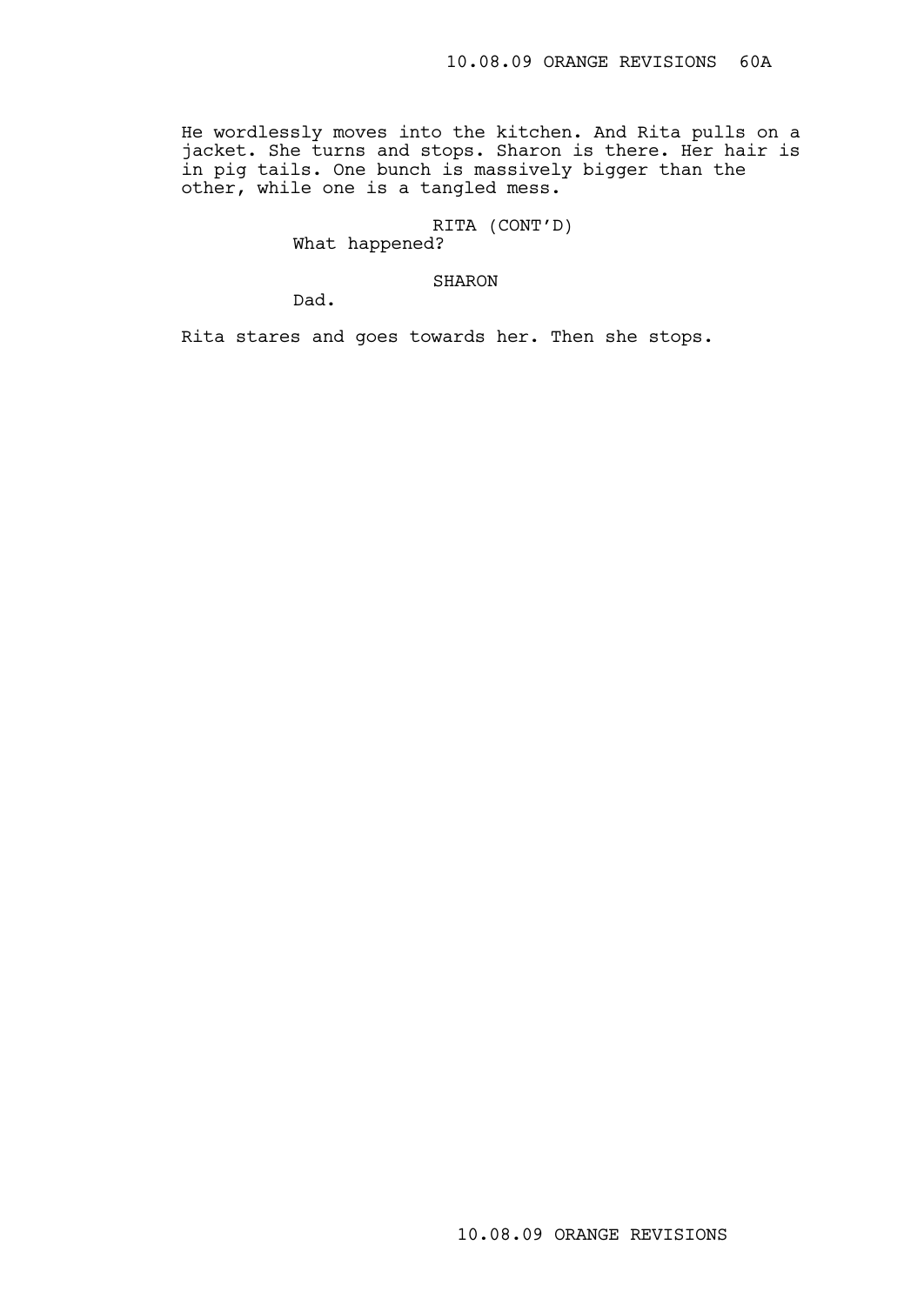He wordlessly moves into the kitchen. And Rita pulls on a jacket. She turns and stops. Sharon is there. Her hair is in pig tails. One bunch is massively bigger than the other, while one is a tangled mess.

# RITA (CONT'D)

What happened?

#### SHARON

Dad.

Rita stares and goes towards her. Then she stops.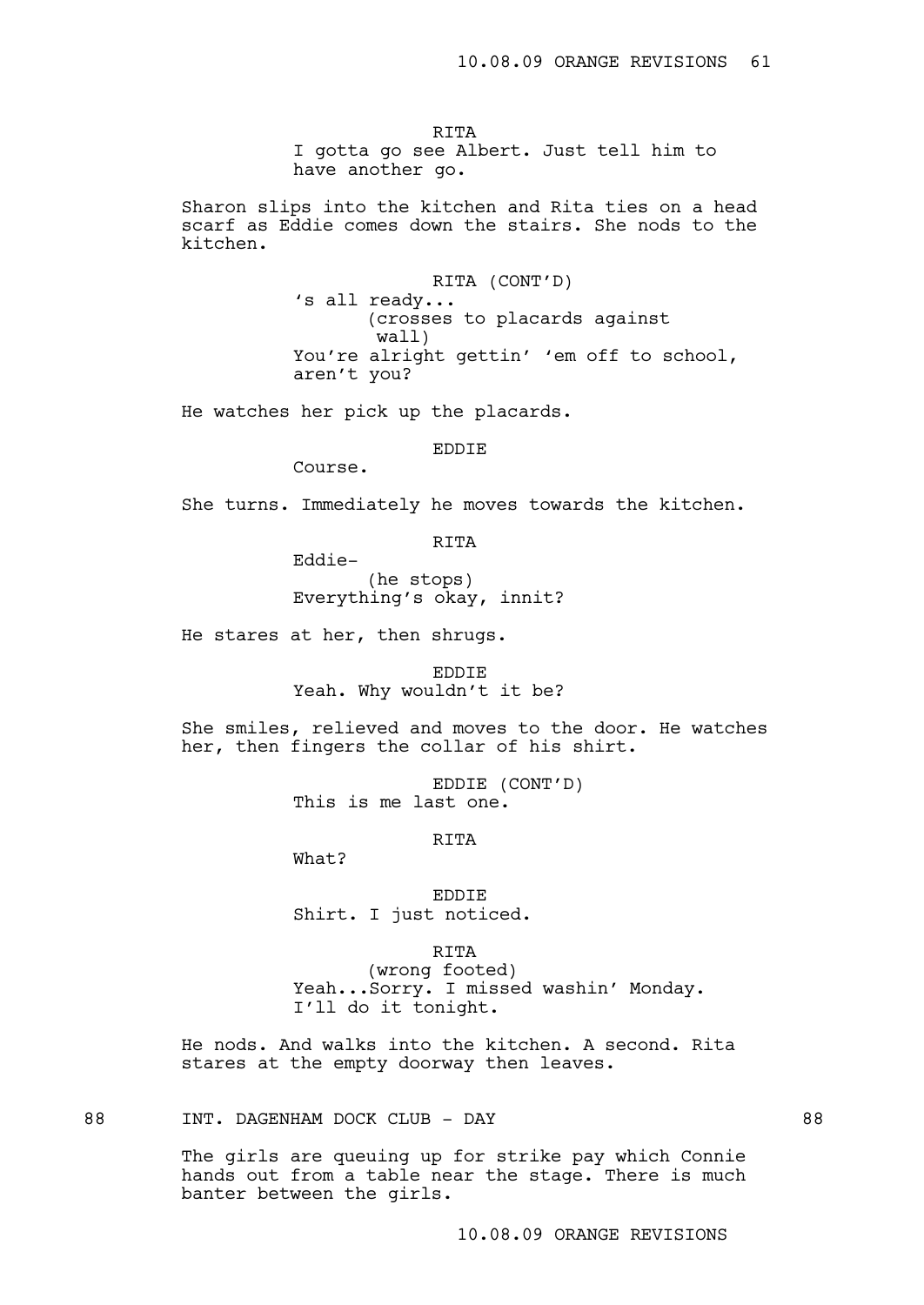RITA

I gotta go see Albert. Just tell him to have another go.

Sharon slips into the kitchen and Rita ties on a head scarf as Eddie comes down the stairs. She nods to the kitchen.

RITA (CONT'D)

's all ready... (crosses to placards against wall) You're alright gettin' 'em off to school, aren't you?

He watches her pick up the placards.

#### EDDIE

Course.

Eddie-

She turns. Immediately he moves towards the kitchen.

RITA

(he stops) Everything's okay, innit?

He stares at her, then shrugs.

EDDIE Yeah. Why wouldn't it be?

She smiles, relieved and moves to the door. He watches her, then fingers the collar of his shirt.

> EDDIE (CONT'D) This is me last one.

> > RITA

What?

EDDIE Shirt. I just noticed.

RITA

(wrong footed) Yeah...Sorry. I missed washin' Monday. I'll do it tonight.

He nods. And walks into the kitchen. A second. Rita stares at the empty doorway then leaves.

88 INT. DAGENHAM DOCK CLUB - DAY 68

The girls are queuing up for strike pay which Connie hands out from a table near the stage. There is much banter between the girls.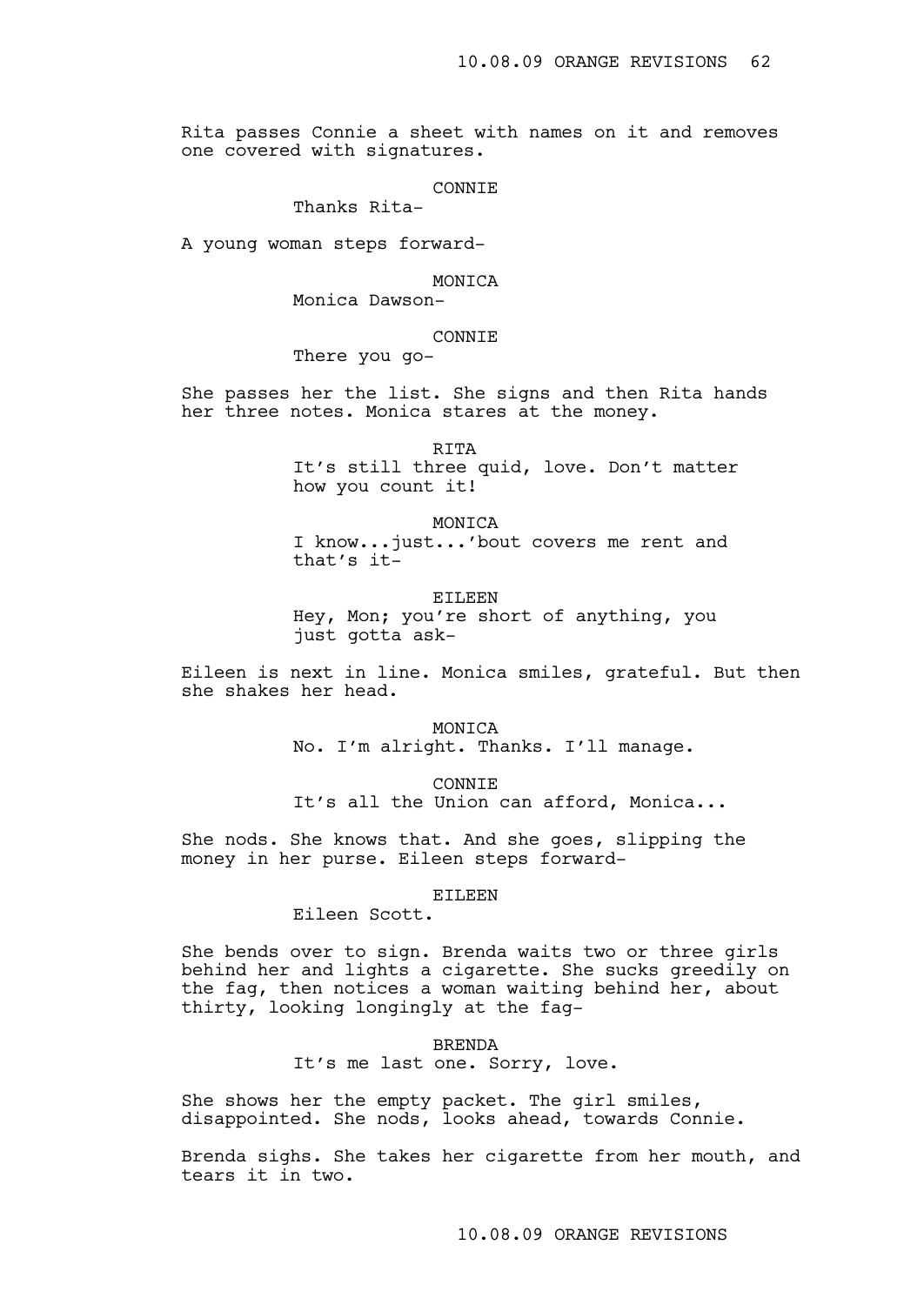Rita passes Connie a sheet with names on it and removes one covered with signatures.

### CONNIE

Thanks Rita-

A young woman steps forward-

#### MONICA

Monica Dawson-

#### CONNIE

There you go-

She passes her the list. She signs and then Rita hands her three notes. Monica stares at the money.

RITA

It's still three quid, love. Don't matter how you count it!

MONICA

I know...just...'bout covers me rent and that's it-

EILEEN Hey, Mon; you're short of anything, you just gotta ask-

Eileen is next in line. Monica smiles, grateful. But then she shakes her head.

> MONICA No. I'm alright. Thanks. I'll manage.

CONNIE It's all the Union can afford, Monica...

She nods. She knows that. And she goes, slipping the money in her purse. Eileen steps forward-

## EILEEN

Eileen Scott.

She bends over to sign. Brenda waits two or three girls behind her and lights a cigarette. She sucks greedily on the fag, then notices a woman waiting behind her, about thirty, looking longingly at the fag-

BRENDA

It's me last one. Sorry, love.

She shows her the empty packet. The girl smiles, disappointed. She nods, looks ahead, towards Connie.

Brenda sighs. She takes her cigarette from her mouth, and tears it in two.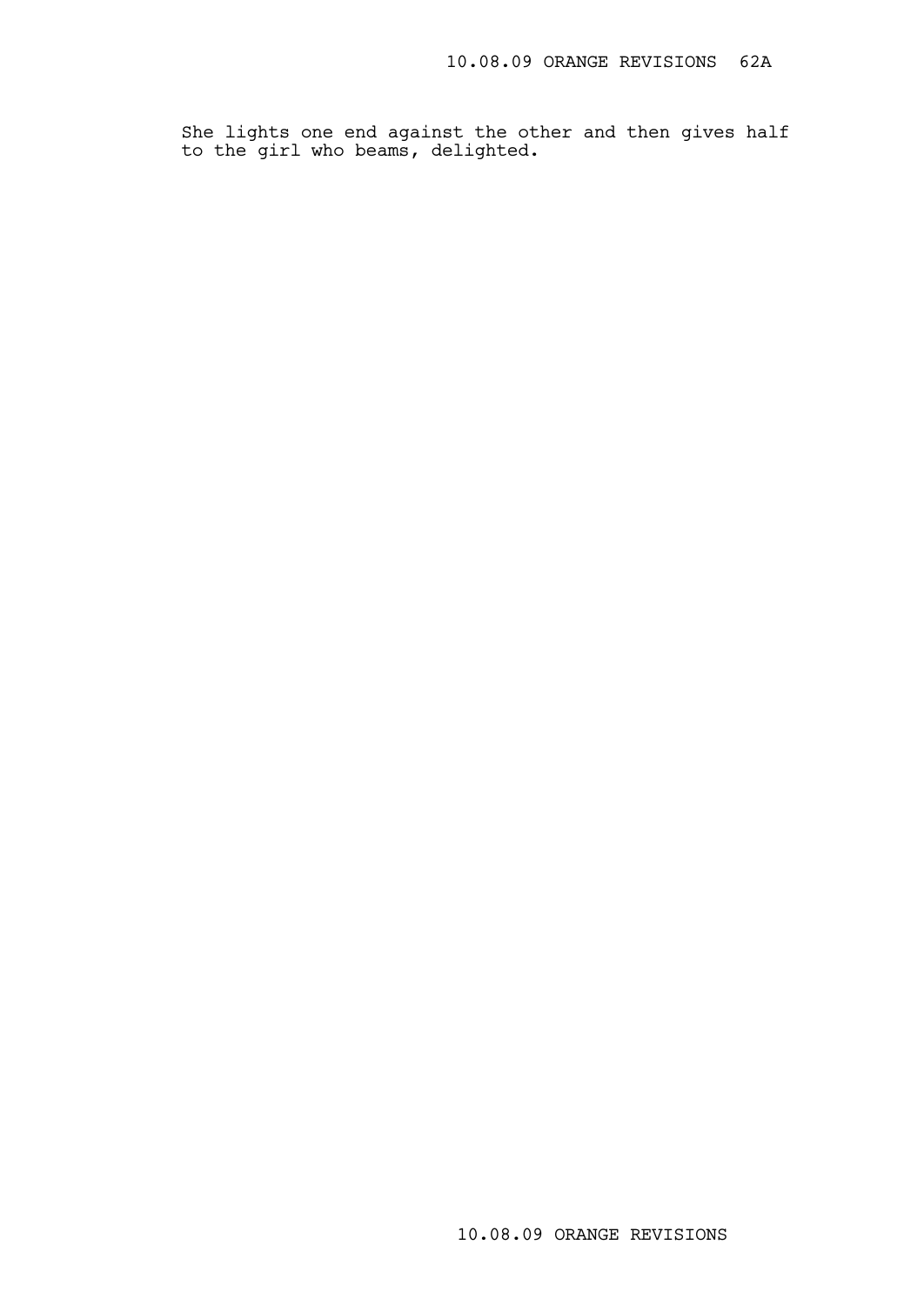She lights one end against the other and then gives half to the girl who beams, delighted.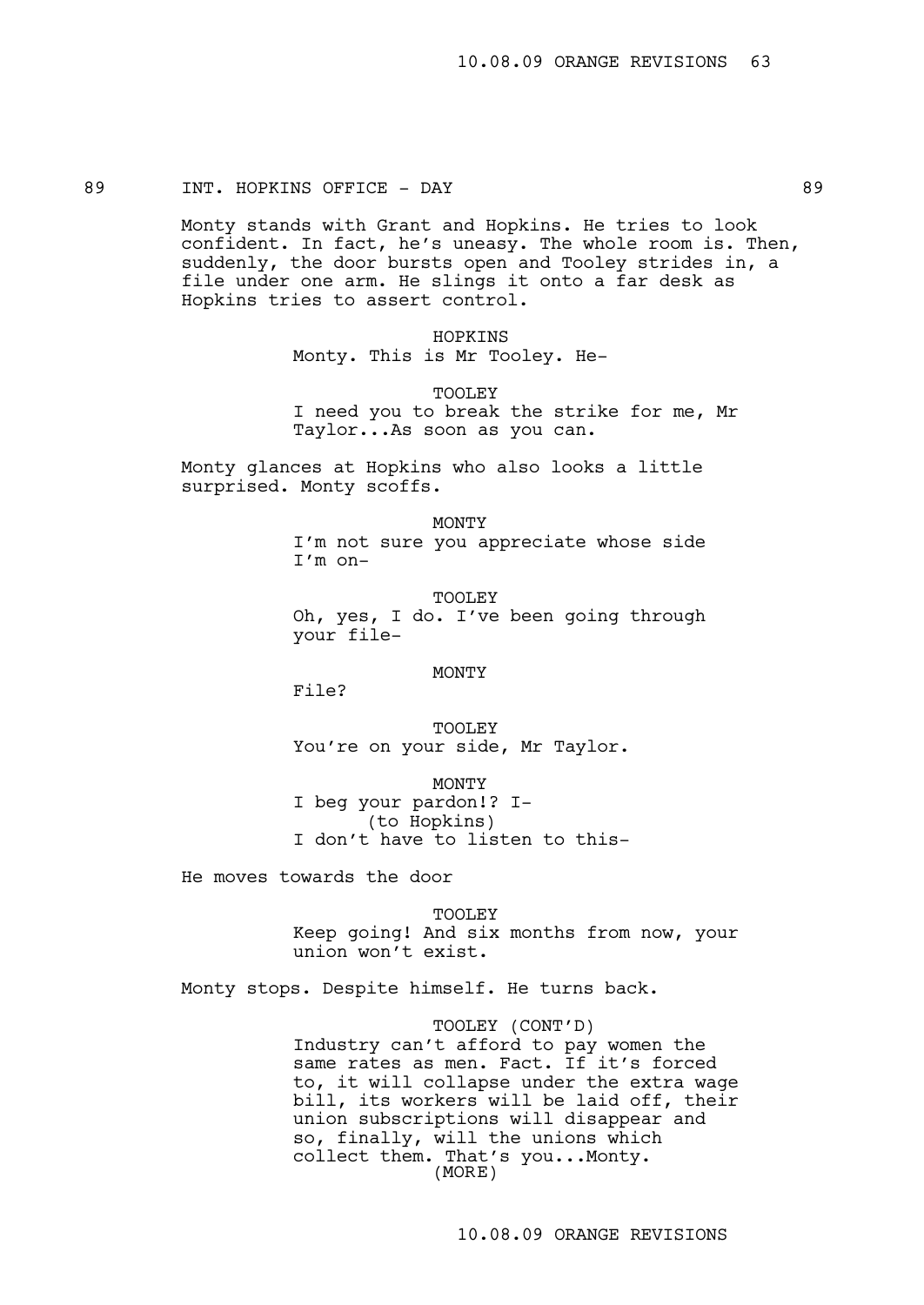### 89 INT. HOPKINS OFFICE - DAY 89

Monty stands with Grant and Hopkins. He tries to look confident. In fact, he's uneasy. The whole room is. Then, suddenly, the door bursts open and Tooley strides in, a file under one arm. He slings it onto a far desk as Hopkins tries to assert control.

> HOPKINS Monty. This is Mr Tooley. He-

TOOLEY I need you to break the strike for me, Mr Taylor...As soon as you can.

Monty glances at Hopkins who also looks a little surprised. Monty scoffs.

> MONTY I'm not sure you appreciate whose side I'm on-

TOOLEY Oh, yes, I do. I've been going through your file-

#### MONTY

File?

TOOLEY You're on your side, Mr Taylor.

MONTY I beg your pardon!? I- (to Hopkins) I don't have to listen to this-

He moves towards the door

TOOLEY Keep going! And six months from now, your union won't exist.

Monty stops. Despite himself. He turns back.

TOOLEY (CONT'D) Industry can't afford to pay women the same rates as men. Fact. If it's forced to, it will collapse under the extra wage bill, its workers will be laid off, their union subscriptions will disappear and so, finally, will the unions which collect them. That's you...Monty. (MORE)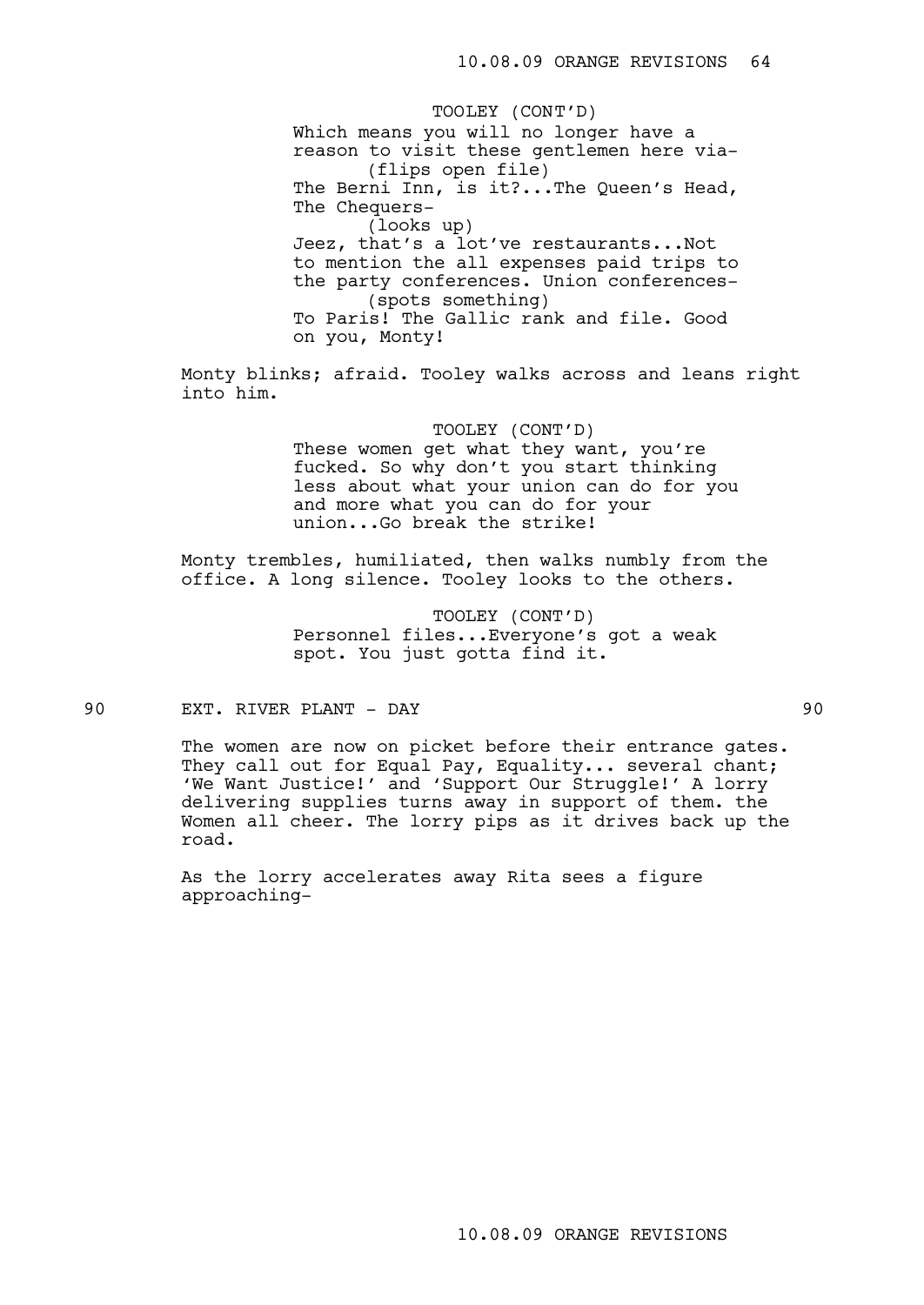Which means you will no longer have a reason to visit these gentlemen here via- (flips open file) The Berni Inn, is it?...The Queen's Head, The Chequers- (looks up) Jeez, that's a lot've restaurants...Not to mention the all expenses paid trips to the party conferences. Union conferences- (spots something) To Paris! The Gallic rank and file. Good on you, Monty! TOOLEY (CONT'D)

Monty blinks; afraid. Tooley walks across and leans right into him.

TOOLEY (CONT'D)

These women get what they want, you're fucked. So why don't you start thinking less about what your union can do for you and more what you can do for your union...Go break the strike!

Monty trembles, humiliated, then walks numbly from the office. A long silence. Tooley looks to the others.

> TOOLEY (CONT'D) Personnel files...Everyone's got a weak spot. You just gotta find it.

90 EXT. RIVER PLANT - DAY 90

The women are now on picket before their entrance gates. They call out for Equal Pay, Equality... several chant; 'We Want Justice!' and 'Support Our Struggle!' A lorry delivering supplies turns away in support of them. the Women all cheer. The lorry pips as it drives back up the road.

As the lorry accelerates away Rita sees a figure approaching-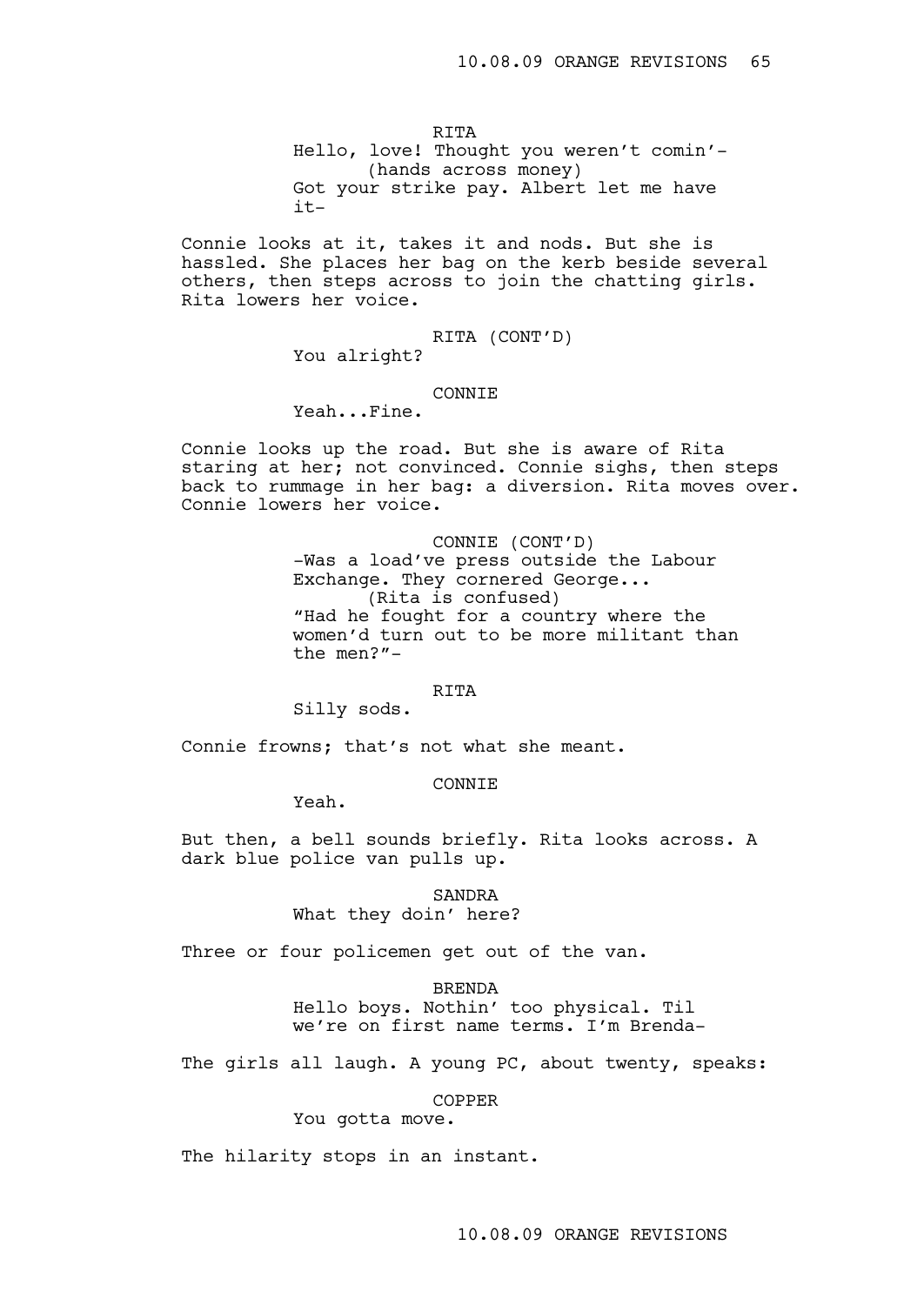RITA Hello, love! Thought you weren't comin'- (hands across money) Got your strike pay. Albert let me have it-

Connie looks at it, takes it and nods. But she is hassled. She places her bag on the kerb beside several others, then steps across to join the chatting girls. Rita lowers her voice.

#### RITA (CONT'D)

You alright?

### CONNIE

Yeah...Fine.

Connie looks up the road. But she is aware of Rita staring at her; not convinced. Connie sighs, then steps back to rummage in her bag: a diversion. Rita moves over. Connie lowers her voice.

> CONNIE (CONT'D) -Was a load've press outside the Labour Exchange. They cornered George... (Rita is confused) "Had he fought for a country where the women'd turn out to be more militant than the men?"-

#### RITA

Silly sods.

Connie frowns; that's not what she meant.

## **CONNTE**

Yeah.

But then, a bell sounds briefly. Rita looks across. A dark blue police van pulls up.

SANDRA

What they doin' here?

Three or four policemen get out of the van.

BRENDA Hello boys. Nothin' too physical. Til we're on first name terms. I'm Brenda-

The girls all laugh. A young PC, about twenty, speaks:

COPPER

You gotta move.

The hilarity stops in an instant.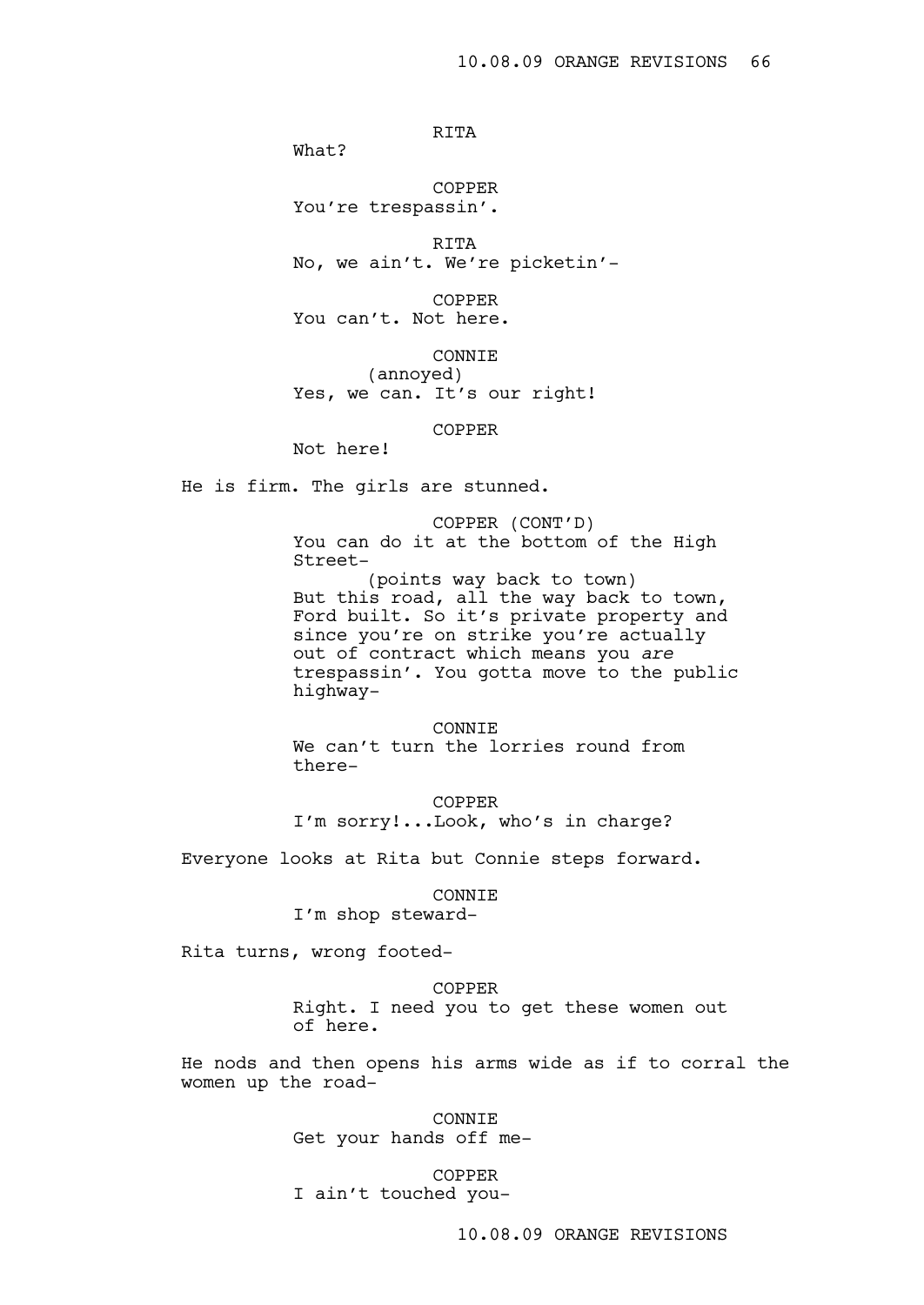# RITA

What?

COPPER You're trespassin'.

RITA No, we ain't. We're picketin'-

COPPER You can't. Not here.

#### CONNIE

(annoyed) Yes, we can. It's our right!

COPPER

Not here!

He is firm. The girls are stunned.

COPPER (CONT'D) You can do it at the bottom of the High Street-

(points way back to town) But this road, all the way back to town, Ford built. So it's private property and since you're on strike you're actually out of contract which means you *are* trespassin'. You gotta move to the public highway-

CONNIE We can't turn the lorries round from there-

COPPER I'm sorry!...Look, who's in charge?

Everyone looks at Rita but Connie steps forward.

### CONNIE

I'm shop steward-

Rita turns, wrong footed-

COPPER

Right. I need you to get these women out of here.

He nods and then opens his arms wide as if to corral the women up the road-

> **CONNTE** Get your hands off me-

COPPER I ain't touched you-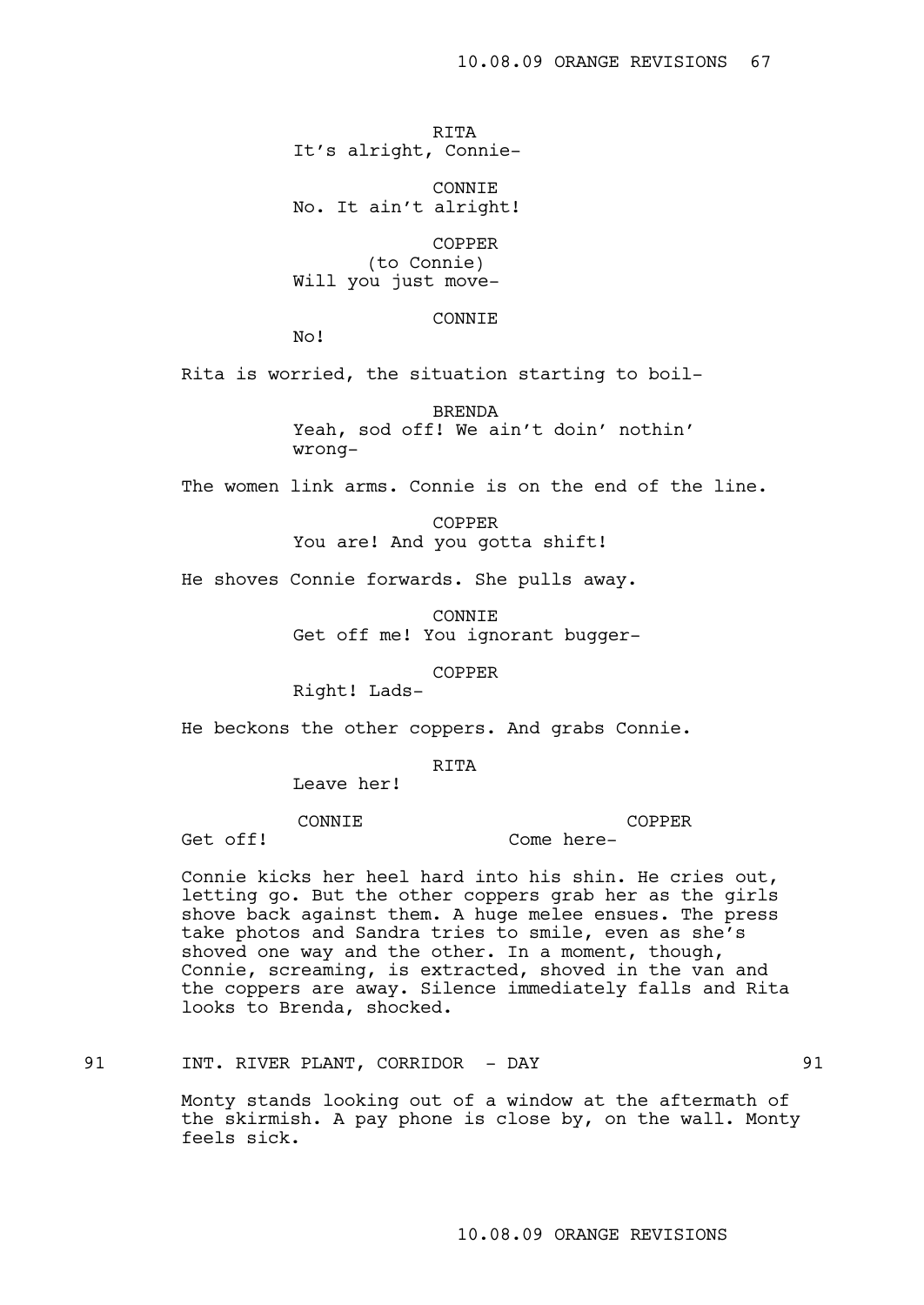RITA It's alright, Connie-

CONNIE No. It ain't alright!

COPPER (to Connie) Will you just move-

CONNIE

No!

Rita is worried, the situation starting to boil-

BRENDA Yeah, sod off! We ain't doin' nothin' wrong-

The women link arms. Connie is on the end of the line.

COPPER You are! And you gotta shift!

He shoves Connie forwards. She pulls away.

CONNIE Get off me! You ignorant bugger-

COPPER

Right! Lads-

He beckons the other coppers. And grabs Connie.

RITA

Leave her!

CONNIE

COPPER

Get off!

Come here-

Connie kicks her heel hard into his shin. He cries out, letting go. But the other coppers grab her as the girls shove back against them. A huge melee ensues. The press take photos and Sandra tries to smile, even as she's shoved one way and the other. In a moment, though, Connie, screaming, is extracted, shoved in the van and the coppers are away. Silence immediately falls and Rita looks to Brenda, shocked.

91 INT. RIVER PLANT, CORRIDOR - DAY 91

Monty stands looking out of a window at the aftermath of the skirmish. A pay phone is close by, on the wall. Monty feels sick.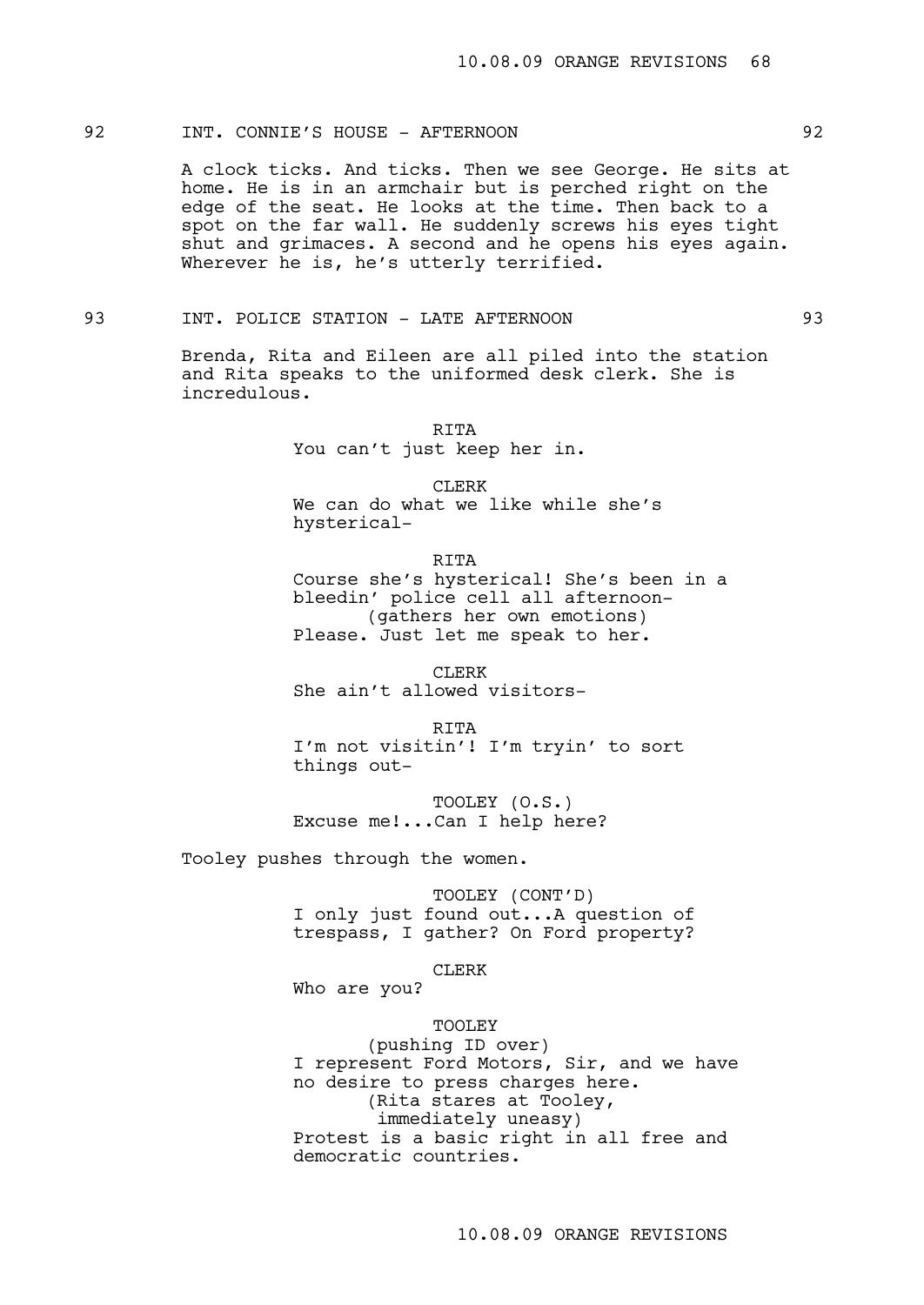## 92 INT. CONNIE'S HOUSE - AFTERNOON 92

A clock ticks. And ticks. Then we see George. He sits at home. He is in an armchair but is perched right on the edge of the seat. He looks at the time. Then back to a spot on the far wall. He suddenly screws his eyes tight shut and grimaces. A second and he opens his eyes again. Wherever he is, he's utterly terrified.

93 INT. POLICE STATION - LATE AFTERNOON 93

Brenda, Rita and Eileen are all piled into the station and Rita speaks to the uniformed desk clerk. She is incredulous.

> RITA You can't just keep her in.

CLERK We can do what we like while she's hysterical-

RITA Course she's hysterical! She's been in a bleedin' police cell all afternoon- (gathers her own emotions) Please. Just let me speak to her.

CLERK She ain't allowed visitors-

RITA I'm not visitin'! I'm tryin' to sort things out-

TOOLEY (O.S.) Excuse me!...Can I help here?

Tooley pushes through the women.

TOOLEY (CONT'D) I only just found out...A question of trespass, I gather? On Ford property?

CLERK

Who are you?

TOOLEY (pushing ID over) I represent Ford Motors, Sir, and we have no desire to press charges here. (Rita stares at Tooley, immediately uneasy) Protest is a basic right in all free and democratic countries.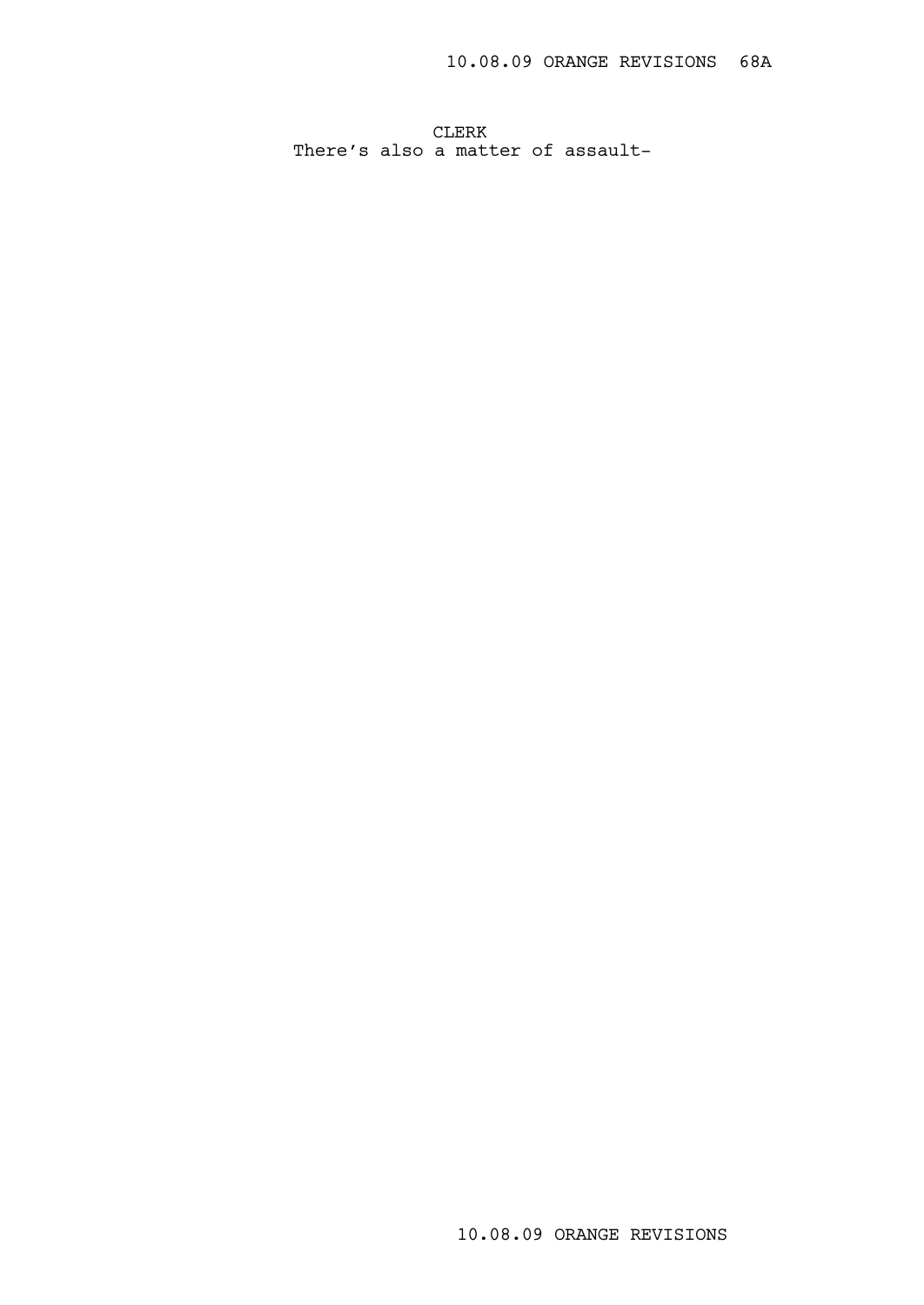CLERK There's also a matter of assault-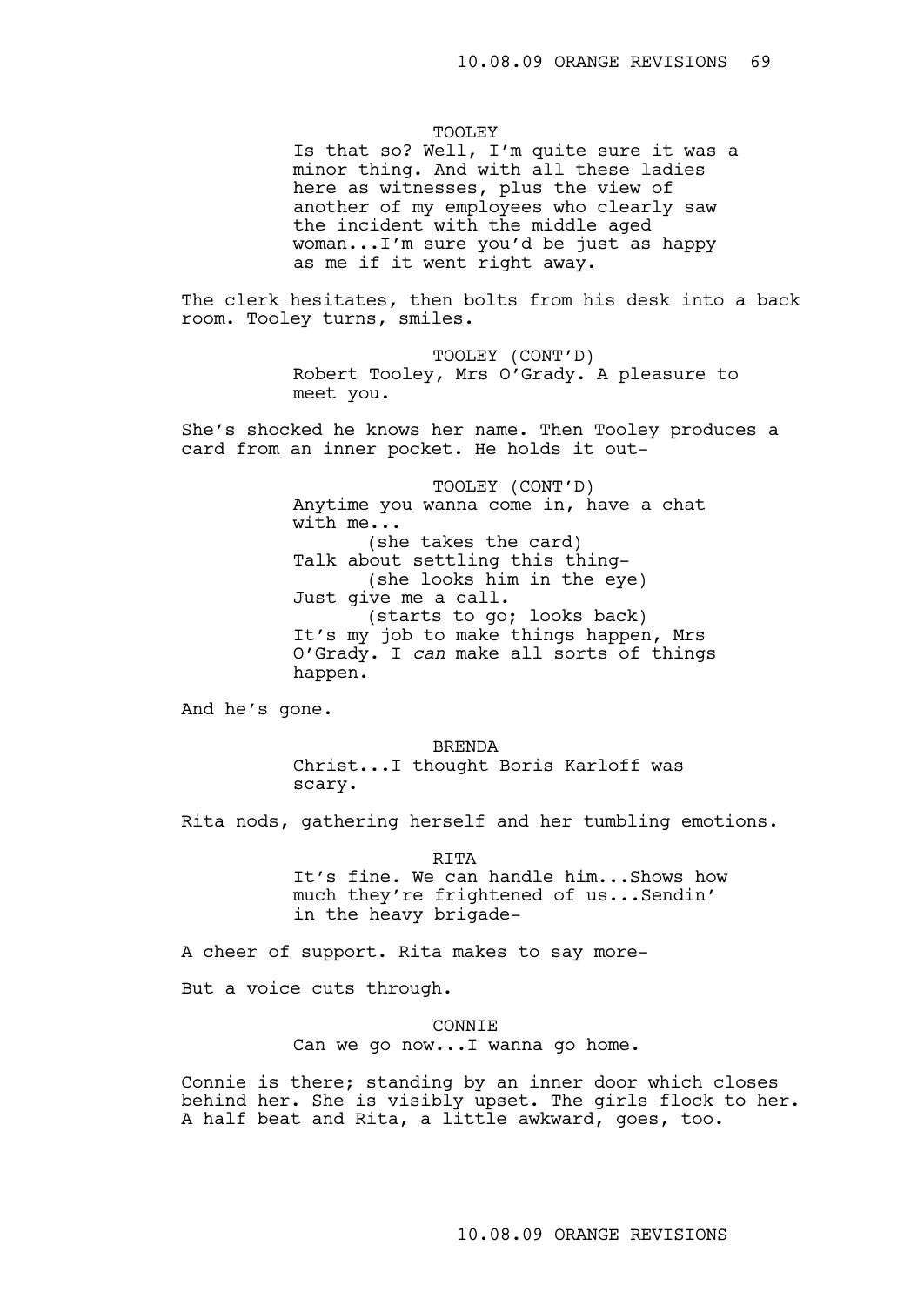#### TOOLEY

Is that so? Well, I'm quite sure it was a minor thing. And with all these ladies here as witnesses, plus the view of another of my employees who clearly saw the incident with the middle aged woman...I'm sure you'd be just as happy as me if it went right away.

The clerk hesitates, then bolts from his desk into a back room. Tooley turns, smiles.

> TOOLEY (CONT'D) Robert Tooley, Mrs O'Grady. A pleasure to meet you.

She's shocked he knows her name. Then Tooley produces a card from an inner pocket. He holds it out-

> TOOLEY (CONT'D) Anytime you wanna come in, have a chat with me... (she takes the card) Talk about settling this thing- (she looks him in the eye) Just give me a call. (starts to go; looks back) It's my job to make things happen, Mrs O'Grady. I *can* make all sorts of things happen.

And he's gone.

BRENDA Christ...I thought Boris Karloff was scary.

Rita nods, gathering herself and her tumbling emotions.

**RTTA** It's fine. We can handle him...Shows how much they're frightened of us...Sendin' in the heavy brigade-

A cheer of support. Rita makes to say more-

But a voice cuts through.

CONNIE Can we go now...I wanna go home.

Connie is there; standing by an inner door which closes behind her. She is visibly upset. The girls flock to her. A half beat and Rita, a little awkward, goes, too.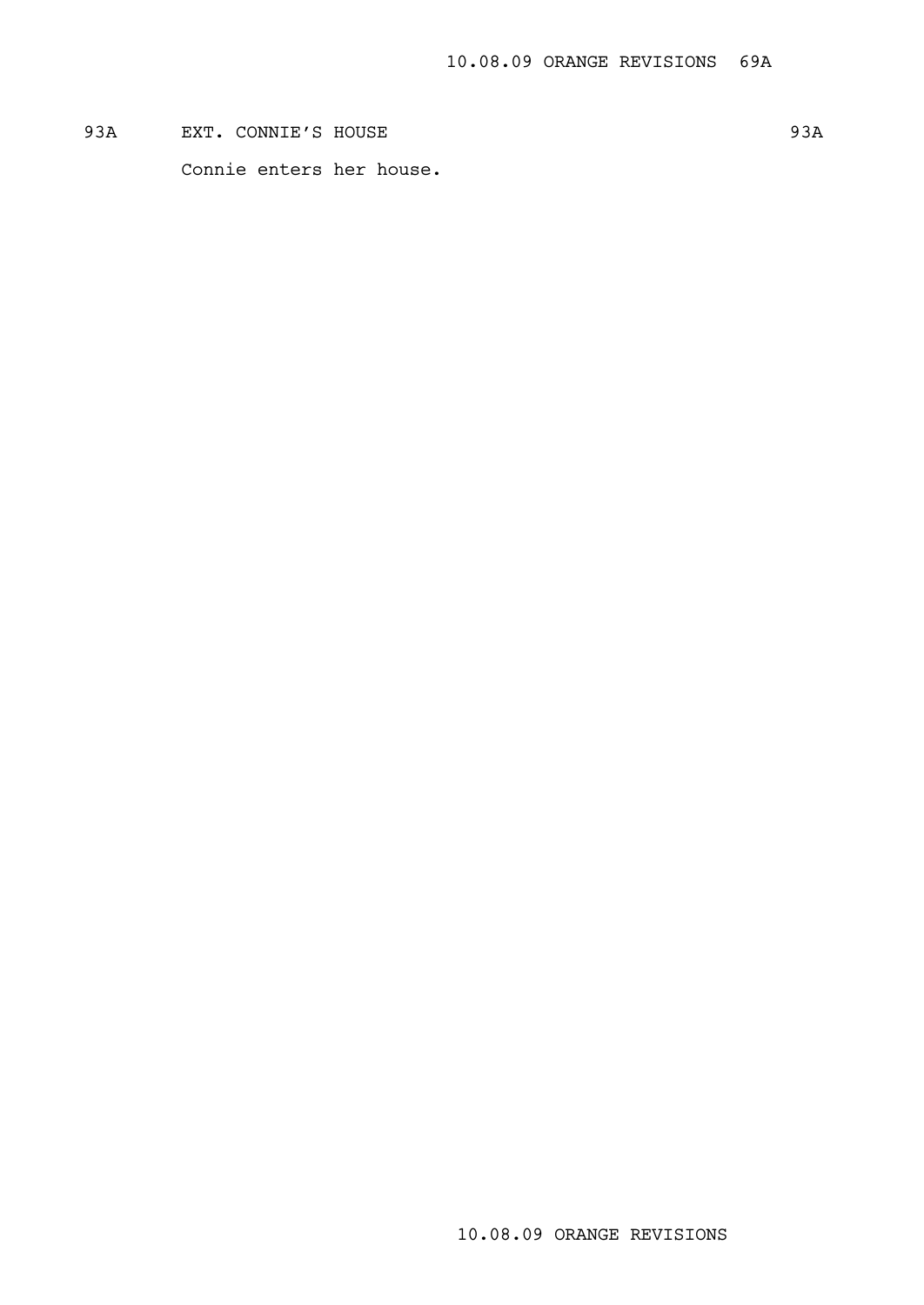93A EXT. CONNIE'S HOUSE 93A Connie enters her house.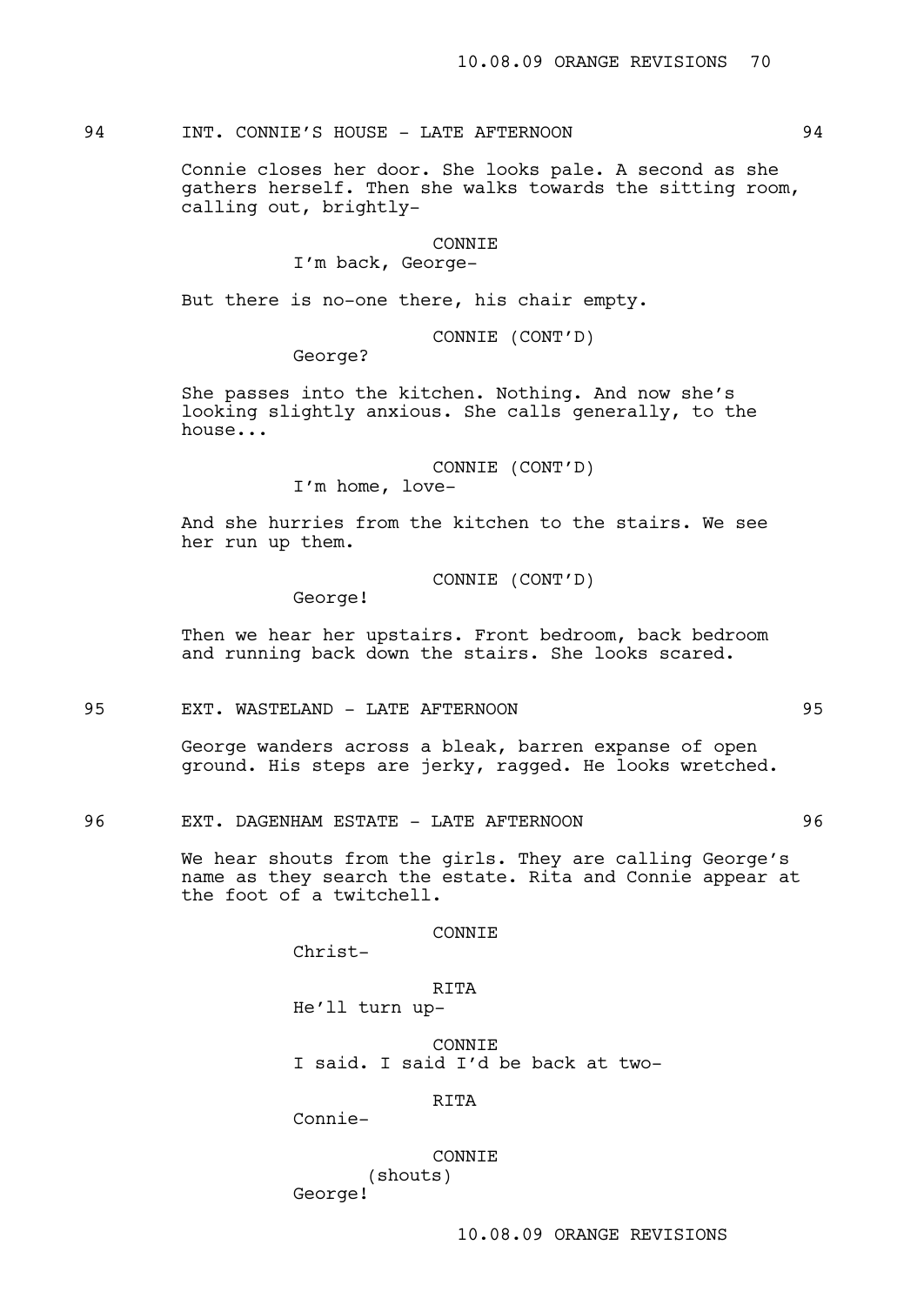94 INT. CONNIE'S HOUSE - LATE AFTERNOON 94

Connie closes her door. She looks pale. A second as she gathers herself. Then she walks towards the sitting room, calling out, brightly-

## CONNIE

I'm back, George-

But there is no-one there, his chair empty.

CONNIE (CONT'D)

George?

She passes into the kitchen. Nothing. And now she's looking slightly anxious. She calls generally, to the house...

CONNIE (CONT'D)

I'm home, love-

And she hurries from the kitchen to the stairs. We see her run up them.

CONNIE (CONT'D)

George!

Then we hear her upstairs. Front bedroom, back bedroom and running back down the stairs. She looks scared.

95 EXT. WASTELAND - LATE AFTERNOON 95

George wanders across a bleak, barren expanse of open ground. His steps are jerky, ragged. He looks wretched.

We hear shouts from the girls. They are calling George's name as they search the estate. Rita and Connie appear at the foot of a twitchell.

**CONNTE** 

Christ-

RITA

He'll turn up-

CONNIE I said. I said I'd be back at two-

**RTTA** 

Connie-

CONNIE

(shouts) George!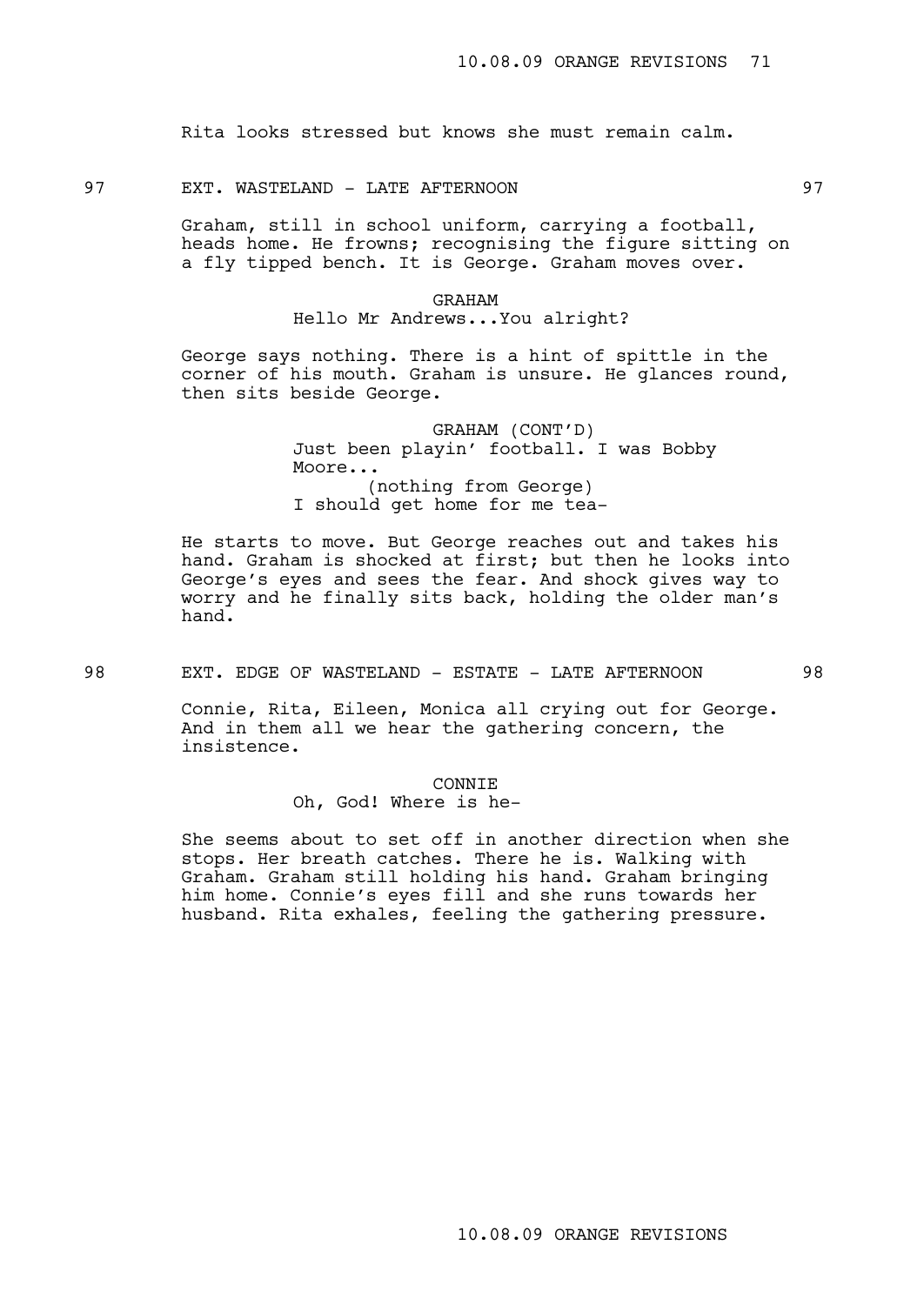Rita looks stressed but knows she must remain calm.

### 97 EXT. WASTELAND - LATE AFTERNOON 97

Graham, still in school uniform, carrying a football, heads home. He frowns; recognising the figure sitting on a fly tipped bench. It is George. Graham moves over.

## GRAHAM Hello Mr Andrews...You alright?

George says nothing. There is a hint of spittle in the corner of his mouth. Graham is unsure. He glances round, then sits beside George.

> GRAHAM (CONT'D) Just been playin' football. I was Bobby Moore... (nothing from George) I should get home for me tea-

He starts to move. But George reaches out and takes his hand. Graham is shocked at first; but then he looks into George's eyes and sees the fear. And shock gives way to worry and he finally sits back, holding the older man's hand.

98 EXT. EDGE OF WASTELAND - ESTATE - LATE AFTERNOON 98

Connie, Rita, Eileen, Monica all crying out for George. And in them all we hear the gathering concern, the insistence.

#### **CONNTE**

Oh, God! Where is he-

She seems about to set off in another direction when she stops. Her breath catches. There he is. Walking with Graham. Graham still holding his hand. Graham bringing him home. Connie's eyes fill and she runs towards her husband. Rita exhales, feeling the gathering pressure.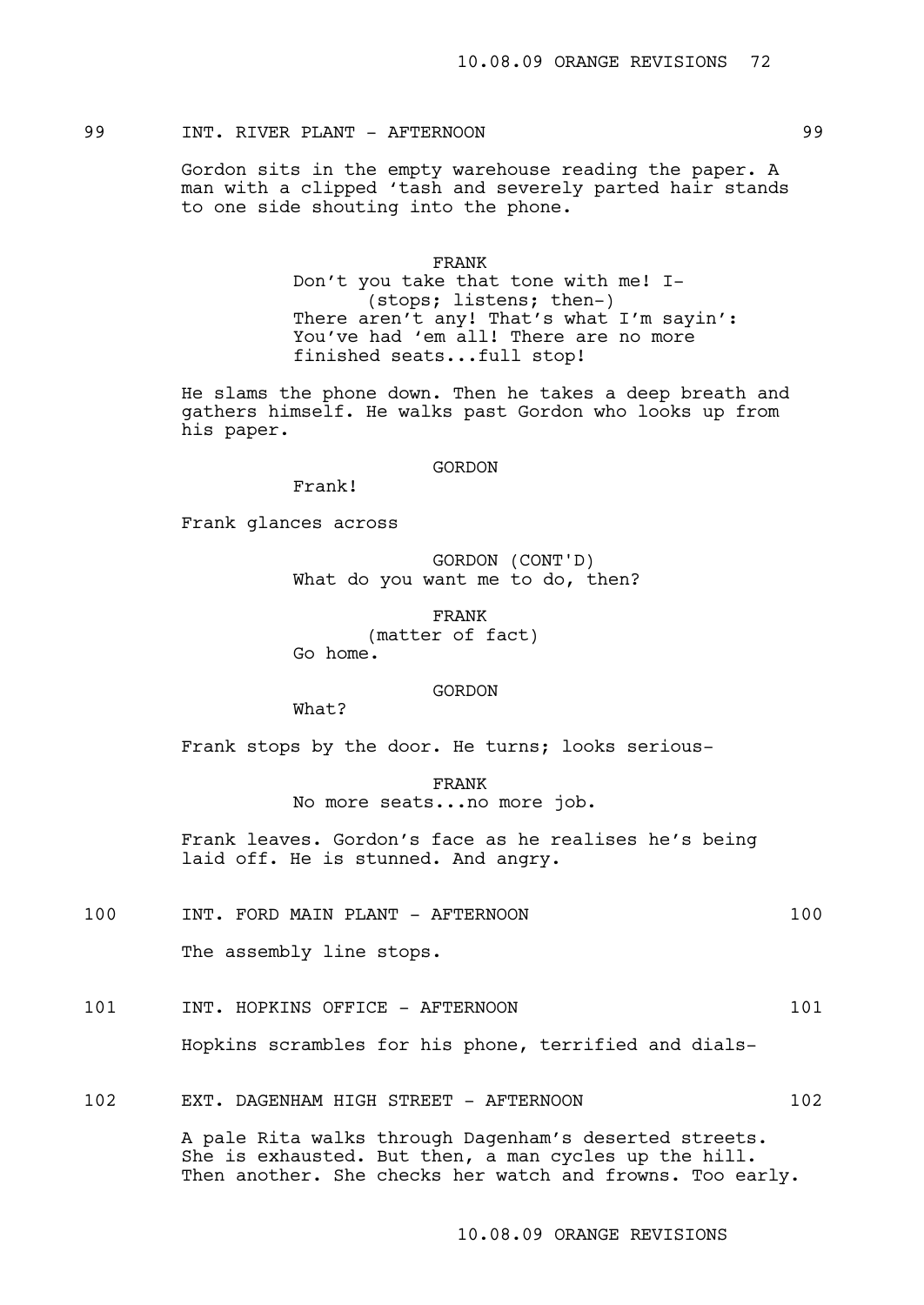# 99 INT. RIVER PLANT - AFTERNOON 99

Gordon sits in the empty warehouse reading the paper. A man with a clipped 'tash and severely parted hair stands to one side shouting into the phone.

#### FRANK

Don't you take that tone with me! I- (stops; listens; then-) There aren't any! That's what I'm sayin': You've had 'em all! There are no more finished seats...full stop!

He slams the phone down. Then he takes a deep breath and gathers himself. He walks past Gordon who looks up from his paper.

#### GORDON

Frank!

Frank glances across

GORDON (CONT'D) What do you want me to do, then?

FRANK (matter of fact) Go home.

#### GORDON

What?

Frank stops by the door. He turns; looks serious-

FRANK

No more seats...no more job.

Frank leaves. Gordon's face as he realises he's being laid off. He is stunned. And angry.

100 INT. FORD MAIN PLANT - AFTERNOON 100

The assembly line stops.

101 INT. HOPKINS OFFICE - AFTERNOON 101 Hopkins scrambles for his phone, terrified and dials-

102 EXT. DAGENHAM HIGH STREET - AFTERNOON 102

A pale Rita walks through Dagenham's deserted streets. She is exhausted. But then, a man cycles up the hill. Then another. She checks her watch and frowns. Too early.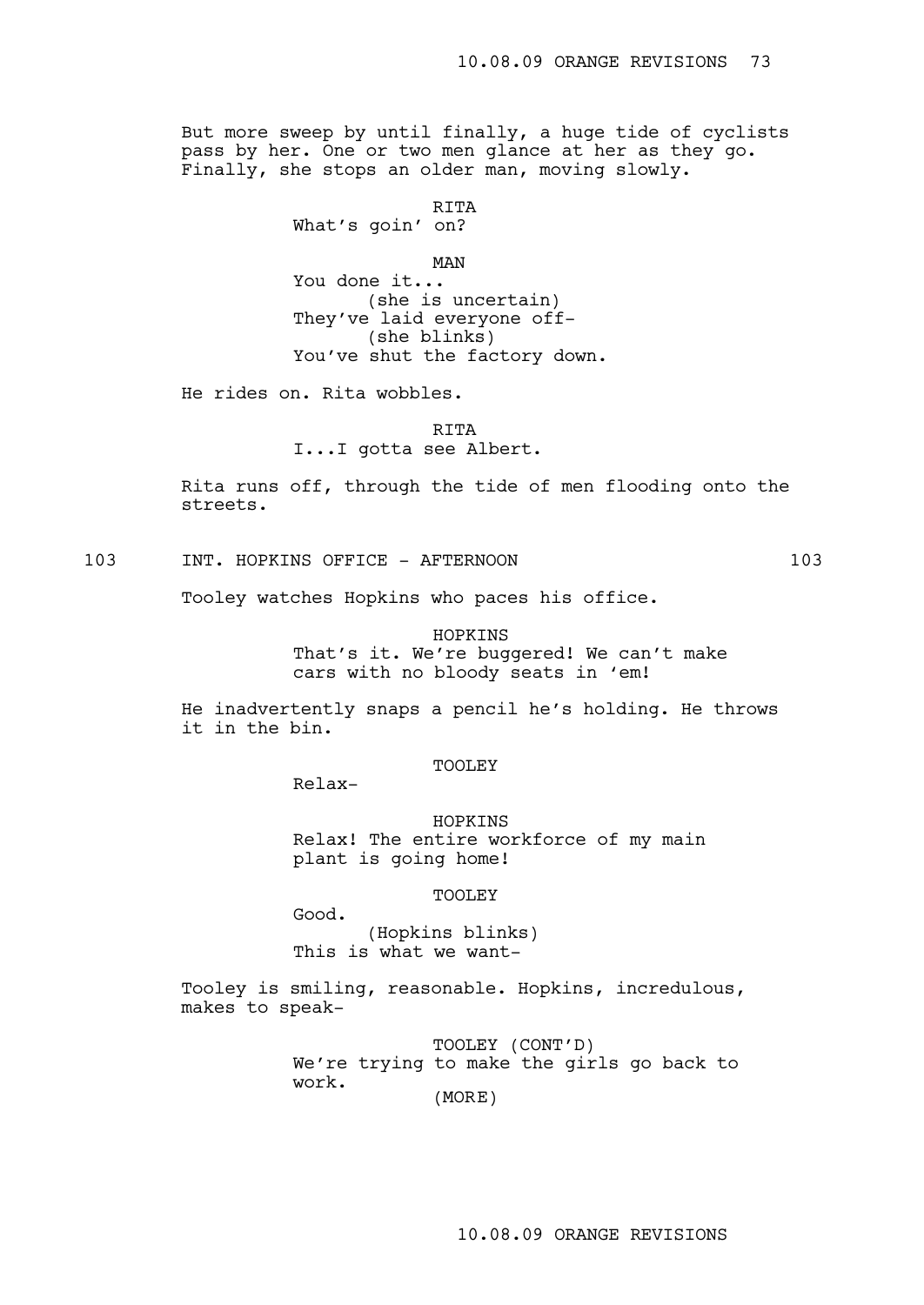But more sweep by until finally, a huge tide of cyclists pass by her. One or two men glance at her as they go. Finally, she stops an older man, moving slowly.

```
RITA
```
What's goin' on?

MAN

You done it... (she is uncertain) They've laid everyone off- (she blinks) You've shut the factory down.

He rides on. Rita wobbles.

**RTTA** I...I gotta see Albert.

Rita runs off, through the tide of men flooding onto the streets.

103 INT. HOPKINS OFFICE - AFTERNOON 103

Tooley watches Hopkins who paces his office.

HOPKINS That's it. We're buggered! We can't make cars with no bloody seats in 'em!

He inadvertently snaps a pencil he's holding. He throws it in the bin.

### TOOLEY

Relax-

Good.

HOPKINS Relax! The entire workforce of my main plant is going home!

### TOOLEY

(Hopkins blinks) This is what we want-

Tooley is smiling, reasonable. Hopkins, incredulous, makes to speak-

> TOOLEY (CONT'D) We're trying to make the girls go back to work. (MORE)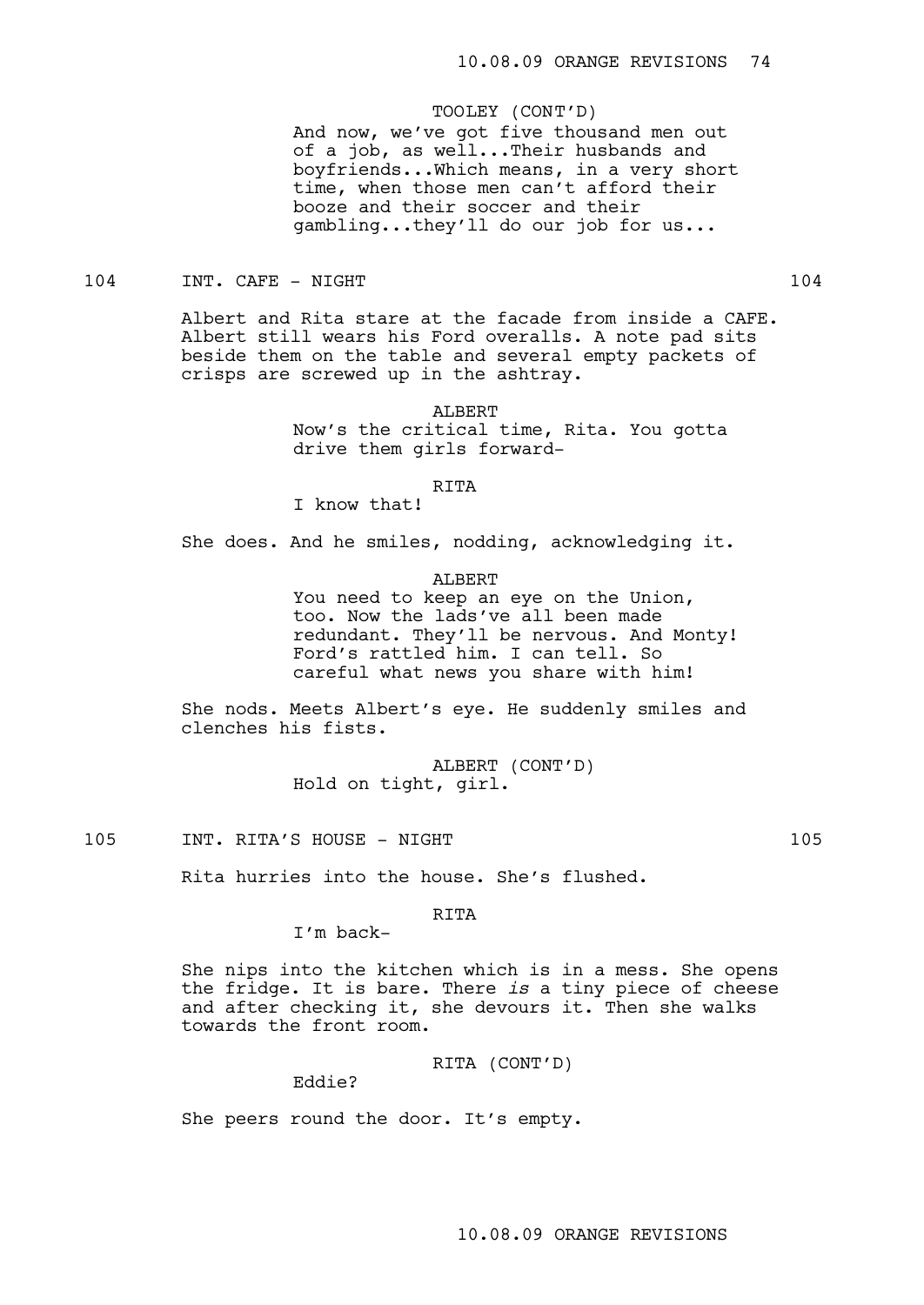### TOOLEY (CONT'D)

And now, we've got five thousand men out of a job, as well...Their husbands and boyfriends...Which means, in a very short time, when those men can't afford their booze and their soccer and their gambling...they'll do our job for us...

104 INT. CAFE - NIGHT 104 104

Albert and Rita stare at the facade from inside a CAFE. Albert still wears his Ford overalls. A note pad sits beside them on the table and several empty packets of crisps are screwed up in the ashtray.

> ALBERT Now's the critical time, Rita. You gotta drive them girls forward-

> > RITA

I know that!

She does. And he smiles, nodding, acknowledging it.

ALBERT

You need to keep an eye on the Union, too. Now the lads've all been made redundant. They'll be nervous. And Monty! Ford's rattled him. I can tell. So careful what news you share with him!

She nods. Meets Albert's eye. He suddenly smiles and clenches his fists.

> ALBERT (CONT'D) Hold on tight, girl.

105 INT. RITA'S HOUSE - NIGHT 105

Rita hurries into the house. She's flushed.

## RITA

I'm back-

She nips into the kitchen which is in a mess. She opens the fridge. It is bare. There *is* a tiny piece of cheese and after checking it, she devours it. Then she walks towards the front room.

RITA (CONT'D)

Eddie?

She peers round the door. It's empty.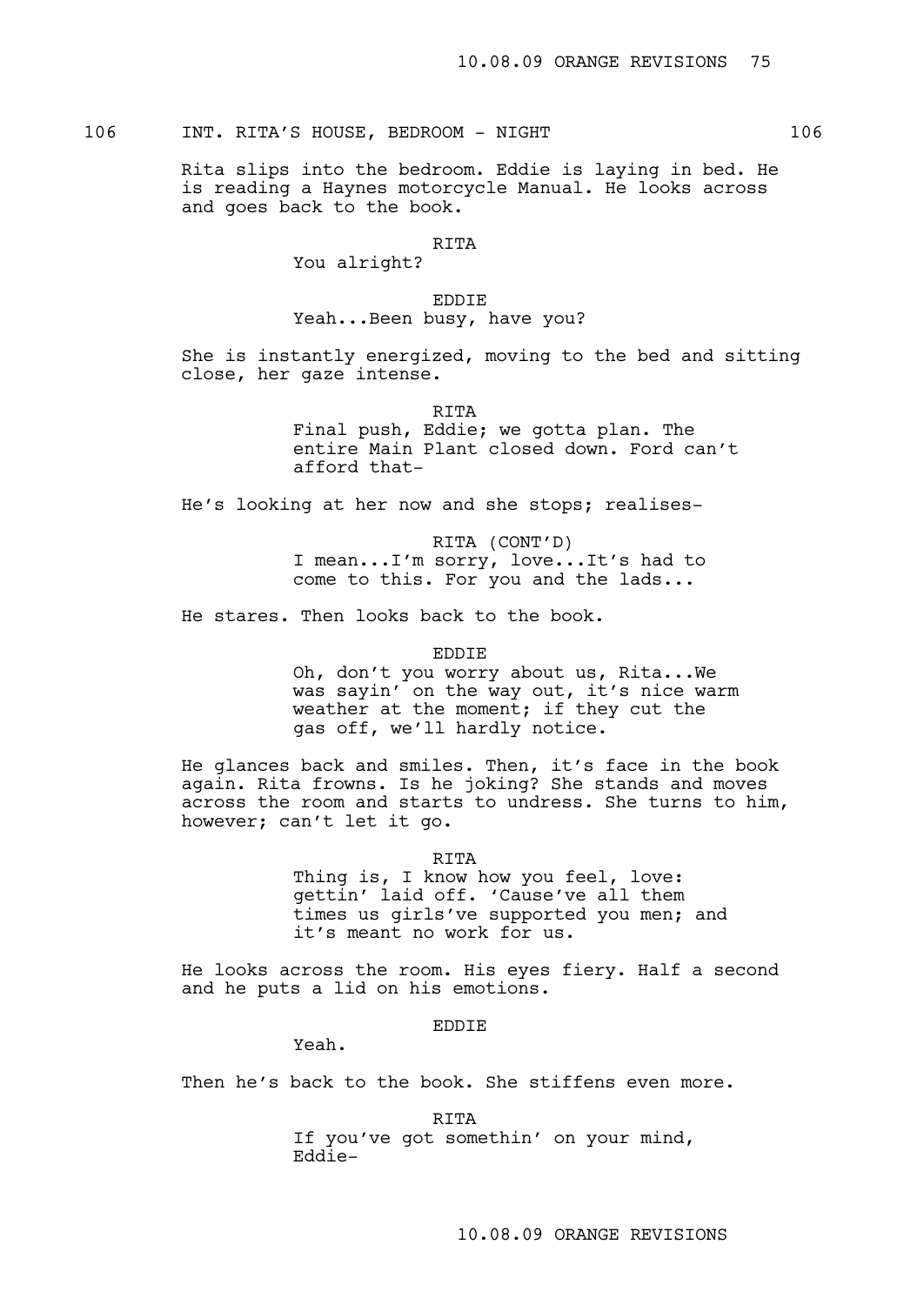# 106 INT. RITA'S HOUSE, BEDROOM - NIGHT 106

Rita slips into the bedroom. Eddie is laying in bed. He is reading a Haynes motorcycle Manual. He looks across and goes back to the book.

## RITA

You alright?

EDDIE Yeah...Been busy, have you?

She is instantly energized, moving to the bed and sitting close, her gaze intense.

RITA

Final push, Eddie; we gotta plan. The entire Main Plant closed down. Ford can't afford that-

He's looking at her now and she stops; realises-

RITA (CONT'D) I mean...I'm sorry, love...It's had to come to this. For you and the lads...

He stares. Then looks back to the book.

EDDIE

Oh, don't you worry about us, Rita...We was sayin' on the way out, it's nice warm weather at the moment; if they cut the gas off, we'll hardly notice.

He glances back and smiles. Then, it's face in the book again. Rita frowns. Is he joking? She stands and moves across the room and starts to undress. She turns to him, however; can't let it go.

RITA

Thing is, I know how you feel, love: gettin' laid off. 'Cause've all them times us girls've supported you men; and it's meant no work for us.

He looks across the room. His eyes fiery. Half a second and he puts a lid on his emotions.

EDDIE

Yeah.

Then he's back to the book. She stiffens even more.

RITA If you've got somethin' on your mind, Eddie-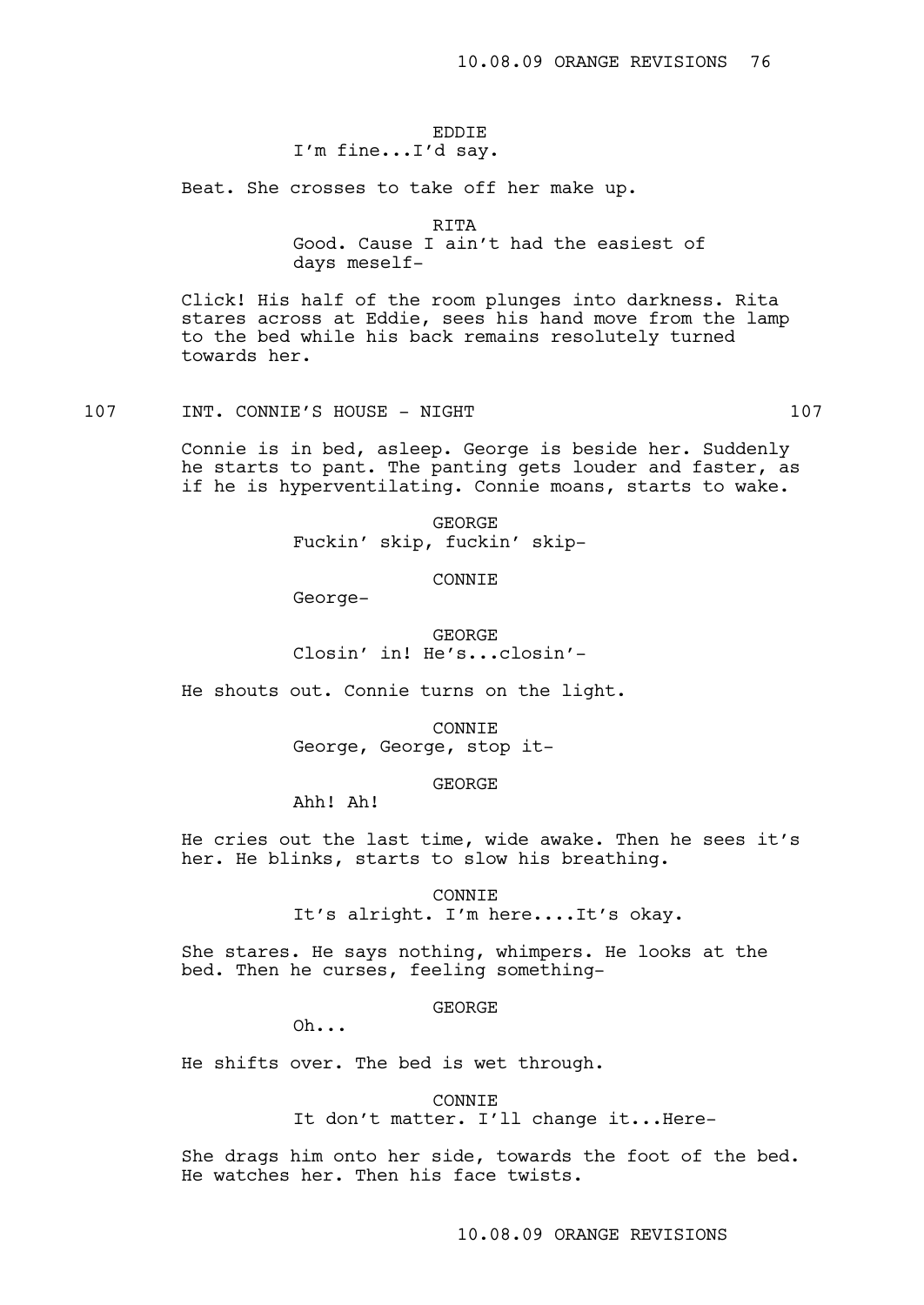### EDDIE I'm fine...I'd say.

Beat. She crosses to take off her make up.

RITA

Good. Cause I ain't had the easiest of days meself-

Click! His half of the room plunges into darkness. Rita stares across at Eddie, sees his hand move from the lamp to the bed while his back remains resolutely turned towards her.

### 107 INT. CONNIE'S HOUSE - NIGHT 107

Connie is in bed, asleep. George is beside her. Suddenly he starts to pant. The panting gets louder and faster, as if he is hyperventilating. Connie moans, starts to wake.

> GEORGE Fuckin' skip, fuckin' skip-

> > CONNIE

George-

GEORGE Closin' in! He's...closin'-

He shouts out. Connie turns on the light.

CONNIE George, George, stop it-

GEORGE

Ahh! Ah!

He cries out the last time, wide awake. Then he sees it's her. He blinks, starts to slow his breathing.

CONNIE

It's alright. I'm here....It's okay.

She stares. He says nothing, whimpers. He looks at the bed. Then he curses, feeling something-

GEORGE

Oh...

He shifts over. The bed is wet through.

CONNIE

It don't matter. I'll change it...Here-

She drags him onto her side, towards the foot of the bed. He watches her. Then his face twists.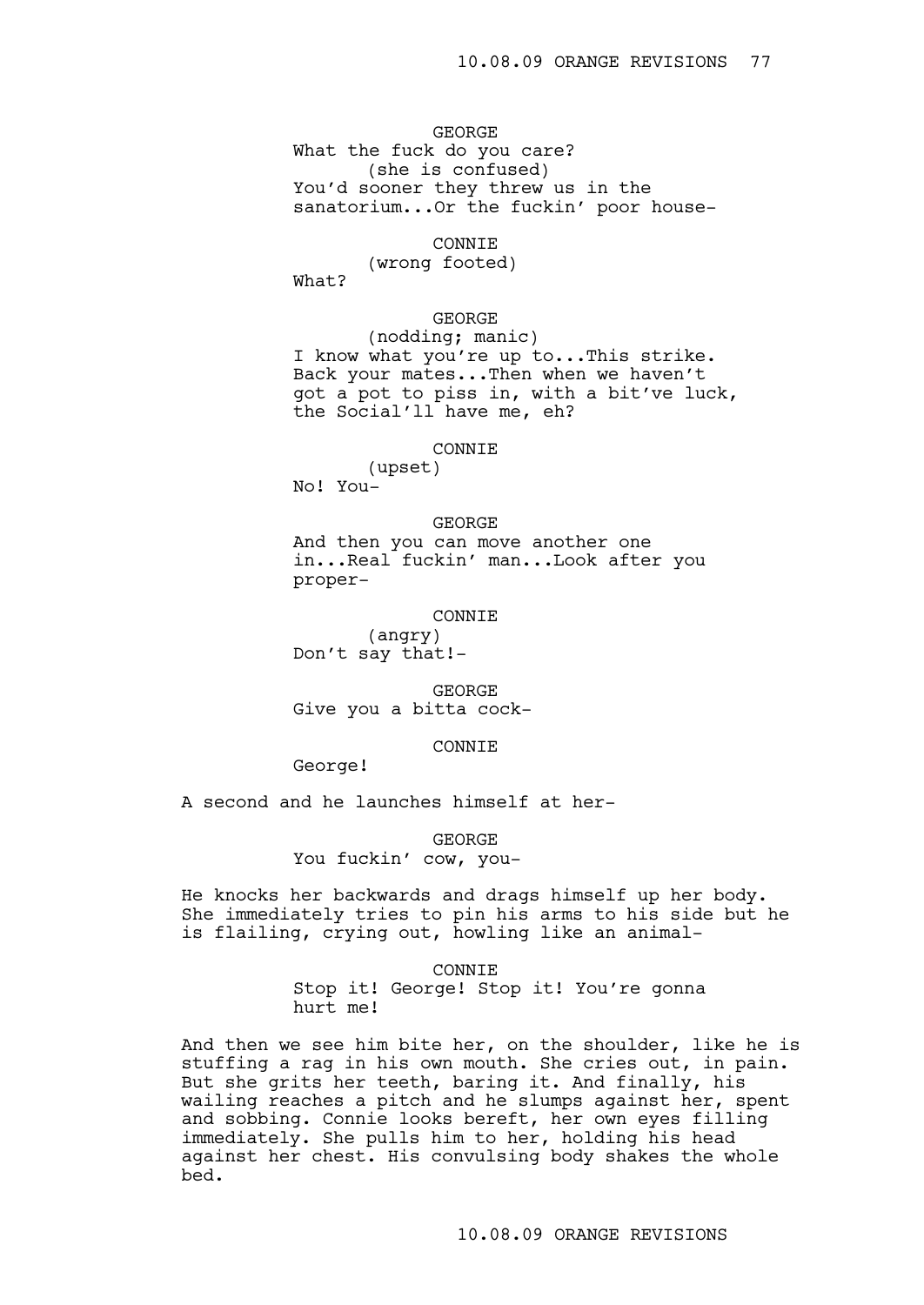# GEORGE

What the fuck do you care? (she is confused) You'd sooner they threw us in the sanatorium...Or the fuckin' poor house-

## CONNIE

### (wrong footed)

What?

#### GEORGE

(nodding; manic) I know what you're up to...This strike. Back your mates...Then when we haven't got a pot to piss in, with a bit've luck, the Social'll have me, eh?

#### CONNIE

(upset) No! You-

GEORGE

And then you can move another one in...Real fuckin' man...Look after you proper-

#### CONNIE

(angry) Don't say that!-

GEORGE Give you a bitta cock-

## CONNIE

George!

A second and he launches himself at her-

#### GEORGE

You fuckin' cow, you-

He knocks her backwards and drags himself up her body. She immediately tries to pin his arms to his side but he is flailing, crying out, howling like an animal-

#### CONNIE

Stop it! George! Stop it! You're gonna hurt me!

And then we see him bite her, on the shoulder, like he is stuffing a rag in his own mouth. She cries out, in pain. But she grits her teeth, baring it. And finally, his wailing reaches a pitch and he slumps against her, spent and sobbing. Connie looks bereft, her own eyes filling immediately. She pulls him to her, holding his head against her chest. His convulsing body shakes the whole bed.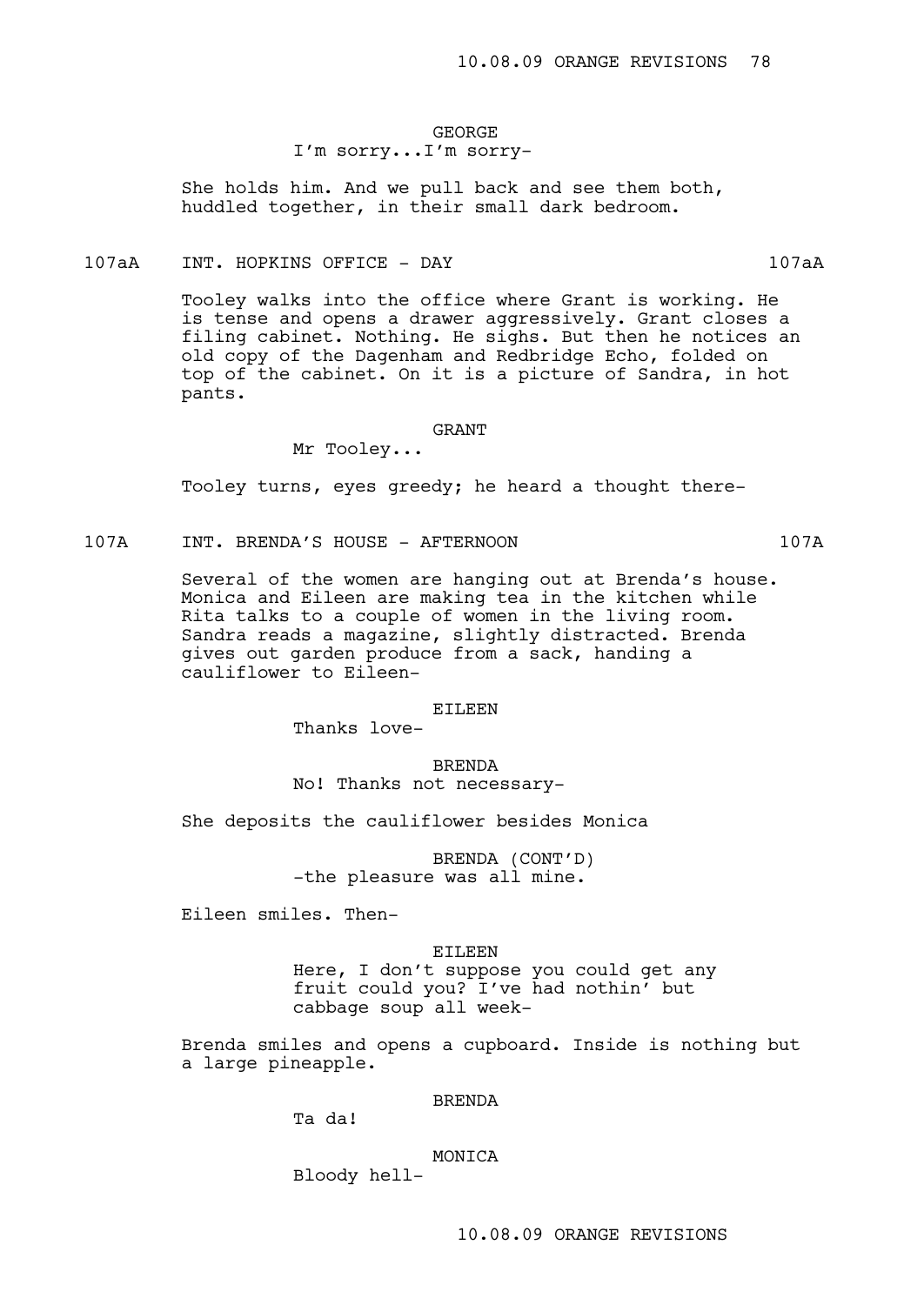## GEORGE I'm sorry...I'm sorry-

She holds him. And we pull back and see them both, huddled together, in their small dark bedroom.

107aA INT. HOPKINS OFFICE - DAY 107aA

Tooley walks into the office where Grant is working. He is tense and opens a drawer aggressively. Grant closes a filing cabinet. Nothing. He sighs. But then he notices an old copy of the Dagenham and Redbridge Echo, folded on top of the cabinet. On it is a picture of Sandra, in hot pants.

GRANT

Mr Tooley...

Tooley turns, eyes greedy; he heard a thought there-

107A INT. BRENDA'S HOUSE - AFTERNOON 107A

Several of the women are hanging out at Brenda's house. Monica and Eileen are making tea in the kitchen while Rita talks to a couple of women in the living room. Sandra reads a magazine, slightly distracted. Brenda gives out garden produce from a sack, handing a cauliflower to Eileen-

EILEEN

Thanks love-

BRENDA No! Thanks not necessary-

She deposits the cauliflower besides Monica

BRENDA (CONT'D) -the pleasure was all mine.

Eileen smiles. Then-

#### EILEEN

Here, I don't suppose you could get any fruit could you? I've had nothin' but cabbage soup all week-

Brenda smiles and opens a cupboard. Inside is nothing but a large pineapple.

BRENDA

Ta da!

### MONICA

Bloody hell-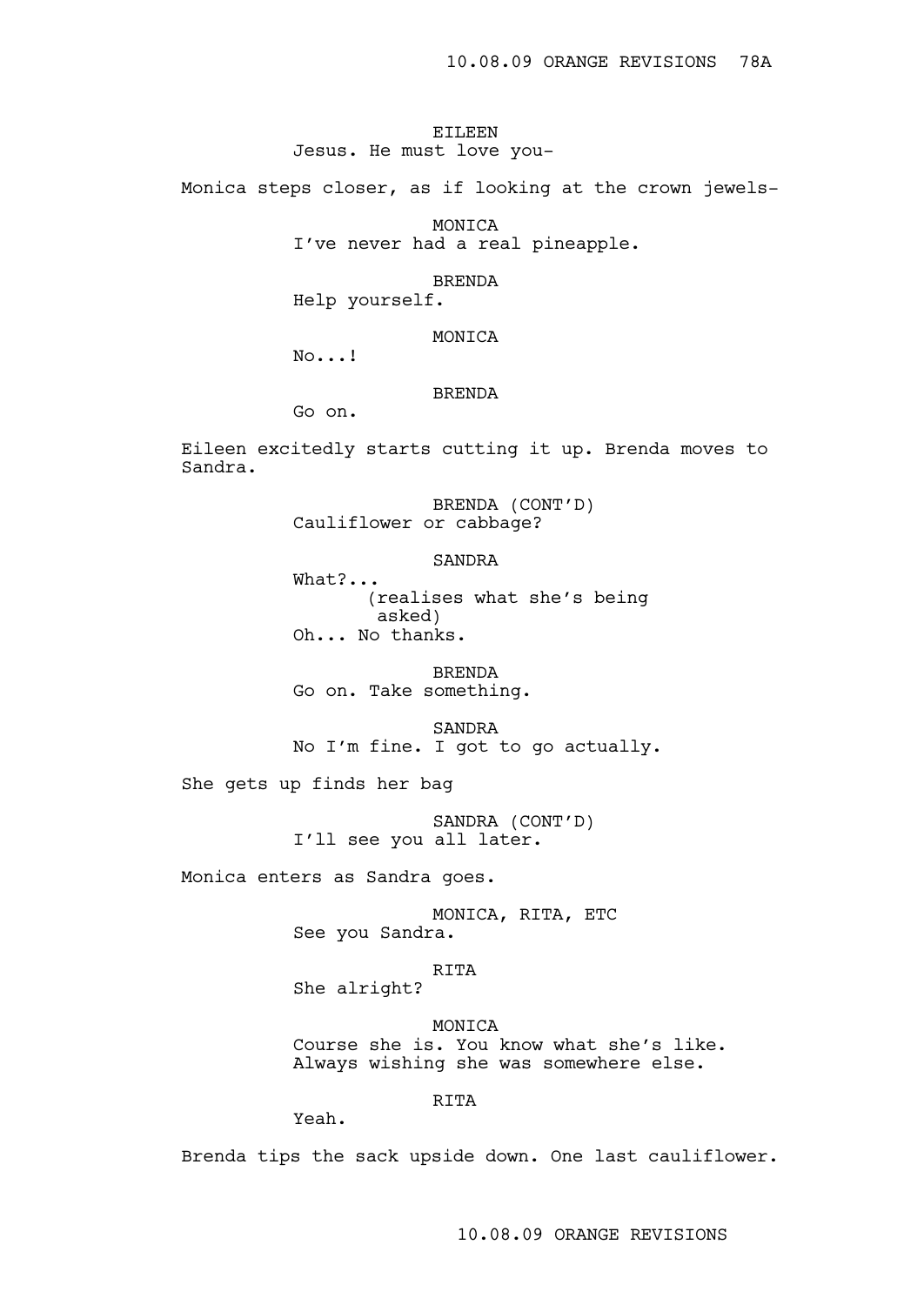### EILEEN Jesus. He must love you-

Monica steps closer, as if looking at the crown jewels-

MONICA

I've never had a real pineapple.

### BRENDA

Help yourself.

### MONICA

No...!

### BRENDA

Go on.

Eileen excitedly starts cutting it up. Brenda moves to Sandra.

> BRENDA (CONT'D) Cauliflower or cabbage?

> > SANDRA

What?... (realises what she's being asked) Oh... No thanks.

BRENDA Go on. Take something.

SANDRA No I'm fine. I got to go actually.

She gets up finds her bag

SANDRA (CONT'D) I'll see you all later.

Monica enters as Sandra goes.

MONICA, RITA, ETC See you Sandra.

RITA

She alright?

MONICA Course she is. You know what she's like. Always wishing she was somewhere else.

RITA

Yeah.

Brenda tips the sack upside down. One last cauliflower.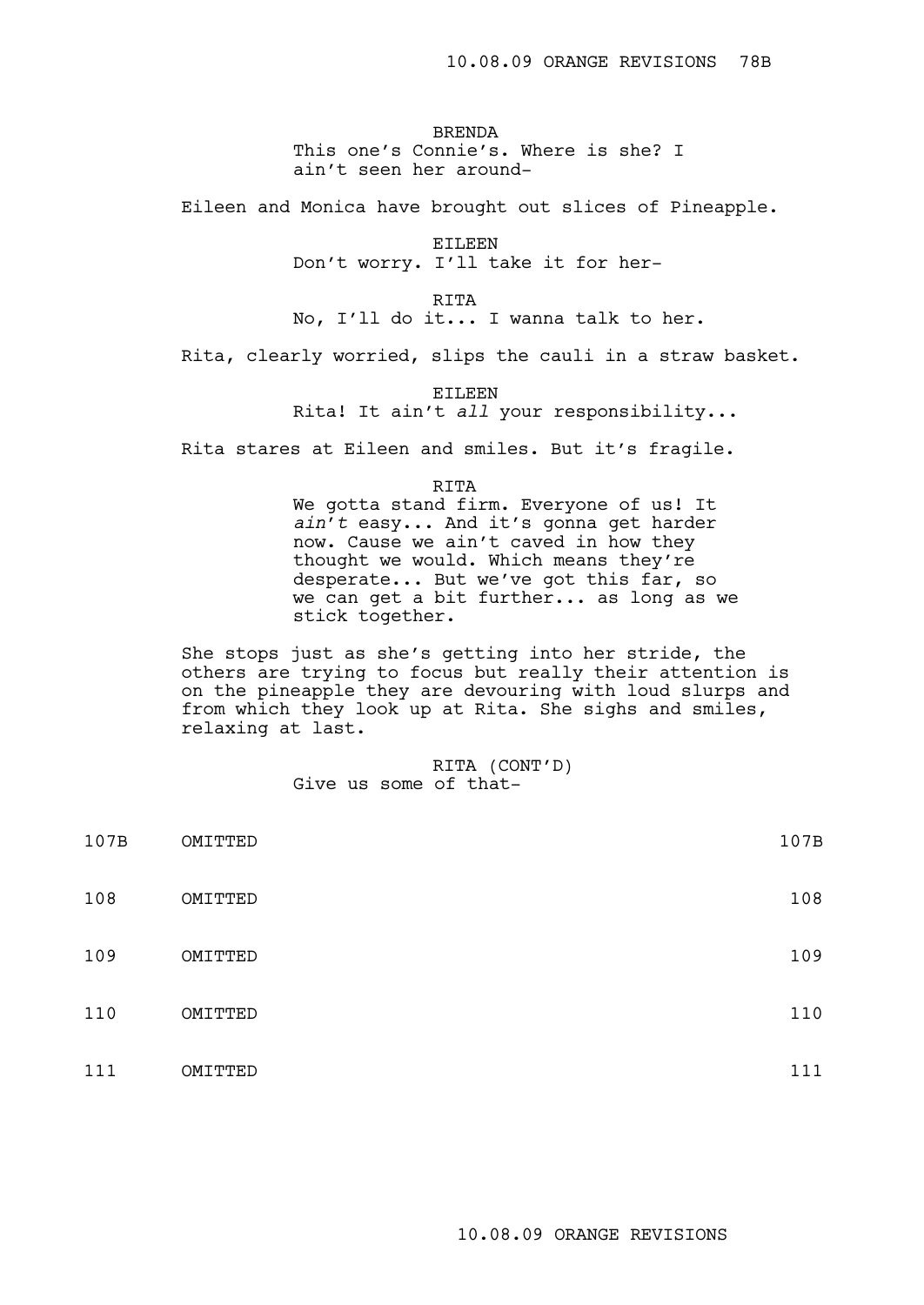BRENDA This one's Connie's. Where is she? I ain't seen her around-

Eileen and Monica have brought out slices of Pineapple.

EILEEN Don't worry. I'll take it for her-

RITA No, I'll do it... I wanna talk to her.

Rita, clearly worried, slips the cauli in a straw basket.

EILEEN

Rita! It ain't *all* your responsibility...

Rita stares at Eileen and smiles. But it's fragile.

RITA

We gotta stand firm. Everyone of us! It *ain't* easy... And it's gonna get harder now. Cause we ain't caved in how they thought we would. Which means they're desperate... But we've got this far, so we can get a bit further... as long as we stick together.

She stops just as she's getting into her stride, the others are trying to focus but really their attention is on the pineapple they are devouring with loud slurps and from which they look up at Rita. She sighs and smiles, relaxing at last.

> RITA (CONT'D) Give us some of that-

| 107B | OMITTED | 107B |
|------|---------|------|
| 108  | OMITTED | 108  |
| 109  | OMITTED | 109  |
| 110  | OMITTED | 110  |
| 111  | OMITTED | 111  |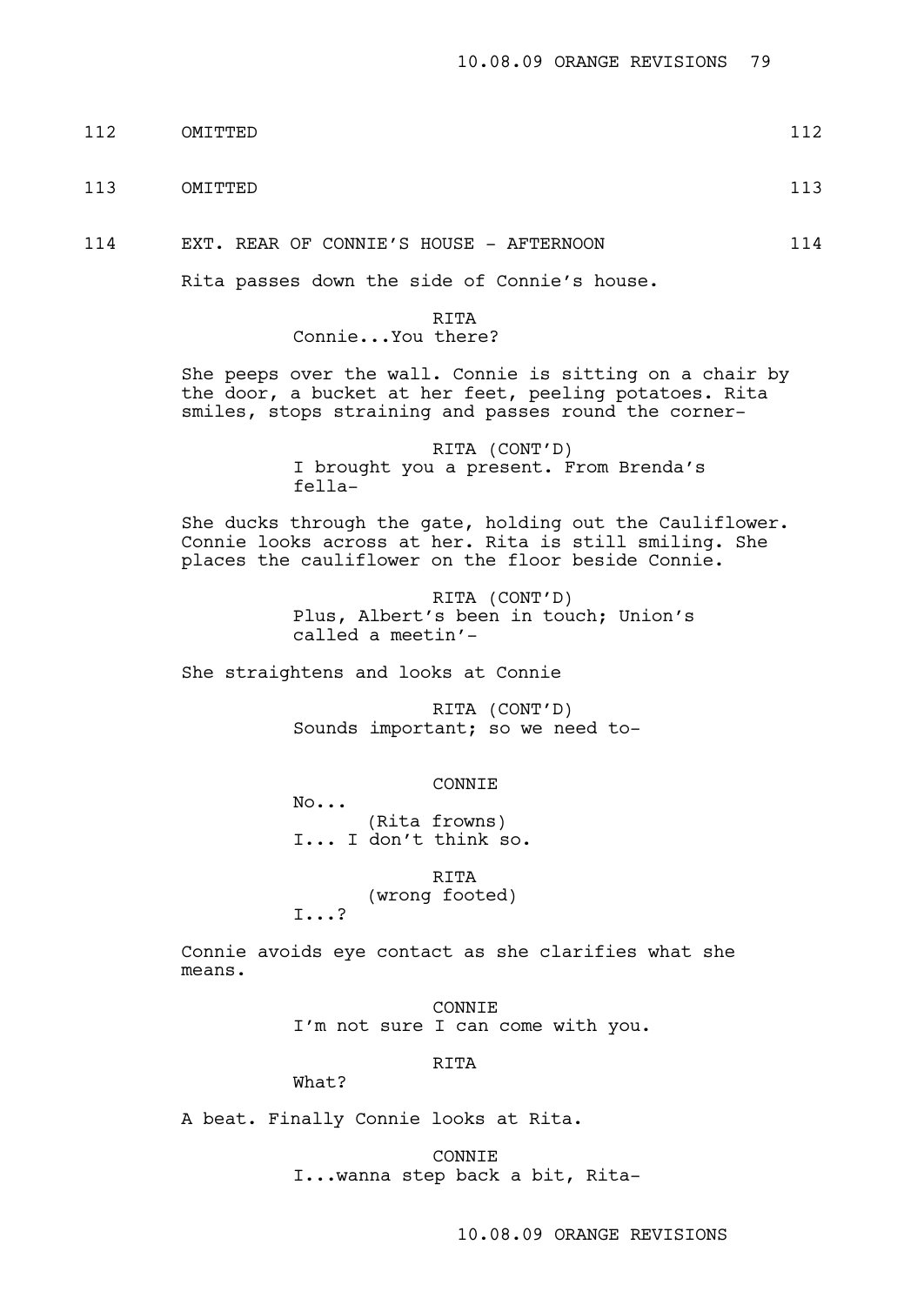112 OMITTED 112

113 OMITTED 113

114 EXT. REAR OF CONNIE'S HOUSE - AFTERNOON 114

Rita passes down the side of Connie's house.

**RTTA** Connie...You there?

She peeps over the wall. Connie is sitting on a chair by the door, a bucket at her feet, peeling potatoes. Rita smiles, stops straining and passes round the corner-

> RITA (CONT'D) I brought you a present. From Brenda's fella-

She ducks through the gate, holding out the Cauliflower. Connie looks across at her. Rita is still smiling. She places the cauliflower on the floor beside Connie.

> RITA (CONT'D) Plus, Albert's been in touch; Union's called a meetin'-

She straightens and looks at Connie

RITA (CONT'D) Sounds important; so we need to-

**CONNTE** 

No... (Rita frowns) I... I don't think so.

RITA

(wrong footed)

I...?

Connie avoids eye contact as she clarifies what she means.

> CONNIE I'm not sure I can come with you.

> > RITA

What?

A beat. Finally Connie looks at Rita.

CONNIE I...wanna step back a bit, Rita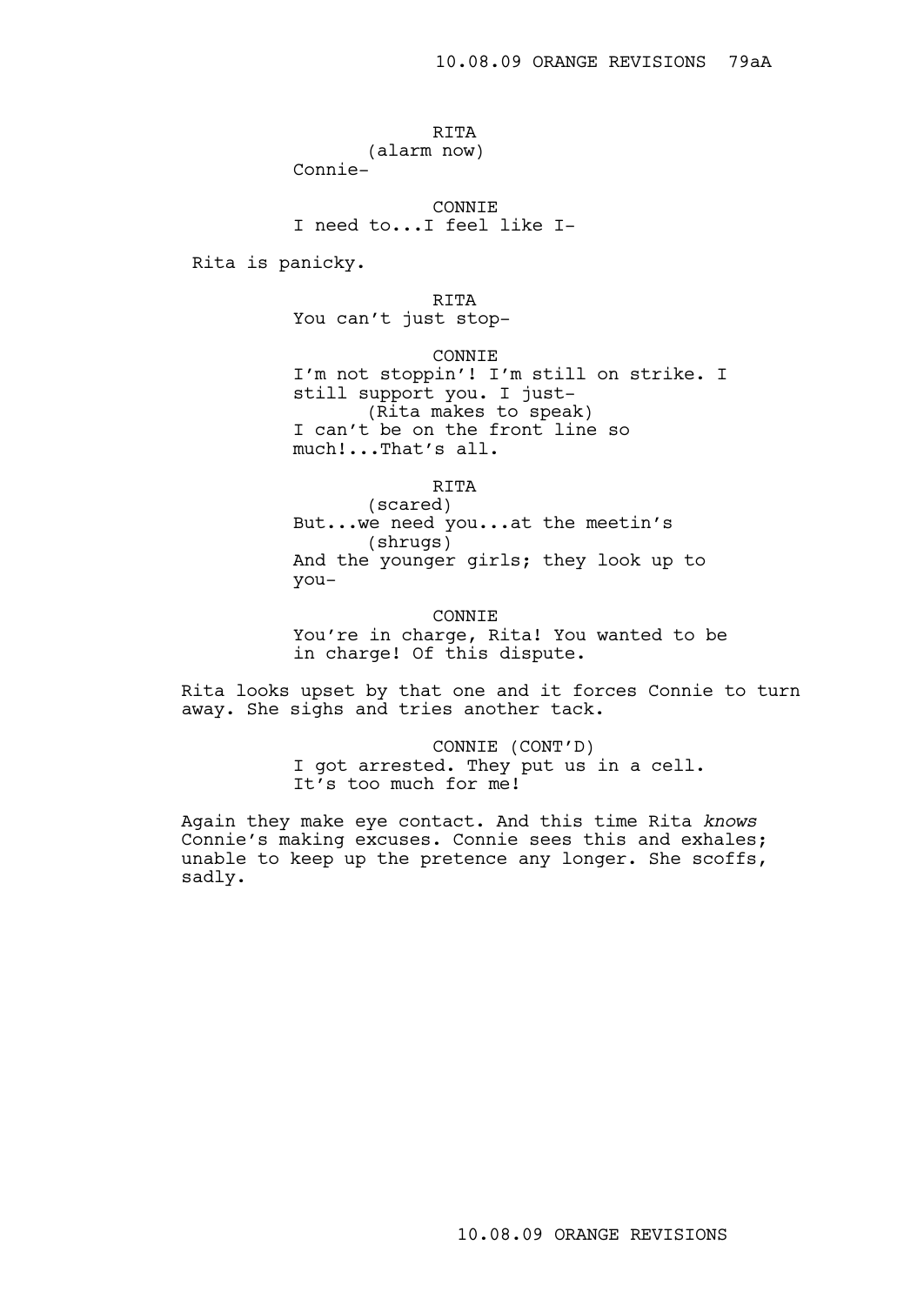RITA

(alarm now)

Connie-

CONNIE I need to...I feel like I-

Rita is panicky.

RITA You can't just stop-

CONNIE

I'm not stoppin'! I'm still on strike. I still support you. I just- (Rita makes to speak) I can't be on the front line so much!...That's all.

RITA

(scared) But...we need you...at the meetin's (shrugs) And the younger girls; they look up to you-

CONNIE You're in charge, Rita! You wanted to be in charge! Of this dispute.

Rita looks upset by that one and it forces Connie to turn away. She sighs and tries another tack.

> CONNIE (CONT'D) I got arrested. They put us in a cell. It's too much for me!

Again they make eye contact. And this time Rita *knows* Connie's making excuses. Connie sees this and exhales; unable to keep up the pretence any longer. She scoffs, sadly.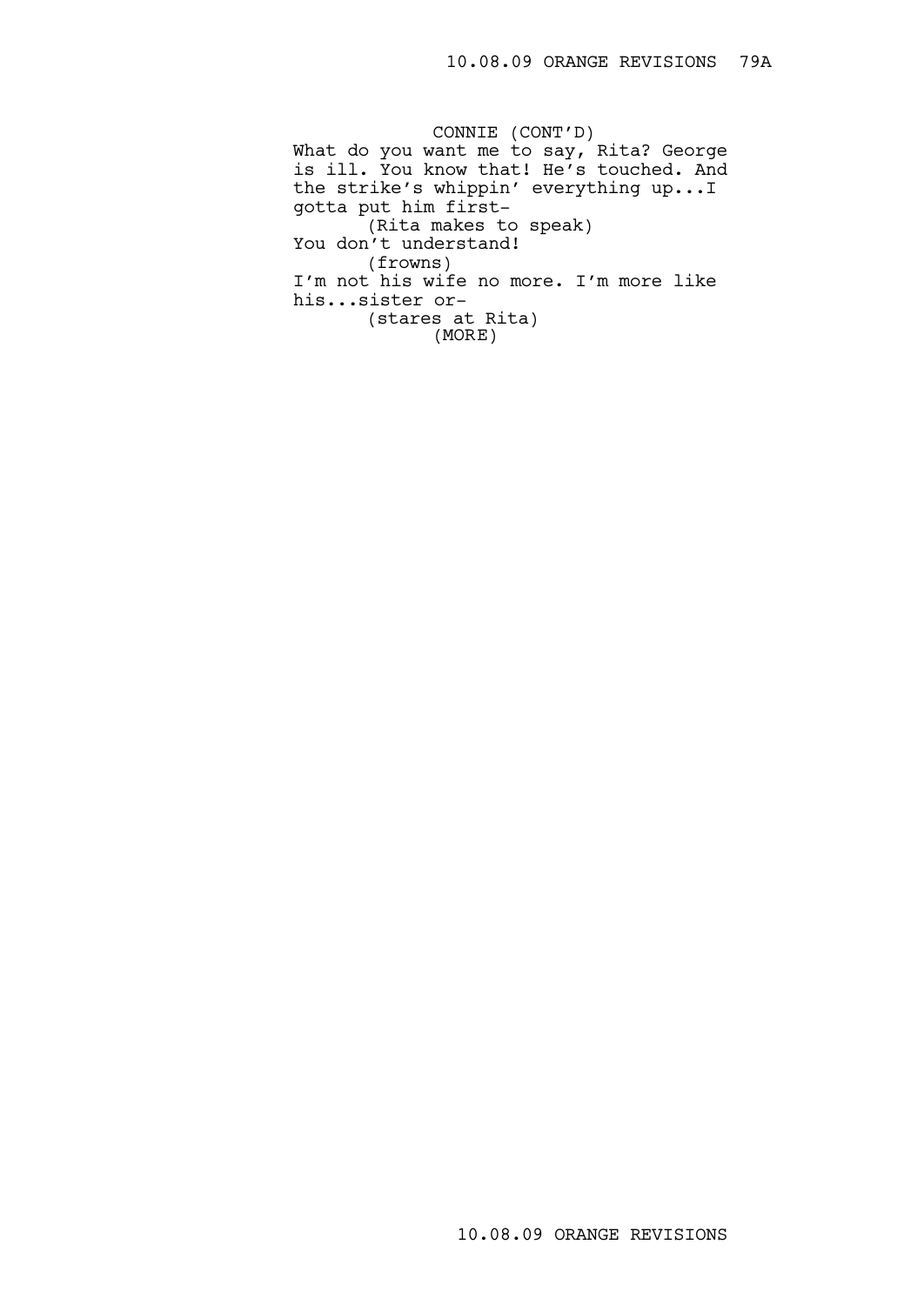CONNIE (CONT'D) What do you want me to say, Rita? George is ill. You know that! He's touched. And the strike's whippin' everything up...I gotta put him first- (Rita makes to speak) You don't understand! (frowns) I'm not his wife no more. I'm more like his...sister or- (stares at Rita) (MORE)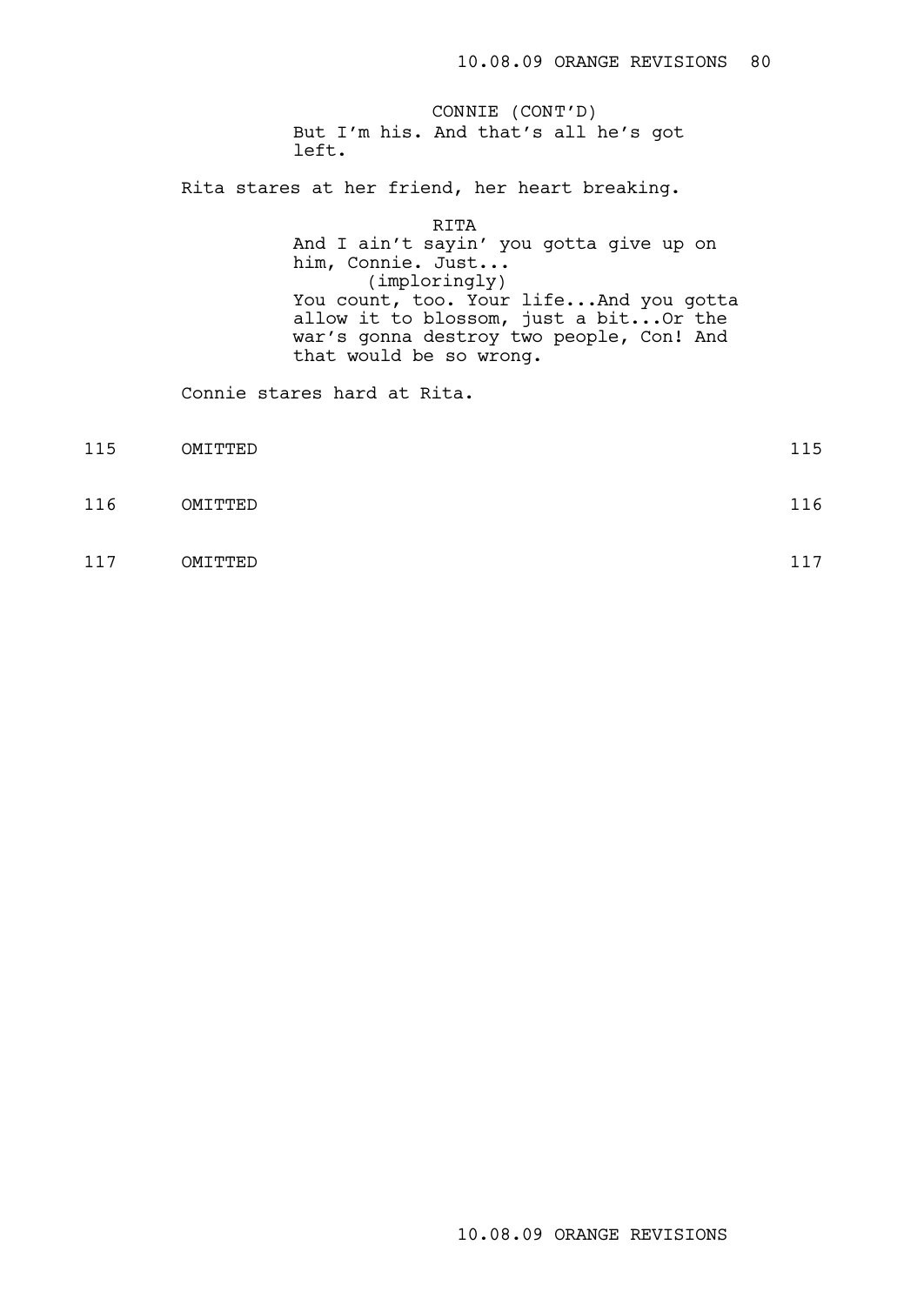But I'm his. And that's all he's got left. CONNIE (CONT'D)

Rita stares at her friend, her heart breaking.

RITA And I ain't sayin' you gotta give up on him, Connie. Just... (imploringly) You count, too. Your life...And you gotta allow it to blossom, just a bit...Or the war's gonna destroy two people, Con! And that would be so wrong.

Connie stares hard at Rita.

| 115 | OMITTED | $-$<br>∽ |
|-----|---------|----------|
|     |         |          |

- 116 OMITTED 116
	-
- 117 OMITTED 117

10.08.09 ORANGE REVISIONS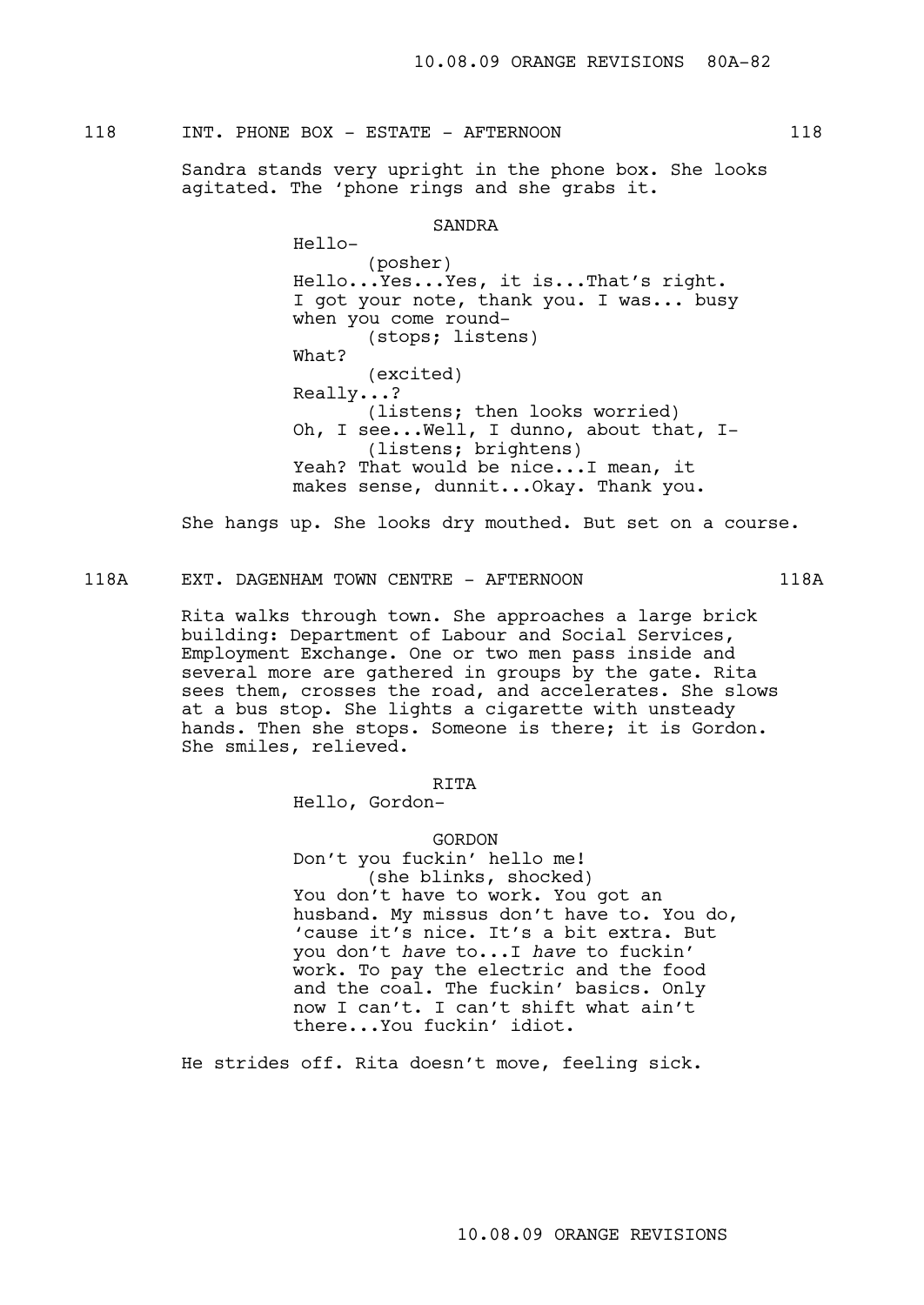# 118 INT. PHONE BOX - ESTATE - AFTERNOON 118

Sandra stands very upright in the phone box. She looks agitated. The 'phone rings and she grabs it.

## SANDRA

Hello- (posher) Hello...Yes...Yes, it is...That's right. I got your note, thank you. I was... busy when you come round- (stops; listens) What? (excited) Really...? (listens; then looks worried) Oh, I see...Well, I dunno, about that, I- (listens; brightens) Yeah? That would be nice...I mean, it makes sense, dunnit...Okay. Thank you.

She hangs up. She looks dry mouthed. But set on a course.

118A EXT. DAGENHAM TOWN CENTRE - AFTERNOON 118A

Rita walks through town. She approaches a large brick building: Department of Labour and Social Services, Employment Exchange. One or two men pass inside and several more are gathered in groups by the gate. Rita sees them, crosses the road, and accelerates. She slows at a bus stop. She lights a cigarette with unsteady hands. Then she stops. Someone is there; it is Gordon. She smiles, relieved.

RITA

Hello, Gordon-

GORDON

Don't you fuckin' hello me! (she blinks, shocked) You don't have to work. You got an husband. My missus don't have to. You do, 'cause it's nice. It's a bit extra. But you don't *have* to...I *have* to fuckin' work. To pay the electric and the food and the coal. The fuckin' basics. Only now I can't. I can't shift what ain't there...You fuckin' idiot.

He strides off. Rita doesn't move, feeling sick.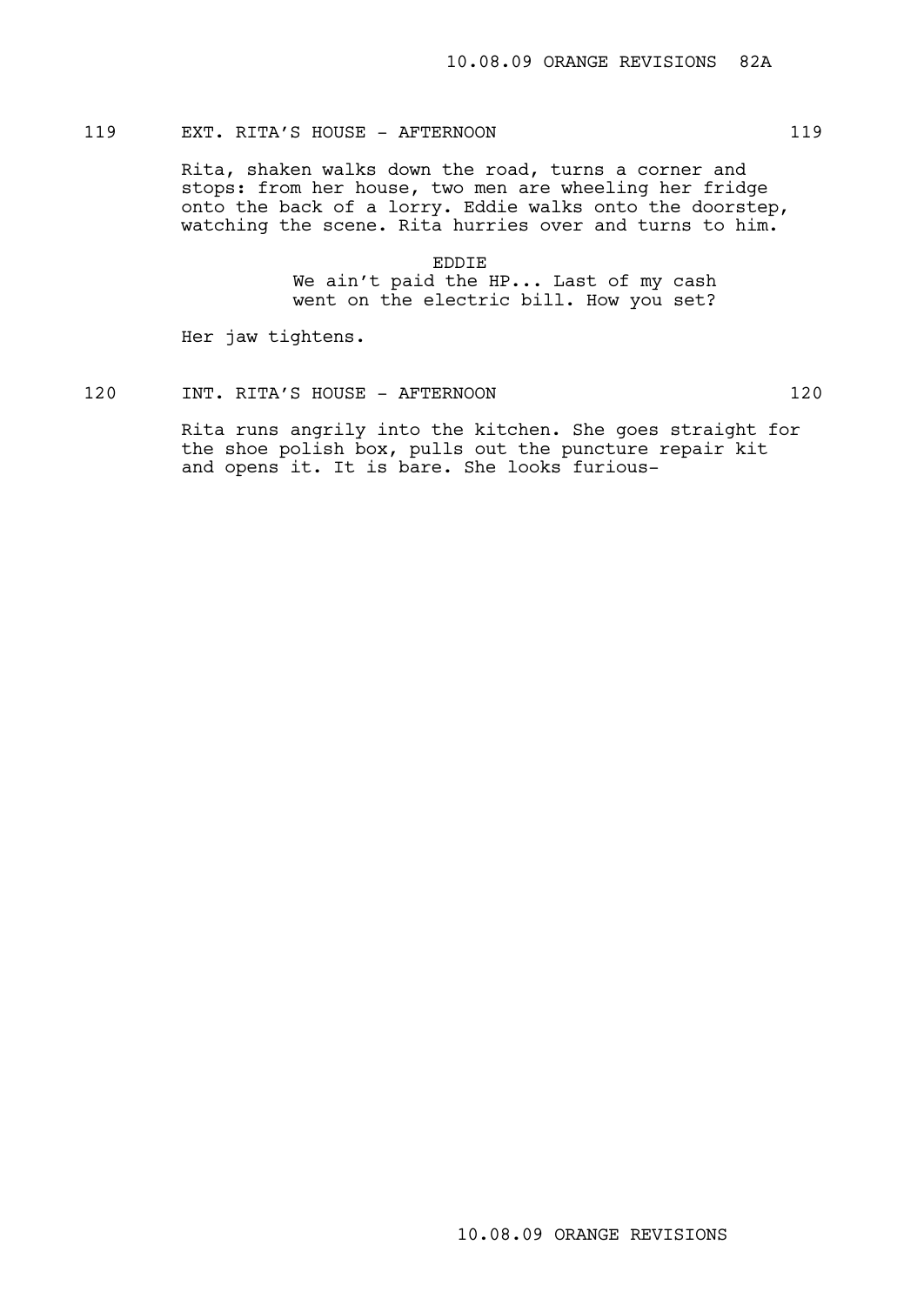# 119 EXT. RITA'S HOUSE - AFTERNOON 119

Rita, shaken walks down the road, turns a corner and stops: from her house, two men are wheeling her fridge onto the back of a lorry. Eddie walks onto the doorstep, watching the scene. Rita hurries over and turns to him.

> EDDIE We ain't paid the HP... Last of my cash went on the electric bill. How you set?

Her jaw tightens.

120 INT. RITA'S HOUSE - AFTERNOON 120

Rita runs angrily into the kitchen. She goes straight for the shoe polish box, pulls out the puncture repair kit and opens it. It is bare. She looks furious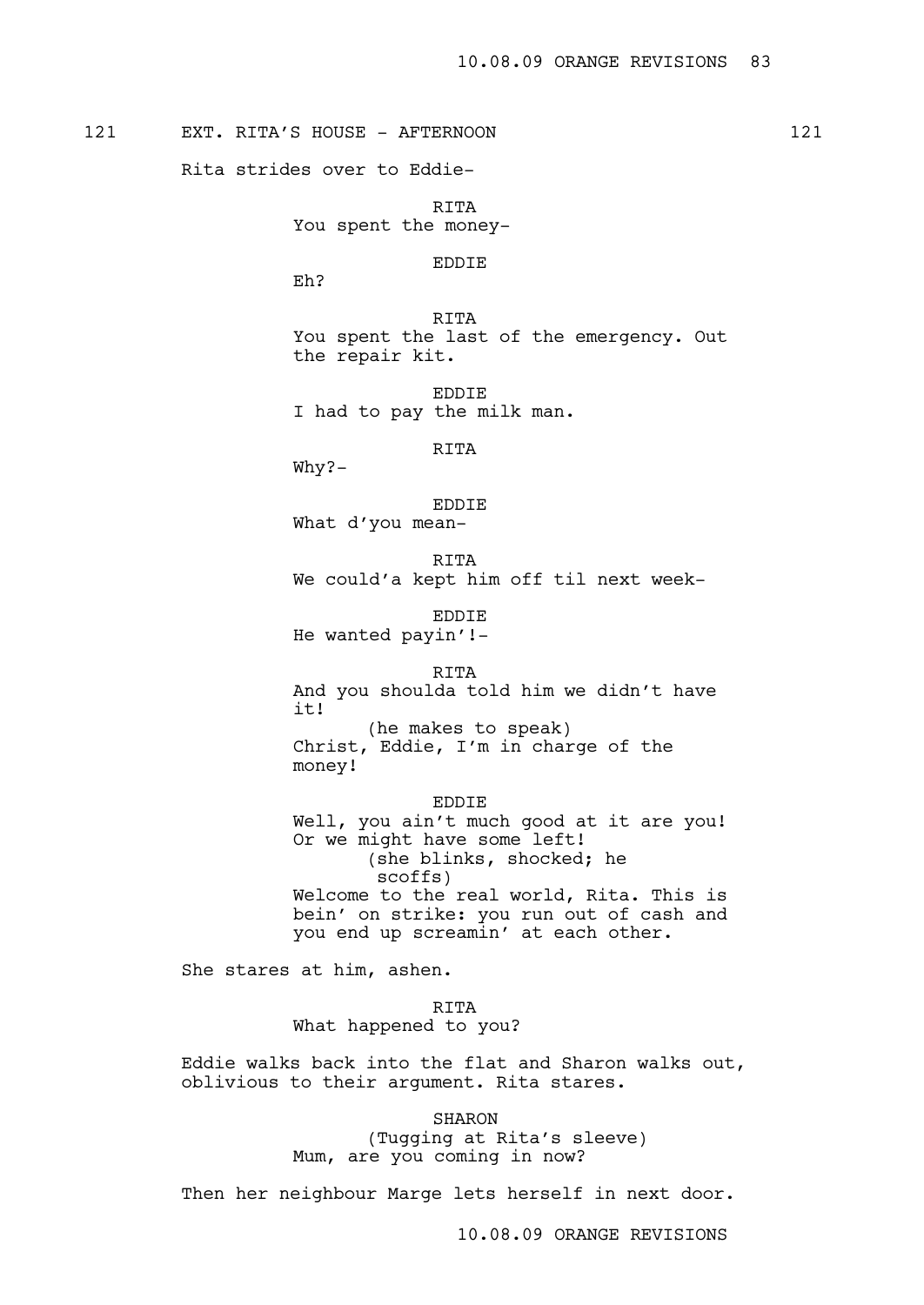121 EXT. RITA'S HOUSE - AFTERNOON 121

Rita strides over to Eddie-

RITA You spent the money-

EDDIE

Eh?

**RTTA** You spent the last of the emergency. Out the repair kit.

EDDIE I had to pay the milk man.

RITA

Why?-

EDDIE

What d'you mean-

RITA We could'a kept him off til next week-

EDDIE He wanted payin'!-

RITA

And you shoulda told him we didn't have it!

(he makes to speak) Christ, Eddie, I'm in charge of the money!

EDDIE Well, you ain't much good at it are you! Or we might have some left! (she blinks, shocked; he scoffs) Welcome to the real world, Rita. This is bein' on strike: you run out of cash and you end up screamin' at each other.

She stares at him, ashen.

#### RITA

What happened to you?

Eddie walks back into the flat and Sharon walks out, oblivious to their argument. Rita stares.

> SHARON (Tugging at Rita's sleeve) Mum, are you coming in now?

Then her neighbour Marge lets herself in next door.

10.08.09 ORANGE REVISIONS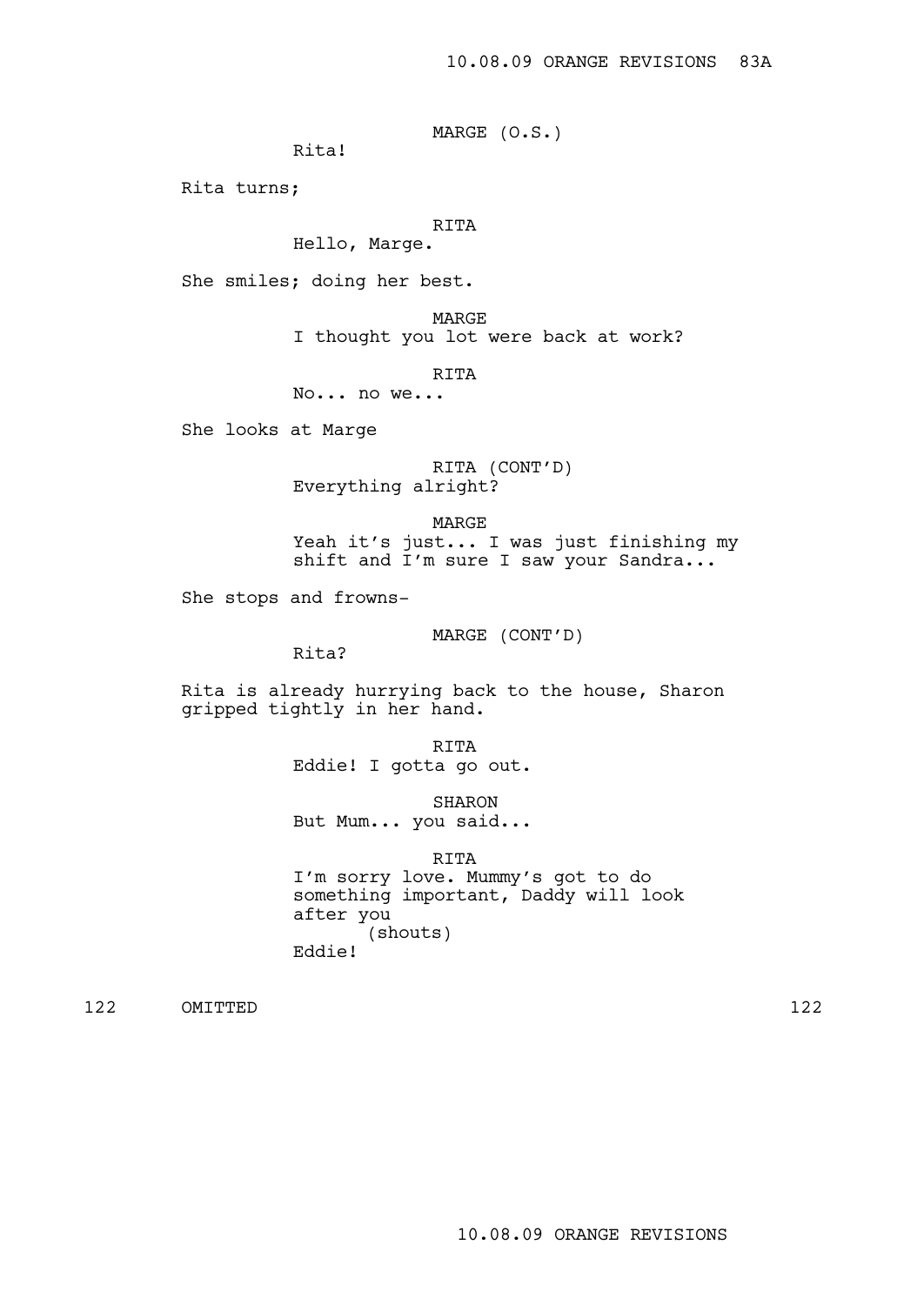MARGE (O.S.)

Rita!

Rita turns;

## RITA

Hello, Marge.

She smiles; doing her best.

MARGE I thought you lot were back at work?

RITA

No... no we...

She looks at Marge

RITA (CONT'D) Everything alright?

MARGE

Yeah it's just... I was just finishing my shift and I'm sure I saw your Sandra...

She stops and frowns-

MARGE (CONT'D)

Rita?

Rita is already hurrying back to the house, Sharon gripped tightly in her hand.

> RITA Eddie! I gotta go out.

> > SHARON

But Mum... you said...

RITA I'm sorry love. Mummy's got to do something important, Daddy will look after you (shouts) Eddie!

122 OMITTED 122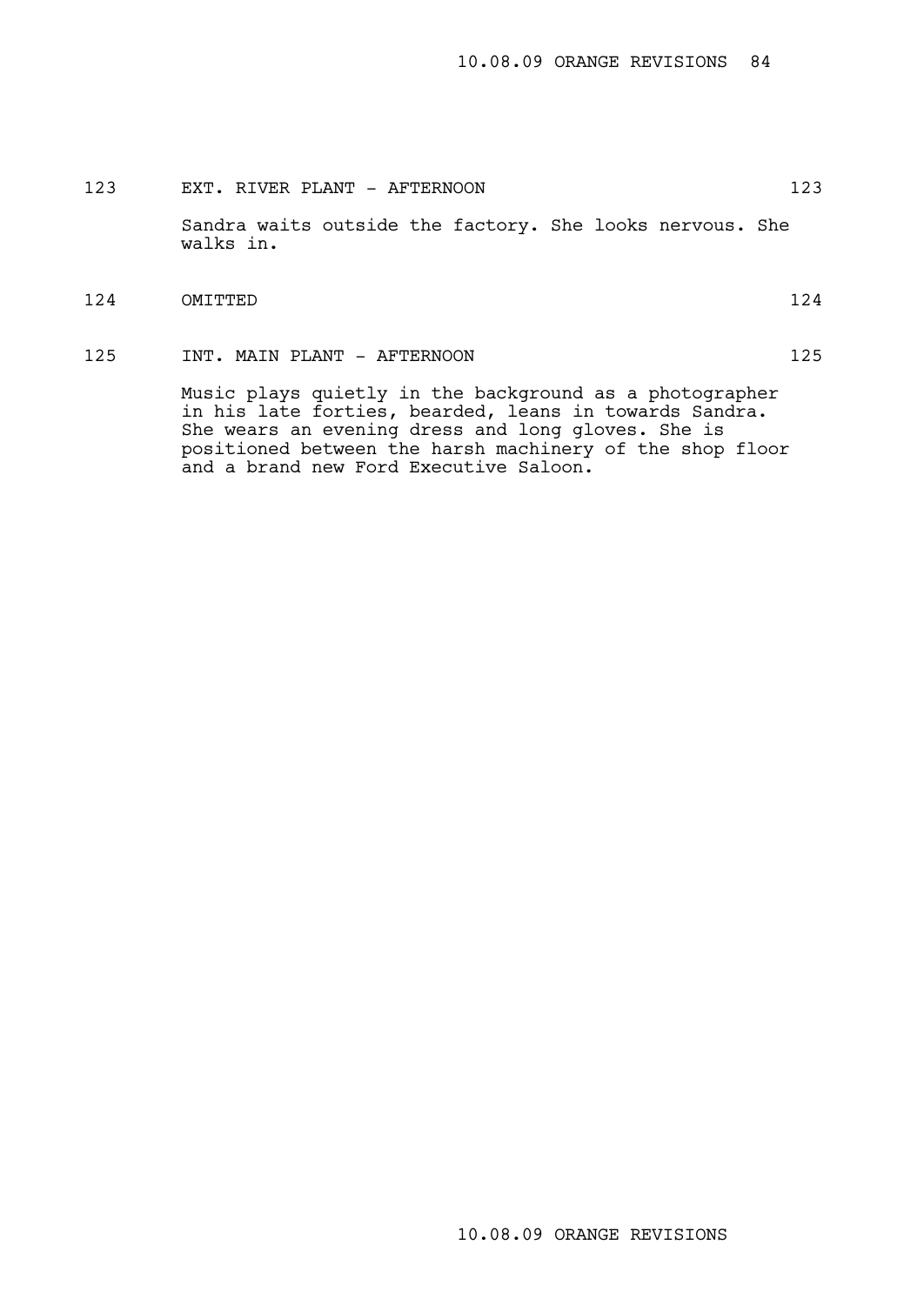| 123 | EXT. RIVER PLANT - AFTERNOON                                          | 123 |
|-----|-----------------------------------------------------------------------|-----|
|     | Sandra waits outside the factory. She looks nervous. She<br>walks in. |     |
| 124 | OMTTTED                                                               | 124 |

125 INT. MAIN PLANT - AFTERNOON 125

Music plays quietly in the background as a photographer in his late forties, bearded, leans in towards Sandra. She wears an evening dress and long gloves. She is positioned between the harsh machinery of the shop floor and a brand new Ford Executive Saloon.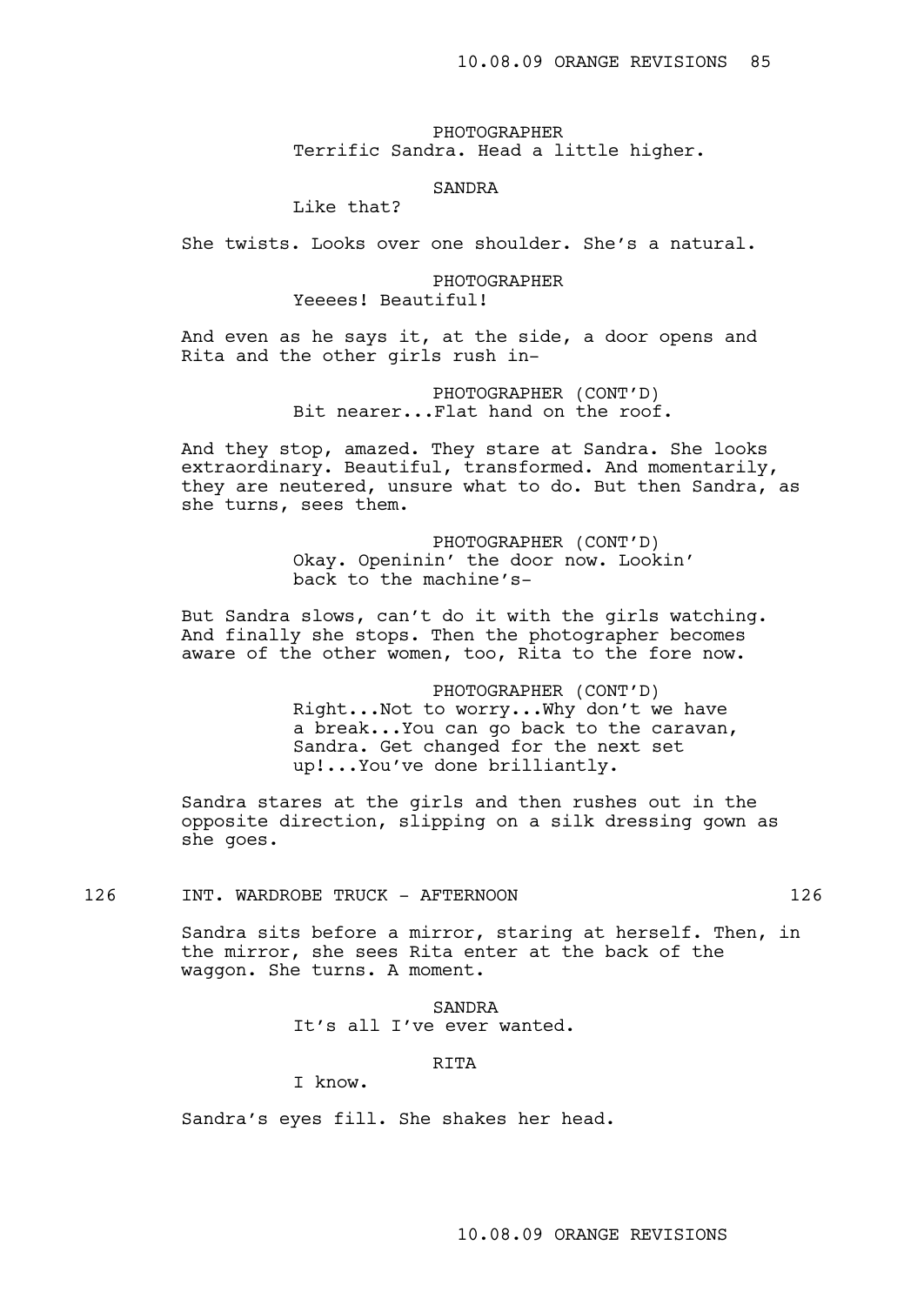PHOTOGRAPHER Terrific Sandra. Head a little higher.

# SANDRA

Like that?

She twists. Looks over one shoulder. She's a natural.

## PHOTOGRAPHER Yeeees! Beautiful!

And even as he says it, at the side, a door opens and Rita and the other girls rush in-

> PHOTOGRAPHER (CONT'D) Bit nearer...Flat hand on the roof.

And they stop, amazed. They stare at Sandra. She looks extraordinary. Beautiful, transformed. And momentarily, they are neutered, unsure what to do. But then Sandra, as she turns, sees them.

> PHOTOGRAPHER (CONT'D) Okay. Openinin' the door now. Lookin' back to the machine's-

But Sandra slows, can't do it with the girls watching. And finally she stops. Then the photographer becomes aware of the other women, too, Rita to the fore now.

> PHOTOGRAPHER (CONT'D) Right...Not to worry...Why don't we have a break...You can go back to the caravan, Sandra. Get changed for the next set up!...You've done brilliantly.

Sandra stares at the girls and then rushes out in the opposite direction, slipping on a silk dressing gown as she goes.

## 126 INT. WARDROBE TRUCK - AFTERNOON 126

Sandra sits before a mirror, staring at herself. Then, in the mirror, she sees Rita enter at the back of the waggon. She turns. A moment.

> SANDRA It's all I've ever wanted.

> > RITA

I know.

Sandra's eyes fill. She shakes her head.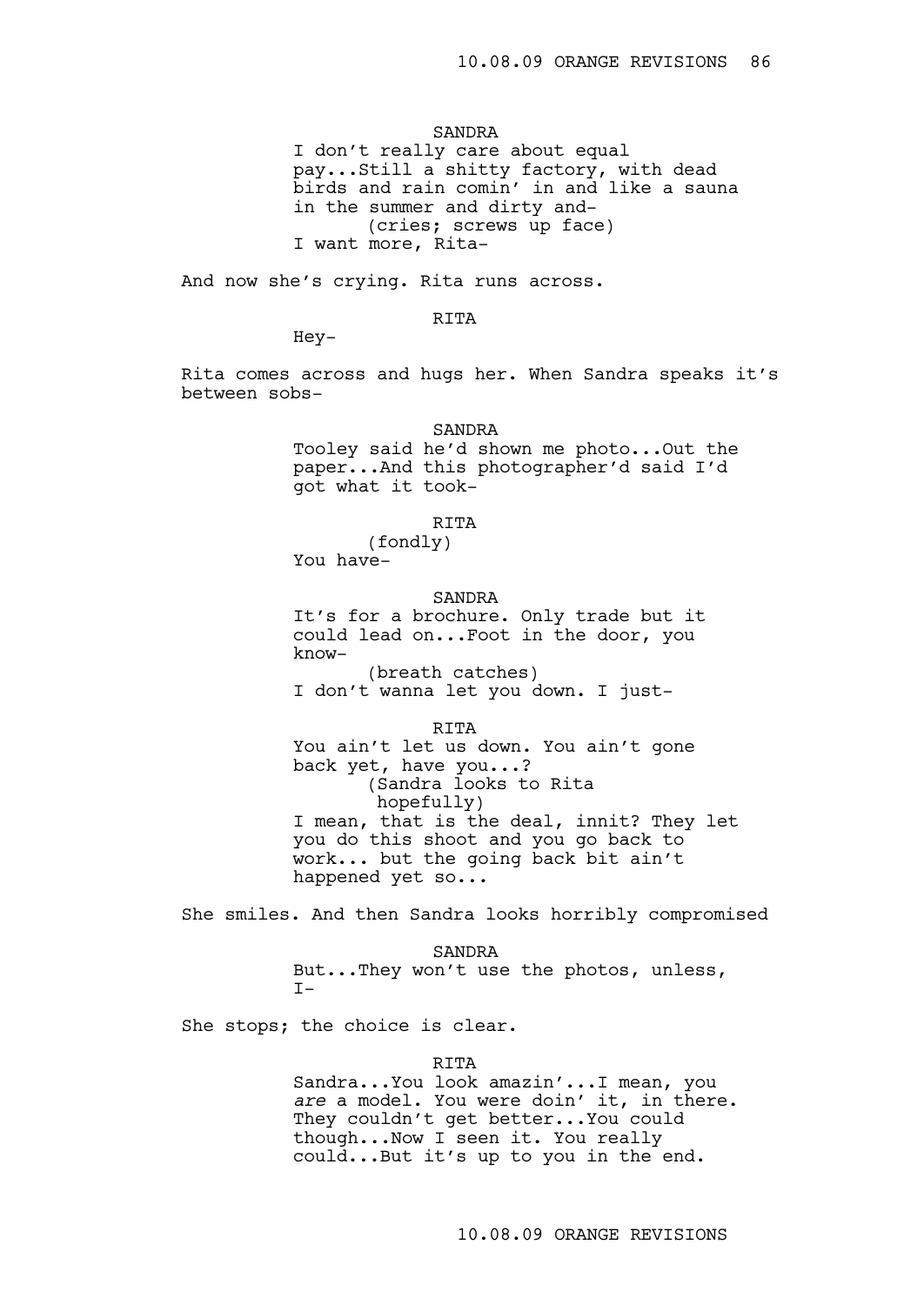# SANDRA

I don't really care about equal pay...Still a shitty factory, with dead birds and rain comin' in and like a sauna in the summer and dirty and- (cries; screws up face) I want more, Rita-

And now she's crying. Rita runs across.

## **RTTA**

Hey-

Rita comes across and hugs her. When Sandra speaks it's between sobs-

#### SANDRA

Tooley said he'd shown me photo...Out the paper...And this photographer'd said I'd got what it took-

## RITA

(fondly) You have-

## SANDRA

It's for a brochure. Only trade but it could lead on...Foot in the door, you know- (breath catches)

I don't wanna let you down. I just-

#### RITA

You ain't let us down. You ain't gone back yet, have you...? (Sandra looks to Rita hopefully) I mean, that is the deal, innit? They let you do this shoot and you go back to work... but the going back bit ain't happened yet so...

She smiles. And then Sandra looks horribly compromised

SANDRA But...They won't use the photos, unless,  $T-$ 

She stops; the choice is clear.

## RITA

Sandra...You look amazin'...I mean, you *are* a model. You were doin' it, in there. They couldn't get better...You could though...Now I seen it. You really could...But it's up to you in the end.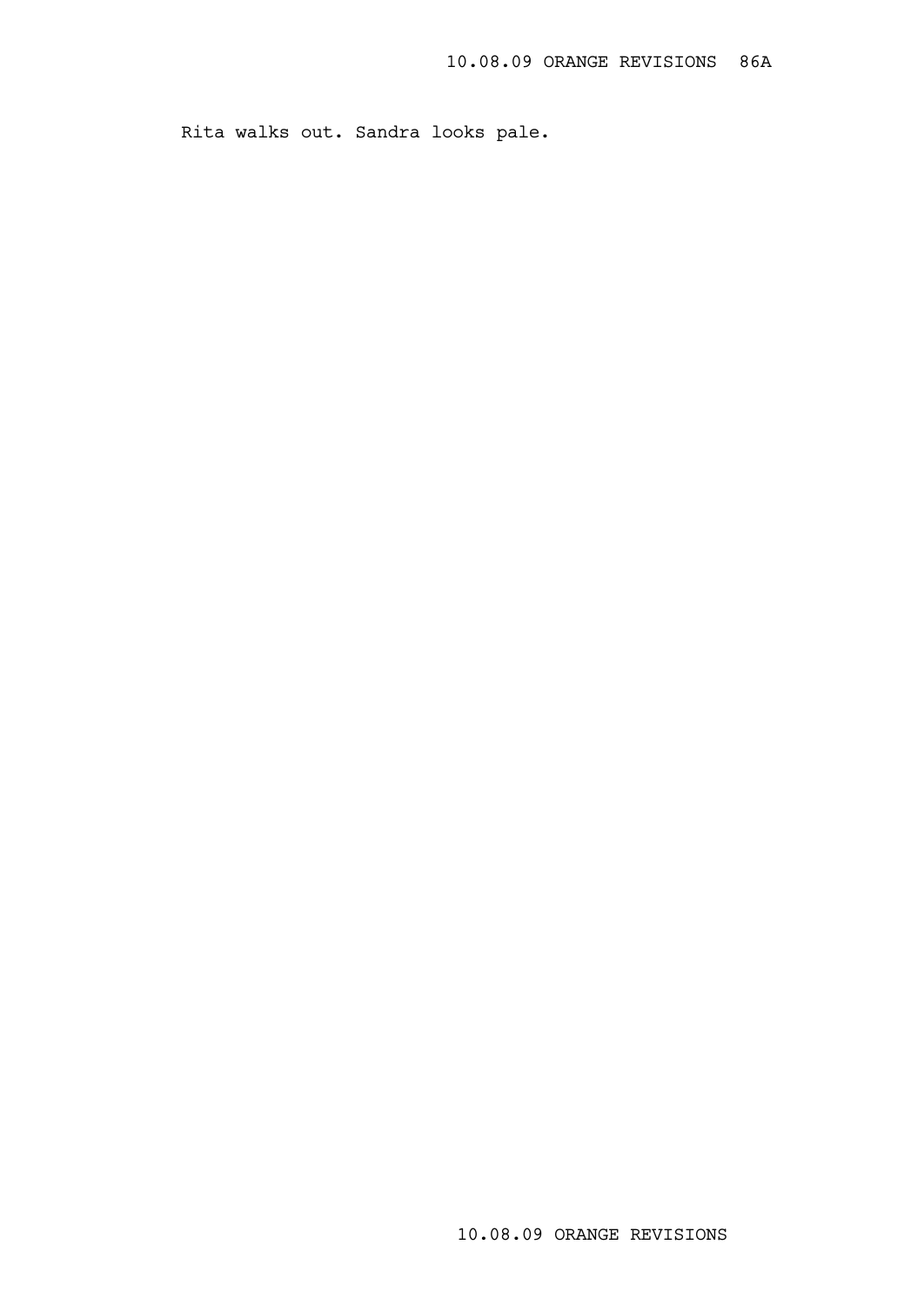Rita walks out. Sandra looks pale.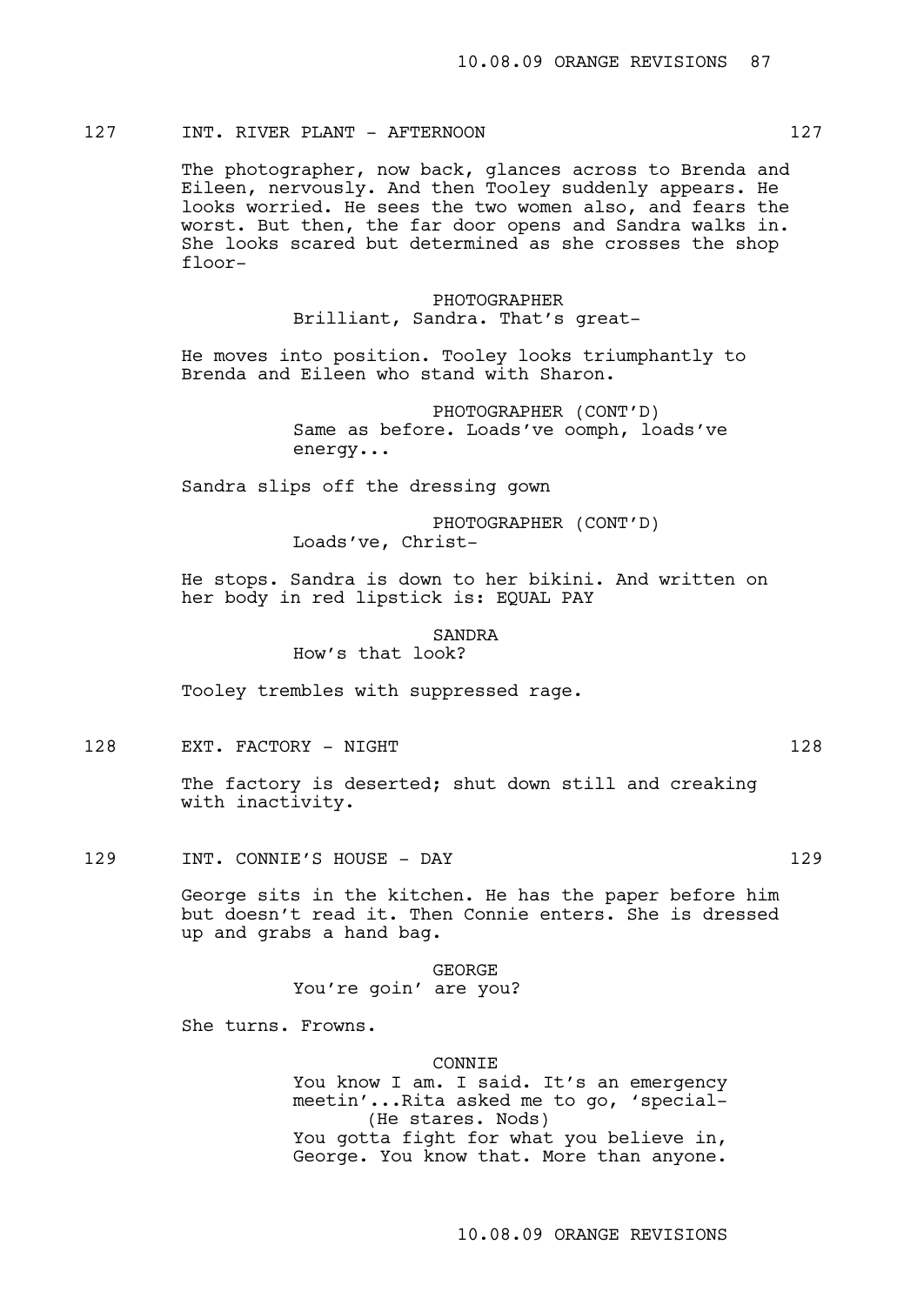# 127 INT. RIVER PLANT - AFTERNOON 127

The photographer, now back, glances across to Brenda and Eileen, nervously. And then Tooley suddenly appears. He looks worried. He sees the two women also, and fears the worst. But then, the far door opens and Sandra walks in. She looks scared but determined as she crosses the shop floor-

> PHOTOGRAPHER Brilliant, Sandra. That's great-

He moves into position. Tooley looks triumphantly to Brenda and Eileen who stand with Sharon.

> PHOTOGRAPHER (CONT'D) Same as before. Loads've oomph, loads've energy...

Sandra slips off the dressing gown

PHOTOGRAPHER (CONT'D) Loads've, Christ-

He stops. Sandra is down to her bikini. And written on her body in red lipstick is: EQUAL PAY

#### SANDRA

How's that look?

Tooley trembles with suppressed rage.

128 EXT. FACTORY – NIGHT 128 128

The factory is deserted; shut down still and creaking with inactivity.

129 INT. CONNIE'S HOUSE - DAY 129

George sits in the kitchen. He has the paper before him but doesn't read it. Then Connie enters. She is dressed up and grabs a hand bag.

> GEORGE You're goin' are you?

She turns. Frowns.

# CONNIE

You know I am. I said. It's an emergency meetin'...Rita asked me to go, 'special- (He stares. Nods) You gotta fight for what you believe in, George. You know that. More than anyone.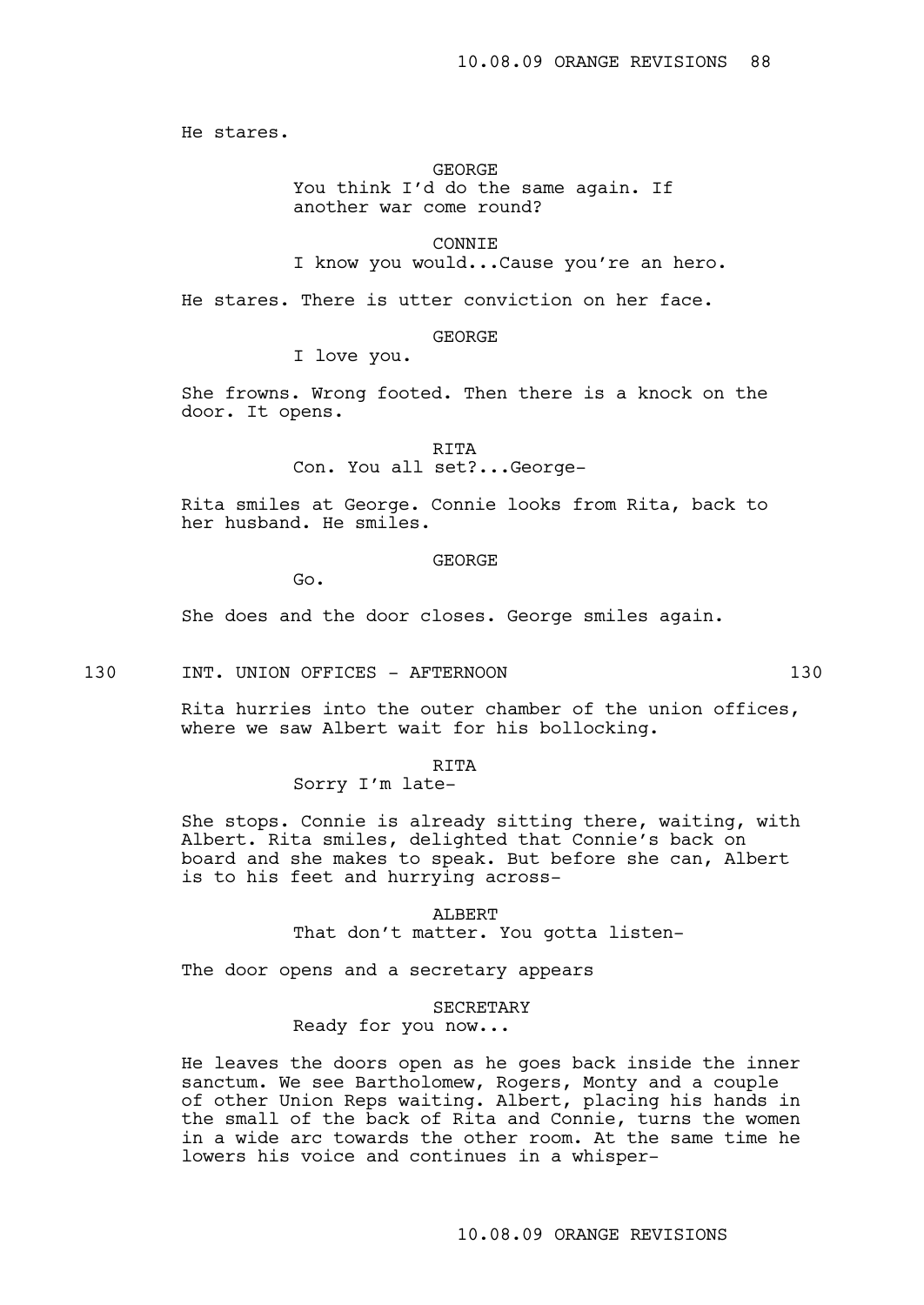He stares.

## GEORGE

You think I'd do the same again. If another war come round?

CONNIE

I know you would...Cause you're an hero.

He stares. There is utter conviction on her face.

### GEORGE

I love you.

She frowns. Wrong footed. Then there is a knock on the door. It opens.

**RTTA** 

Con. You all set?...George-

Rita smiles at George. Connie looks from Rita, back to her husband. He smiles.

GEORGE

Go.

She does and the door closes. George smiles again.

130 INT. UNION OFFICES - AFTERNOON 130

Rita hurries into the outer chamber of the union offices, where we saw Albert wait for his bollocking.

# **RTTA**

# Sorry I'm late-

She stops. Connie is already sitting there, waiting, with Albert. Rita smiles, delighted that Connie's back on board and she makes to speak. But before she can, Albert is to his feet and hurrying across-

#### ALBERT

That don't matter. You gotta listen-

The door opens and a secretary appears

#### SECRETARY

Ready for you now...

He leaves the doors open as he goes back inside the inner sanctum. We see Bartholomew, Rogers, Monty and a couple of other Union Reps waiting. Albert, placing his hands in the small of the back of Rita and Connie, turns the women in a wide arc towards the other room. At the same time he lowers his voice and continues in a whisper-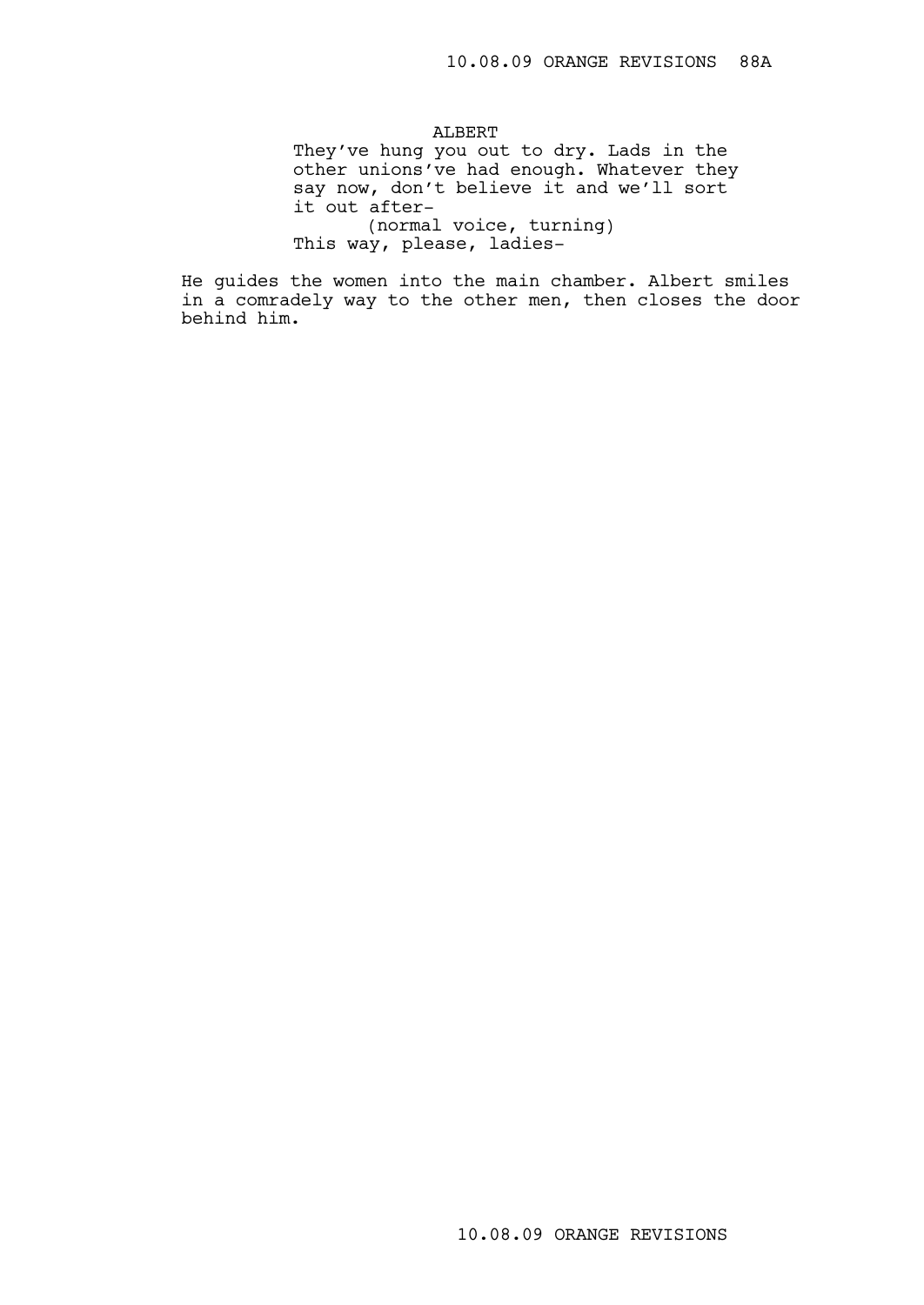## ALBERT

They've hung you out to dry. Lads in the other unions've had enough. Whatever they say now, don't believe it and we'll sort it out after- (normal voice, turning) This way, please, ladies-

He guides the women into the main chamber. Albert smiles in a comradely way to the other men, then closes the door behind him.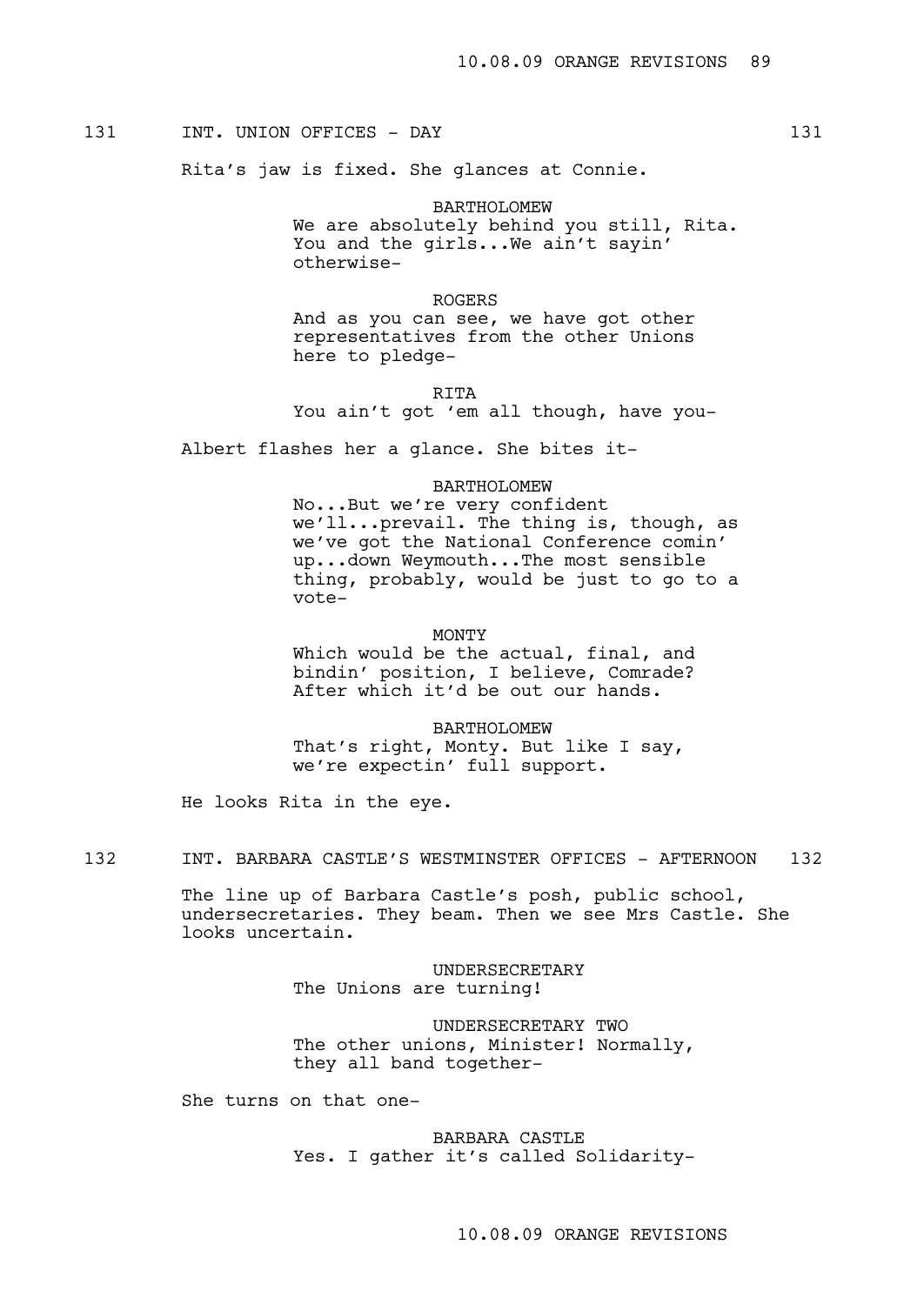# 131 INT. UNION OFFICES - DAY 131

Rita's jaw is fixed. She glances at Connie.

BARTHOLOMEW We are absolutely behind you still, Rita. You and the girls...We ain't sayin' otherwise-

ROGERS

And as you can see, we have got other representatives from the other Unions here to pledge-

RITA

You ain't got 'em all though, have you-

Albert flashes her a glance. She bites it-

#### BARTHOLOMEW

No...But we're very confident we'll...prevail. The thing is, though, as we've got the National Conference comin' up...down Weymouth...The most sensible thing, probably, would be just to go to a vote-

### MONTY

Which would be the actual, final, and bindin' position, I believe, Comrade? After which it'd be out our hands.

BARTHOLOMEW That's right, Monty. But like I say, we're expectin' full support.

He looks Rita in the eye.

132 INT. BARBARA CASTLE'S WESTMINSTER OFFICES - AFTERNOON 132

The line up of Barbara Castle's posh, public school, undersecretaries. They beam. Then we see Mrs Castle. She looks uncertain.

> UNDERSECRETARY The Unions are turning!

UNDERSECRETARY TWO The other unions, Minister! Normally, they all band together-

She turns on that one-

BARBARA CASTLE Yes. I gather it's called Solidarity-

10.08.09 ORANGE REVISIONS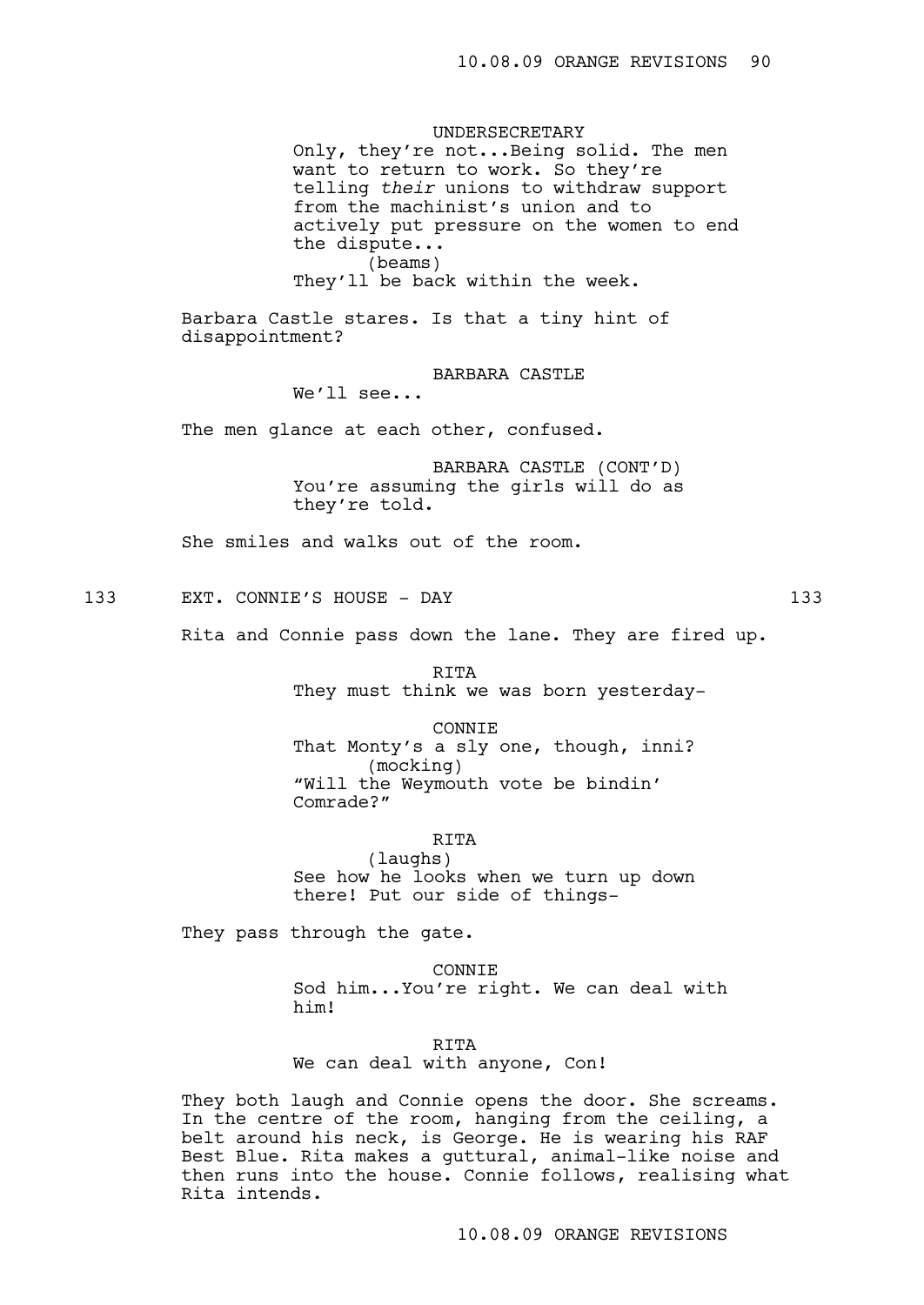UNDERSECRETARY Only, they're not...Being solid. The men want to return to work. So they're telling *their* unions to withdraw support from the machinist's union and to actively put pressure on the women to end the dispute... (beams) They'll be back within the week.

Barbara Castle stares. Is that a tiny hint of disappointment?

BARBARA CASTLE

We'll see...

The men glance at each other, confused.

BARBARA CASTLE (CONT'D) You're assuming the girls will do as they're told.

She smiles and walks out of the room.

133 EXT. CONNIE'S HOUSE - DAY 133

Rita and Connie pass down the lane. They are fired up.

RITA They must think we was born yesterday-

CONNIE

That Monty's a sly one, though, inni? (mocking) "Will the Weymouth vote be bindin' Comrade?"

#### RITA

(laughs) See how he looks when we turn up down there! Put our side of things-

They pass through the gate.

CONNIE Sod him...You're right. We can deal with him!

RITA

We can deal with anyone, Con!

They both laugh and Connie opens the door. She screams. In the centre of the room, hanging from the ceiling, a belt around his neck, is George. He is wearing his RAF Best Blue. Rita makes a guttural, animal-like noise and then runs into the house. Connie follows, realising what Rita intends.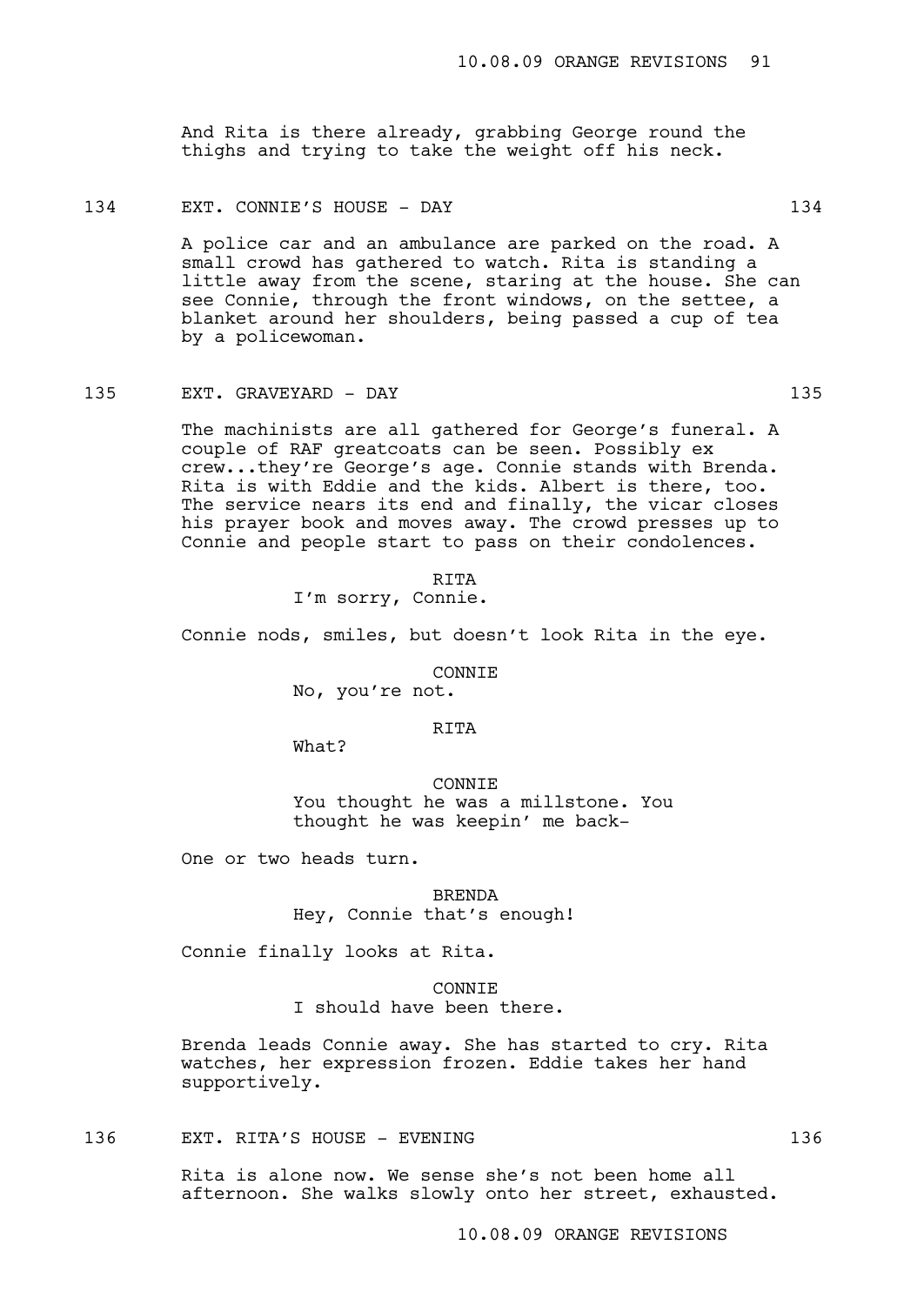And Rita is there already, grabbing George round the thighs and trying to take the weight off his neck.

134 EXT. CONNIE'S HOUSE - DAY 134

A police car and an ambulance are parked on the road. A small crowd has gathered to watch. Rita is standing a little away from the scene, staring at the house. She can see Connie, through the front windows, on the settee, a blanket around her shoulders, being passed a cup of tea by a policewoman.

135 EXT. GRAVEYARD - DAY 135

The machinists are all gathered for George's funeral. A couple of RAF greatcoats can be seen. Possibly ex crew...they're George's age. Connie stands with Brenda. Rita is with Eddie and the kids. Albert is there, too. The service nears its end and finally, the vicar closes his prayer book and moves away. The crowd presses up to Connie and people start to pass on their condolences.

> **RTTA** I'm sorry, Connie.

Connie nods, smiles, but doesn't look Rita in the eye.

CONNIE

No, you're not.

# RITA

What?

CONNIE

You thought he was a millstone. You thought he was keepin' me back-

One or two heads turn.

BRENDA Hey, Connie that's enough!

Connie finally looks at Rita.

**CONNTE** I should have been there.

Brenda leads Connie away. She has started to cry. Rita watches, her expression frozen. Eddie takes her hand supportively.

136 EXT. RITA'S HOUSE - EVENING 136

Rita is alone now. We sense she's not been home all afternoon. She walks slowly onto her street, exhausted.

10.08.09 ORANGE REVISIONS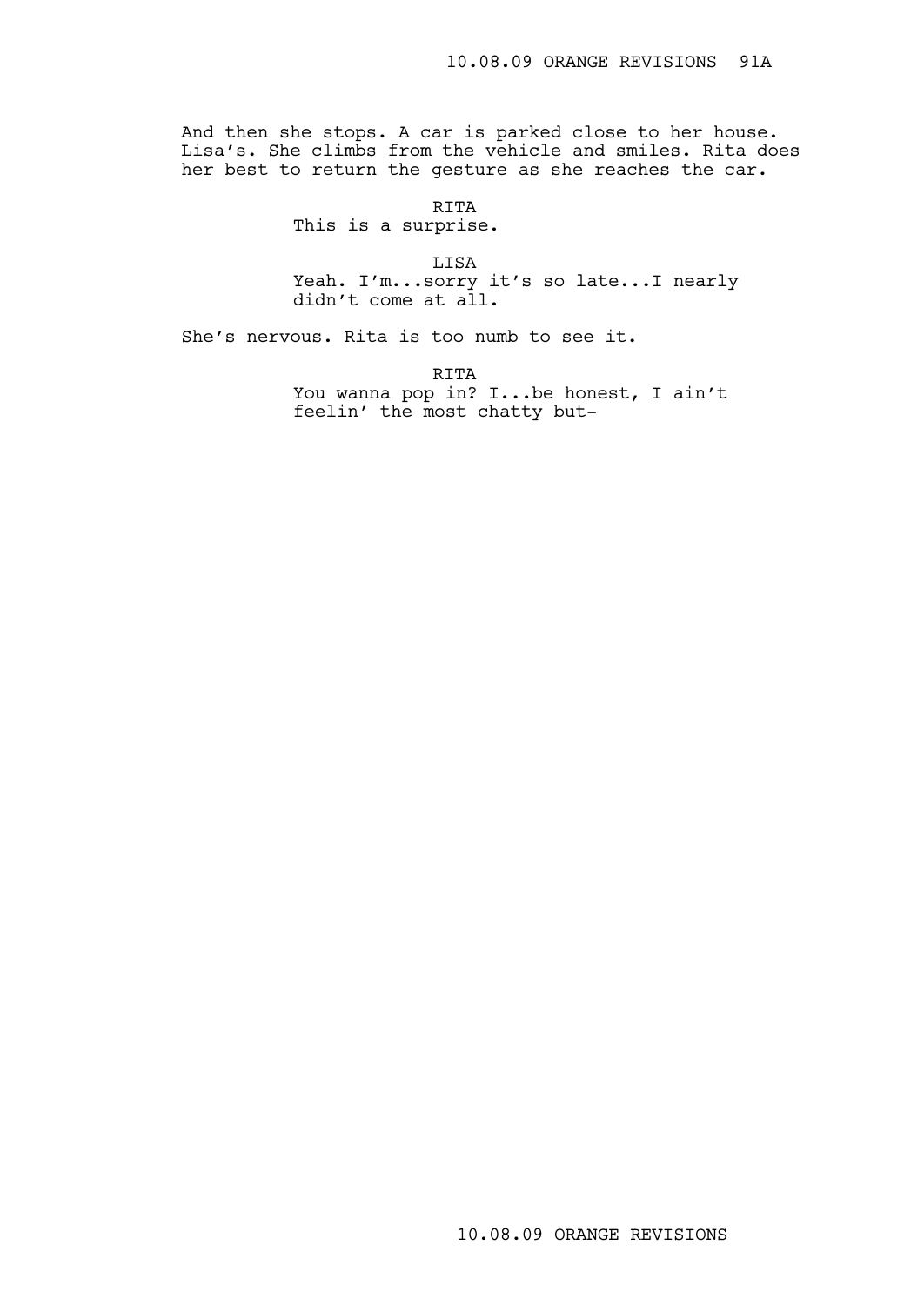And then she stops. A car is parked close to her house. Lisa's. She climbs from the vehicle and smiles. Rita does her best to return the gesture as she reaches the car.

> RITA This is a surprise.

LISA Yeah. I'm...sorry it's so late...I nearly didn't come at all.

She's nervous. Rita is too numb to see it.

RITA

You wanna pop in? I...be honest, I ain't feelin' the most chatty but-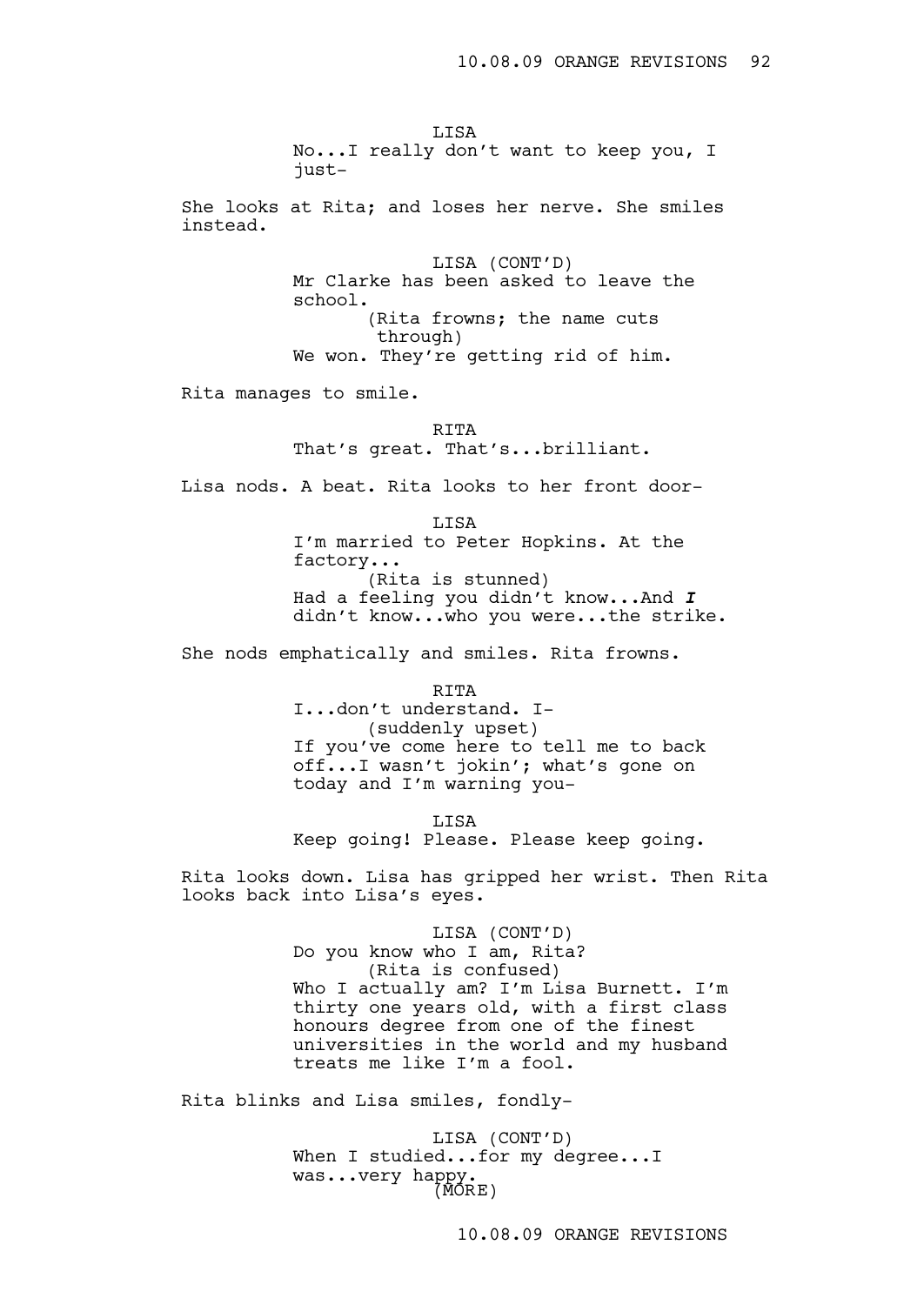LISA No...I really don't want to keep you, I just-She looks at Rita; and loses her nerve. She smiles instead. LISA (CONT'D) Mr Clarke has been asked to leave the school. (Rita frowns; the name cuts through) We won. They're getting rid of him. Rita manages to smile. **RTTA** That's great. That's...brilliant. Lisa nods. A beat. Rita looks to her front door-LISA I'm married to Peter Hopkins. At the factory... (Rita is stunned) Had a feeling you didn't know...And **<sup>I</sup>** didn't know...who you were...the strike. She nods emphatically and smiles. Rita frowns. RITA I...don't understand. I- (suddenly upset) If you've come here to tell me to back off...I wasn't jokin'; what's gone on today and I'm warning you-LISA Keep going! Please. Please keep going. Rita looks down. Lisa has gripped her wrist. Then Rita looks back into Lisa's eyes.

> LISA (CONT'D) Do you know who I am, Rita? (Rita is confused) Who I actually am? I'm Lisa Burnett. I'm thirty one years old, with a first class honours degree from one of the finest universities in the world and my husband treats me like I'm a fool.

Rita blinks and Lisa smiles, fondly-

LISA (CONT'D) When I studied...for my degree...I was...very happy. (MORE)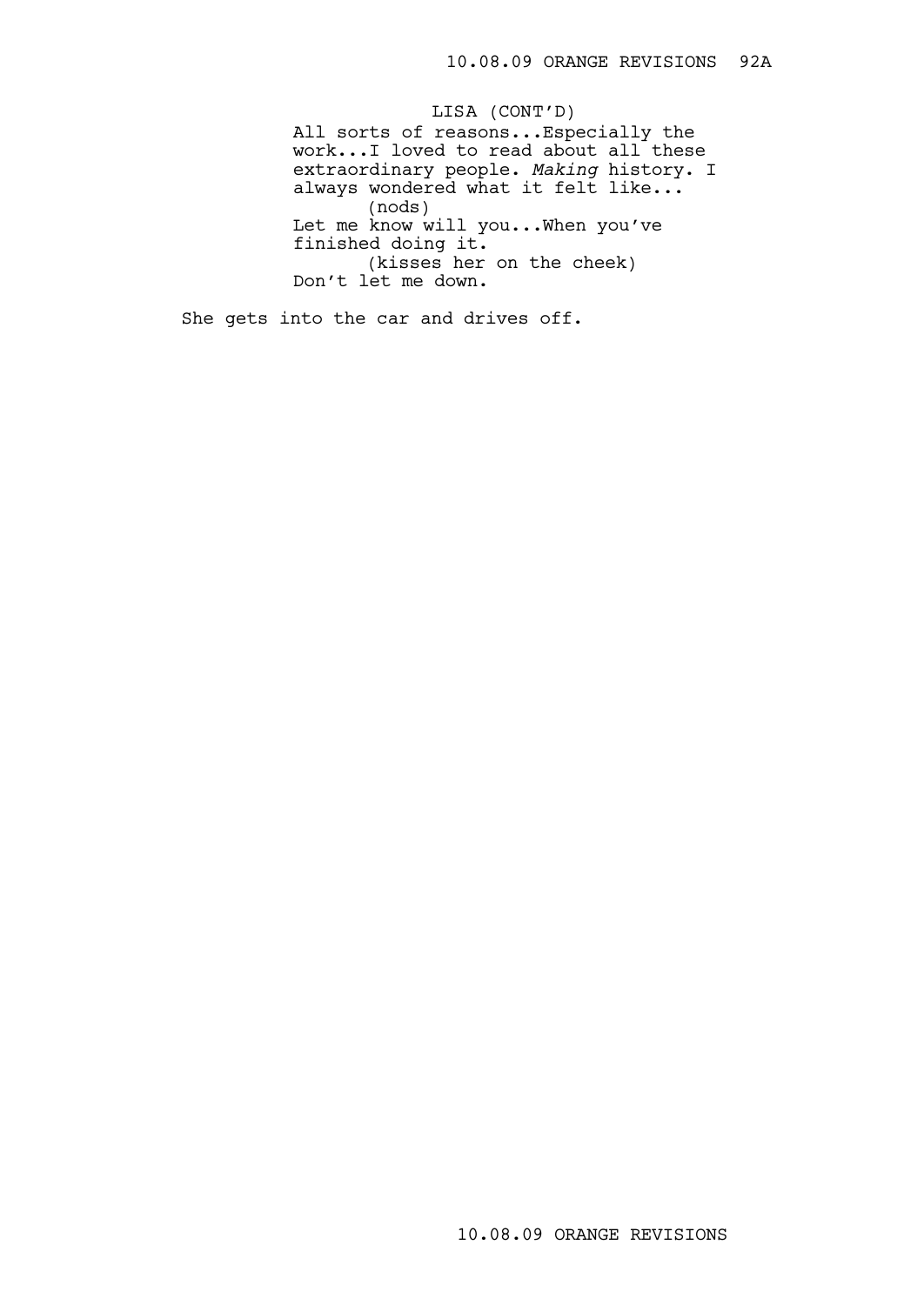All sorts of reasons...Especially the work...I loved to read about all these extraordinary people. *Making* history. I always wondered what it felt like... (nods) Let me know will you...When you've finished doing it. (kisses her on the cheek) Don't let me down. LISA (CONT'D)

She gets into the car and drives off.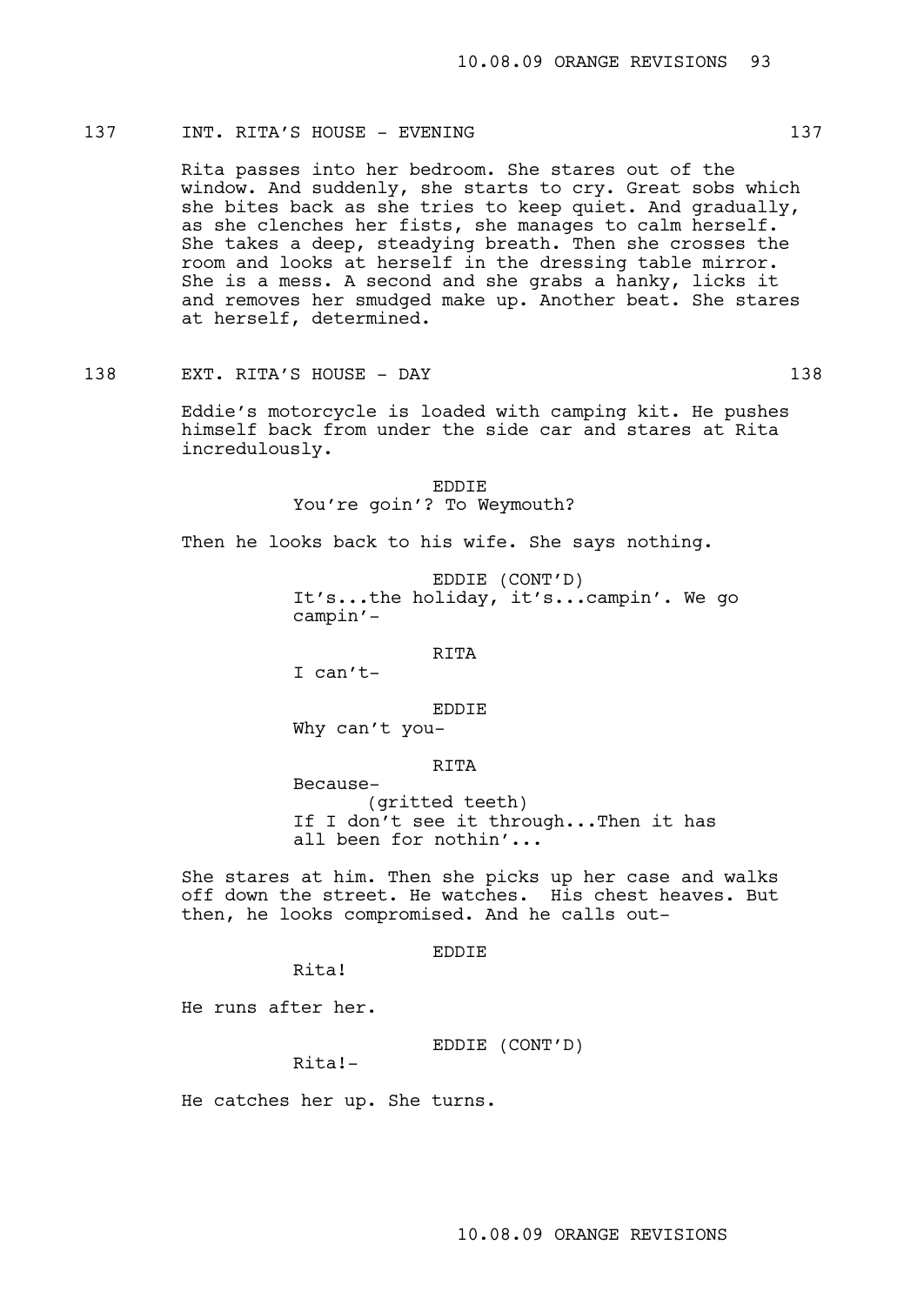# 137 INT. RITA'S HOUSE - EVENING 137

Rita passes into her bedroom. She stares out of the window. And suddenly, she starts to cry. Great sobs which she bites back as she tries to keep quiet. And gradually, as she clenches her fists, she manages to calm herself. She takes a deep, steadying breath. Then she crosses the room and looks at herself in the dressing table mirror. She is a mess. A second and she grabs a hanky, licks it and removes her smudged make up. Another beat. She stares at herself, determined.

138 EXT. RITA'S HOUSE - DAY 138

Eddie's motorcycle is loaded with camping kit. He pushes himself back from under the side car and stares at Rita incredulously.

> EDDIE You're goin'? To Weymouth?

Then he looks back to his wife. She says nothing.

EDDIE (CONT'D) It's...the holiday, it's...campin'. We go campin'-

RITA

I can't-

Because-

EDDIE

Why can't you-

RITA

(gritted teeth) If I don't see it through...Then it has all been for nothin'...

She stares at him. Then she picks up her case and walks off down the street. He watches. His chest heaves. But then, he looks compromised. And he calls out-

## EDDIE

He runs after her.

EDDIE (CONT'D)

Rita!-

Rita!

He catches her up. She turns.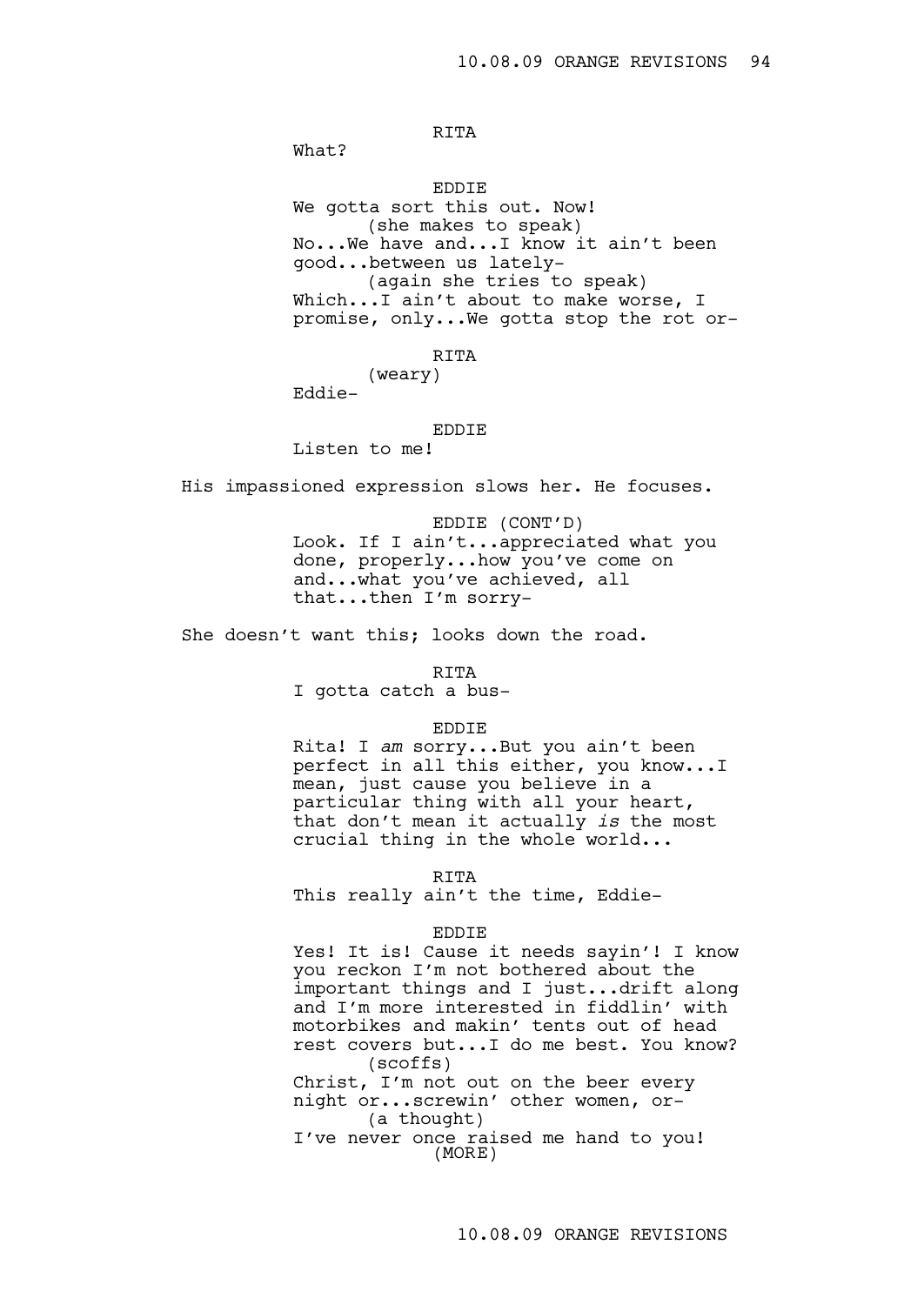RITA

What?

EDDIE We gotta sort this out. Now! (she makes to speak) No...We have and...I know it ain't been good...between us lately- (again she tries to speak) Which...I ain't about to make worse, I promise, only...We gotta stop the rot or-

## RITA

(weary) Eddie-

### EDDIE

Listen to me!

His impassioned expression slows her. He focuses.

EDDIE (CONT'D) Look. If I ain't...appreciated what you done, properly...how you've come on and...what you've achieved, all that...then I'm sorry-

She doesn't want this; looks down the road.

RITA

I gotta catch a bus-

#### EDDIE

Rita! I *am* sorry...But you ain't been perfect in all this either, you know...I mean, just cause you believe in a particular thing with all your heart, that don't mean it actually *is* the most crucial thing in the whole world...

#### RITA

This really ain't the time, Eddie-

#### EDDIE

Yes! It is! Cause it needs sayin'! I know you reckon I'm not bothered about the important things and I just...drift along and I'm more interested in fiddlin' with motorbikes and makin' tents out of head rest covers but...I do me best. You know? (scoffs) Christ, I'm not out on the beer every

night or...screwin' other women, or- (a thought)

I've never once raised me hand to you! (MORE)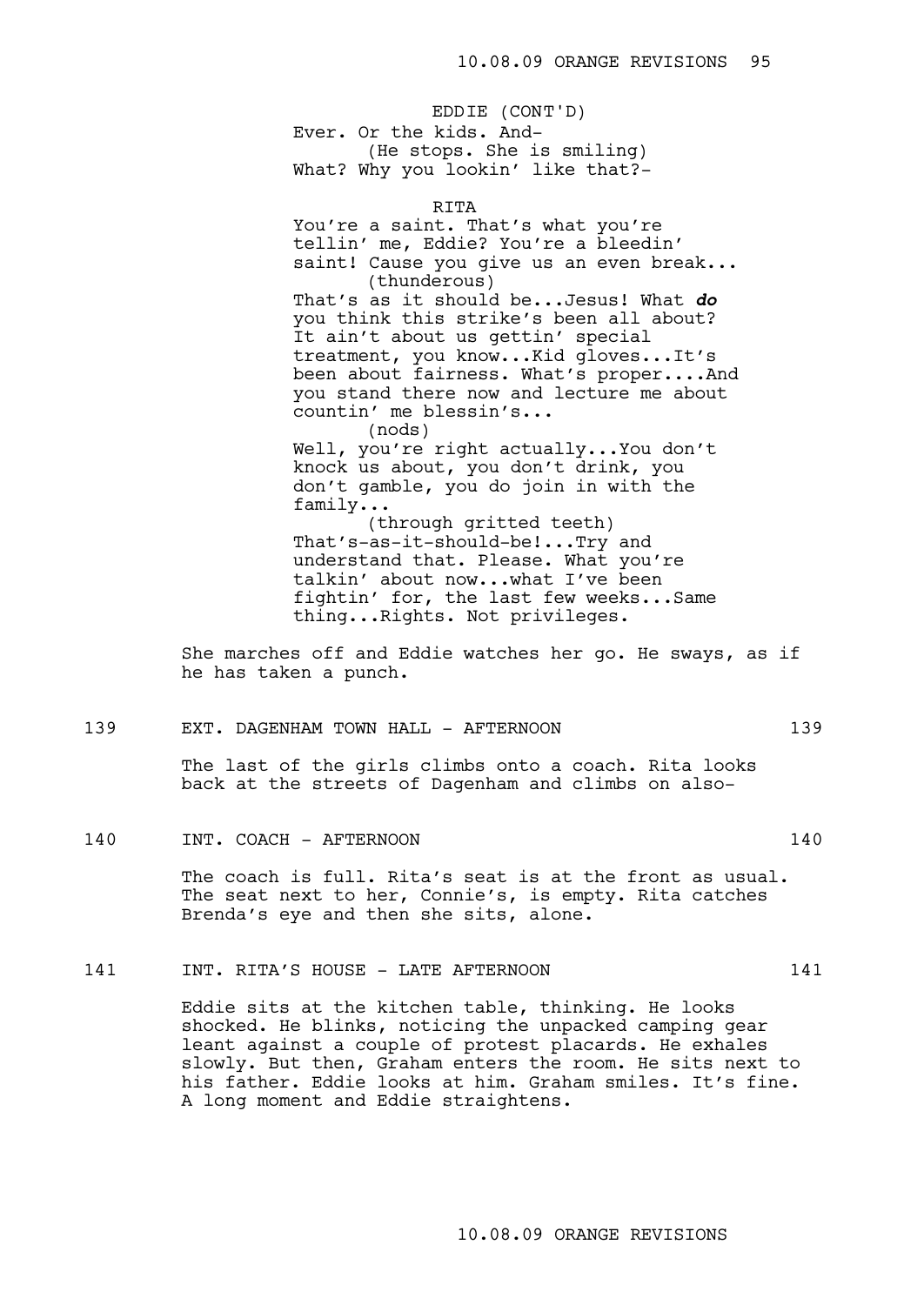Ever. Or the kids. And- (He stops. She is smiling) What? Why you lookin' like that?- EDDIE (CONT'D)

RITA

You're a saint. That's what you're tellin' me, Eddie? You're a bleedin' saint! Cause you give us an even break... (thunderous) That's as it should be...Jesus! What **do** you think this strike's been all about? It ain't about us gettin' special treatment, you know...Kid gloves...It's been about fairness. What's proper....And you stand there now and lecture me about countin' me blessin's... (nods) Well, you're right actually...You don't knock us about, you don't drink, you don't gamble, you do join in with the family...

(through gritted teeth) That's-as-it-should-be!...Try and understand that. Please. What you're talkin' about now...what I've been fightin' for, the last few weeks...Same thing...Rights. Not privileges.

She marches off and Eddie watches her go. He sways, as if he has taken a punch.

139 EXT. DAGENHAM TOWN HALL - AFTERNOON 139

The last of the girls climbs onto a coach. Rita looks back at the streets of Dagenham and climbs on also-

140 INT. COACH - AFTERNOON 140

The coach is full. Rita's seat is at the front as usual. The seat next to her, Connie's, is empty. Rita catches Brenda's eye and then she sits, alone.

141 INT. RITA'S HOUSE - LATE AFTERNOON 141

Eddie sits at the kitchen table, thinking. He looks shocked. He blinks, noticing the unpacked camping gear leant against a couple of protest placards. He exhales slowly. But then, Graham enters the room. He sits next to his father. Eddie looks at him. Graham smiles. It's fine. A long moment and Eddie straightens.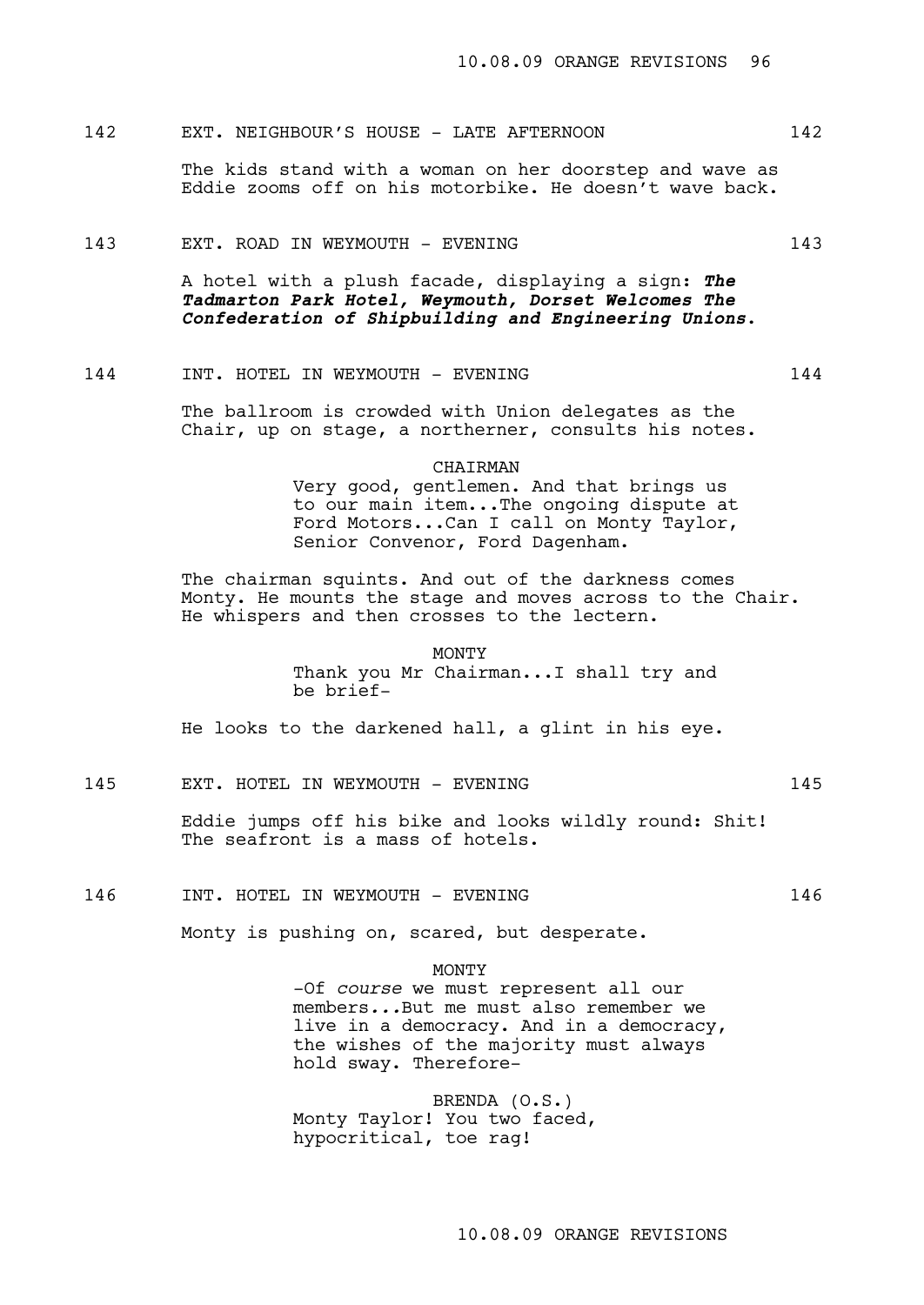# 142 EXT. NEIGHBOUR'S HOUSE - LATE AFTERNOON 142

The kids stand with a woman on her doorstep and wave as Eddie zooms off on his motorbike. He doesn't wave back.

## 143 EXT. ROAD IN WEYMOUTH - EVENING 143

A hotel with a plush facade, displaying a sign: **The Tadmarton Park Hotel, Weymouth, Dorset Welcomes The Confederation of Shipbuilding and Engineering Unions**.

## 144 INT. HOTEL IN WEYMOUTH - EVENING 144

The ballroom is crowded with Union delegates as the Chair, up on stage, a northerner, consults his notes.

## CHAIRMAN

Very good, gentlemen. And that brings us to our main item...The ongoing dispute at Ford Motors...Can I call on Monty Taylor, Senior Convenor, Ford Dagenham.

The chairman squints. And out of the darkness comes Monty. He mounts the stage and moves across to the Chair. He whispers and then crosses to the lectern.

#### MONTY

Thank you Mr Chairman...I shall try and be brief-

He looks to the darkened hall, a glint in his eye.

145 EXT. HOTEL IN WEYMOUTH - EVENING 145

Eddie jumps off his bike and looks wildly round: Shit! The seafront is a mass of hotels.

146 INT. HOTEL IN WEYMOUTH - EVENING 146

Monty is pushing on, scared, but desperate.

## MONTY

-Of *course* we must represent all our members*...*But me must also remember we live in a democracy. And in a democracy, the wishes of the majority must always hold sway. Therefore-

BRENDA (O.S.) Monty Taylor! You two faced, hypocritical, toe rag!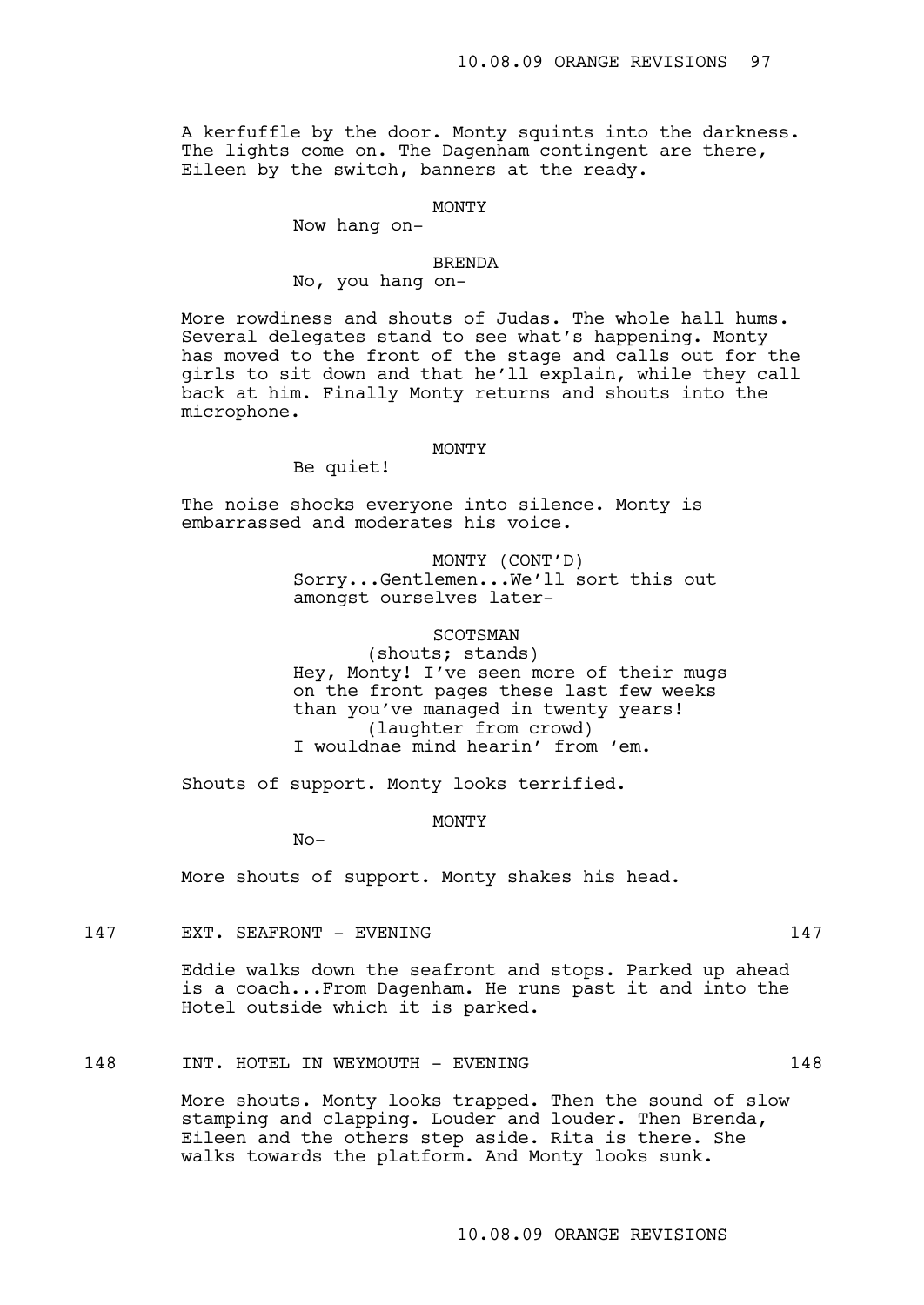A kerfuffle by the door. Monty squints into the darkness. The lights come on. The Dagenham contingent are there, Eileen by the switch, banners at the ready.

## MONTY

# Now hang on-

## BRENDA

# No, you hang on-

More rowdiness and shouts of Judas. The whole hall hums. Several delegates stand to see what's happening. Monty has moved to the front of the stage and calls out for the girls to sit down and that he'll explain, while they call back at him. Finally Monty returns and shouts into the microphone.

#### MONTY

Be quiet!

The noise shocks everyone into silence. Monty is embarrassed and moderates his voice.

> MONTY (CONT'D) Sorry...Gentlemen...We'll sort this out amongst ourselves later-

## SCOTSMAN

(shouts; stands) Hey, Monty! I've seen more of their mugs on the front pages these last few weeks than you've managed in twenty years! (laughter from crowd) I wouldnae mind hearin' from 'em.

Shouts of support. Monty looks terrified.

MONTY

No-

More shouts of support. Monty shakes his head.

147 EXT. SEAFRONT - EVENING 147 and 147

Eddie walks down the seafront and stops. Parked up ahead is a coach...From Dagenham. He runs past it and into the Hotel outside which it is parked.

148 INT. HOTEL IN WEYMOUTH - EVENING 148

More shouts. Monty looks trapped. Then the sound of slow stamping and clapping. Louder and louder. Then Brenda, Eileen and the others step aside. Rita is there. She walks towards the platform. And Monty looks sunk.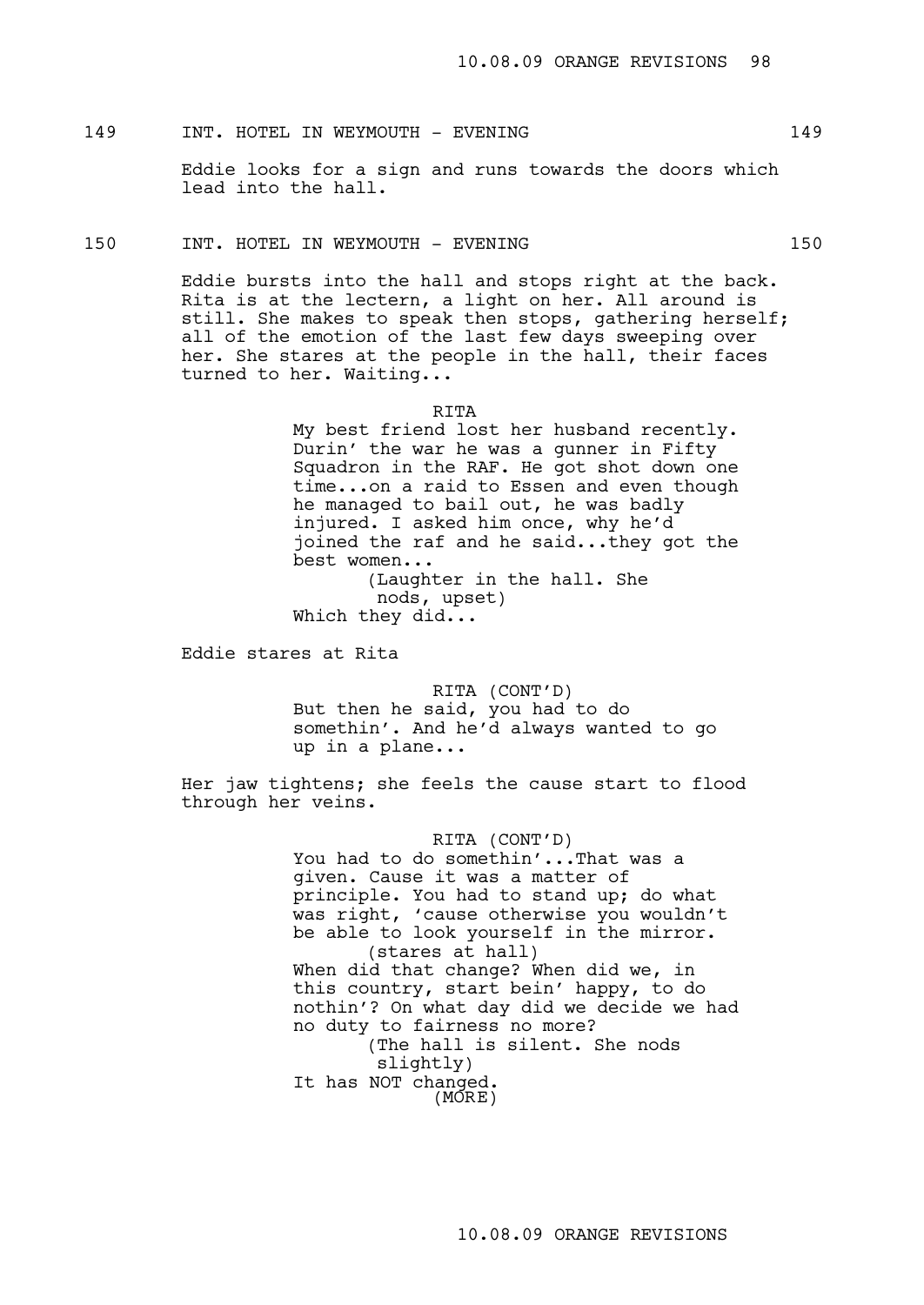# 149 INT. HOTEL IN WEYMOUTH - EVENING 149

Eddie looks for a sign and runs towards the doors which lead into the hall.

150 INT. HOTEL IN WEYMOUTH - EVENING 150

Eddie bursts into the hall and stops right at the back. Rita is at the lectern, a light on her. All around is still. She makes to speak then stops, gathering herself; all of the emotion of the last few days sweeping over her. She stares at the people in the hall, their faces turned to her. Waiting...

#### RITA

My best friend lost her husband recently. Durin' the war he was a gunner in Fifty Squadron in the RAF. He got shot down one time...on a raid to Essen and even though he managed to bail out, he was badly injured. I asked him once, why he'd joined the raf and he said...they got the best women...

(Laughter in the hall. She nods, upset)

Which they did...

Eddie stares at Rita

RITA (CONT'D) But then he said, you had to do somethin'. And he'd always wanted to go up in a plane...

Her jaw tightens; she feels the cause start to flood through her veins.

#### RITA (CONT'D)

You had to do somethin'...That was a given. Cause it was a matter of principle. You had to stand up; do what was right, 'cause otherwise you wouldn't be able to look yourself in the mirror. (stares at hall)

When did that change? When did we, in this country, start bein' happy, to do nothin'? On what day did we decide we had no duty to fairness no more?

(The hall is silent. She nods slightly)

It has NOT changed. (MORE)

10.08.09 ORANGE REVISIONS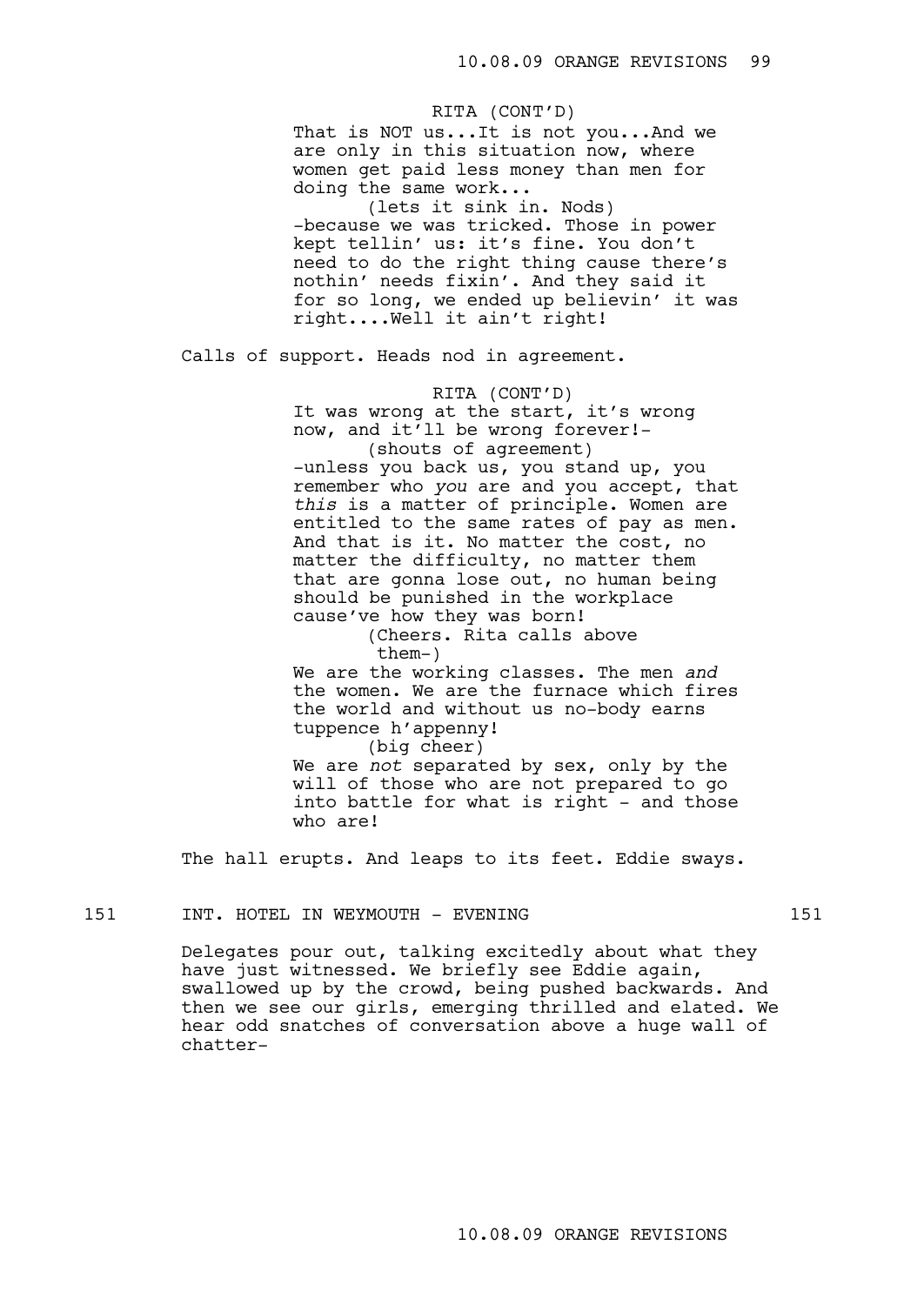## RITA (CONT'D)

That is NOT us...It is not you...And we are only in this situation now, where women get paid less money than men for doing the same work...

(lets it sink in. Nods) -because we was tricked. Those in power kept tellin' us: it's fine. You don't need to do the right thing cause there's nothin' needs fixin'. And they said it for so long, we ended up believin' it was right....Well it ain't right!

Calls of support. Heads nod in agreement.

RITA (CONT'D)

It was wrong at the start, it's wrong now, and it'll be wrong forever!- (shouts of agreement)

-unless you back us, you stand up, you remember who *you* are and you accept, that *this* is a matter of principle. Women are entitled to the same rates of pay as men. And that is it. No matter the cost, no matter the difficulty, no matter them that are gonna lose out, no human being should be punished in the workplace cause've how they was born!

> (Cheers. Rita calls above them-)

We are the working classes. The men *and*  the women. We are the furnace which fires the world and without us no-body earns tuppence h'appenny!

(big cheer)

We are *not* separated by sex, only by the will of those who are not prepared to go into battle for what is right - and those who are!

The hall erupts. And leaps to its feet. Eddie sways.

# 151 INT. HOTEL IN WEYMOUTH - EVENING 151

Delegates pour out, talking excitedly about what they have just witnessed. We briefly see Eddie again, swallowed up by the crowd, being pushed backwards. And then we see our girls, emerging thrilled and elated. We hear odd snatches of conversation above a huge wall of chatter-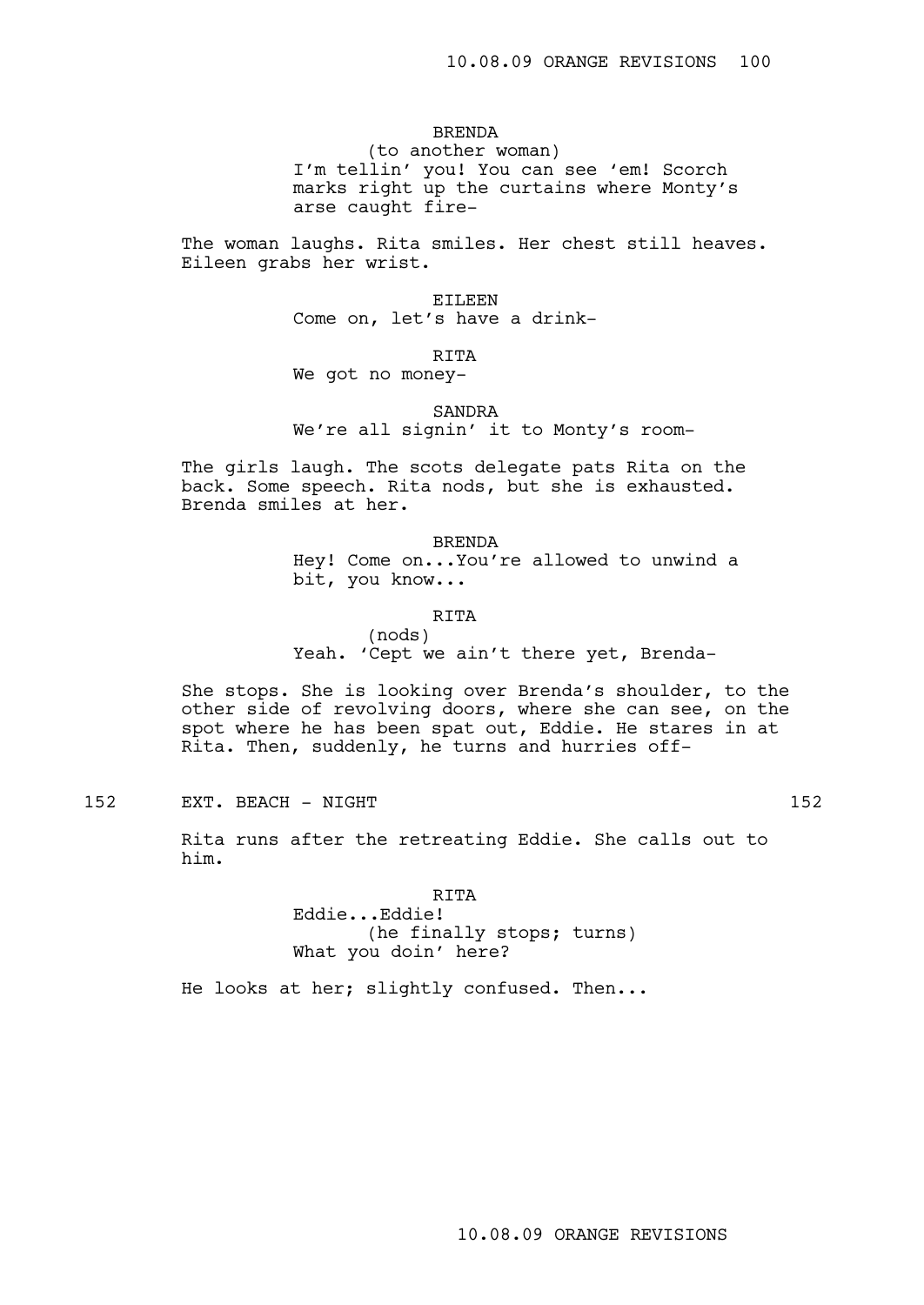# BRENDA

(to another woman) I'm tellin' you! You can see 'em! Scorch marks right up the curtains where Monty's arse caught fire-

The woman laughs. Rita smiles. Her chest still heaves. Eileen grabs her wrist.

> EILEEN Come on, let's have a drink-

> > RITA

We got no money-

## SANDRA

We're all signin' it to Monty's room-

The girls laugh. The scots delegate pats Rita on the back. Some speech. Rita nods, but she is exhausted. Brenda smiles at her.

BRENDA

Hey! Come on...You're allowed to unwind a bit, you know...

RITA

(nods) Yeah. 'Cept we ain't there yet, Brenda-

She stops. She is looking over Brenda's shoulder, to the other side of revolving doors, where she can see, on the spot where he has been spat out, Eddie. He stares in at Rita. Then, suddenly, he turns and hurries off-

152 EXT. BEACH - NIGHT 152 and 152

Rita runs after the retreating Eddie. She calls out to him.

> RITA Eddie...Eddie! (he finally stops; turns) What you doin' here?

He looks at her; slightly confused. Then...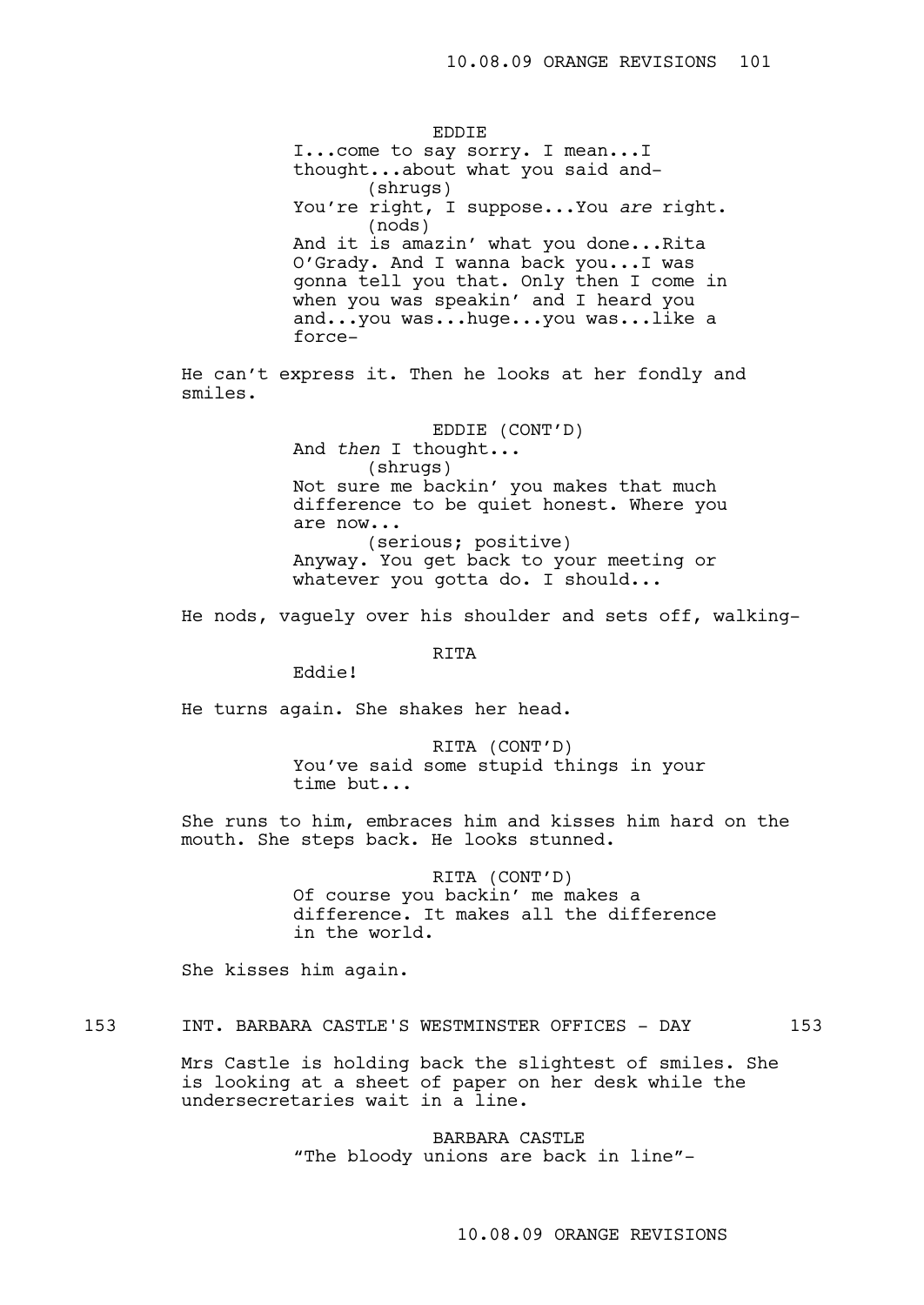EDDIE I...come to say sorry. I mean...I thought...about what you said and- (shrugs) You're right, I suppose...You *are* right. (nods) And it is amazin' what you done...Rita O'Grady. And I wanna back you...I was gonna tell you that. Only then I come in when you was speakin' and I heard you and...you was...huge...you was...like a force-He can't express it. Then he looks at her fondly and smiles.

> EDDIE (CONT'D) And *then* I thought... (shrugs) Not sure me backin' you makes that much difference to be quiet honest. Where you are now... (serious; positive) Anyway. You get back to your meeting or whatever you gotta do. I should...

He nods, vaguely over his shoulder and sets off, walking-

RITA

Eddie!

He turns again. She shakes her head.

RITA (CONT'D) You've said some stupid things in your time but...

She runs to him, embraces him and kisses him hard on the mouth. She steps back. He looks stunned.

> RITA (CONT'D) Of course you backin' me makes a difference. It makes all the difference in the world.

She kisses him again.

153 INT. BARBARA CASTLE'S WESTMINSTER OFFICES - DAY 153

Mrs Castle is holding back the slightest of smiles. She is looking at a sheet of paper on her desk while the undersecretaries wait in a line.

> BARBARA CASTLE "The bloody unions are back in line"-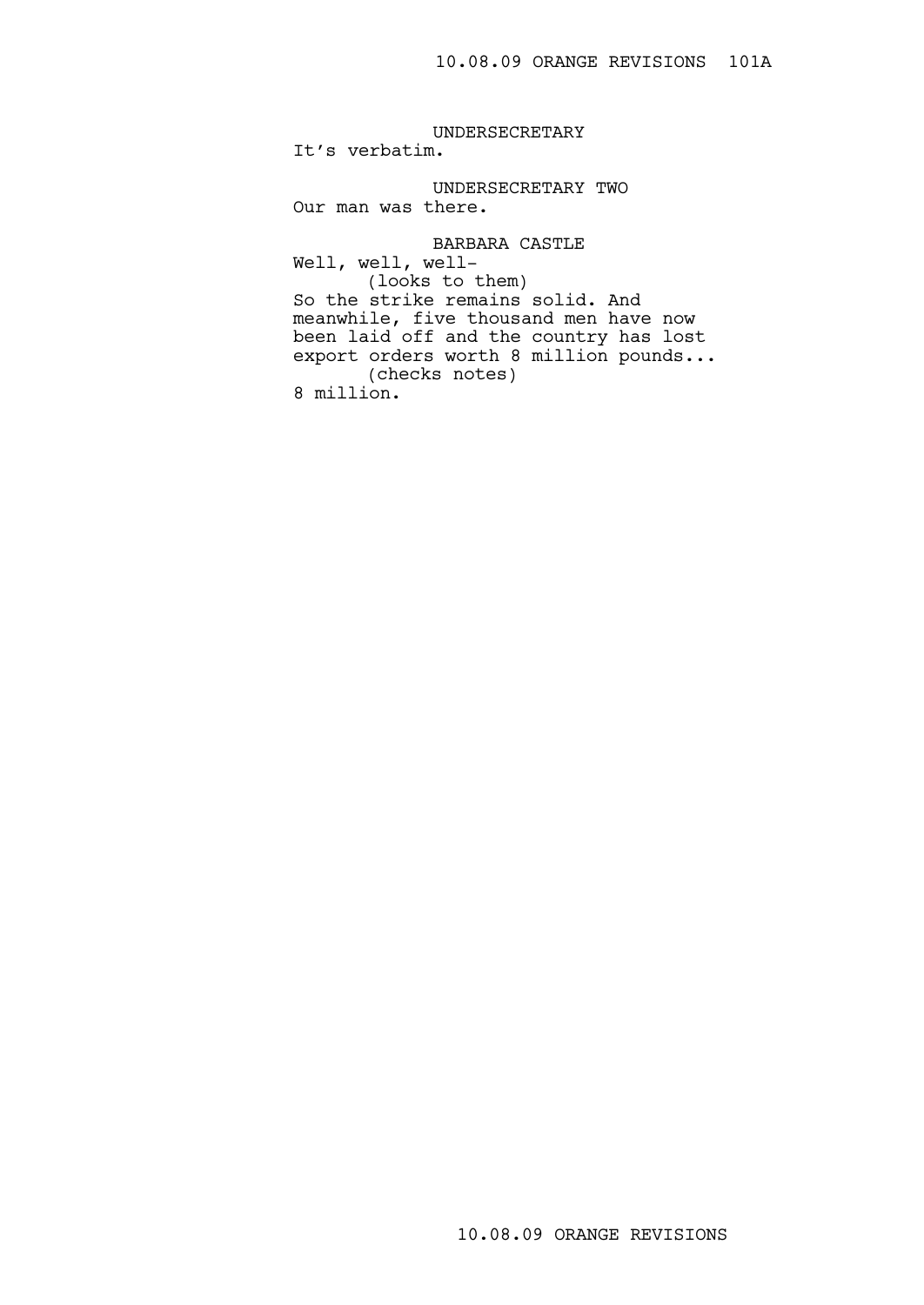UNDERSECRETARY It's verbatim. UNDERSECRETARY TWO Our man was there. BARBARA CASTLE Well, well, well- (looks to them) So the strike remains solid. And meanwhile, five thousand men have now been laid off and the country has lost export orders worth 8 million pounds... (checks notes) 8 million.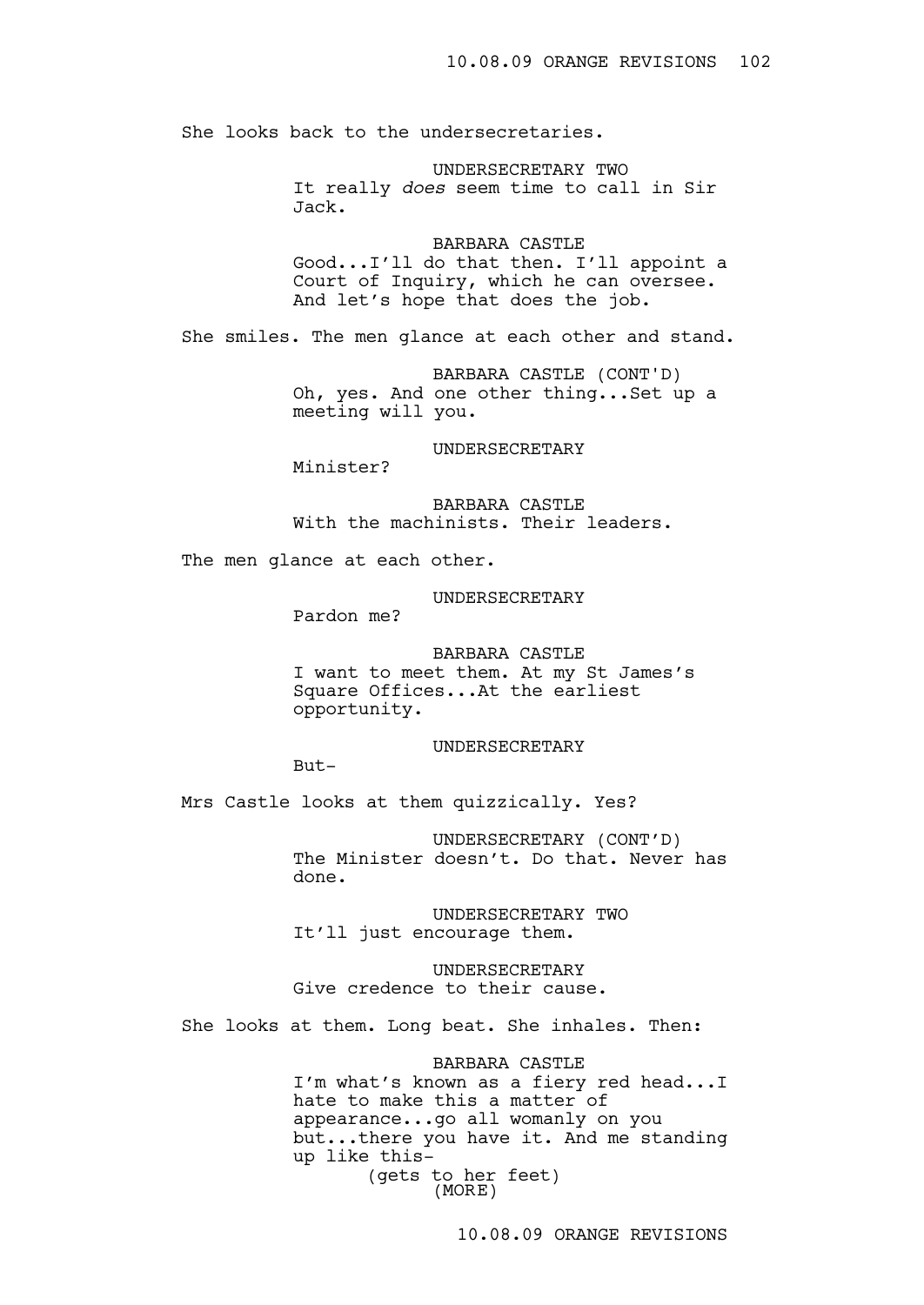She looks back to the undersecretaries.

UNDERSECRETARY TWO It really *does* seem time to call in Sir Jack.

BARBARA CASTLE Good...I'll do that then. I'll appoint a Court of Inquiry, which he can oversee. And let's hope that does the job.

She smiles. The men glance at each other and stand.

BARBARA CASTLE (CONT'D) Oh, yes. And one other thing...Set up a meeting will you.

UNDERSECRETARY

Minister?

BARBARA CASTLE With the machinists. Their leaders.

The men glance at each other.

UNDERSECRETARY

Pardon me?

BARBARA CASTLE

I want to meet them. At my St James's Square Offices...At the earliest opportunity.

UNDERSECRETARY

But-

Mrs Castle looks at them quizzically. Yes?

UNDERSECRETARY (CONT'D) The Minister doesn't. Do that. Never has done.

UNDERSECRETARY TWO It'll just encourage them.

UNDERSECRETARY Give credence to their cause.

She looks at them. Long beat. She inhales. Then:

BARBARA CASTLE

I'm what's known as a fiery red head...I hate to make this a matter of appearance...go all womanly on you but...there you have it. And me standing up like this- (gets to her feet) (MORE)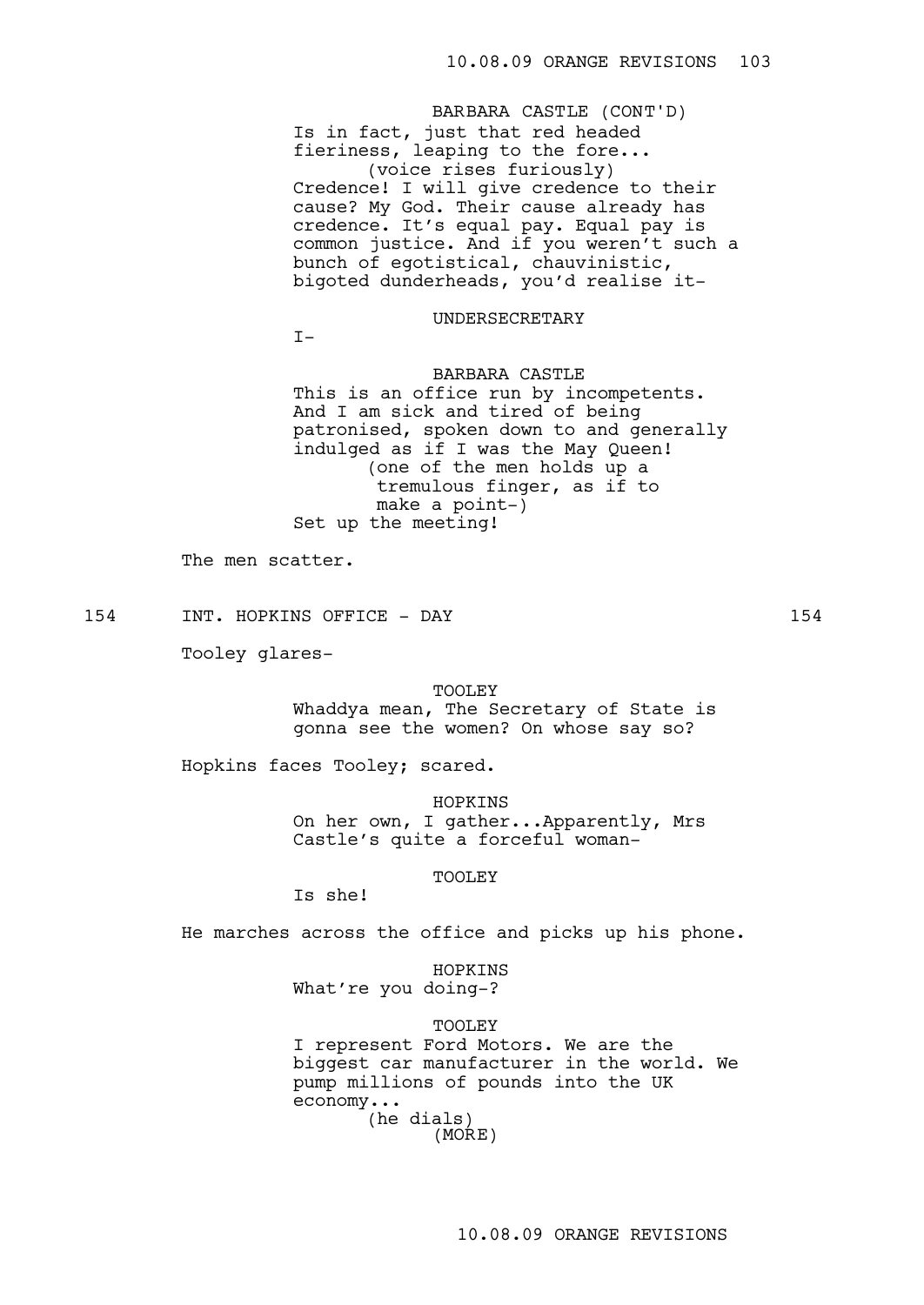Is in fact, just that red headed fieriness, leaping to the fore... (voice rises furiously) Credence! I will give credence to their cause? My God. Their cause already has credence. It's equal pay. Equal pay is common justice. And if you weren't such a bunch of egotistical, chauvinistic, bigoted dunderheads, you'd realise it-BARBARA CASTLE (CONT'D)

### UNDERSECRETARY

 $I -$ 

BARBARA CASTLE This is an office run by incompetents. And I am sick and tired of being patronised, spoken down to and generally indulged as if I was the May Queen! (one of the men holds up a tremulous finger, as if to make a point-) Set up the meeting!

The men scatter.

154 INT. HOPKINS OFFICE - DAY 154

Tooley glares-

#### TOOLEY

Whaddya mean, The Secretary of State is gonna see the women? On whose say so?

Hopkins faces Tooley; scared.

HOPKINS

On her own, I gather...Apparently, Mrs Castle's quite a forceful woman-

## TOOLEY

Is she!

He marches across the office and picks up his phone.

HOPKINS

What're you doing-?

TOOLEY I represent Ford Motors. We are the biggest car manufacturer in the world. We pump millions of pounds into the UK economy... (he dials) (MORE)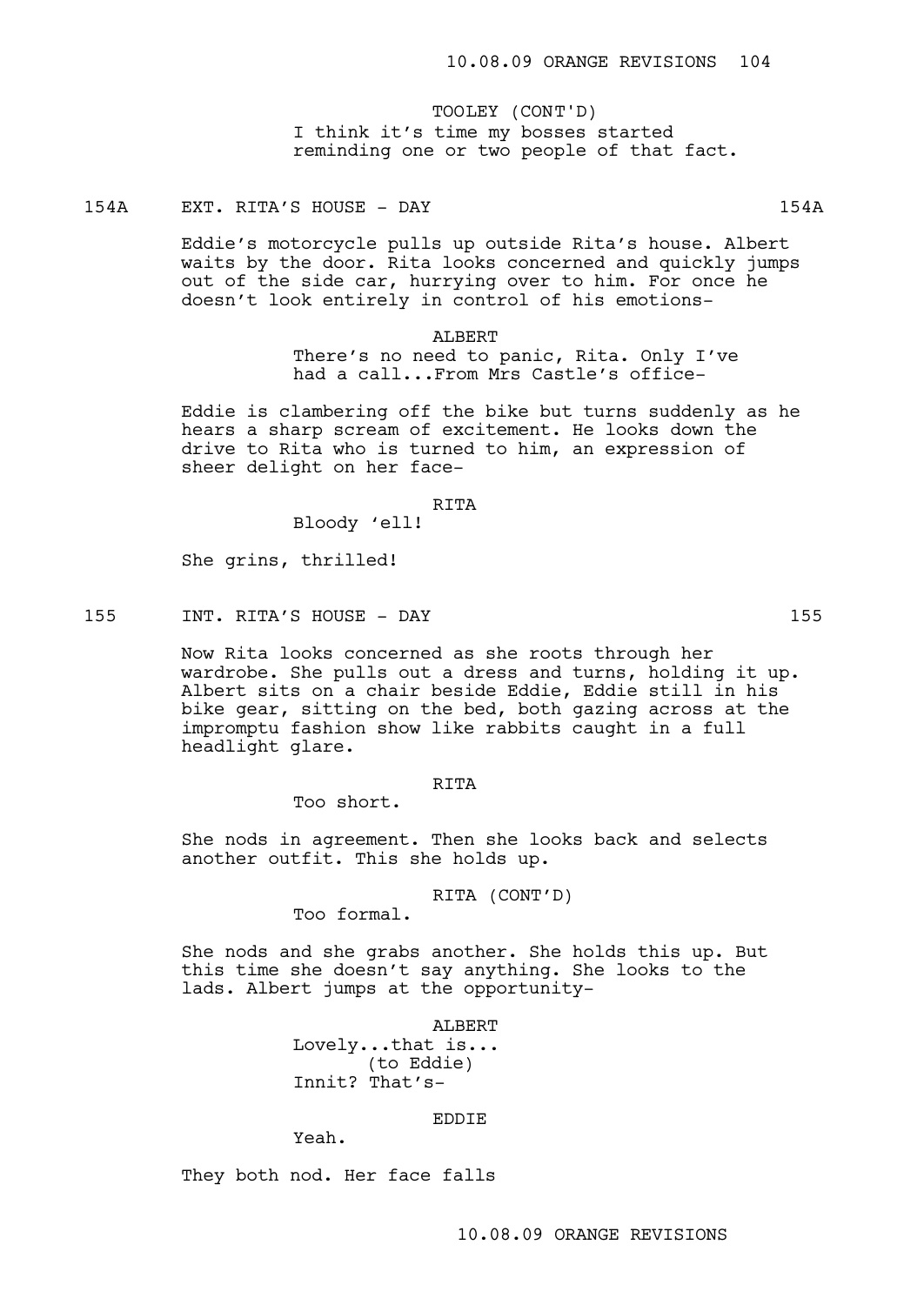I think it's time my bosses started reminding one or two people of that fact. TOOLEY (CONT'D)

154A EXT. RITA'S HOUSE - DAY 154A

Eddie's motorcycle pulls up outside Rita's house. Albert waits by the door. Rita looks concerned and quickly jumps out of the side car, hurrying over to him. For once he doesn't look entirely in control of his emotions-

> ALBERT There's no need to panic, Rita. Only I've had a call...From Mrs Castle's office-

Eddie is clambering off the bike but turns suddenly as he hears a sharp scream of excitement. He looks down the drive to Rita who is turned to him, an expression of sheer delight on her face-

## RITA

Bloody 'ell!

She grins, thrilled!

155 INT. RITA'S HOUSE - DAY 155

Now Rita looks concerned as she roots through her wardrobe. She pulls out a dress and turns, holding it up. Albert sits on a chair beside Eddie, Eddie still in his bike gear, sitting on the bed, both gazing across at the impromptu fashion show like rabbits caught in a full headlight glare.

**RTTA** 

Too short.

She nods in agreement. Then she looks back and selects another outfit. This she holds up.

> RITA (CONT'D) Too formal.

She nods and she grabs another. She holds this up. But this time she doesn't say anything. She looks to the lads. Albert jumps at the opportunity-

> ALBERT Lovely...that is... (to Eddie) Innit? That's-

> > EDDIE

Yeah.

They both nod. Her face falls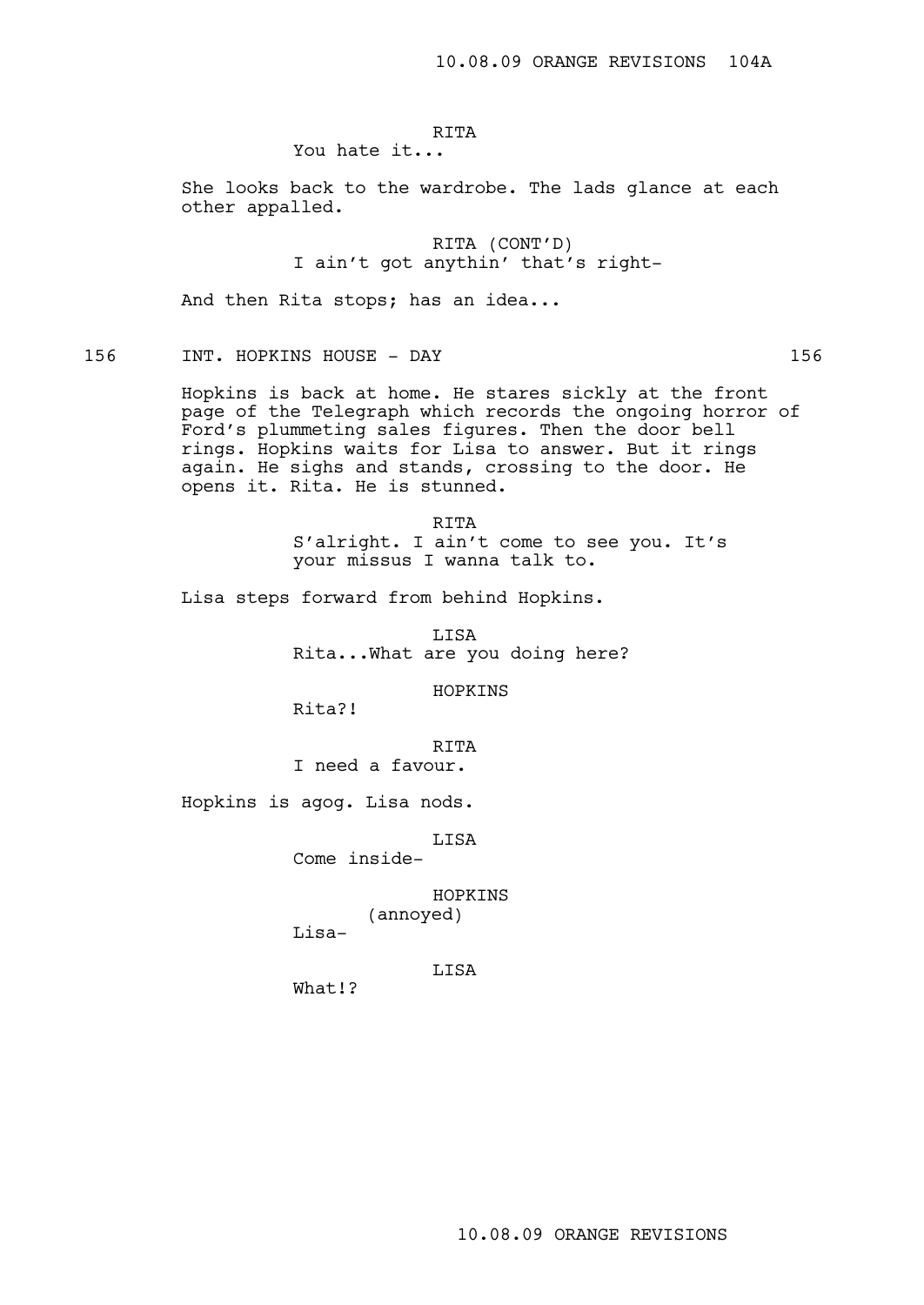# RITA

You hate it...

She looks back to the wardrobe. The lads glance at each other appalled.

> RITA (CONT'D) I ain't got anythin' that's right-

And then Rita stops; has an idea...

## 156 INT. HOPKINS HOUSE - DAY 156

Hopkins is back at home. He stares sickly at the front page of the Telegraph which records the ongoing horror of Ford's plummeting sales figures. Then the door bell rings. Hopkins waits for Lisa to answer. But it rings again. He sighs and stands, crossing to the door. He opens it. Rita. He is stunned.

> RITA S'alright. I ain't come to see you. It's your missus I wanna talk to.

Lisa steps forward from behind Hopkins.

LISA Rita...What are you doing here?

HOPKINS

Rita?!

## RITA

I need a favour.

Hopkins is agog. Lisa nods.

LISA

Come inside-

HOPKINS

(annoyed)  $Lissa-$ 

LISA

What!?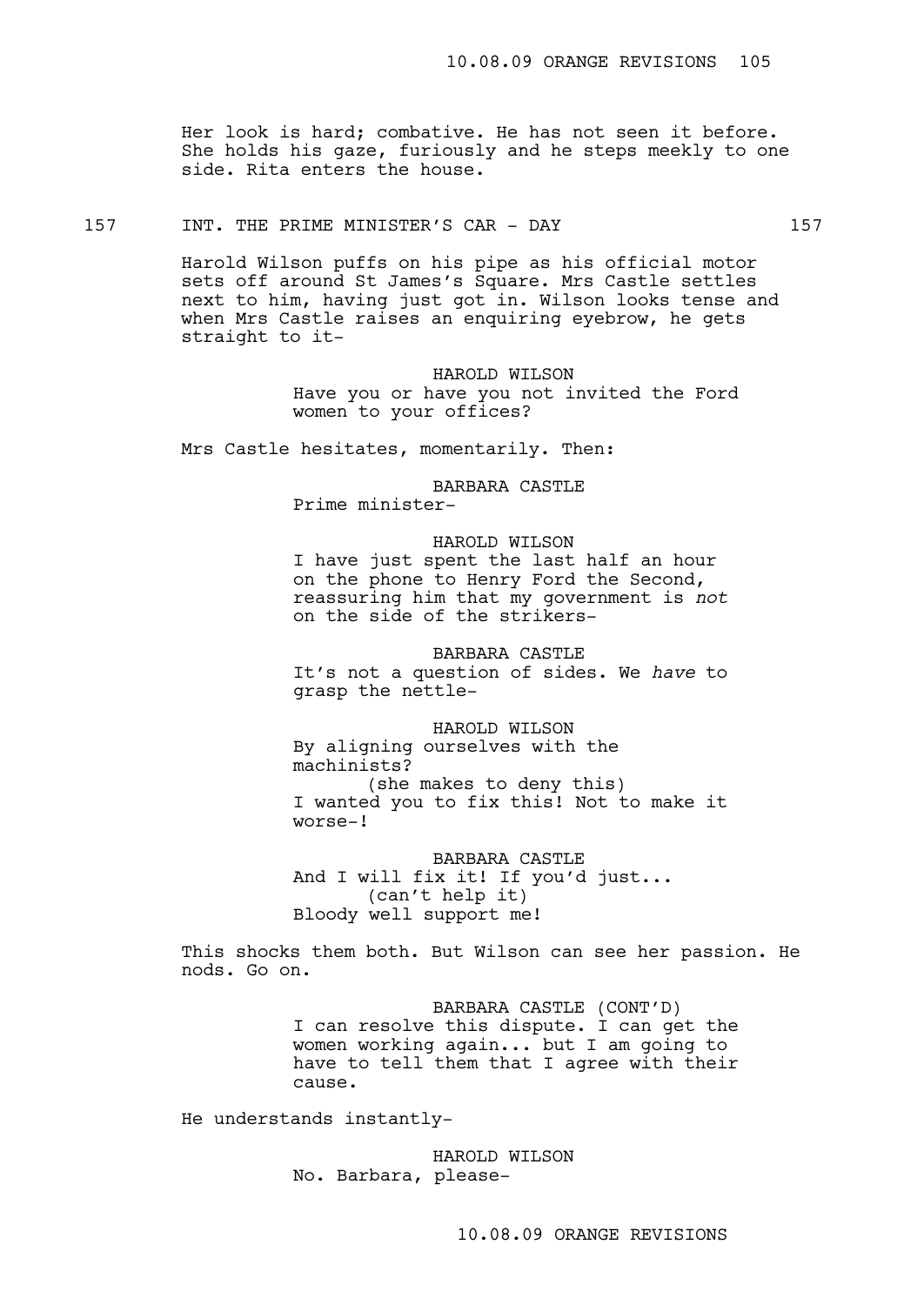Her look is hard; combative. He has not seen it before. She holds his gaze, furiously and he steps meekly to one side. Rita enters the house.

157 INT. THE PRIME MINISTER'S CAR - DAY 157

Harold Wilson puffs on his pipe as his official motor sets off around St James's Square. Mrs Castle settles next to him, having just got in. Wilson looks tense and when Mrs Castle raises an enquiring eyebrow, he gets straight to it-

> HAROLD WILSON Have you or have you not invited the Ford women to your offices?

Mrs Castle hesitates, momentarily. Then:

BARBARA CASTLE

Prime minister-

HAROLD WILSON

I have just spent the last half an hour on the phone to Henry Ford the Second, reassuring him that my government is *not* on the side of the strikers-

BARBARA CASTLE It's not a question of sides. We *have* to grasp the nettle-

HAROLD WILSON By aligning ourselves with the machinists? (she makes to deny this) I wanted you to fix this! Not to make it

BARBARA CASTLE And I will fix it! If you'd just... (can't help it) Bloody well support me!

This shocks them both. But Wilson can see her passion. He nods. Go on.

> BARBARA CASTLE (CONT'D) I can resolve this dispute. I can get the women working again... but I am going to have to tell them that I agree with their cause.

He understands instantly-

worse-!

HAROLD WILSON No. Barbara, please-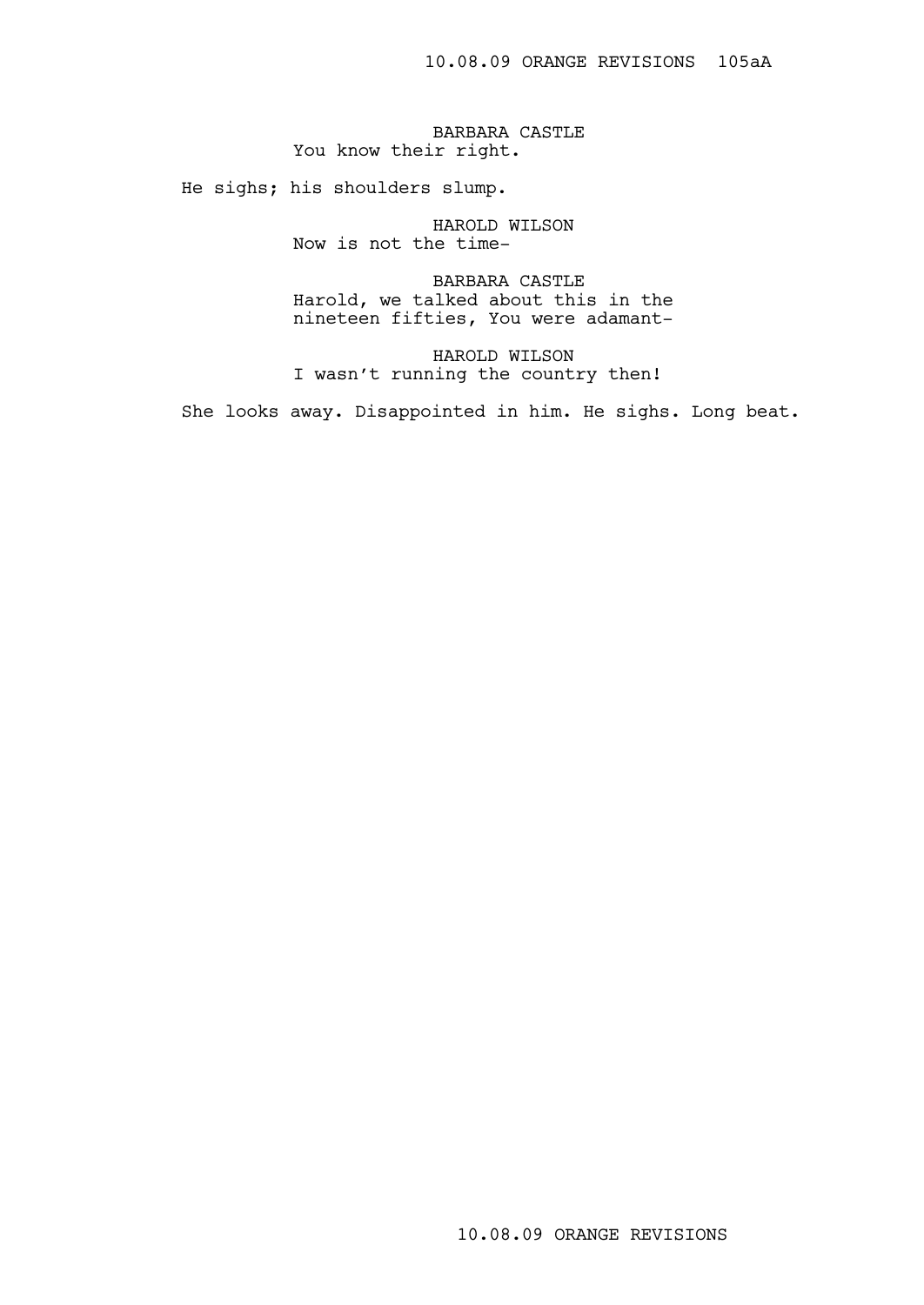BARBARA CASTLE You know their right.

He sighs; his shoulders slump.

HAROLD WILSON Now is not the time-

BARBARA CASTLE Harold, we talked about this in the nineteen fifties, You were adamant-

HAROLD WILSON I wasn't running the country then!

She looks away. Disappointed in him. He sighs. Long beat.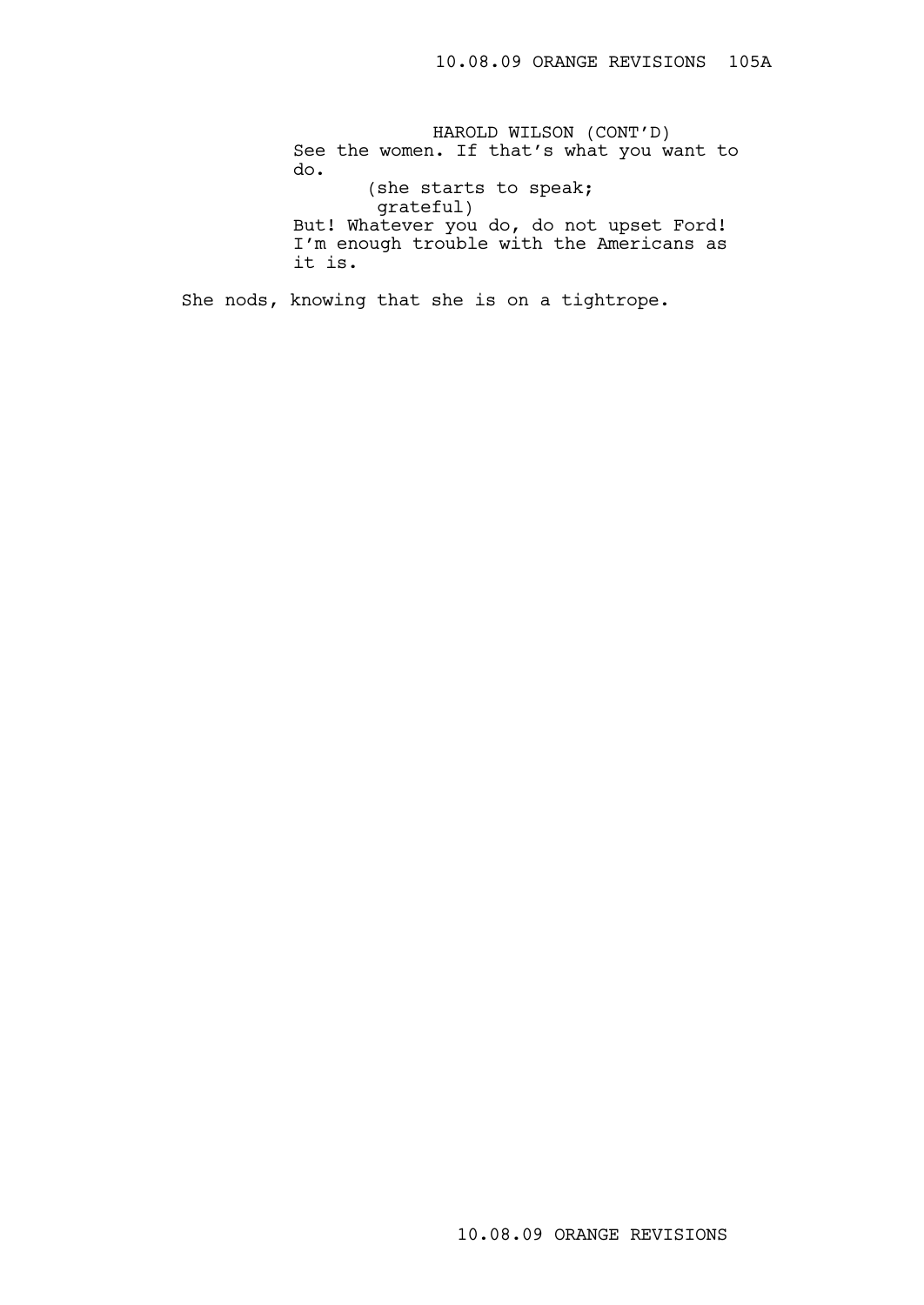HAROLD WILSON (CONT'D) See the women. If that's what you want to do. (she starts to speak; grateful) But! Whatever you do, do not upset Ford! I'm enough trouble with the Americans as it is.

She nods, knowing that she is on a tightrope.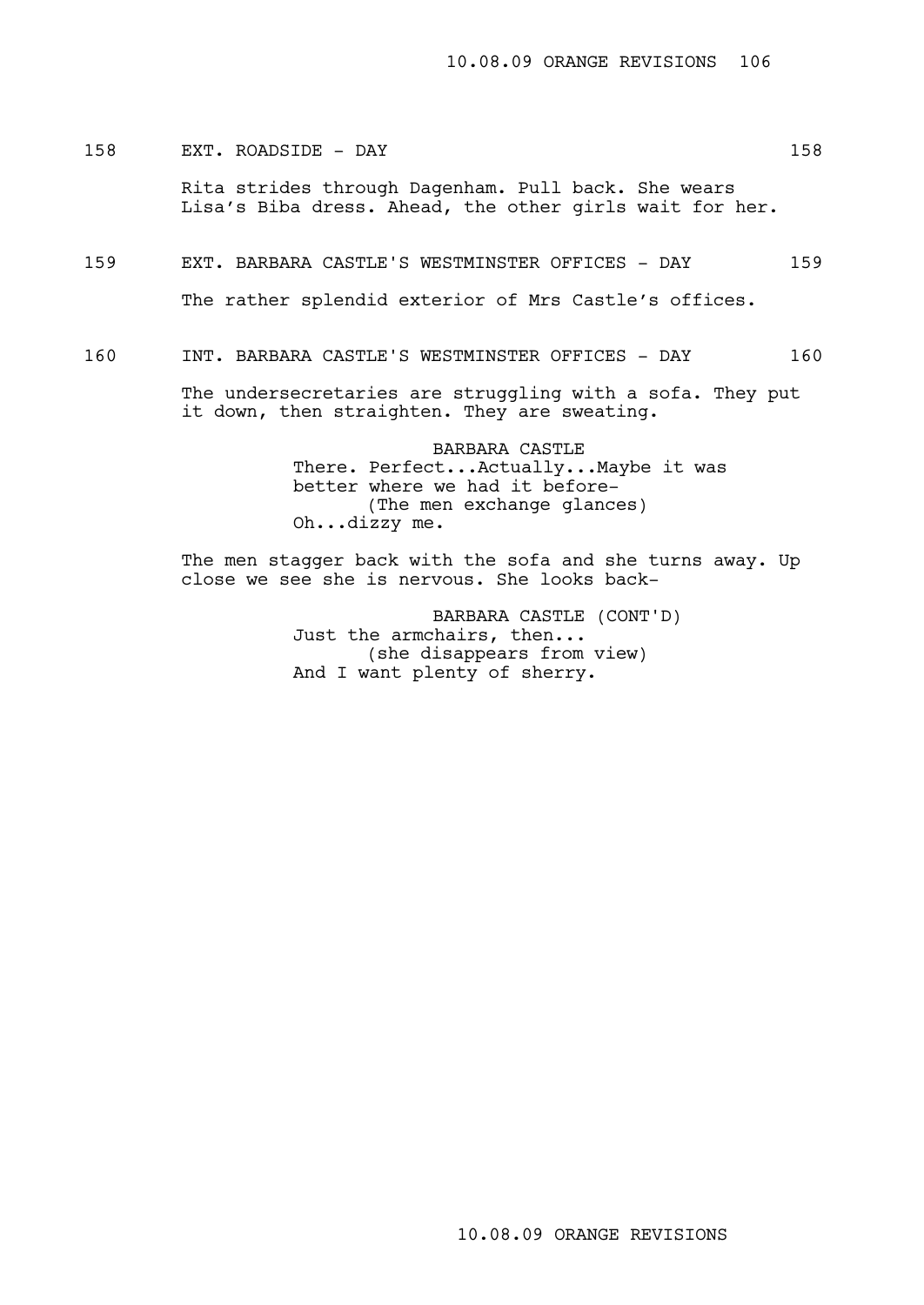158 EXT. ROADSIDE - DAY 158

Rita strides through Dagenham. Pull back. She wears Lisa's Biba dress. Ahead, the other girls wait for her.

159 EXT. BARBARA CASTLE'S WESTMINSTER OFFICES - DAY 159

The rather splendid exterior of Mrs Castle's offices.

160 INT. BARBARA CASTLE'S WESTMINSTER OFFICES - DAY 160

The undersecretaries are struggling with a sofa. They put it down, then straighten. They are sweating.

> BARBARA CASTLE There. Perfect...Actually...Maybe it was better where we had it before- (The men exchange glances) Oh...dizzy me.

The men stagger back with the sofa and she turns away. Up close we see she is nervous. She looks back-

> BARBARA CASTLE (CONT'D) Just the armchairs, then... (she disappears from view) And I want plenty of sherry.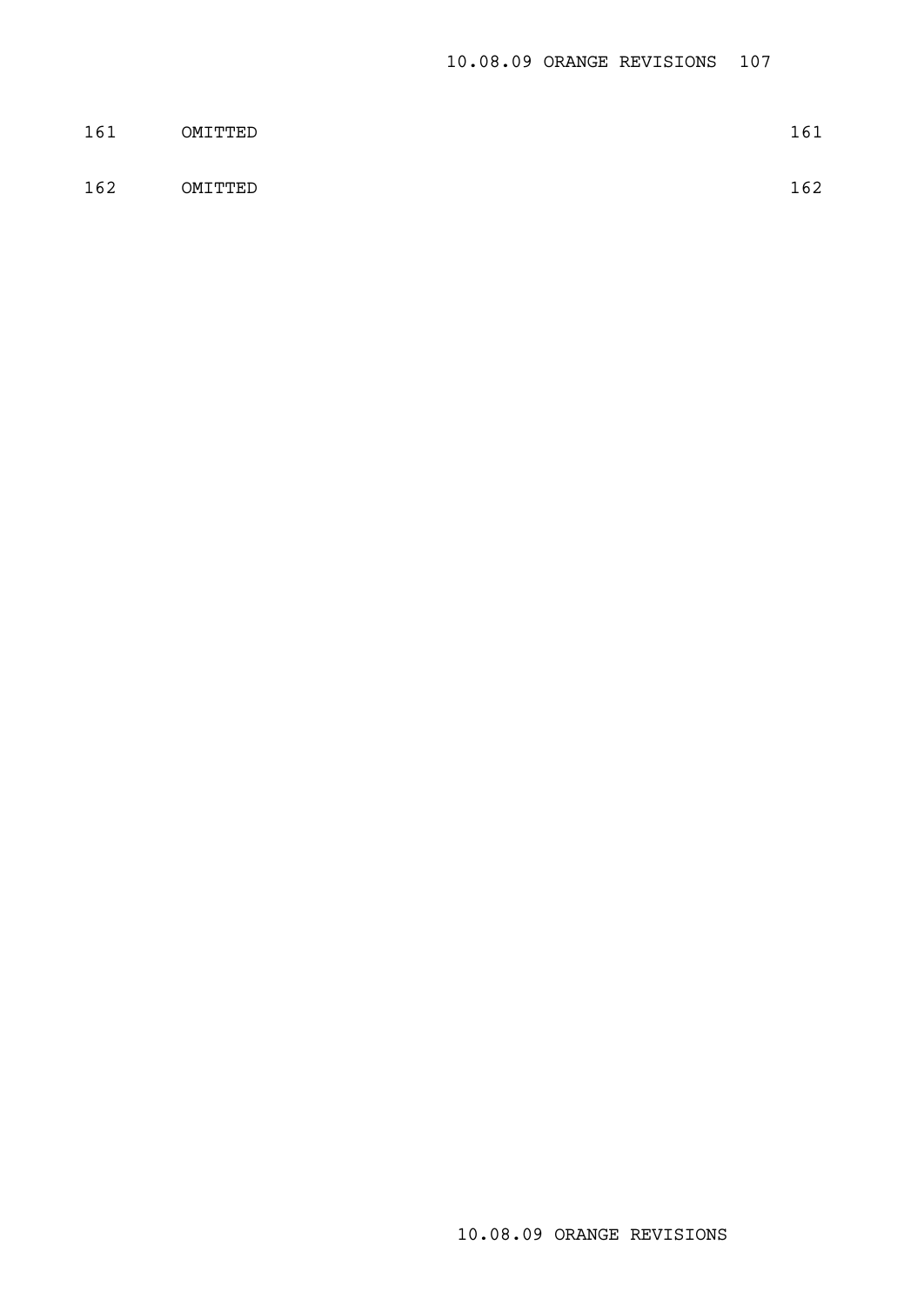| 161 | OMITTED | 161 |
|-----|---------|-----|
| 162 | OMITTED | 162 |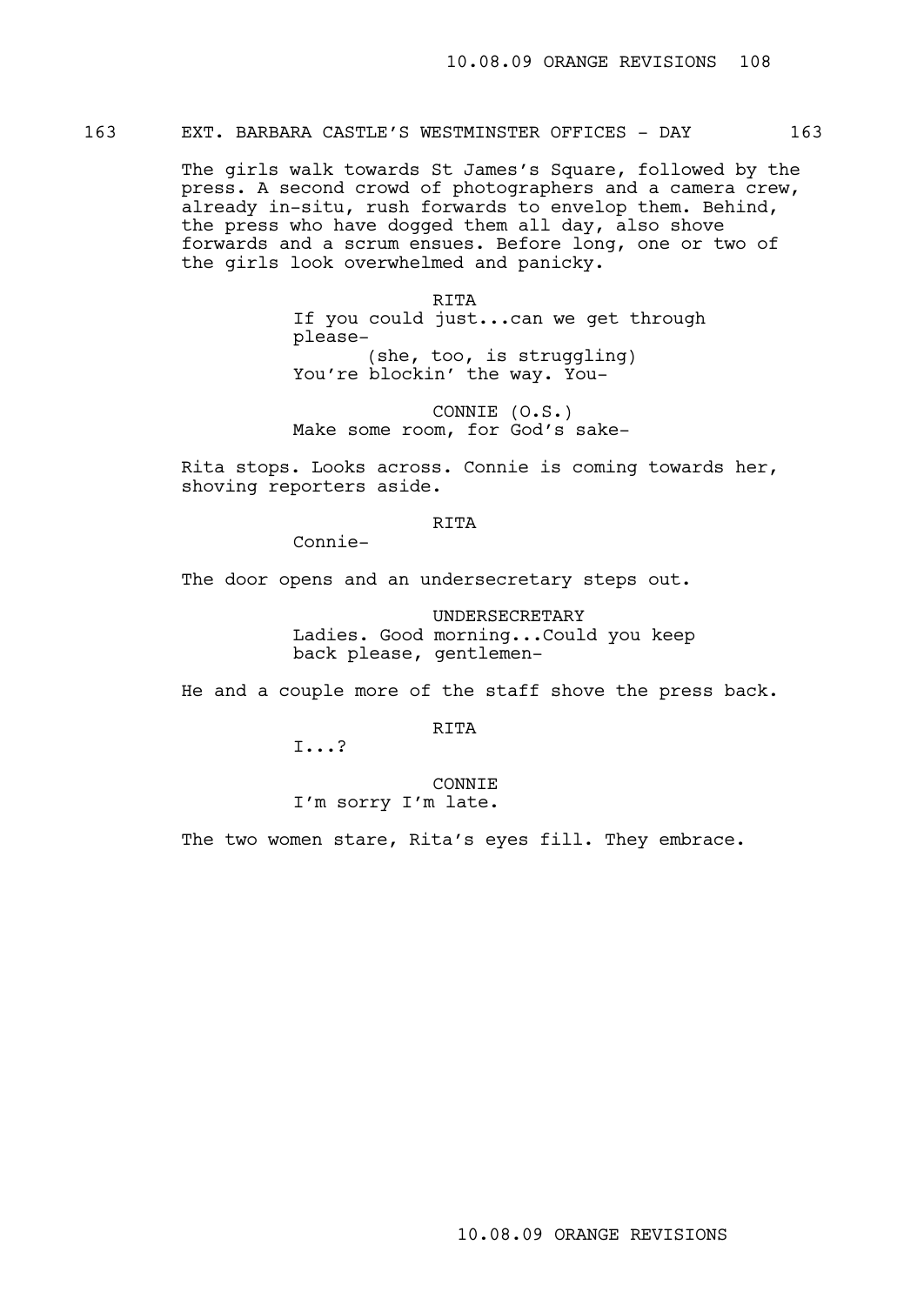# 163 EXT. BARBARA CASTLE'S WESTMINSTER OFFICES - DAY 163

The girls walk towards St James's Square, followed by the press. A second crowd of photographers and a camera crew, already in-situ, rush forwards to envelop them. Behind, the press who have dogged them all day, also shove forwards and a scrum ensues. Before long, one or two of the girls look overwhelmed and panicky.

> RITA If you could just...can we get through please- (she, too, is struggling) You're blockin' the way. You-

CONNIE (O.S.) Make some room, for God's sake-

Rita stops. Looks across. Connie is coming towards her, shoving reporters aside.

# RITA

Connie-

The door opens and an undersecretary steps out.

UNDERSECRETARY Ladies. Good morning...Could you keep back please, gentlemen-

He and a couple more of the staff shove the press back.

RITA

I...?

CONNIE I'm sorry I'm late.

The two women stare, Rita's eyes fill. They embrace.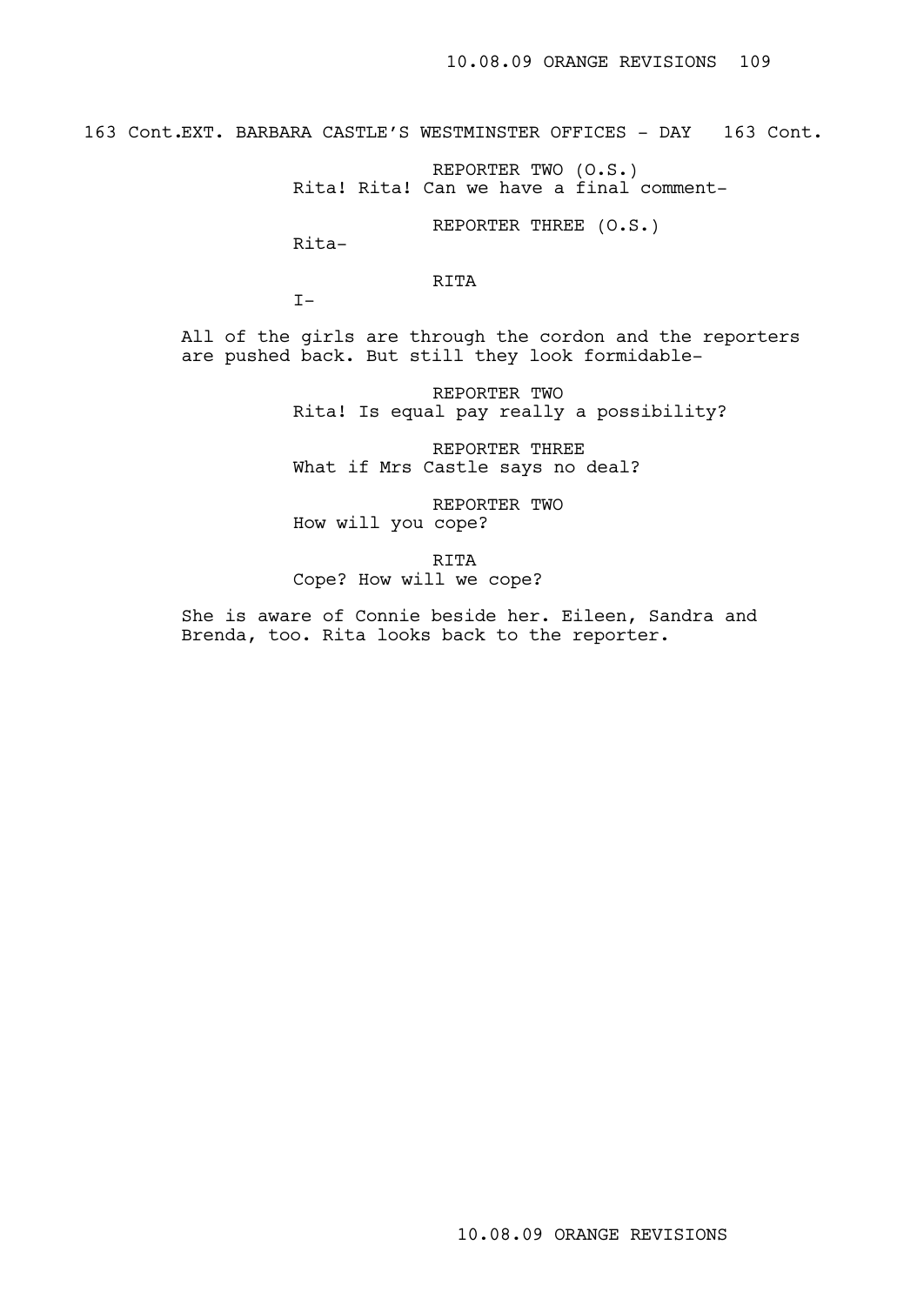163 Cont.EXT. BARBARA CASTLE'S WESTMINSTER OFFICES - DAY 163 Cont.

REPORTER TWO (O.S.)

Rita! Rita! Can we have a final comment-

REPORTER THREE (O.S.)

Rita-

RITA

 $I-$ 

All of the girls are through the cordon and the reporters are pushed back. But still they look formidable-

> REPORTER TWO Rita! Is equal pay really a possibility?

REPORTER THREE What if Mrs Castle says no deal?

REPORTER TWO How will you cope?

RITA

Cope? How will we cope?

She is aware of Connie beside her. Eileen, Sandra and Brenda, too. Rita looks back to the reporter.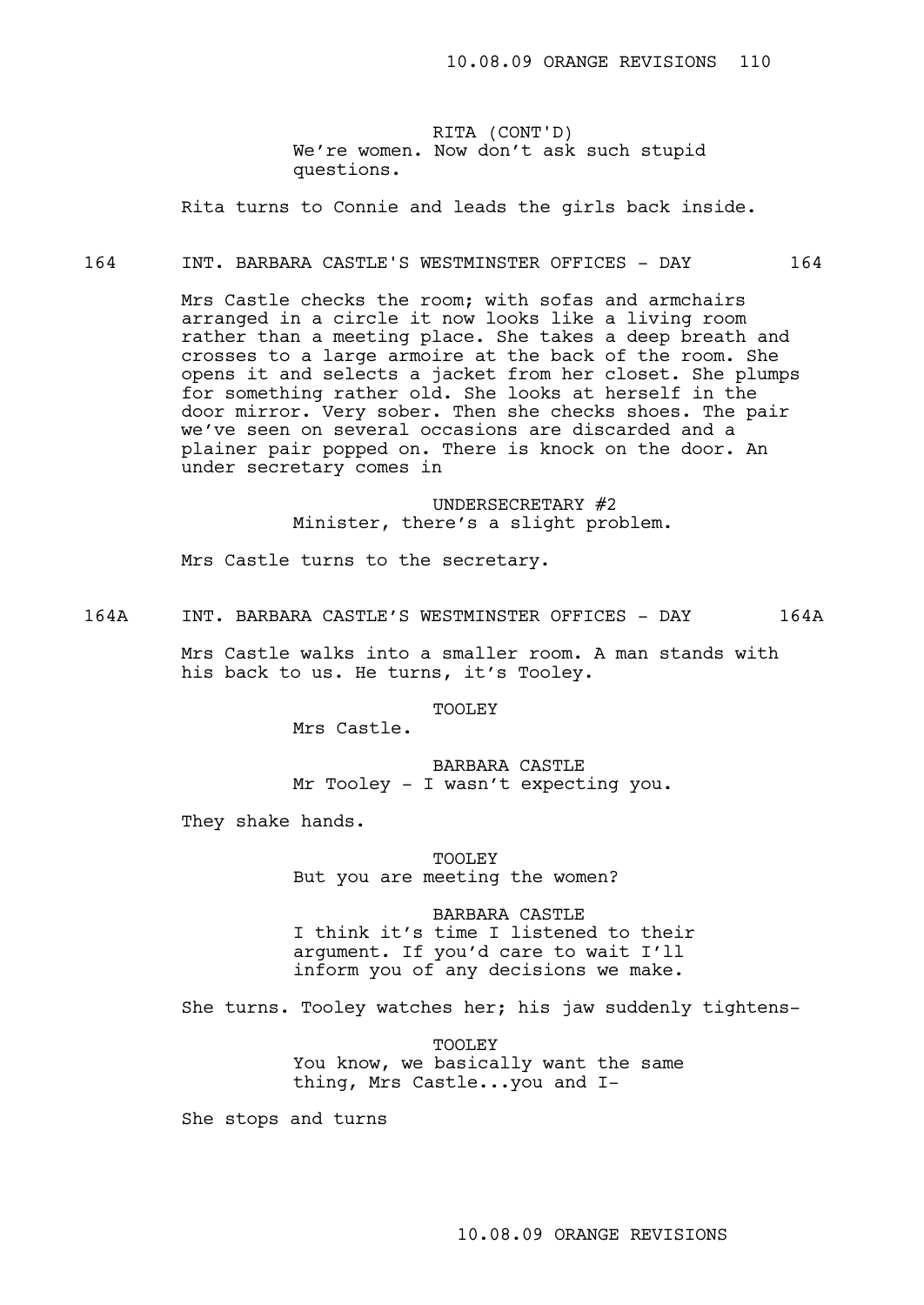RITA (CONT'D) We're women. Now don't ask such stupid questions.

Rita turns to Connie and leads the girls back inside.

### 164 TNT. BARBARA CASTLE'S WESTMINSTER OFFICES - DAY 164

Mrs Castle checks the room; with sofas and armchairs arranged in a circle it now looks like a living room rather than a meeting place. She takes a deep breath and crosses to a large armoire at the back of the room. She opens it and selects a jacket from her closet. She plumps for something rather old. She looks at herself in the door mirror. Very sober. Then she checks shoes. The pair we've seen on several occasions are discarded and a plainer pair popped on. There is knock on the door. An under secretary comes in

> UNDERSECRETARY #2 Minister, there's a slight problem.

Mrs Castle turns to the secretary.

### 164A INT. BARBARA CASTLE'S WESTMINSTER OFFICES - DAY 164A

Mrs Castle walks into a smaller room. A man stands with his back to us. He turns, it's Tooley.

TOOLEY

Mrs Castle.

BARBARA CASTLE Mr Tooley - I wasn't expecting you.

They shake hands.

## TOOLEY

But you are meeting the women?

BARBARA CASTLE

I think it's time I listened to their argument. If you'd care to wait I'll inform you of any decisions we make.

She turns. Tooley watches her; his jaw suddenly tightens-

TOOLEY You know, we basically want the same thing, Mrs Castle...you and I-

She stops and turns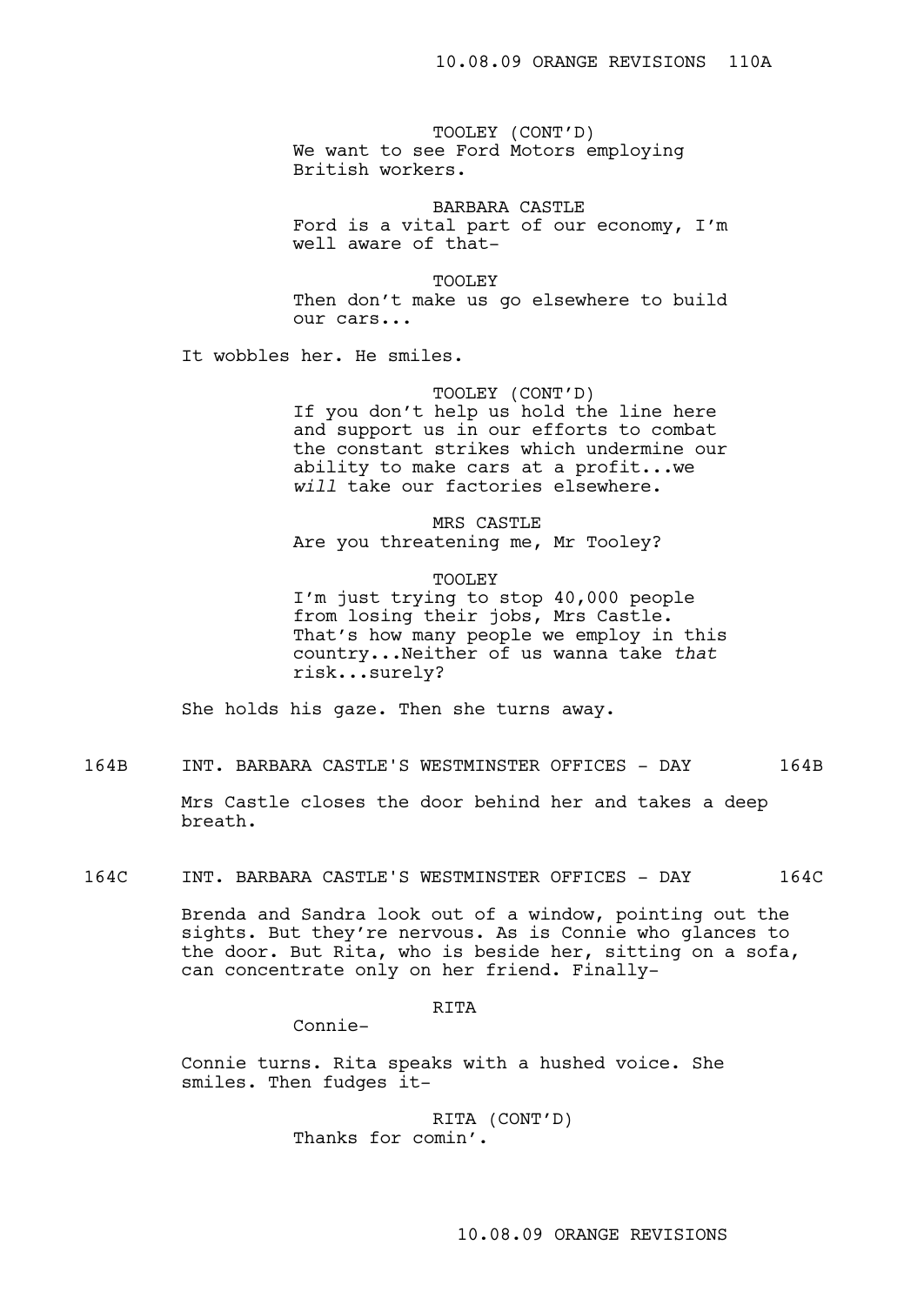TOOLEY (CONT'D) We want to see Ford Motors employing British workers.

BARBARA CASTLE Ford is a vital part of our economy, I'm well aware of that-

TOOLEY

Then don't make us go elsewhere to build our cars...

It wobbles her. He smiles.

TOOLEY (CONT'D)

If you don't help us hold the line here and support us in our efforts to combat the constant strikes which undermine our ability to make cars at a profit...we *will* take our factories elsewhere.

MRS CASTLE Are you threatening me, Mr Tooley?

TOOLEY

I'm just trying to stop 40,000 people from losing their jobs, Mrs Castle. That's how many people we employ in this country...Neither of us wanna take *that* risk...surely?

She holds his gaze. Then she turns away.

164B INT. BARBARA CASTLE'S WESTMINSTER OFFICES - DAY 164B

Mrs Castle closes the door behind her and takes a deep breath.

164C INT. BARBARA CASTLE'S WESTMINSTER OFFICES - DAY 164C

Brenda and Sandra look out of a window, pointing out the sights. But they're nervous. As is Connie who glances to the door. But Rita, who is beside her, sitting on a sofa, can concentrate only on her friend. Finally-

RITA

Connie-

Connie turns. Rita speaks with a hushed voice. She smiles. Then fudges it-

> RITA (CONT'D) Thanks for comin'.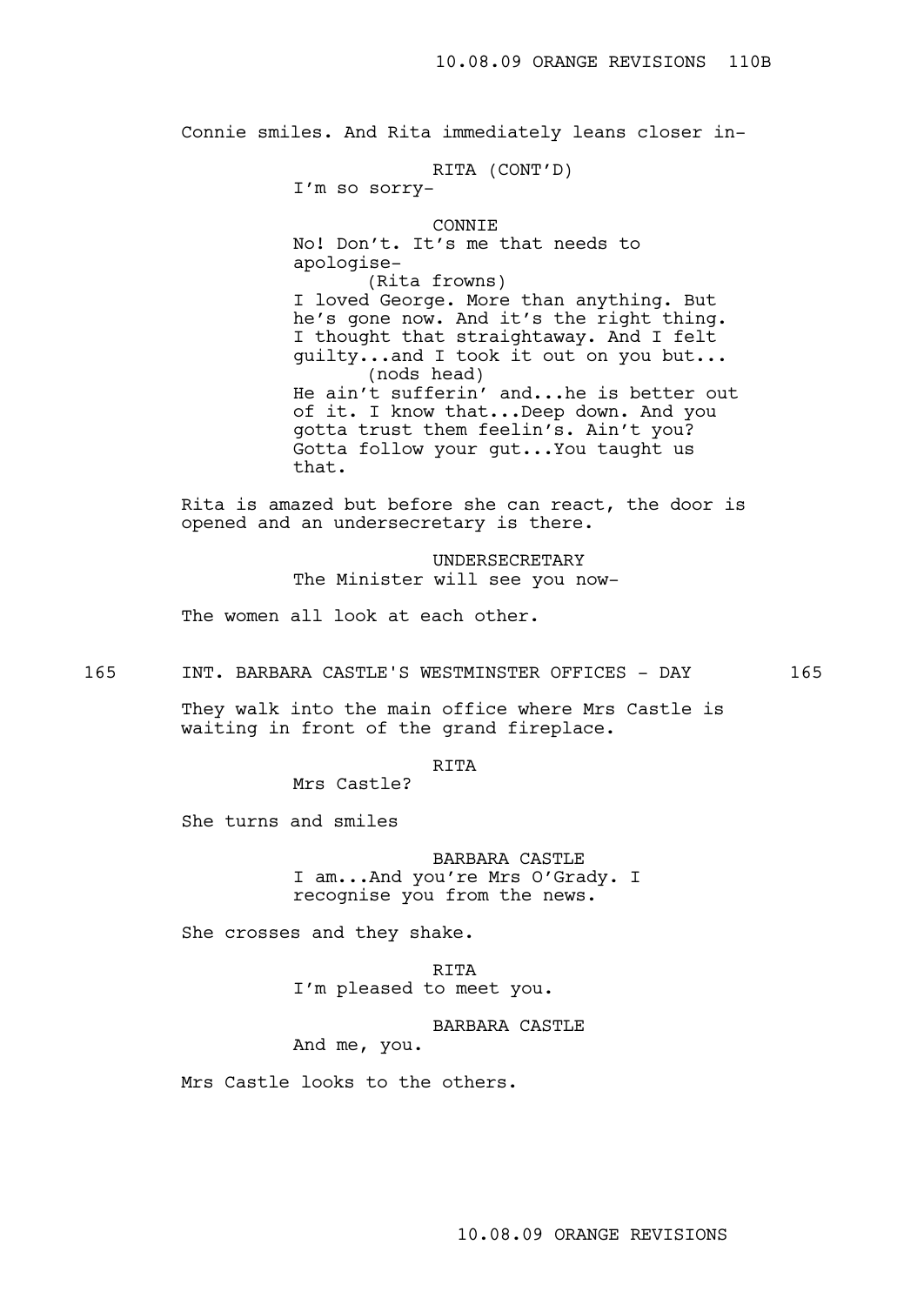Connie smiles. And Rita immediately leans closer in-

## RITA (CONT'D)

I'm so sorry-

CONNIE No! Don't. It's me that needs to apologise- (Rita frowns) I loved George. More than anything. But he's gone now. And it's the right thing. I thought that straightaway. And I felt

guilty...and I took it out on you but... (nods head) He ain't sufferin' and...he is better out of it. I know that...Deep down. And you gotta trust them feelin's. Ain't you? Gotta follow your gut...You taught us that.

Rita is amazed but before she can react, the door is opened and an undersecretary is there.

> UNDERSECRETARY The Minister will see you now-

The women all look at each other.

165 INT. BARBARA CASTLE'S WESTMINSTER OFFICES - DAY 165

They walk into the main office where Mrs Castle is waiting in front of the grand fireplace.

RITA

Mrs Castle?

She turns and smiles

BARBARA CASTLE I am...And you're Mrs O'Grady. I recognise you from the news.

She crosses and they shake.

RITA I'm pleased to meet you.

BARBARA CASTLE

And me, you.

Mrs Castle looks to the others.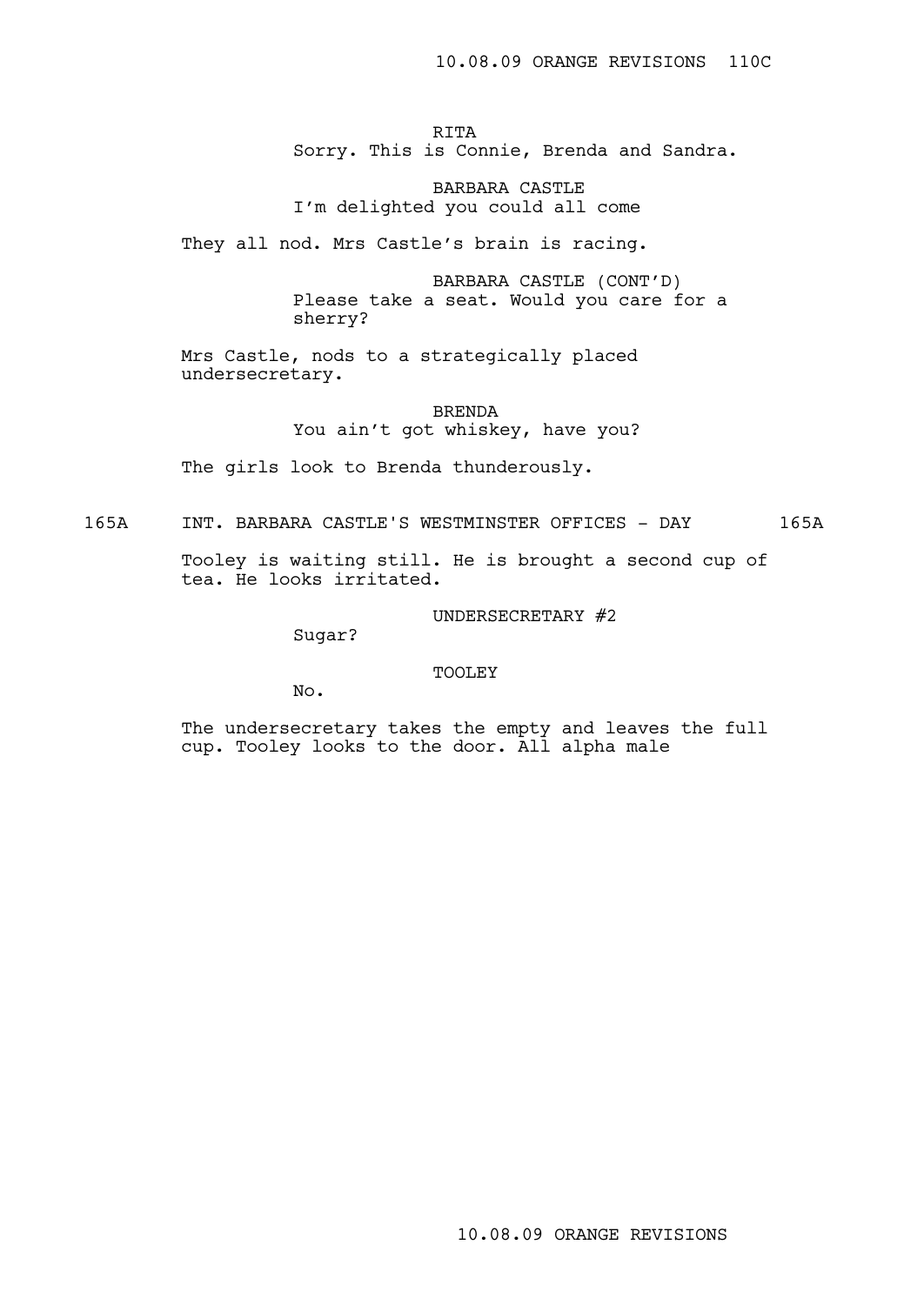RITA Sorry. This is Connie, Brenda and Sandra.

BARBARA CASTLE I'm delighted you could all come

They all nod. Mrs Castle's brain is racing.

BARBARA CASTLE (CONT'D) Please take a seat. Would you care for a sherry?

Mrs Castle, nods to a strategically placed undersecretary.

> BRENDA You ain't got whiskey, have you?

The girls look to Brenda thunderously.

165A INT. BARBARA CASTLE'S WESTMINSTER OFFICES - DAY 165A

Tooley is waiting still. He is brought a second cup of tea. He looks irritated.

UNDERSECRETARY #2

Sugar?

TOOLEY

No.

The undersecretary takes the empty and leaves the full cup. Tooley looks to the door. All alpha male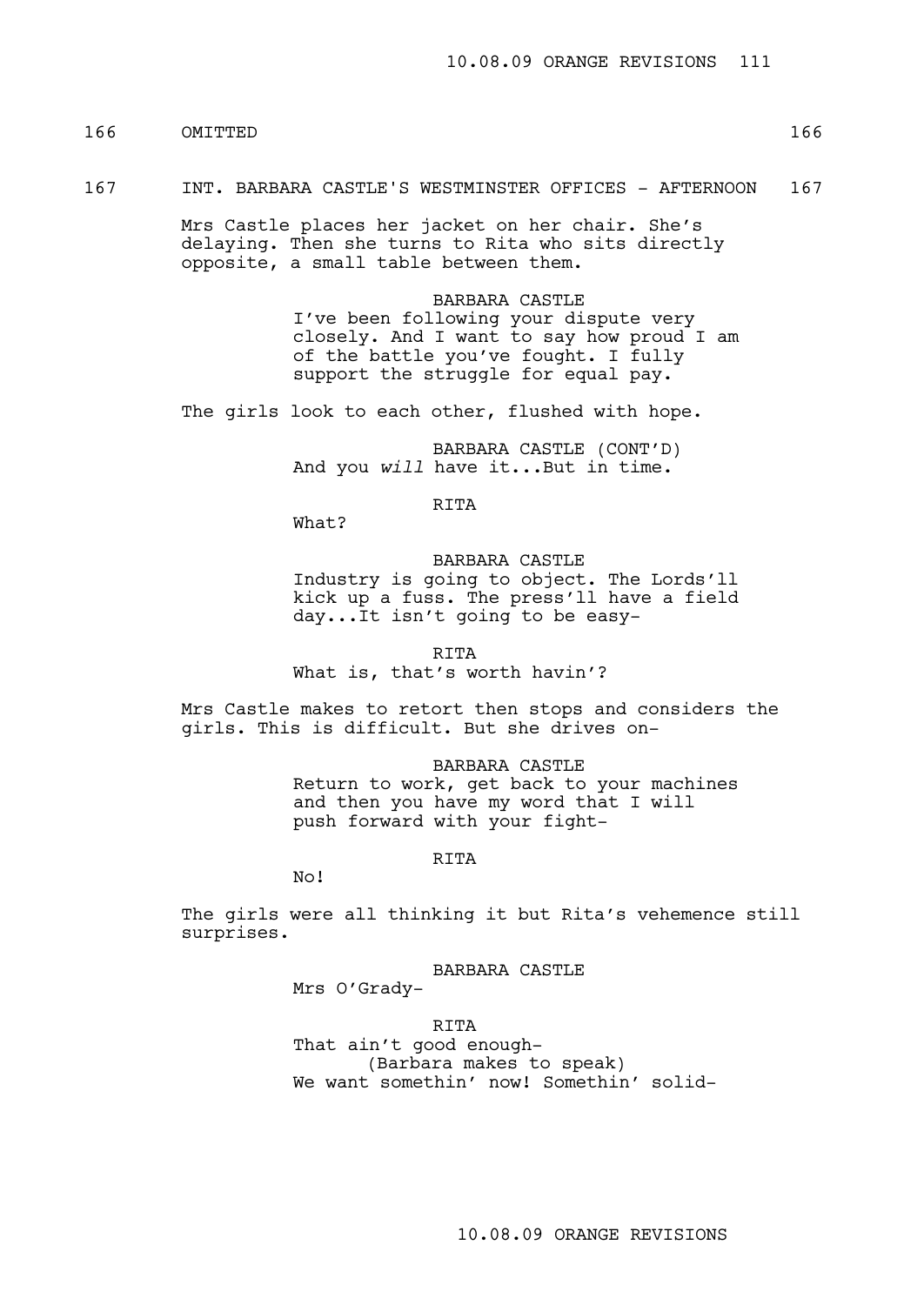# 166 OMITTED 166

#### 167 INT. BARBARA CASTLE'S WESTMINSTER OFFICES - AFTERNOON 167

Mrs Castle places her jacket on her chair. She's delaying. Then she turns to Rita who sits directly opposite, a small table between them.

> BARBARA CASTLE I've been following your dispute very closely. And I want to say how proud I am of the battle you've fought. I fully support the struggle for equal pay.

The girls look to each other, flushed with hope.

BARBARA CASTLE (CONT'D) And you *will* have it...But in time.

#### RITA

What?

#### BARBARA CASTLE

Industry is going to object. The Lords'll kick up a fuss. The press'll have a field day...It isn't going to be easy-

RITA

### What is, that's worth havin'?

Mrs Castle makes to retort then stops and considers the girls. This is difficult. But she drives on-

### BARBARA CASTLE

Return to work, get back to your machines and then you have my word that I will push forward with your fight-

### RITA

No!

The girls were all thinking it but Rita's vehemence still surprises.

BARBARA CASTLE

Mrs O'Grady-

RITA That ain't good enough- (Barbara makes to speak) We want somethin' now! Somethin' solid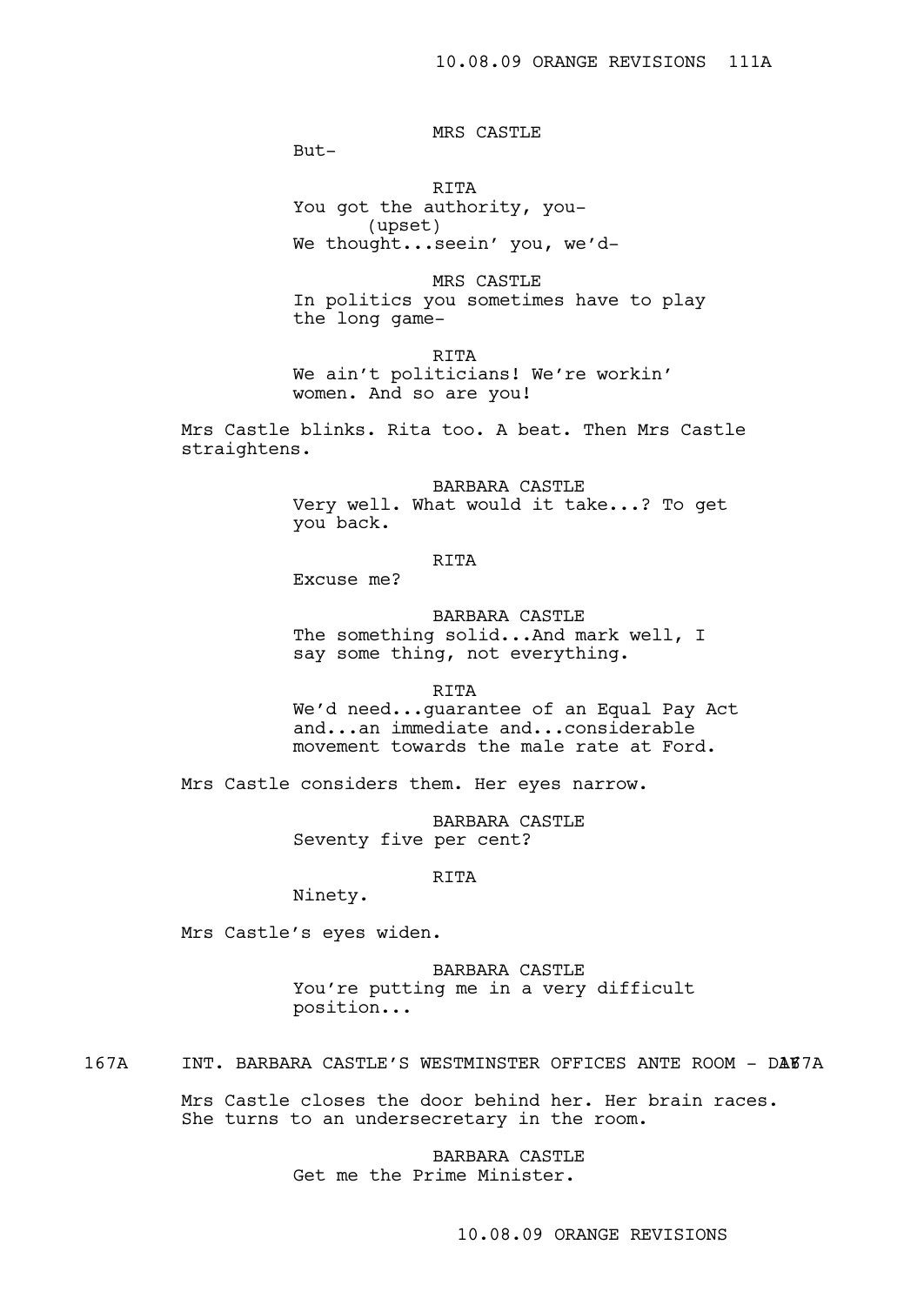MRS CASTLE

But-

RITA You got the authority, you-(upset) We thought...seein' you, we'd-

MRS CASTLE In politics you sometimes have to play the long game-

RITA We ain't politicians! We're workin' women. And so are you!

Mrs Castle blinks. Rita too. A beat. Then Mrs Castle straightens.

> BARBARA CASTLE Very well. What would it take...? To get you back.

## RITA

Excuse me?

BARBARA CASTLE The something solid...And mark well, I say some thing, not everything.

RITA

We'd need...guarantee of an Equal Pay Act and...an immediate and...considerable movement towards the male rate at Ford.

Mrs Castle considers them. Her eyes narrow.

BARBARA CASTLE Seventy five per cent?

### RITA

Ninety.

Mrs Castle's eyes widen.

BARBARA CASTLE You're putting me in a very difficult position...

167A INT. BARBARA CASTLE'S WESTMINSTER OFFICES ANTE ROOM - DAX7A

Mrs Castle closes the door behind her. Her brain races. She turns to an undersecretary in the room.

> BARBARA CASTLE Get me the Prime Minister.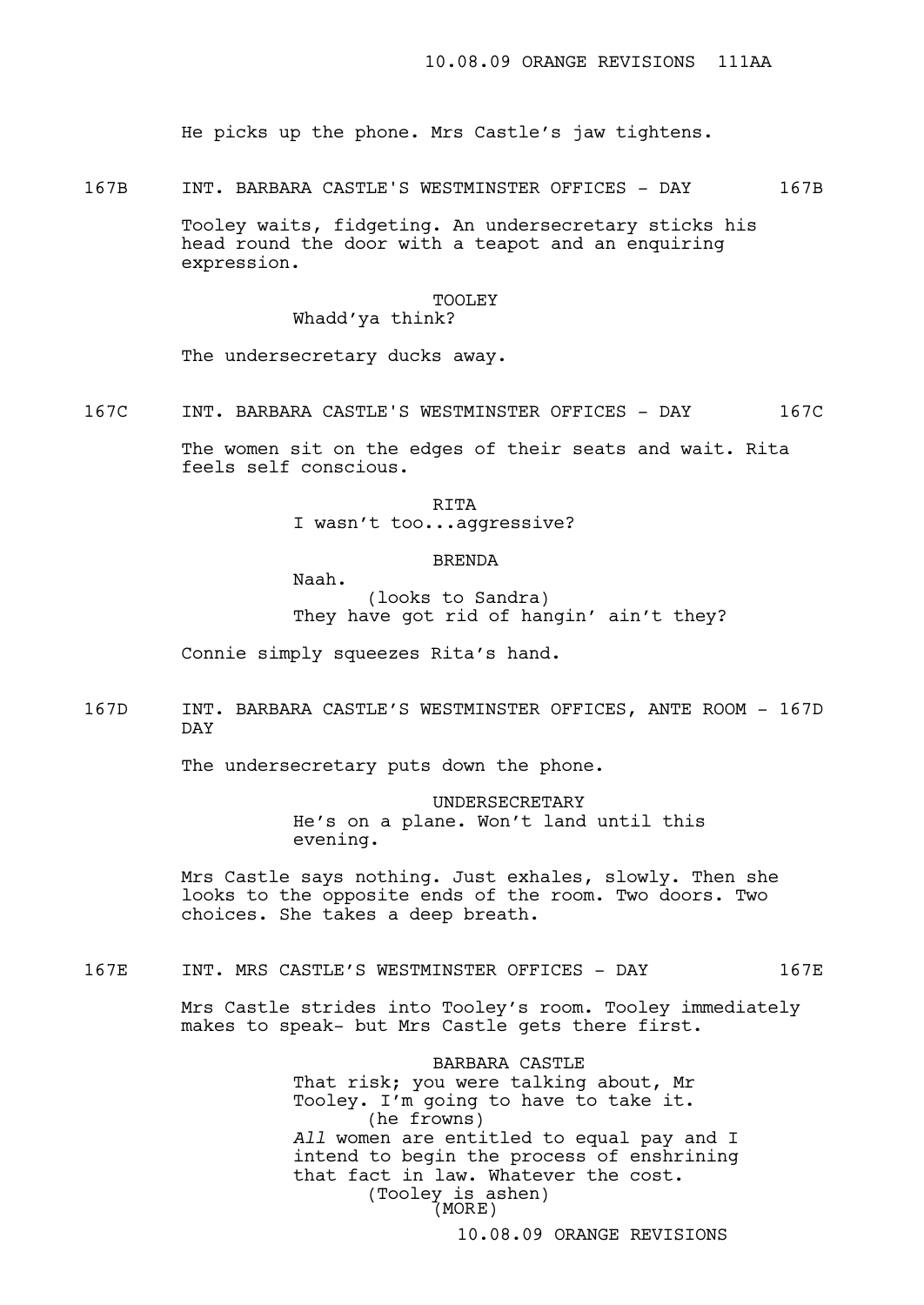He picks up the phone. Mrs Castle's jaw tightens.

167B INT. BARBARA CASTLE'S WESTMINSTER OFFICES - DAY 167B

Tooley waits, fidgeting. An undersecretary sticks his head round the door with a teapot and an enquiring expression.

### TOOLEY Whadd'ya think?

The undersecretary ducks away.

167C INT. BARBARA CASTLE'S WESTMINSTER OFFICES - DAY 167C

The women sit on the edges of their seats and wait. Rita feels self conscious.

> RITA I wasn't too...aggressive?

> > BRENDA

Naah. (looks to Sandra) They have got rid of hangin' ain't they?

Connie simply squeezes Rita's hand.

167D INT. BARBARA CASTLE'S WESTMINSTER OFFICES, ANTE ROOM - 167D DAY

The undersecretary puts down the phone.

UNDERSECRETARY He's on a plane. Won't land until this evening.

Mrs Castle says nothing. Just exhales, slowly. Then she looks to the opposite ends of the room. Two doors. Two choices. She takes a deep breath.

167E INT. MRS CASTLE'S WESTMINSTER OFFICES - DAY 167E

Mrs Castle strides into Tooley's room. Tooley immediately makes to speak- but Mrs Castle gets there first.

> BARBARA CASTLE That risk; you were talking about, Mr Tooley. I'm going to have to take it. (he frowns) *All* women are entitled to equal pay and I intend to begin the process of enshrining that fact in law. Whatever the cost. (Tooley is ashen) (MORE)

> > 10.08.09 ORANGE REVISIONS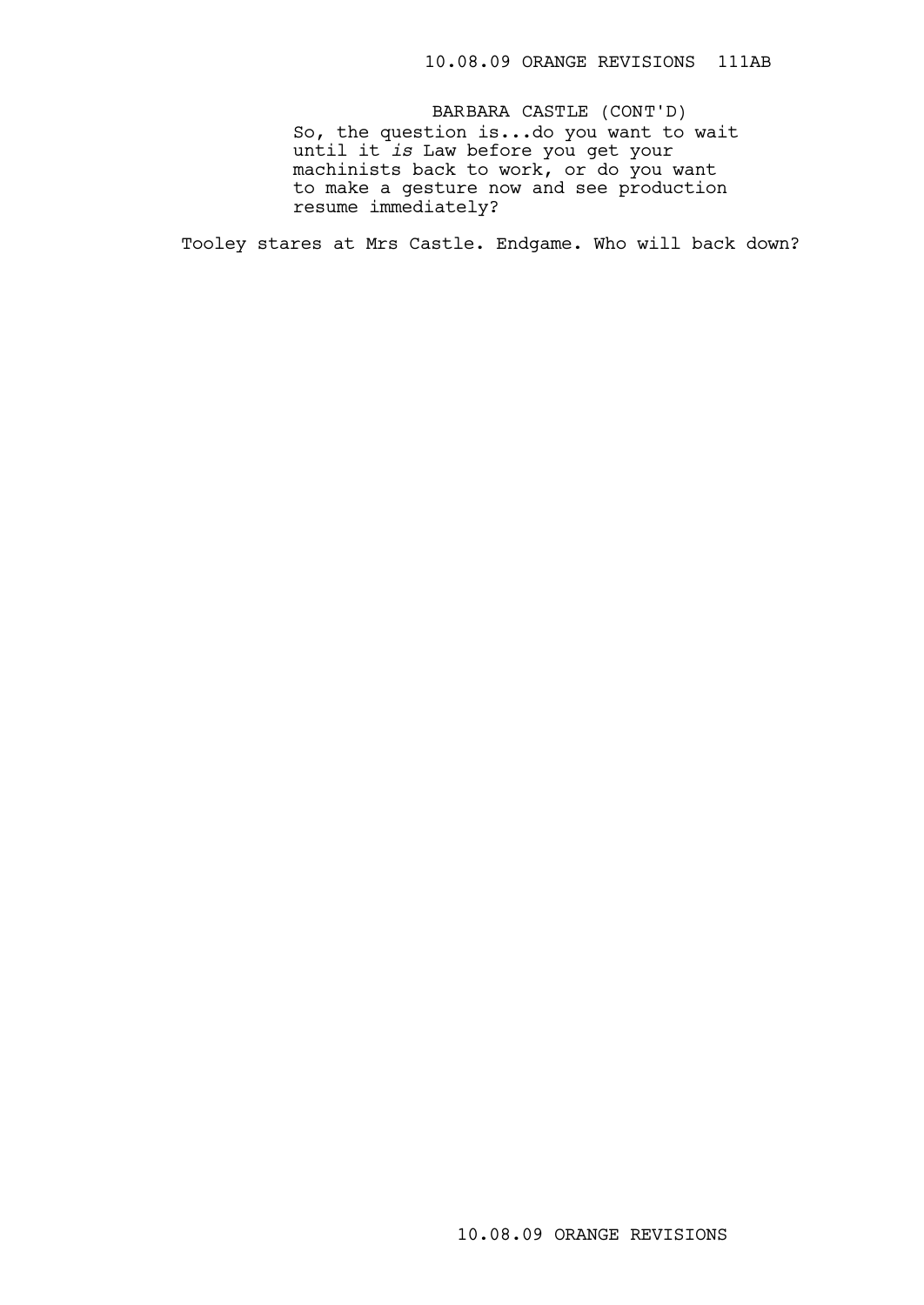So, the question is...do you want to wait until it *is* Law before you get your machinists back to work, or do you want to make a gesture now and see production resume immediately? BARBARA CASTLE (CONT'D)

Tooley stares at Mrs Castle. Endgame. Who will back down?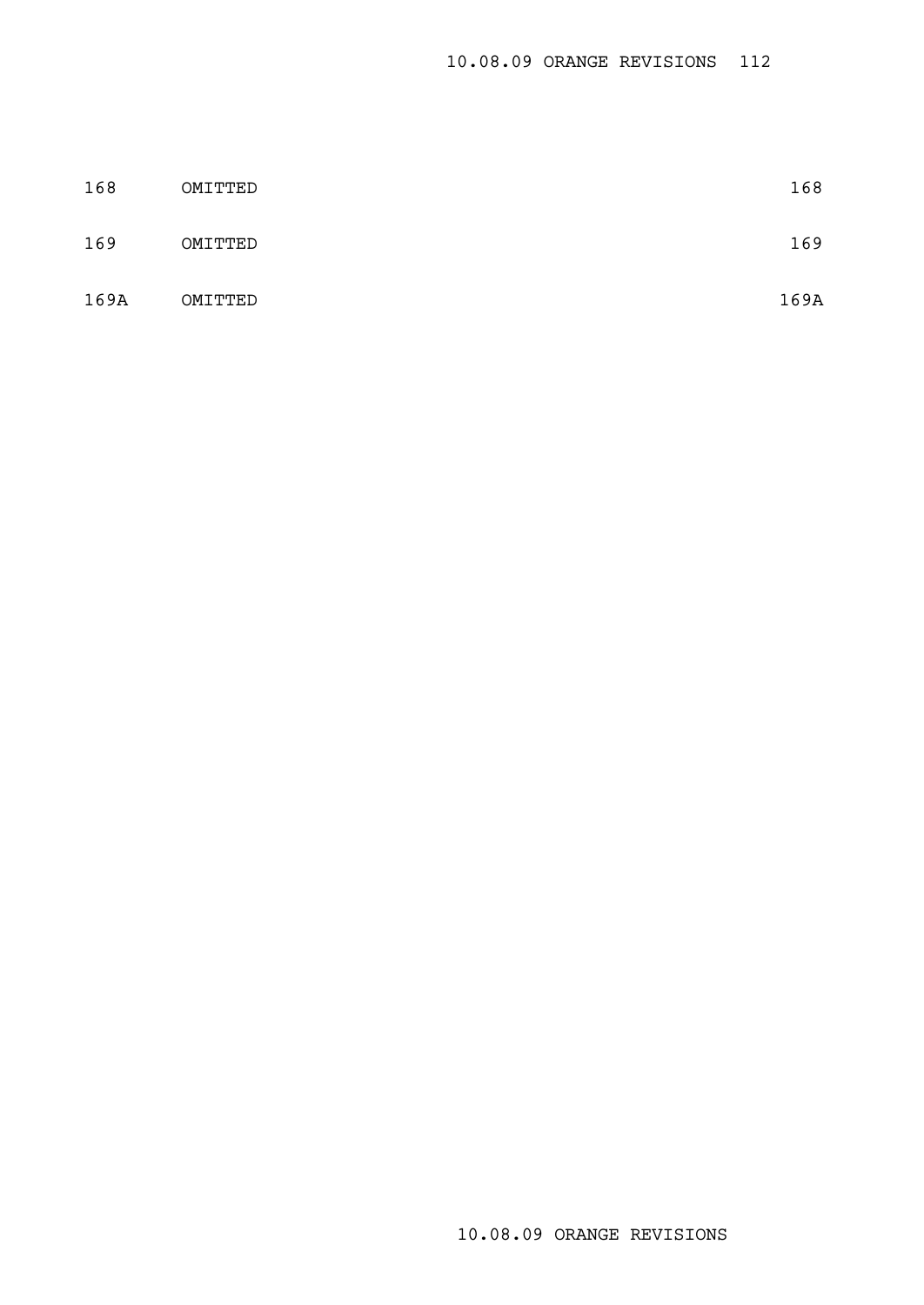| 168  | OMITTED | 168  |
|------|---------|------|
| 169  | OMITTED | 169  |
| 169A | OMITTED | 169A |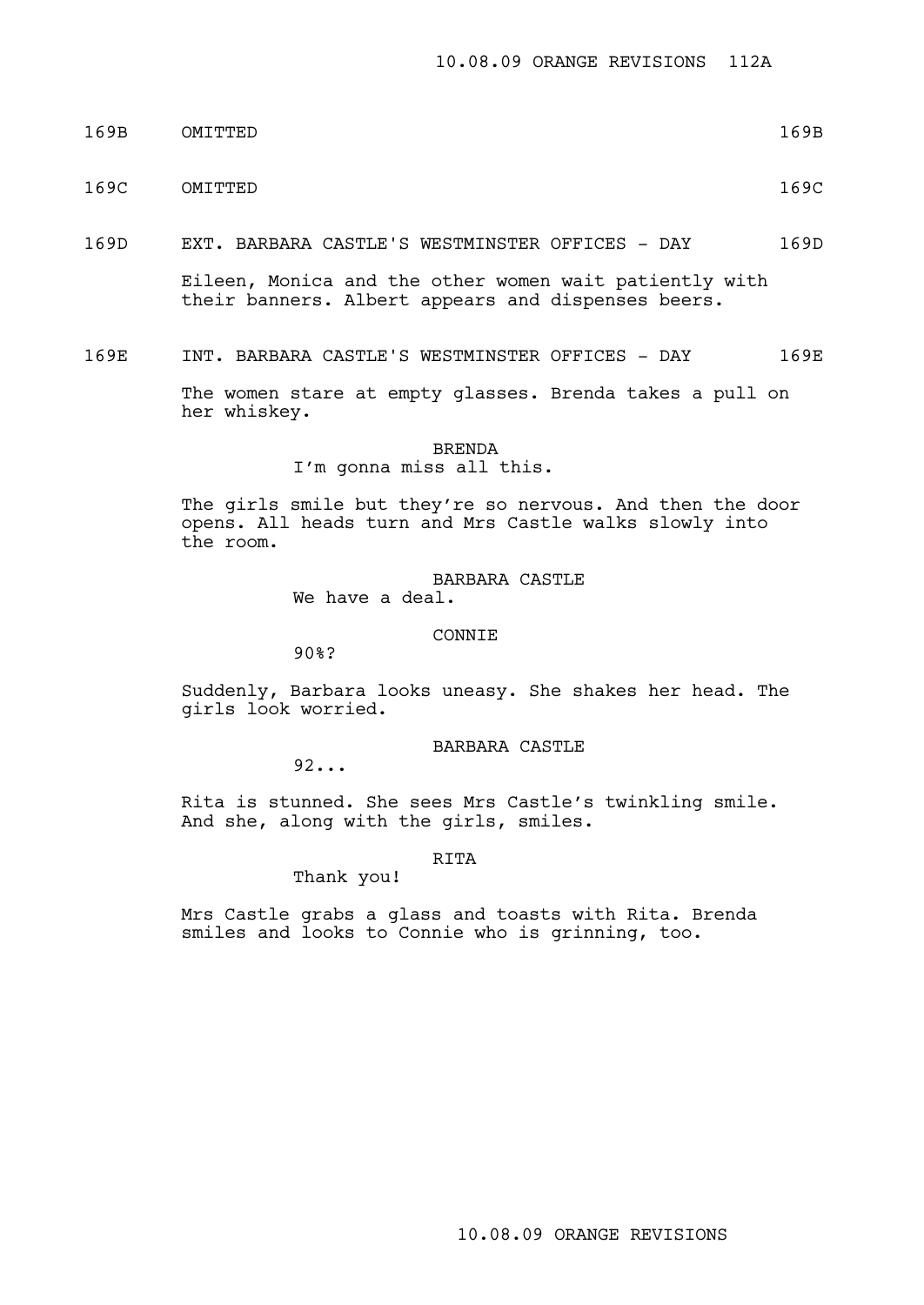169B OMITTED 169B

169C OMITTED 169C

169D EXT. BARBARA CASTLE'S WESTMINSTER OFFICES - DAY 169D

Eileen, Monica and the other women wait patiently with their banners. Albert appears and dispenses beers.

169E INT. BARBARA CASTLE'S WESTMINSTER OFFICES - DAY 169E

The women stare at empty glasses. Brenda takes a pull on her whiskey.

BRENDA

I'm gonna miss all this.

The girls smile but they're so nervous. And then the door opens. All heads turn and Mrs Castle walks slowly into the room.

> BARBARA CASTLE We have a deal.

#### CONNIE

90%?

Suddenly, Barbara looks uneasy. She shakes her head. The girls look worried.

# BARBARA CASTLE

92...

Rita is stunned. She sees Mrs Castle's twinkling smile. And she, along with the girls, smiles.

# RITA

# Thank you!

Mrs Castle grabs a glass and toasts with Rita. Brenda smiles and looks to Connie who is grinning, too.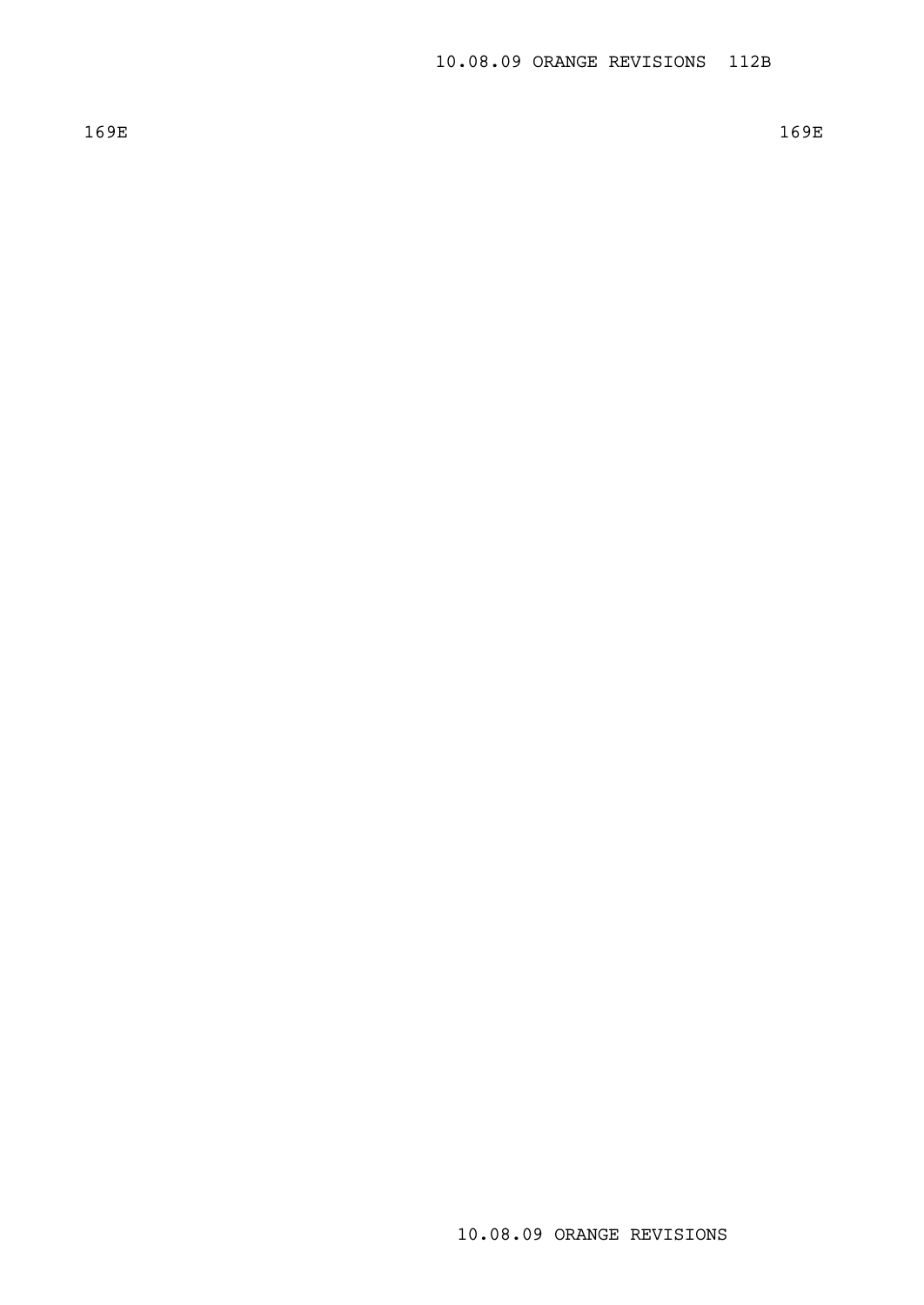$169E$  169E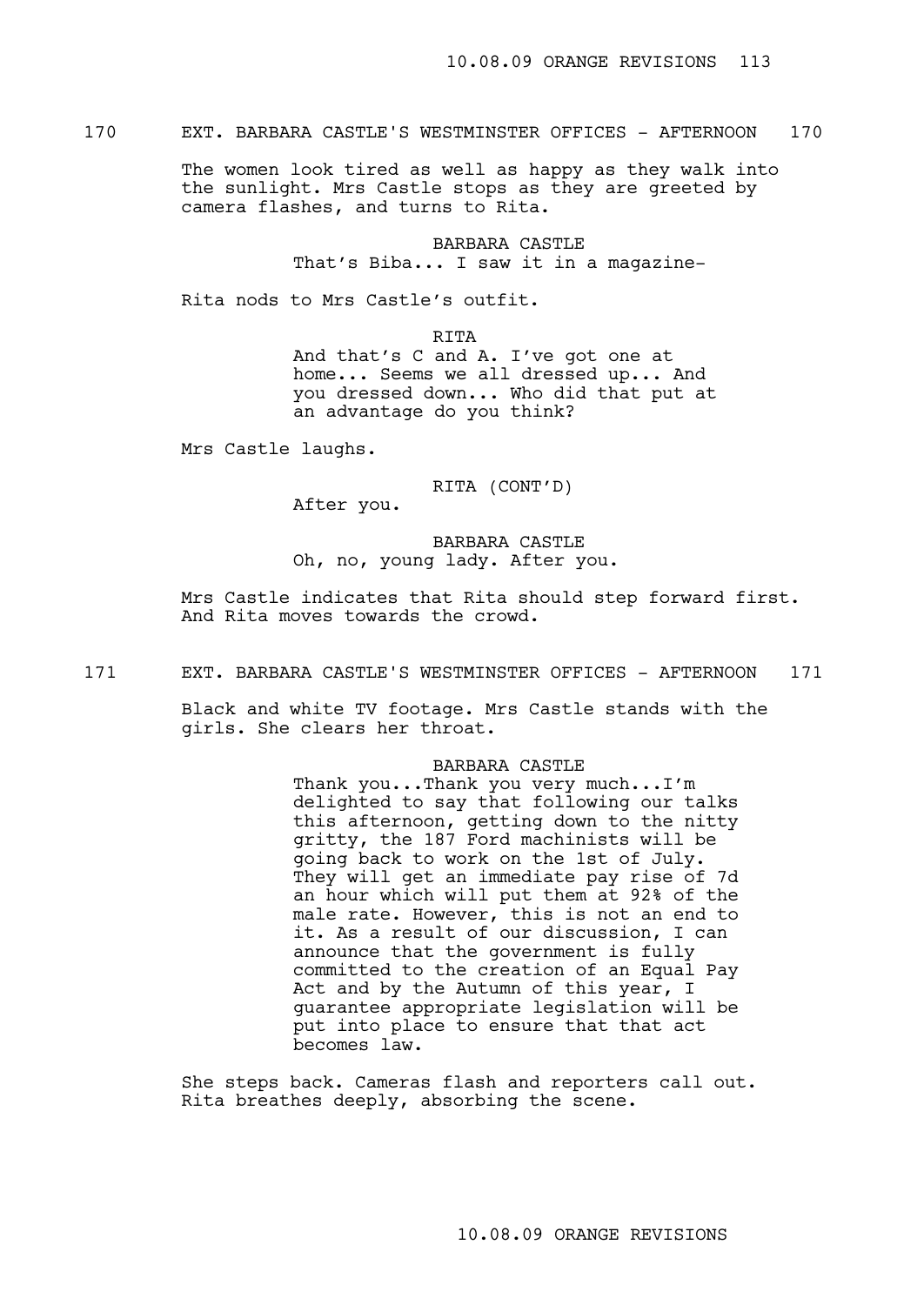170 EXT. BARBARA CASTLE'S WESTMINSTER OFFICES - AFTERNOON 170

The women look tired as well as happy as they walk into the sunlight. Mrs Castle stops as they are greeted by camera flashes, and turns to Rita.

> BARBARA CASTLE That's Biba... I saw it in a magazine-

Rita nods to Mrs Castle's outfit.

RITA

And that's C and A. I've got one at home... Seems we all dressed up... And you dressed down... Who did that put at an advantage do you think?

Mrs Castle laughs.

RITA (CONT'D)

After you.

BARBARA CASTLE Oh, no, young lady. After you.

Mrs Castle indicates that Rita should step forward first. And Rita moves towards the crowd.

171 EXT. BARBARA CASTLE'S WESTMINSTER OFFICES - AFTERNOON 171

Black and white TV footage. Mrs Castle stands with the girls. She clears her throat.

# BARBARA CASTLE

Thank you...Thank you very much...I'm delighted to say that following our talks this afternoon, getting down to the nitty gritty, the 187 Ford machinists will be going back to work on the 1st of July. They will get an immediate pay rise of 7d an hour which will put them at 92% of the male rate. However, this is not an end to it. As a result of our discussion, I can announce that the government is fully committed to the creation of an Equal Pay Act and by the Autumn of this year, I guarantee appropriate legislation will be put into place to ensure that that act becomes law.

She steps back. Cameras flash and reporters call out. Rita breathes deeply, absorbing the scene.